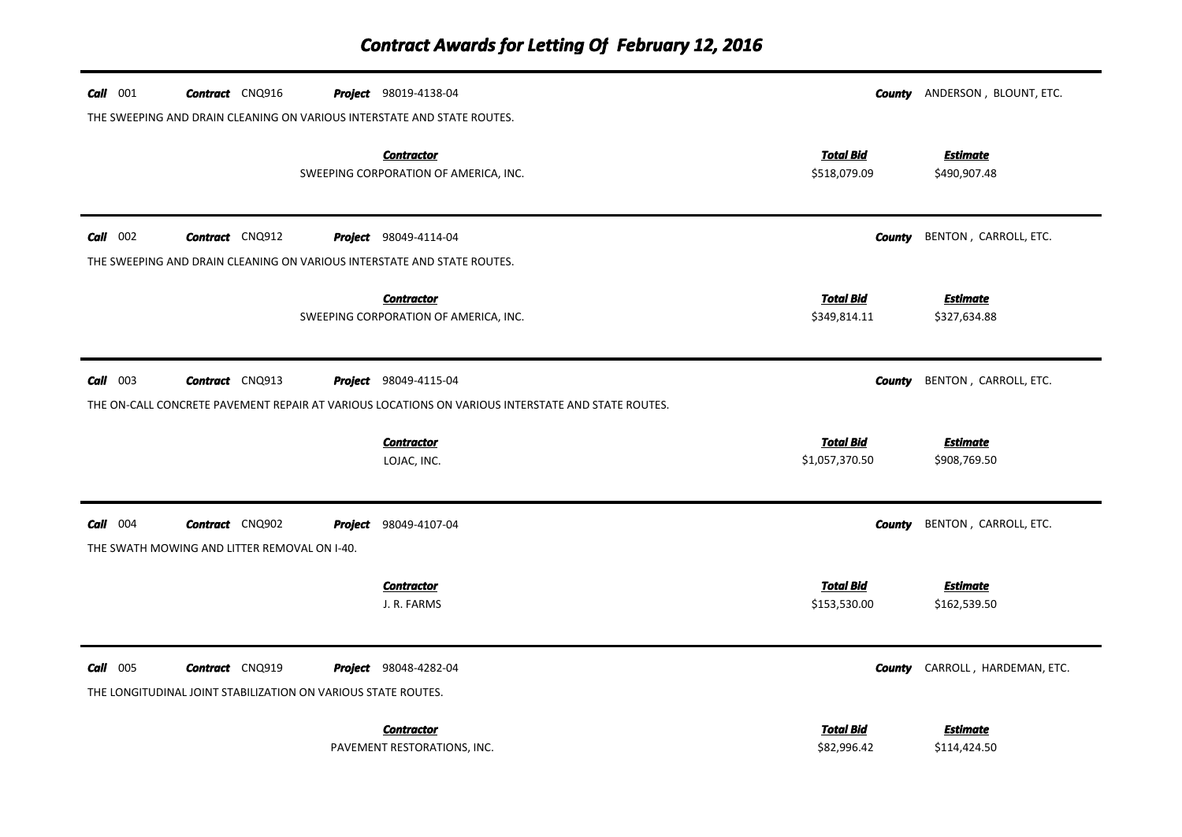| $Call$ 001      | <b>Contract</b> CNQ916                                                                  |  | <b>Project</b> 98019-4138-04                                                                      |                                    | <b>County</b> ANDERSON, BLOUNT, ETC.  |  |  |
|-----------------|-----------------------------------------------------------------------------------------|--|---------------------------------------------------------------------------------------------------|------------------------------------|---------------------------------------|--|--|
|                 | THE SWEEPING AND DRAIN CLEANING ON VARIOUS INTERSTATE AND STATE ROUTES.                 |  |                                                                                                   |                                    |                                       |  |  |
|                 |                                                                                         |  | <b>Contractor</b><br>SWEEPING CORPORATION OF AMERICA, INC.                                        | <b>Total Bid</b><br>\$518,079.09   | <b>Estimate</b><br>\$490,907.48       |  |  |
| $Call$ 002      | <b>Contract</b> CNQ912                                                                  |  | <b>Project</b> 98049-4114-04                                                                      | County                             | BENTON, CARROLL, ETC.                 |  |  |
|                 |                                                                                         |  | THE SWEEPING AND DRAIN CLEANING ON VARIOUS INTERSTATE AND STATE ROUTES.                           |                                    |                                       |  |  |
|                 |                                                                                         |  | <b>Contractor</b><br>SWEEPING CORPORATION OF AMERICA, INC.                                        | <b>Total Bid</b><br>\$349,814.11   | <b>Estimate</b><br>\$327,634.88       |  |  |
| $Call$ 003      | <b>Contract</b> CNQ913                                                                  |  | <b>Project</b> 98049-4115-04                                                                      | County                             | BENTON, CARROLL, ETC.                 |  |  |
|                 |                                                                                         |  | THE ON-CALL CONCRETE PAVEMENT REPAIR AT VARIOUS LOCATIONS ON VARIOUS INTERSTATE AND STATE ROUTES. |                                    |                                       |  |  |
|                 |                                                                                         |  | <b>Contractor</b><br>LOJAC, INC.                                                                  | <b>Total Bid</b><br>\$1,057,370.50 | <b>Estimate</b><br>\$908,769.50       |  |  |
| $Call$ 004      | <b>Contract</b> CNQ902                                                                  |  | Project 98049-4107-04                                                                             | County                             | BENTON, CARROLL, ETC.                 |  |  |
|                 | THE SWATH MOWING AND LITTER REMOVAL ON I-40.                                            |  |                                                                                                   |                                    |                                       |  |  |
|                 |                                                                                         |  | <b>Contractor</b><br>J. R. FARMS                                                                  | <b>Total Bid</b><br>\$153,530.00   | <b>Estimate</b><br>\$162,539.50       |  |  |
| <b>Call</b> 005 | <b>Contract</b> CNQ919<br>THE LONGITUDINAL JOINT STABILIZATION ON VARIOUS STATE ROUTES. |  | Project 98048-4282-04                                                                             |                                    | <b>County</b> CARROLL, HARDEMAN, ETC. |  |  |
|                 |                                                                                         |  | <b>Contractor</b><br>PAVEMENT RESTORATIONS, INC.                                                  | <b>Total Bid</b><br>\$82,996.42    | Estimate<br>\$114,424.50              |  |  |

PAVEMENT RESTORATIONS, INC.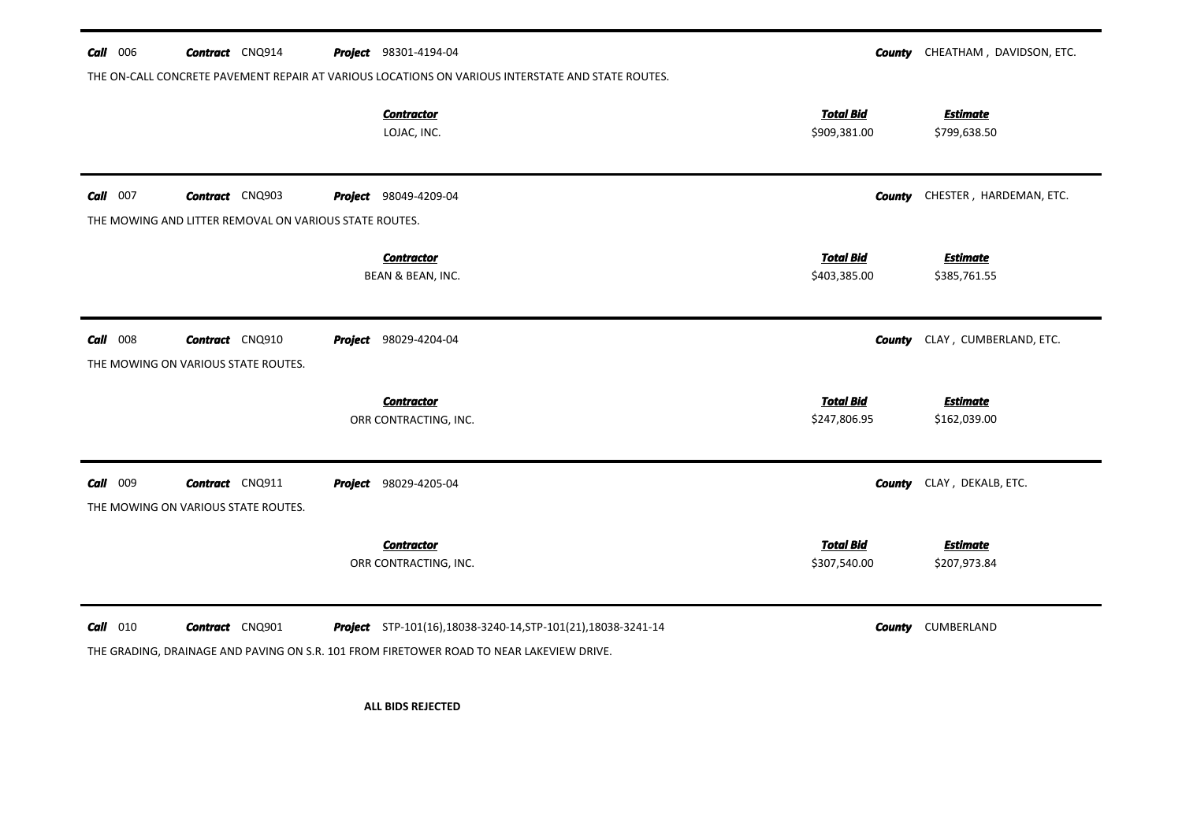| <b>Call</b> 006 | <b>Contract</b> CNQ914                                        |         | Project 98301-4194-04                                                                                                                                     | County                           | CHEATHAM, DAVIDSON, ETC.        |
|-----------------|---------------------------------------------------------------|---------|-----------------------------------------------------------------------------------------------------------------------------------------------------------|----------------------------------|---------------------------------|
|                 |                                                               |         | THE ON-CALL CONCRETE PAVEMENT REPAIR AT VARIOUS LOCATIONS ON VARIOUS INTERSTATE AND STATE ROUTES.                                                         |                                  |                                 |
|                 |                                                               |         | <b>Contractor</b><br>LOJAC, INC.                                                                                                                          | <b>Total Bid</b><br>\$909,381.00 | <b>Estimate</b><br>\$799,638.50 |
| <b>Call</b> 007 | <b>Contract</b> CNQ903                                        |         | <b>Project</b> 98049-4209-04                                                                                                                              | <b>County</b>                    | CHESTER, HARDEMAN, ETC.         |
|                 | THE MOWING AND LITTER REMOVAL ON VARIOUS STATE ROUTES.        |         |                                                                                                                                                           |                                  |                                 |
|                 |                                                               |         | <b>Contractor</b><br>BEAN & BEAN, INC.                                                                                                                    | <b>Total Bid</b><br>\$403,385.00 | <b>Estimate</b><br>\$385,761.55 |
| $Call$ 008      | <b>Contract</b> CNQ910<br>THE MOWING ON VARIOUS STATE ROUTES. | Project | 98029-4204-04                                                                                                                                             | <b>County</b>                    | CLAY, CUMBERLAND, ETC.          |
|                 |                                                               |         | <b>Contractor</b>                                                                                                                                         | <b>Total Bid</b>                 | <b>Estimate</b>                 |
|                 |                                                               |         | ORR CONTRACTING, INC.                                                                                                                                     | \$247,806.95                     | \$162,039.00                    |
| Call 009        | <b>Contract</b> CNQ911<br>THE MOWING ON VARIOUS STATE ROUTES. |         | Project 98029-4205-04                                                                                                                                     | County                           | CLAY, DEKALB, ETC.              |
|                 |                                                               |         | <b>Contractor</b><br>ORR CONTRACTING, INC.                                                                                                                | <b>Total Bid</b><br>\$307,540.00 | <b>Estimate</b><br>\$207,973.84 |
| <b>Call</b> 010 | <b>Contract</b> CNQ901                                        |         | Project STP-101(16),18038-3240-14, STP-101(21), 18038-3241-14<br>THE GRADING, DRAINAGE AND PAVING ON S.R. 101 FROM FIRETOWER ROAD TO NEAR LAKEVIEW DRIVE. | <b>County</b>                    | CUMBERLAND                      |

**ALL BIDS REJECTED**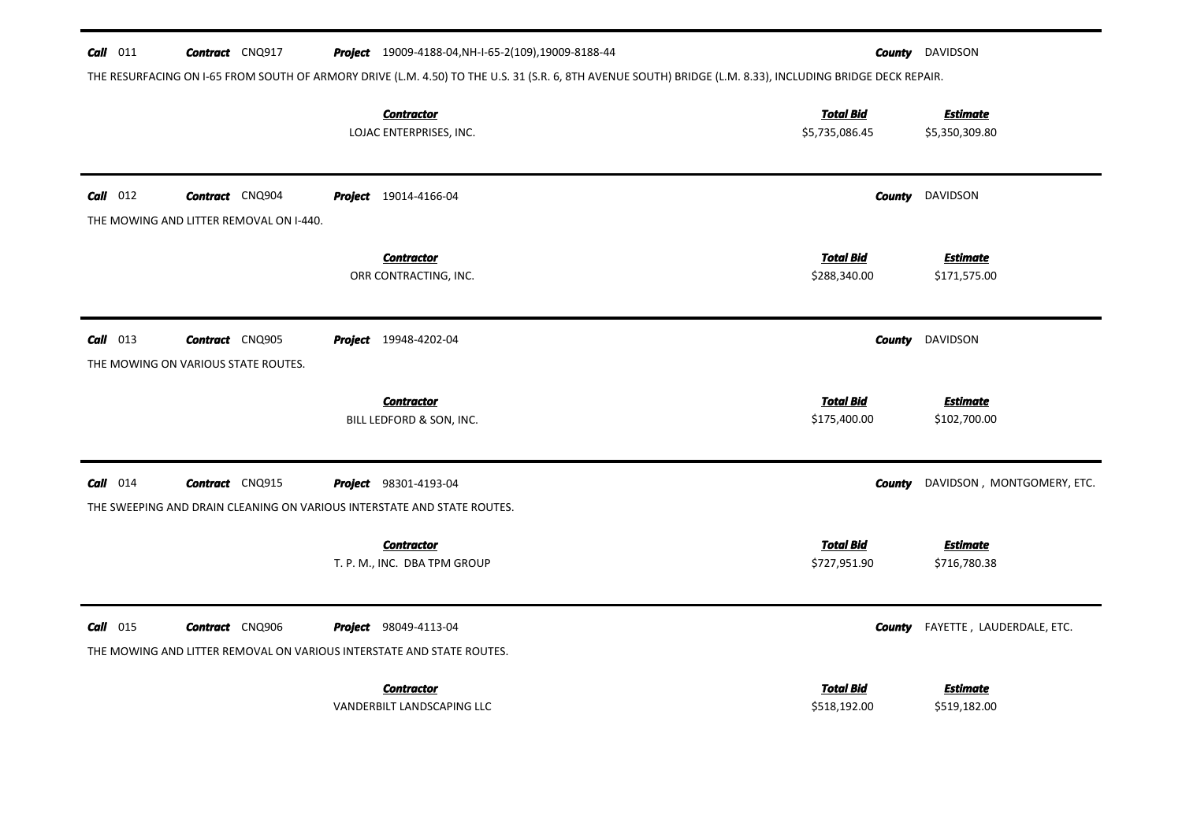| $Call$ 011 | <b>Contract</b> CNQ917                                                                          | Project 19009-4188-04, NH-I-65-2(109), 19009-8188-44                                                                                                       |                                    |               | <b>County</b> DAVIDSON            |
|------------|-------------------------------------------------------------------------------------------------|------------------------------------------------------------------------------------------------------------------------------------------------------------|------------------------------------|---------------|-----------------------------------|
|            |                                                                                                 | THE RESURFACING ON I-65 FROM SOUTH OF ARMORY DRIVE (L.M. 4.50) TO THE U.S. 31 (S.R. 6, 8TH AVENUE SOUTH) BRIDGE (L.M. 8.33), INCLUDING BRIDGE DECK REPAIR. |                                    |               |                                   |
|            |                                                                                                 | <b>Contractor</b><br>LOJAC ENTERPRISES, INC.                                                                                                               | <b>Total Bid</b><br>\$5,735,086.45 |               | <b>Estimate</b><br>\$5,350,309.80 |
| $Call$ 012 | <b>Contract</b> CNQ904<br>THE MOWING AND LITTER REMOVAL ON I-440.                               | <b>Project</b> 19014-4166-04                                                                                                                               |                                    |               | <b>County</b> DAVIDSON            |
|            |                                                                                                 | <b>Contractor</b><br>ORR CONTRACTING, INC.                                                                                                                 | <b>Total Bid</b><br>\$288,340.00   |               | <b>Estimate</b><br>\$171,575.00   |
| $Call$ 013 | <b>Contract</b> CNQ905<br>THE MOWING ON VARIOUS STATE ROUTES.                                   | Project 19948-4202-04                                                                                                                                      |                                    | County        | DAVIDSON                          |
|            |                                                                                                 | <b>Contractor</b><br>BILL LEDFORD & SON, INC.                                                                                                              | <b>Total Bid</b><br>\$175,400.00   |               | <b>Estimate</b><br>\$102,700.00   |
| $Call$ 014 | <b>Contract</b> CNQ915                                                                          | Project 98301-4193-04                                                                                                                                      |                                    | <b>County</b> | DAVIDSON, MONTGOMERY, ETC.        |
|            | THE SWEEPING AND DRAIN CLEANING ON VARIOUS INTERSTATE AND STATE ROUTES.                         |                                                                                                                                                            |                                    |               |                                   |
|            |                                                                                                 | <b>Contractor</b><br>T. P. M., INC. DBA TPM GROUP                                                                                                          | <b>Total Bid</b><br>\$727,951.90   |               | <b>Estimate</b><br>\$716,780.38   |
| $Call$ 015 | <b>Contract</b> CNQ906<br>THE MOWING AND LITTER REMOVAL ON VARIOUS INTERSTATE AND STATE ROUTES. | <b>Project</b> 98049-4113-04                                                                                                                               |                                    | County        | FAYETTE, LAUDERDALE, ETC.         |
|            |                                                                                                 | <b>Contractor</b><br>VANDERBILT LANDSCAPING LLC                                                                                                            | <b>Total Bid</b><br>\$518,192.00   |               | <b>Estimate</b><br>\$519,182.00   |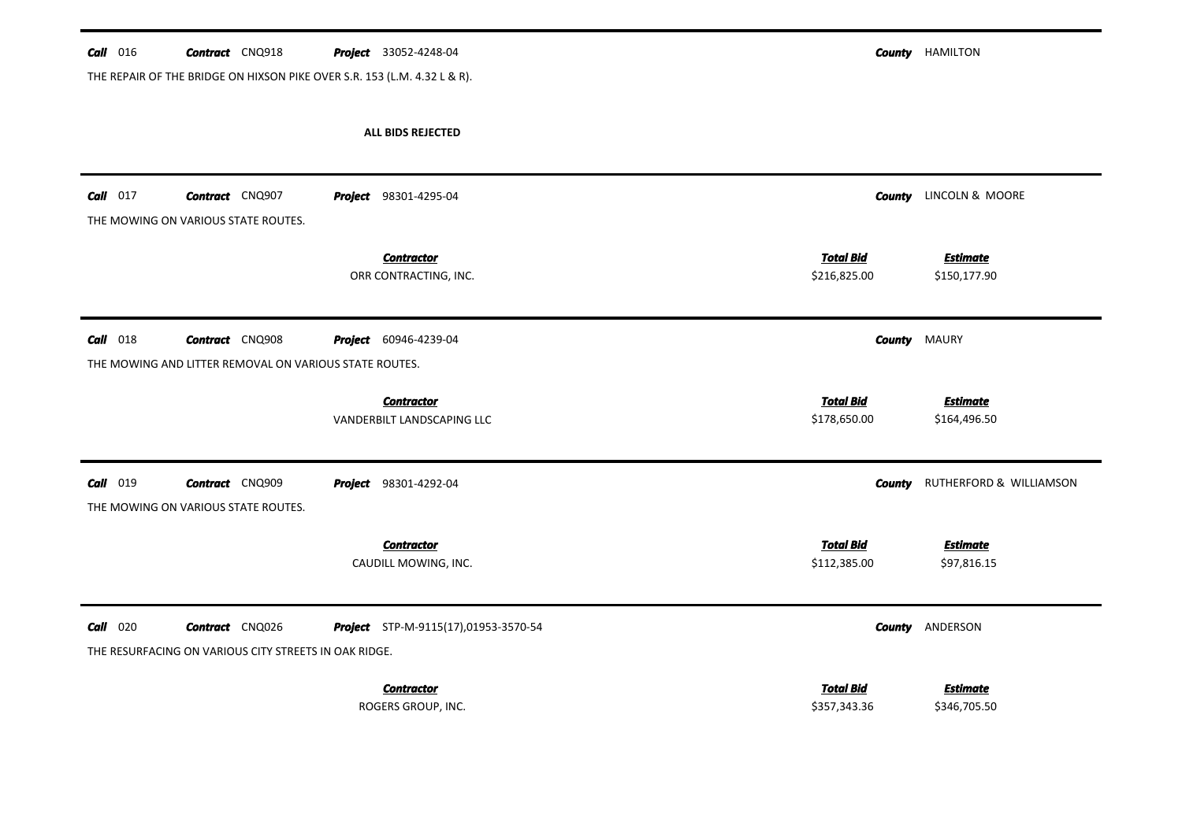| <b>Call</b> 016 | <b>Contract</b> CNQ918                                                          | <b>Project</b> 33052-4248-04               |                                  | <b>County</b> HAMILTON                |
|-----------------|---------------------------------------------------------------------------------|--------------------------------------------|----------------------------------|---------------------------------------|
|                 | THE REPAIR OF THE BRIDGE ON HIXSON PIKE OVER S.R. 153 (L.M. 4.32 L & R).        |                                            |                                  |                                       |
|                 |                                                                                 | ALL BIDS REJECTED                          |                                  |                                       |
| $Call$ 017      | <b>Contract</b> CNQ907<br>THE MOWING ON VARIOUS STATE ROUTES.                   | <b>Project</b> 98301-4295-04               |                                  | <b>County</b> LINCOLN & MOORE         |
|                 |                                                                                 | <b>Contractor</b><br>ORR CONTRACTING, INC. | <b>Total Bid</b><br>\$216,825.00 | <b>Estimate</b><br>\$150,177.90       |
| $Call$ 018      | <b>Contract</b> CNQ908                                                          | Project 60946-4239-04                      |                                  | <b>County MAURY</b>                   |
|                 | THE MOWING AND LITTER REMOVAL ON VARIOUS STATE ROUTES.                          |                                            |                                  |                                       |
|                 |                                                                                 | <b>Contractor</b>                          | <b>Total Bid</b>                 | <b>Estimate</b>                       |
|                 |                                                                                 | VANDERBILT LANDSCAPING LLC                 | \$178,650.00                     | \$164,496.50                          |
| Call 019        | <b>Contract</b> CNQ909<br>THE MOWING ON VARIOUS STATE ROUTES.                   | Project 98301-4292-04                      |                                  | <b>County</b> RUTHERFORD & WILLIAMSON |
|                 |                                                                                 | <b>Contractor</b><br>CAUDILL MOWING, INC.  | <b>Total Bid</b><br>\$112,385.00 | <b>Estimate</b><br>\$97,816.15        |
| $Call$ 020      | <b>Contract</b> CNQ026<br>THE RESURFACING ON VARIOUS CITY STREETS IN OAK RIDGE. | Project STP-M-9115(17),01953-3570-54       |                                  | <b>County ANDERSON</b>                |
|                 |                                                                                 |                                            | <b>Total Bid</b>                 |                                       |
|                 |                                                                                 | <b>Contractor</b><br>ROGERS GROUP, INC.    | \$357,343.36                     | <b>Estimate</b><br>\$346,705.50       |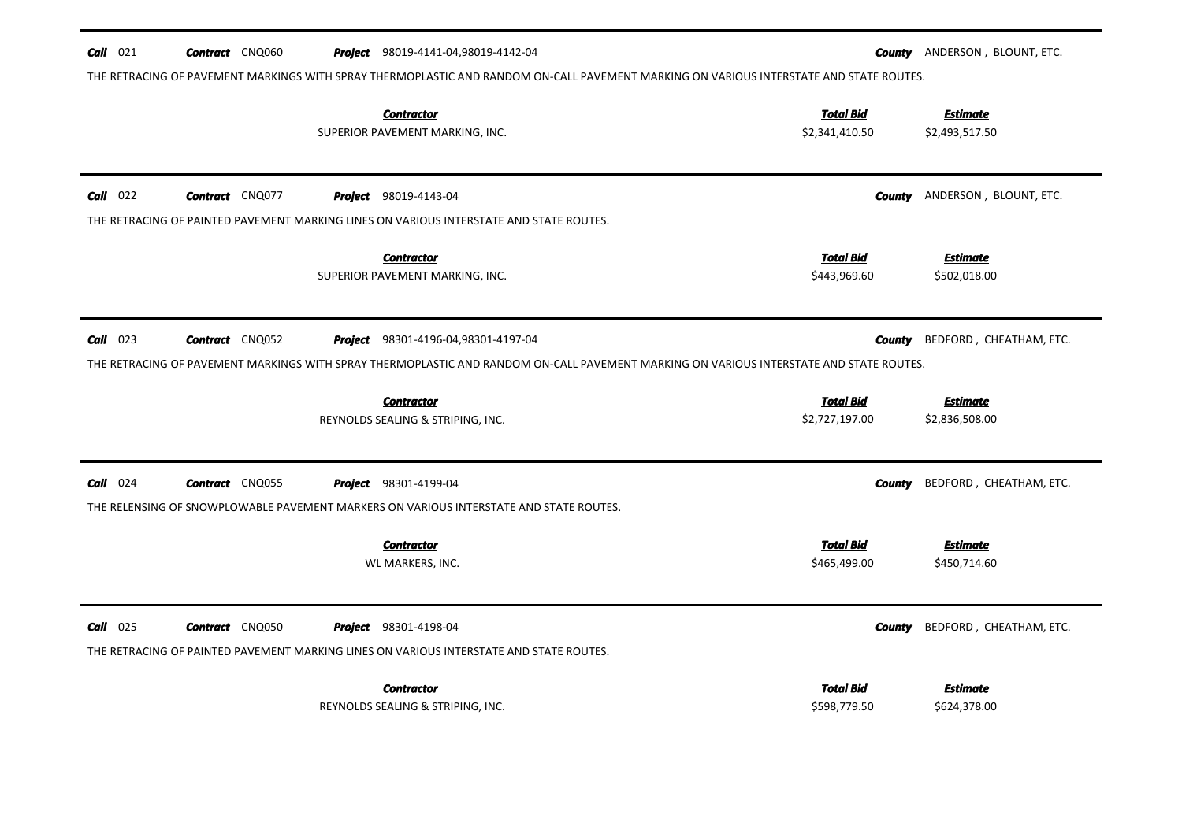| $Call$ 021<br><b>Contract</b> CNQ060                                                    | <b>Project</b> 98019-4141-04,98019-4142-04<br>THE RETRACING OF PAVEMENT MARKINGS WITH SPRAY THERMOPLASTIC AND RANDOM ON-CALL PAVEMENT MARKING ON VARIOUS INTERSTATE AND STATE ROUTES. | County                             | ANDERSON, BLOUNT, ETC.            |
|-----------------------------------------------------------------------------------------|---------------------------------------------------------------------------------------------------------------------------------------------------------------------------------------|------------------------------------|-----------------------------------|
|                                                                                         | <b>Contractor</b><br>SUPERIOR PAVEMENT MARKING, INC.                                                                                                                                  | <b>Total Bid</b><br>\$2,341,410.50 | <b>Estimate</b><br>\$2,493,517.50 |
| $Call$ 022<br><b>Contract</b> CNQ077                                                    | <b>Project</b> 98019-4143-04                                                                                                                                                          | <b>County</b>                      | ANDERSON, BLOUNT, ETC.            |
| THE RETRACING OF PAINTED PAVEMENT MARKING LINES ON VARIOUS INTERSTATE AND STATE ROUTES. |                                                                                                                                                                                       |                                    |                                   |
|                                                                                         | <b>Contractor</b>                                                                                                                                                                     | <b>Total Bid</b>                   | <b>Estimate</b>                   |
|                                                                                         | SUPERIOR PAVEMENT MARKING, INC.                                                                                                                                                       | \$443,969.60                       | \$502,018.00                      |
|                                                                                         |                                                                                                                                                                                       |                                    |                                   |
| $Call$ 023<br><b>Contract</b> CNQ052                                                    | Project 98301-4196-04,98301-4197-04                                                                                                                                                   | County                             | BEDFORD, CHEATHAM, ETC.           |
|                                                                                         | THE RETRACING OF PAVEMENT MARKINGS WITH SPRAY THERMOPLASTIC AND RANDOM ON-CALL PAVEMENT MARKING ON VARIOUS INTERSTATE AND STATE ROUTES.                                               |                                    |                                   |
|                                                                                         | <b>Contractor</b>                                                                                                                                                                     | <b>Total Bid</b>                   | <b>Estimate</b>                   |
|                                                                                         | REYNOLDS SEALING & STRIPING, INC.                                                                                                                                                     | \$2,727,197.00                     | \$2,836,508.00                    |
|                                                                                         |                                                                                                                                                                                       |                                    |                                   |
| $Call$ 024<br><b>Contract</b> CNQ055                                                    | <b>Project</b> 98301-4199-04                                                                                                                                                          | County                             | BEDFORD, CHEATHAM, ETC.           |
| THE RELENSING OF SNOWPLOWABLE PAVEMENT MARKERS ON VARIOUS INTERSTATE AND STATE ROUTES.  |                                                                                                                                                                                       |                                    |                                   |
|                                                                                         |                                                                                                                                                                                       |                                    |                                   |
|                                                                                         | <b>Contractor</b>                                                                                                                                                                     | <b>Total Bid</b>                   | <b>Estimate</b>                   |
|                                                                                         | WL MARKERS, INC.                                                                                                                                                                      | \$465,499.00                       | \$450,714.60                      |
|                                                                                         |                                                                                                                                                                                       |                                    |                                   |
| $Call$ 025<br><b>Contract</b> CNQ050                                                    | <b>Project</b> 98301-4198-04                                                                                                                                                          | <b>County</b>                      | BEDFORD, CHEATHAM, ETC.           |
| THE RETRACING OF PAINTED PAVEMENT MARKING LINES ON VARIOUS INTERSTATE AND STATE ROUTES. |                                                                                                                                                                                       |                                    |                                   |
|                                                                                         | <b>Contractor</b>                                                                                                                                                                     | <b>Total Bid</b>                   | Estimate                          |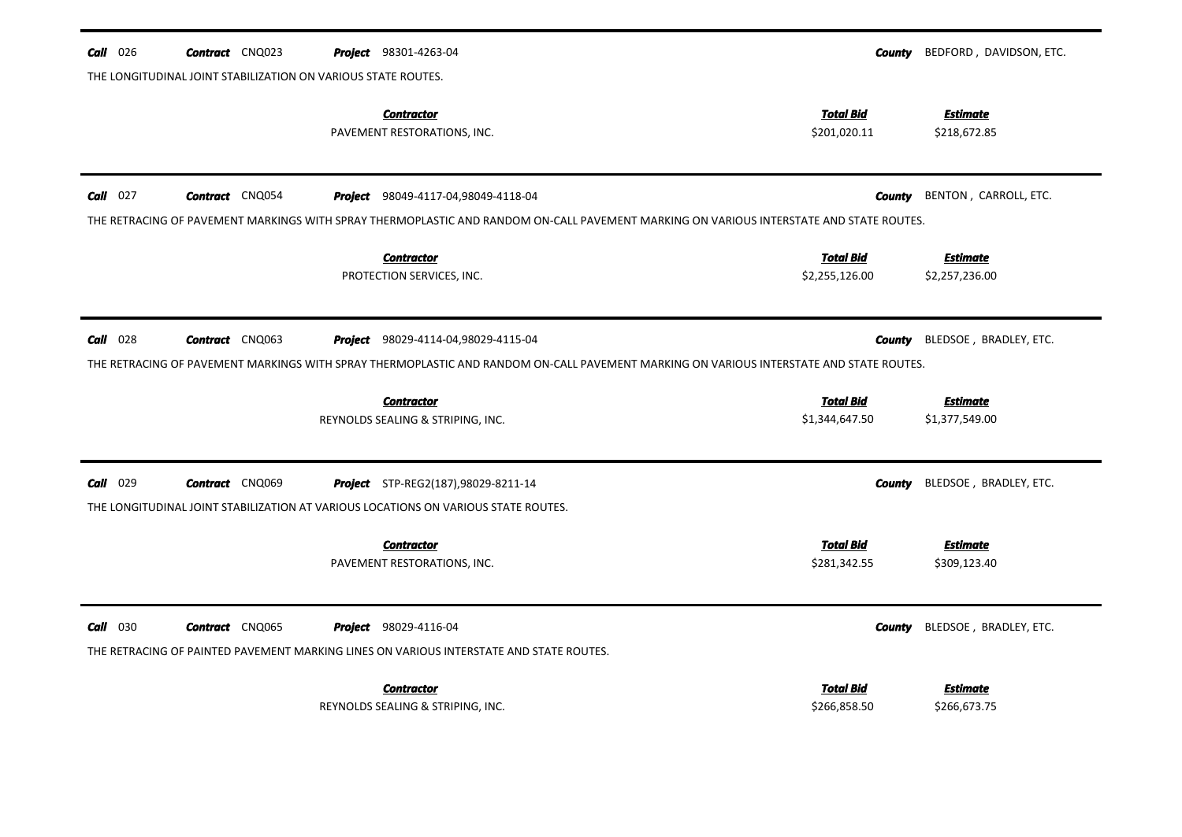| 026<br>Call | <b>Contract</b> CNQ023                                        | Project 98301-4263-04                                                                                                                                                          | County                             | BEDFORD, DAVIDSON, ETC.           |
|-------------|---------------------------------------------------------------|--------------------------------------------------------------------------------------------------------------------------------------------------------------------------------|------------------------------------|-----------------------------------|
|             | THE LONGITUDINAL JOINT STABILIZATION ON VARIOUS STATE ROUTES. | <b>Contractor</b><br>PAVEMENT RESTORATIONS, INC.                                                                                                                               | <b>Total Bid</b><br>\$201,020.11   | <b>Estimate</b><br>\$218,672.85   |
| $Call$ 027  | Contract CNQ054                                               | <b>Project</b> 98049-4117-04,98049-4118-04                                                                                                                                     | <b>County</b>                      | BENTON, CARROLL, ETC.             |
|             |                                                               | THE RETRACING OF PAVEMENT MARKINGS WITH SPRAY THERMOPLASTIC AND RANDOM ON-CALL PAVEMENT MARKING ON VARIOUS INTERSTATE AND STATE ROUTES.                                        |                                    |                                   |
|             |                                                               | <b>Contractor</b><br>PROTECTION SERVICES, INC.                                                                                                                                 | <b>Total Bid</b><br>\$2,255,126.00 | <b>Estimate</b><br>\$2,257,236.00 |
| 028<br>Call | <b>Contract</b> CNQ063                                        | Project 98029-4114-04,98029-4115-04<br>THE RETRACING OF PAVEMENT MARKINGS WITH SPRAY THERMOPLASTIC AND RANDOM ON-CALL PAVEMENT MARKING ON VARIOUS INTERSTATE AND STATE ROUTES. | County                             | BLEDSOE, BRADLEY, ETC.            |
|             |                                                               | <b>Contractor</b><br>REYNOLDS SEALING & STRIPING, INC.                                                                                                                         | <b>Total Bid</b><br>\$1,344,647.50 | <b>Estimate</b><br>\$1,377,549.00 |
| 029<br>Call | <b>Contract</b> CNQ069                                        | <b>Project</b> STP-REG2(187),98029-8211-14<br>THE LONGITUDINAL JOINT STABILIZATION AT VARIOUS LOCATIONS ON VARIOUS STATE ROUTES.                                               | <b>County</b>                      | BLEDSOE, BRADLEY, ETC.            |
|             |                                                               | <b>Contractor</b><br>PAVEMENT RESTORATIONS, INC.                                                                                                                               | <b>Total Bid</b><br>\$281,342.55   | <b>Estimate</b><br>\$309,123.40   |
| $Call$ 030  | <b>Contract</b> CNQ065                                        | <b>Project</b> 98029-4116-04<br>THE RETRACING OF PAINTED PAVEMENT MARKING LINES ON VARIOUS INTERSTATE AND STATE ROUTES.                                                        | <b>County</b>                      | BLEDSOE, BRADLEY, ETC.            |
|             |                                                               | <b>Contractor</b><br>REYNOLDS SEALING & STRIPING, INC.                                                                                                                         | <b>Total Bid</b><br>\$266,858.50   | <b>Estimate</b><br>\$266,673.75   |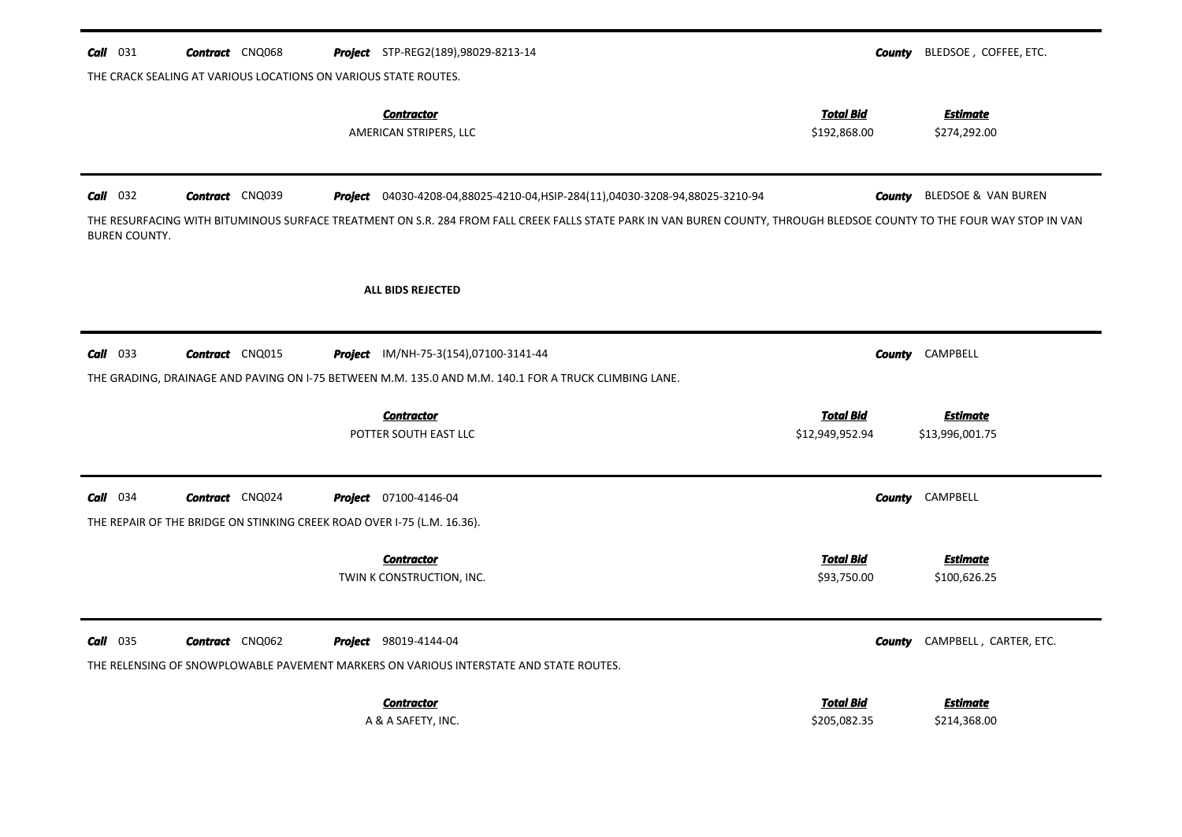| $Call$ 031<br><b>Contract</b> CNQ068<br>Project STP-REG2(189),98029-8213-14<br>THE CRACK SEALING AT VARIOUS LOCATIONS ON VARIOUS STATE ROUTES.                                                                                                                                                                           | County                           | BLEDSOE, COFFEE, ETC.                     |
|--------------------------------------------------------------------------------------------------------------------------------------------------------------------------------------------------------------------------------------------------------------------------------------------------------------------------|----------------------------------|-------------------------------------------|
| <b>Contractor</b><br>AMERICAN STRIPERS, LLC                                                                                                                                                                                                                                                                              | <b>Total Bid</b><br>\$192,868.00 | <b>Estimate</b><br>\$274,292.00           |
| $Call$ 032<br><b>Contract</b> CNQ039<br>Project 04030-4208-04,88025-4210-04, HSIP-284(11), 04030-3208-94,88025-3210-94<br>THE RESURFACING WITH BITUMINOUS SURFACE TREATMENT ON S.R. 284 FROM FALL CREEK FALLS STATE PARK IN VAN BUREN COUNTY, THROUGH BLEDSOE COUNTY TO THE FOUR WAY STOP IN VAN<br><b>BUREN COUNTY.</b> | <b>County</b>                    | <b>BLEDSOE &amp; VAN BUREN</b>            |
| ALL BIDS REJECTED                                                                                                                                                                                                                                                                                                        |                                  |                                           |
| $Call$ 033<br><b>Contract</b> CNQ015<br>Project IM/NH-75-3(154),07100-3141-44<br>THE GRADING, DRAINAGE AND PAVING ON I-75 BETWEEN M.M. 135.0 AND M.M. 140.1 FOR A TRUCK CLIMBING LANE.<br><b>Contractor</b>                                                                                                              | <b>Total Bid</b>                 | <b>County</b> CAMPBELL<br><b>Estimate</b> |
| POTTER SOUTH EAST LLC                                                                                                                                                                                                                                                                                                    | \$12,949,952.94                  | \$13,996,001.75                           |
| Call 034<br><b>Contract</b> CNQ024<br><b>Project</b> 07100-4146-04<br>THE REPAIR OF THE BRIDGE ON STINKING CREEK ROAD OVER I-75 (L.M. 16.36).                                                                                                                                                                            | County                           | CAMPBELL                                  |
| <b>Contractor</b><br>TWIN K CONSTRUCTION, INC.                                                                                                                                                                                                                                                                           | <b>Total Bid</b><br>\$93,750.00  | <b>Estimate</b><br>\$100,626.25           |
| $Call$ 035<br><b>Contract</b> CNQ062<br><b>Project</b> 98019-4144-04<br>THE RELENSING OF SNOWPLOWABLE PAVEMENT MARKERS ON VARIOUS INTERSTATE AND STATE ROUTES.                                                                                                                                                           | <b>County</b>                    | CAMPBELL, CARTER, ETC.                    |
| <b>Contractor</b><br>A & A SAFETY, INC.                                                                                                                                                                                                                                                                                  | <b>Total Bid</b><br>\$205,082.35 | <u>Estimate</u><br>\$214,368.00           |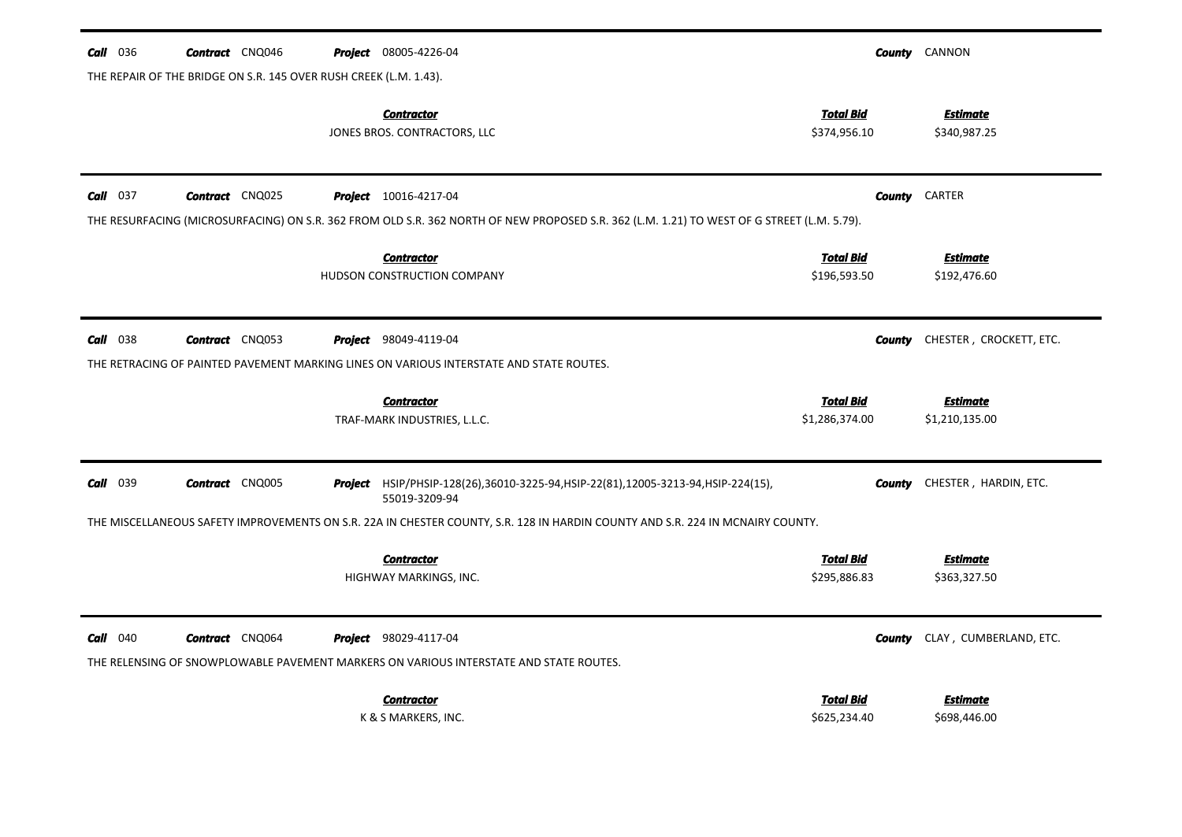| 036<br>Call | <b>Contract</b> CNQ046                                            | <b>Project</b> 08005-4226-04                                                                                                                                               |                                    | <b>County</b> CANNON              |
|-------------|-------------------------------------------------------------------|----------------------------------------------------------------------------------------------------------------------------------------------------------------------------|------------------------------------|-----------------------------------|
|             | THE REPAIR OF THE BRIDGE ON S.R. 145 OVER RUSH CREEK (L.M. 1.43). |                                                                                                                                                                            |                                    |                                   |
|             |                                                                   | <b>Contractor</b><br>JONES BROS. CONTRACTORS, LLC                                                                                                                          | <b>Total Bid</b><br>\$374,956.10   | Estimate<br>\$340,987.25          |
| $Call$ 037  | <b>Contract</b> CNQ025                                            | <b>Project</b> 10016-4217-04<br>THE RESURFACING (MICROSURFACING) ON S.R. 362 FROM OLD S.R. 362 NORTH OF NEW PROPOSED S.R. 362 (L.M. 1.21) TO WEST OF G STREET (L.M. 5.79). | <b>County</b>                      | CARTER                            |
|             |                                                                   | <b>Contractor</b><br>HUDSON CONSTRUCTION COMPANY                                                                                                                           | <b>Total Bid</b><br>\$196,593.50   | <u>Estimate</u><br>\$192,476.60   |
| $Call$ 038  | <b>Contract</b> CNQ053                                            | <b>Project</b> 98049-4119-04<br>THE RETRACING OF PAINTED PAVEMENT MARKING LINES ON VARIOUS INTERSTATE AND STATE ROUTES.                                                    | County                             | CHESTER, CROCKETT, ETC.           |
|             |                                                                   | <b>Contractor</b><br>TRAF-MARK INDUSTRIES, L.L.C.                                                                                                                          | <b>Total Bid</b><br>\$1,286,374.00 | <b>Estimate</b><br>\$1,210,135.00 |
| $Call$ 039  | <b>Contract</b> CNQ005                                            | Project HSIP/PHSIP-128(26),36010-3225-94,HSIP-22(81),12005-3213-94,HSIP-224(15),<br>55019-3209-94                                                                          | County                             | CHESTER, HARDIN, ETC.             |
|             |                                                                   | THE MISCELLANEOUS SAFETY IMPROVEMENTS ON S.R. 22A IN CHESTER COUNTY, S.R. 128 IN HARDIN COUNTY AND S.R. 224 IN MCNAIRY COUNTY.                                             |                                    |                                   |
|             |                                                                   | <b>Contractor</b><br>HIGHWAY MARKINGS, INC.                                                                                                                                | <b>Total Bid</b><br>\$295,886.83   | <b>Estimate</b><br>\$363,327.50   |
| $Call$ 040  | <b>Contract</b> CNQ064                                            | <b>Project</b> 98029-4117-04<br>THE RELENSING OF SNOWPLOWABLE PAVEMENT MARKERS ON VARIOUS INTERSTATE AND STATE ROUTES.                                                     | County                             | CLAY, CUMBERLAND, ETC.            |
|             |                                                                   | <b>Contractor</b><br>K & S MARKERS, INC.                                                                                                                                   | <b>Total Bid</b><br>\$625,234.40   | <b>Estimate</b><br>\$698,446.00   |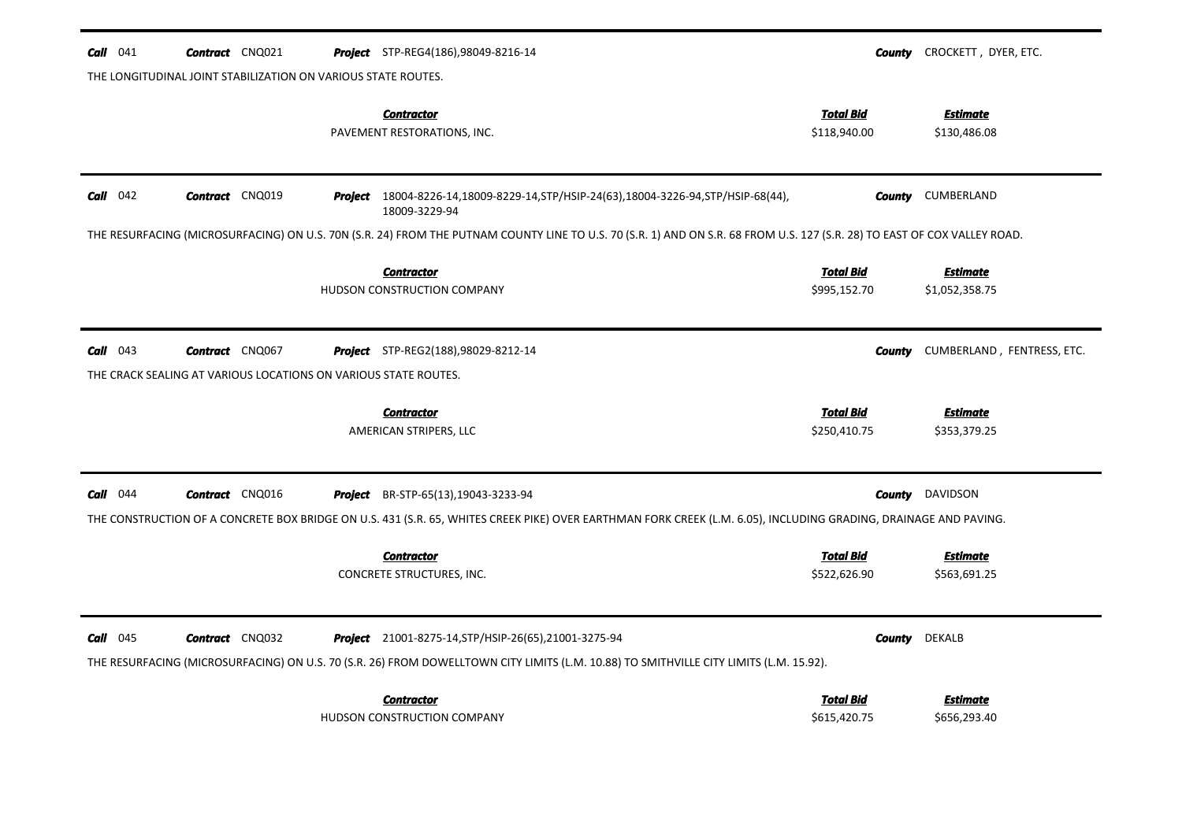| $Call$ 041                                                                                                                                                       | <b>Contract</b> CNQ021                                          |  | <b>Project</b> STP-REG4(186),98049-8216-14                                                                                                                                                             |                                  | <b>County</b> CROCKETT, DYER, ETC. |  |  |
|------------------------------------------------------------------------------------------------------------------------------------------------------------------|-----------------------------------------------------------------|--|--------------------------------------------------------------------------------------------------------------------------------------------------------------------------------------------------------|----------------------------------|------------------------------------|--|--|
| THE LONGITUDINAL JOINT STABILIZATION ON VARIOUS STATE ROUTES.                                                                                                    |                                                                 |  |                                                                                                                                                                                                        |                                  |                                    |  |  |
|                                                                                                                                                                  |                                                                 |  | <b>Contractor</b><br>PAVEMENT RESTORATIONS, INC.                                                                                                                                                       | <b>Total Bid</b><br>\$118,940.00 | <b>Estimate</b><br>\$130,486.08    |  |  |
| $Call$ 042                                                                                                                                                       | <b>Contract</b> CNQ019                                          |  | <b>Project</b> 18004-8226-14,18009-8229-14,STP/HSIP-24(63),18004-3226-94,STP/HSIP-68(44),<br>18009-3229-94                                                                                             | County                           | CUMBERLAND                         |  |  |
|                                                                                                                                                                  |                                                                 |  | THE RESURFACING (MICROSURFACING) ON U.S. 70N (S.R. 24) FROM THE PUTNAM COUNTY LINE TO U.S. 70 (S.R. 1) AND ON S.R. 68 FROM U.S. 127 (S.R. 28) TO EAST OF COX VALLEY ROAD.                              |                                  |                                    |  |  |
|                                                                                                                                                                  |                                                                 |  | <b>Contractor</b><br>HUDSON CONSTRUCTION COMPANY                                                                                                                                                       | <b>Total Bid</b><br>\$995,152.70 | <b>Estimate</b><br>\$1,052,358.75  |  |  |
| <b>Call</b> $043$                                                                                                                                                | <b>Contract</b> CNQ067                                          |  | <b>Project</b> STP-REG2(188),98029-8212-14                                                                                                                                                             | <b>County</b>                    | CUMBERLAND, FENTRESS, ETC.         |  |  |
|                                                                                                                                                                  | THE CRACK SEALING AT VARIOUS LOCATIONS ON VARIOUS STATE ROUTES. |  |                                                                                                                                                                                                        |                                  |                                    |  |  |
|                                                                                                                                                                  |                                                                 |  | <b>Contractor</b><br>AMERICAN STRIPERS, LLC                                                                                                                                                            | <b>Total Bid</b><br>\$250,410.75 | <b>Estimate</b><br>\$353,379.25    |  |  |
| $Call$ 044                                                                                                                                                       | <b>Contract</b> CNQ016                                          |  | Project BR-STP-65(13), 19043-3233-94                                                                                                                                                                   | County                           | DAVIDSON                           |  |  |
| THE CONSTRUCTION OF A CONCRETE BOX BRIDGE ON U.S. 431 (S.R. 65, WHITES CREEK PIKE) OVER EARTHMAN FORK CREEK (L.M. 6.05), INCLUDING GRADING, DRAINAGE AND PAVING. |                                                                 |  |                                                                                                                                                                                                        |                                  |                                    |  |  |
|                                                                                                                                                                  |                                                                 |  |                                                                                                                                                                                                        |                                  |                                    |  |  |
|                                                                                                                                                                  |                                                                 |  | <b>Contractor</b><br>CONCRETE STRUCTURES, INC.                                                                                                                                                         | <b>Total Bid</b><br>\$522,626.90 | <b>Estimate</b><br>\$563,691.25    |  |  |
| $Call$ 045                                                                                                                                                       | <b>Contract</b> CNQ032                                          |  | <b>Project</b> 21001-8275-14, STP/HSIP-26(65), 21001-3275-94<br>THE RESURFACING (MICROSURFACING) ON U.S. 70 (S.R. 26) FROM DOWELLTOWN CITY LIMITS (L.M. 10.88) TO SMITHVILLE CITY LIMITS (L.M. 15.92). | County                           | <b>DEKALB</b>                      |  |  |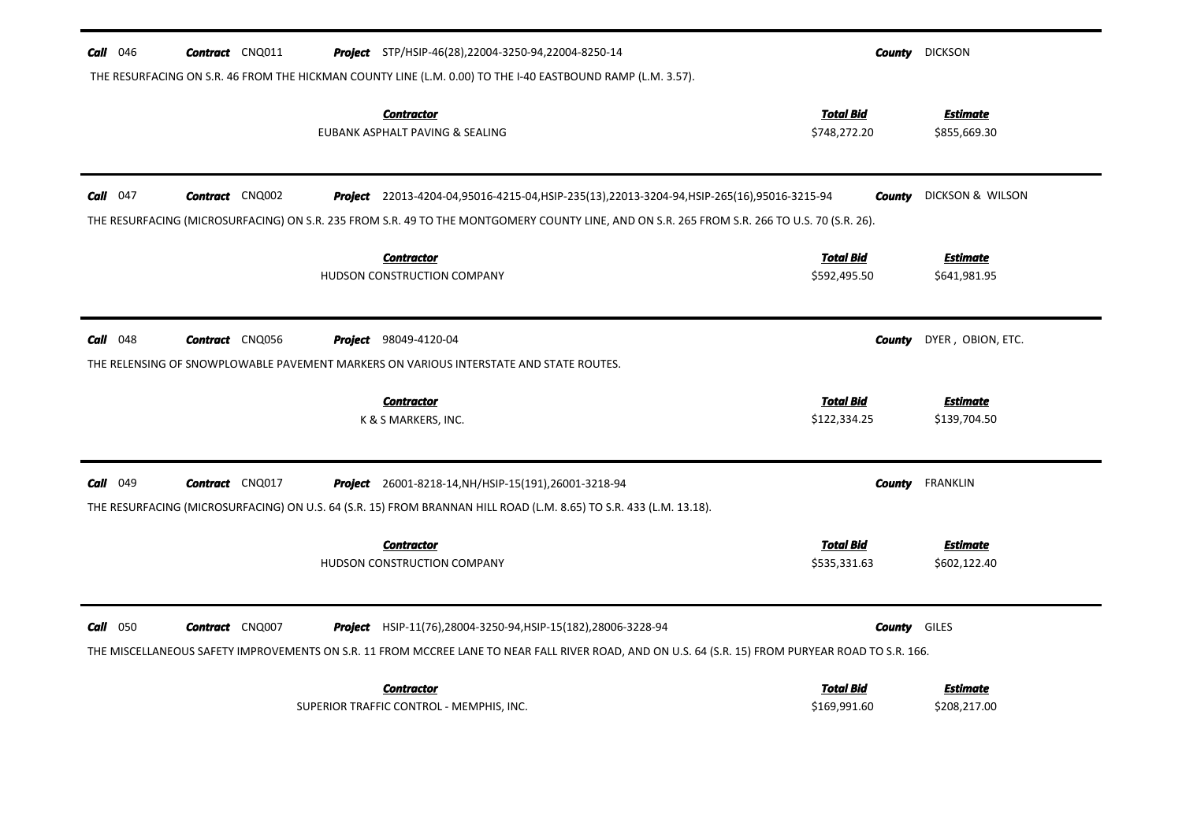| $Call$ 046<br><b>Contract</b> CNQ011        | <b>Project</b> STP/HSIP-46(28),22004-3250-94,22004-8250-14                                                                                         | <b>County</b> DICKSON            |                                 |
|---------------------------------------------|----------------------------------------------------------------------------------------------------------------------------------------------------|----------------------------------|---------------------------------|
|                                             | THE RESURFACING ON S.R. 46 FROM THE HICKMAN COUNTY LINE (L.M. 0.00) TO THE I-40 EASTBOUND RAMP (L.M. 3.57).                                        |                                  |                                 |
|                                             | <b>Contractor</b><br>EUBANK ASPHALT PAVING & SEALING                                                                                               | <b>Total Bid</b><br>\$748,272.20 | <b>Estimate</b><br>\$855,669.30 |
|                                             |                                                                                                                                                    |                                  |                                 |
| <b>Contract</b> CNQ002<br><b>Call</b> $047$ | <b>Project</b> 22013-4204-04,95016-4215-04,HSIP-235(13),22013-3204-94,HSIP-265(16),95016-3215-94                                                   | County                           | DICKSON & WILSON                |
|                                             | THE RESURFACING (MICROSURFACING) ON S.R. 235 FROM S.R. 49 TO THE MONTGOMERY COUNTY LINE, AND ON S.R. 265 FROM S.R. 266 TO U.S. 70 (S.R. 26).       |                                  |                                 |
|                                             | <b>Contractor</b>                                                                                                                                  | <b>Total Bid</b>                 | <b>Estimate</b>                 |
|                                             | HUDSON CONSTRUCTION COMPANY                                                                                                                        | \$592,495.50                     | \$641,981.95                    |
|                                             |                                                                                                                                                    |                                  |                                 |
| $Call$ 048<br><b>Contract</b> CNQ056        | <b>Project</b> 98049-4120-04                                                                                                                       | <b>County</b>                    | DYER, OBION, ETC.               |
|                                             | THE RELENSING OF SNOWPLOWABLE PAVEMENT MARKERS ON VARIOUS INTERSTATE AND STATE ROUTES.                                                             |                                  |                                 |
|                                             |                                                                                                                                                    |                                  |                                 |
|                                             | <b>Contractor</b>                                                                                                                                  | <b>Total Bid</b>                 | <b>Estimate</b>                 |
|                                             | K & S MARKERS, INC.                                                                                                                                | \$122,334.25                     | \$139,704.50                    |
|                                             |                                                                                                                                                    |                                  |                                 |
| $Call$ 049<br><b>Contract</b> CNQ017        | <b>Project</b> 26001-8218-14, NH/HSIP-15(191), 26001-3218-94                                                                                       | <b>County</b>                    | <b>FRANKLIN</b>                 |
|                                             | THE RESURFACING (MICROSURFACING) ON U.S. 64 (S.R. 15) FROM BRANNAN HILL ROAD (L.M. 8.65) TO S.R. 433 (L.M. 13.18).                                 |                                  |                                 |
|                                             | <b>Contractor</b>                                                                                                                                  | <b>Total Bid</b>                 | <b>Estimate</b>                 |
|                                             | HUDSON CONSTRUCTION COMPANY                                                                                                                        | \$535,331.63                     | \$602,122.40                    |
|                                             |                                                                                                                                                    |                                  |                                 |
| $Call$ 050<br><b>Contract</b> CNQ007        | <b>Project</b> HSIP-11(76), 28004-3250-94, HSIP-15(182), 28006-3228-94                                                                             | <b>County</b> GILES              |                                 |
|                                             | THE MISCELLANEOUS SAFETY IMPROVEMENTS ON S.R. 11 FROM MCCREE LANE TO NEAR FALL RIVER ROAD, AND ON U.S. 64 (S.R. 15) FROM PURYEAR ROAD TO S.R. 166. |                                  |                                 |
|                                             | <b>Contractor</b>                                                                                                                                  | <b>Total Bid</b>                 | <u>Estimate</u>                 |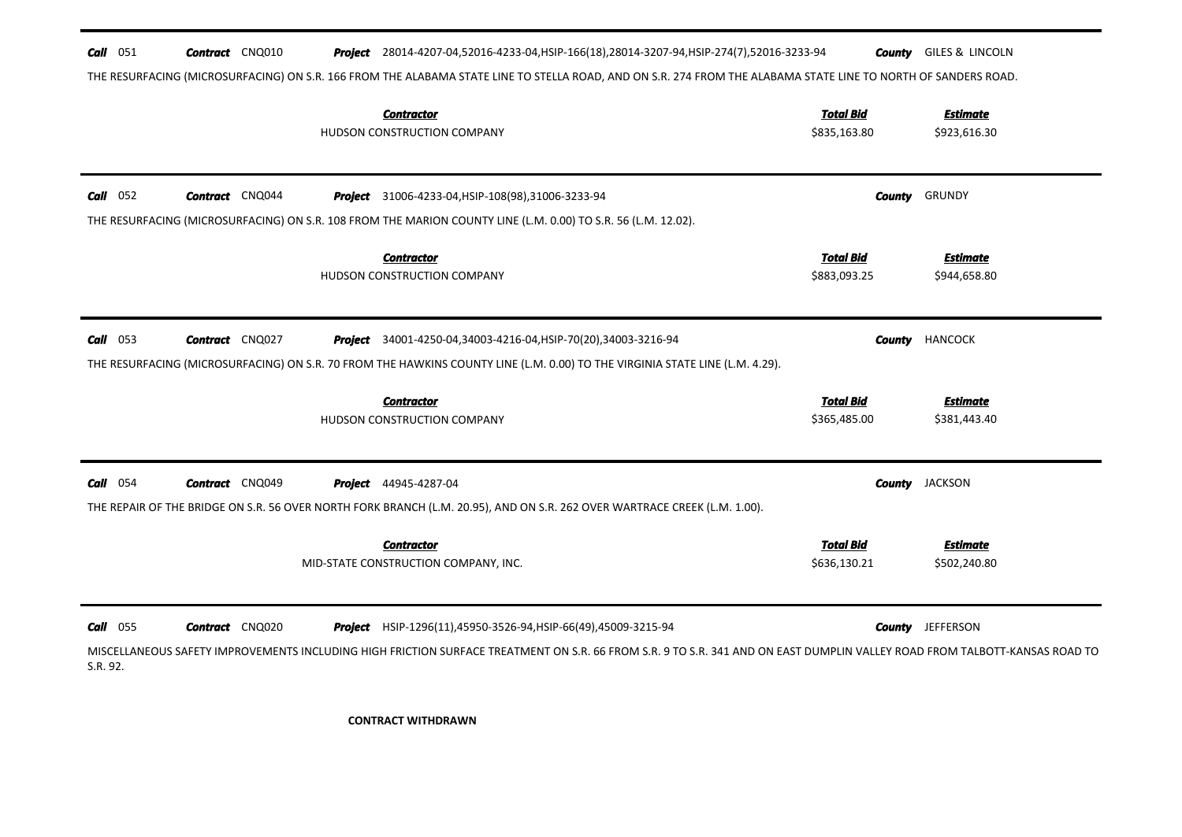| <b>Call</b> 051        | <b>Contract</b> CNQ010                                                                                                                                         |  | Project 28014-4207-04,52016-4233-04, HSIP-166(18), 28014-3207-94, HSIP-274(7), 52016-3233-94                                                                                                                                                        |                                  | <b>County</b> GILES & LINCOLN   |  |  |
|------------------------|----------------------------------------------------------------------------------------------------------------------------------------------------------------|--|-----------------------------------------------------------------------------------------------------------------------------------------------------------------------------------------------------------------------------------------------------|----------------------------------|---------------------------------|--|--|
|                        | THE RESURFACING (MICROSURFACING) ON S.R. 166 FROM THE ALABAMA STATE LINE TO STELLA ROAD, AND ON S.R. 274 FROM THE ALABAMA STATE LINE TO NORTH OF SANDERS ROAD. |  |                                                                                                                                                                                                                                                     |                                  |                                 |  |  |
|                        |                                                                                                                                                                |  | <b>Contractor</b><br>HUDSON CONSTRUCTION COMPANY                                                                                                                                                                                                    | <b>Total Bid</b><br>\$835,163.80 | <b>Estimate</b><br>\$923,616.30 |  |  |
| $Call$ 052             | <b>Contract</b> CNQ044                                                                                                                                         |  | <b>Project</b> 31006-4233-04, HSIP-108(98), 31006-3233-94<br>THE RESURFACING (MICROSURFACING) ON S.R. 108 FROM THE MARION COUNTY LINE (L.M. 0.00) TO S.R. 56 (L.M. 12.02).                                                                          |                                  | <b>County</b> GRUNDY            |  |  |
|                        |                                                                                                                                                                |  | <b>Contractor</b><br>HUDSON CONSTRUCTION COMPANY                                                                                                                                                                                                    | <b>Total Bid</b><br>\$883,093.25 | <b>Estimate</b><br>\$944,658.80 |  |  |
| $Call$ 053             | <b>Contract</b> CNQ027                                                                                                                                         |  | <b>Project</b> 34001-4250-04,34003-4216-04, HSIP-70(20), 34003-3216-94<br>THE RESURFACING (MICROSURFACING) ON S.R. 70 FROM THE HAWKINS COUNTY LINE (L.M. 0.00) TO THE VIRGINIA STATE LINE (L.M. 4.29).                                              |                                  | <b>County HANCOCK</b>           |  |  |
|                        |                                                                                                                                                                |  | <b>Contractor</b><br>HUDSON CONSTRUCTION COMPANY                                                                                                                                                                                                    | <b>Total Bid</b><br>\$365,485.00 | <b>Estimate</b><br>\$381,443.40 |  |  |
| $Call$ 054             | <b>Contract</b> CNQ049                                                                                                                                         |  | <b>Project</b> 44945-4287-04<br>THE REPAIR OF THE BRIDGE ON S.R. 56 OVER NORTH FORK BRANCH (L.M. 20.95), AND ON S.R. 262 OVER WARTRACE CREEK (L.M. 1.00).                                                                                           |                                  | <b>County</b> JACKSON           |  |  |
|                        |                                                                                                                                                                |  | <b>Contractor</b><br>MID-STATE CONSTRUCTION COMPANY, INC.                                                                                                                                                                                           | <b>Total Bid</b><br>\$636,130.21 | <b>Estimate</b><br>\$502,240.80 |  |  |
| $Call$ 055<br>S.R. 92. | <b>Contract</b> CNQ020                                                                                                                                         |  | <b>Project</b> HSIP-1296(11),45950-3526-94, HSIP-66(49),45009-3215-94<br>MISCELLANEOUS SAFETY IMPROVEMENTS INCLUDING HIGH FRICTION SURFACE TREATMENT ON S.R. 66 FROM S.R. 9 TO S.R. 341 AND ON EAST DUMPLIN VALLEY ROAD FROM TALBOTT-KANSAS ROAD TO |                                  | <b>County</b> JEFFERSON         |  |  |

**CONTRACT WITHDRAWN**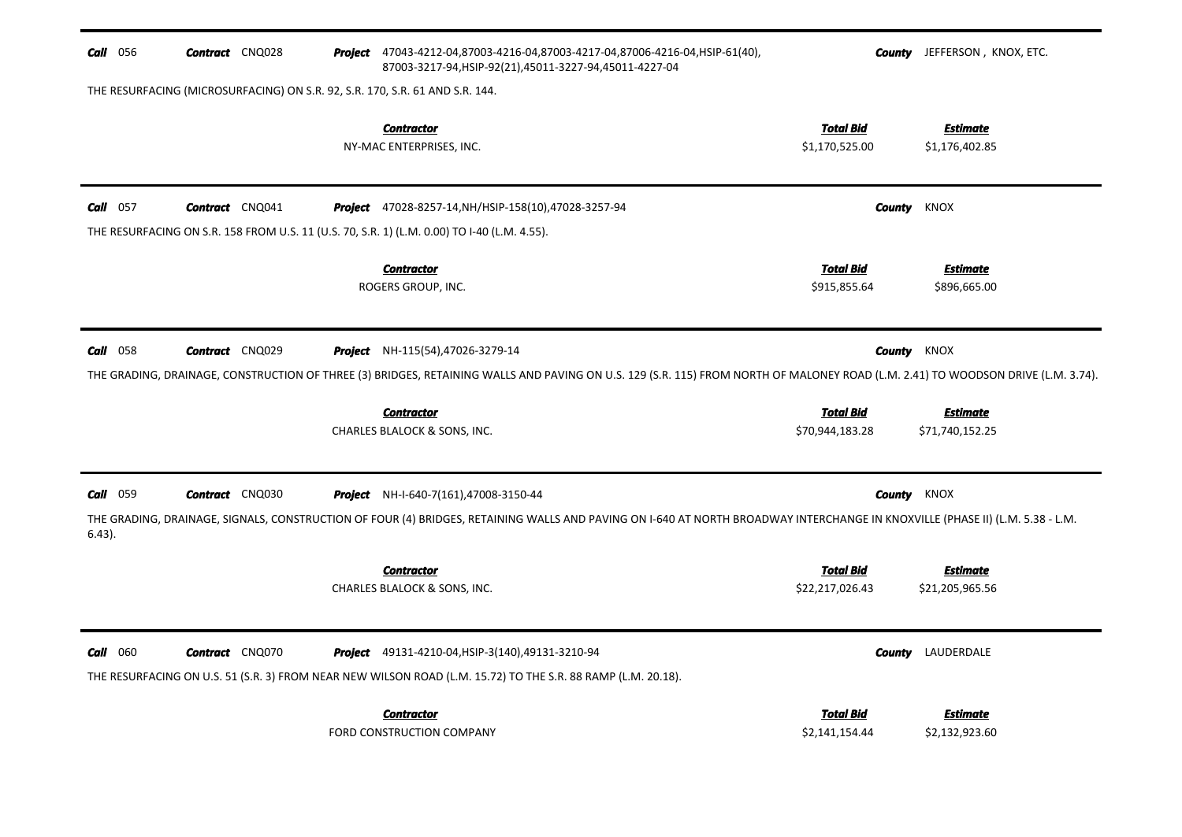| <b>Call</b> 056 | <b>Contract</b> CNQ028                                                       | Project 47043-4212-04,87003-4216-04,87003-4217-04,87006-4216-04, HSIP-61(40),<br>87003-3217-94, HSIP-92(21), 45011-3227-94, 45011-4227-04                                                                                   |                                     | <b>County</b> JEFFERSON, KNOX, ETC. |
|-----------------|------------------------------------------------------------------------------|-----------------------------------------------------------------------------------------------------------------------------------------------------------------------------------------------------------------------------|-------------------------------------|-------------------------------------|
|                 | THE RESURFACING (MICROSURFACING) ON S.R. 92, S.R. 170, S.R. 61 AND S.R. 144. |                                                                                                                                                                                                                             |                                     |                                     |
|                 |                                                                              | <b>Contractor</b><br>NY-MAC ENTERPRISES, INC.                                                                                                                                                                               | <b>Total Bid</b><br>\$1,170,525.00  | <b>Estimate</b><br>\$1,176,402.85   |
| <b>Call</b> 057 | <b>Contract</b> CNQ041                                                       | Project 47028-8257-14, NH/HSIP-158(10), 47028-3257-94<br>THE RESURFACING ON S.R. 158 FROM U.S. 11 (U.S. 70, S.R. 1) (L.M. 0.00) TO I-40 (L.M. 4.55).                                                                        | County                              | KNOX                                |
|                 |                                                                              | <b>Contractor</b><br>ROGERS GROUP, INC.                                                                                                                                                                                     | <b>Total Bid</b><br>\$915,855.64    | <b>Estimate</b><br>\$896,665.00     |
| <b>Call</b> 058 | <b>Contract</b> CNQ029                                                       | <b>Project</b> NH-115(54),47026-3279-14<br>THE GRADING, DRAINAGE, CONSTRUCTION OF THREE (3) BRIDGES, RETAINING WALLS AND PAVING ON U.S. 129 (S.R. 115) FROM NORTH OF MALONEY ROAD (L.M. 2.41) TO WOODSON DRIVE (L.M. 3.74). | County                              | KNOX                                |
|                 |                                                                              |                                                                                                                                                                                                                             |                                     |                                     |
|                 |                                                                              | <b>Contractor</b><br>CHARLES BLALOCK & SONS, INC.                                                                                                                                                                           | <b>Total Bid</b><br>\$70,944,183.28 | <b>Estimate</b><br>\$71,740,152.25  |
| <b>Call</b> 059 | <b>Contract</b> CNQ030                                                       | Project NH-I-640-7(161),47008-3150-44<br>THE GRADING, DRAINAGE, SIGNALS, CONSTRUCTION OF FOUR (4) BRIDGES, RETAINING WALLS AND PAVING ON I-640 AT NORTH BROADWAY INTERCHANGE IN KNOXVILLE (PHASE II) (L.M. 5.38 - L.M.      |                                     | <b>County KNOX</b>                  |
| $6.43$ ).       |                                                                              |                                                                                                                                                                                                                             |                                     |                                     |
|                 |                                                                              | <b>Contractor</b><br>CHARLES BLALOCK & SONS, INC.                                                                                                                                                                           | <b>Total Bid</b><br>\$22,217,026.43 | <b>Estimate</b><br>\$21,205,965.56  |
| Call 060        | <b>Contract</b> CNQ070                                                       | Project 49131-4210-04, HSIP-3(140), 49131-3210-94<br>THE RESURFACING ON U.S. 51 (S.R. 3) FROM NEAR NEW WILSON ROAD (L.M. 15.72) TO THE S.R. 88 RAMP (L.M. 20.18).                                                           |                                     | <b>County</b> LAUDERDALE            |
|                 |                                                                              | <b>Contractor</b><br>FORD CONSTRUCTION COMPANY                                                                                                                                                                              | <b>Total Bid</b><br>\$2,141,154.44  | <b>Estimate</b><br>\$2,132,923.60   |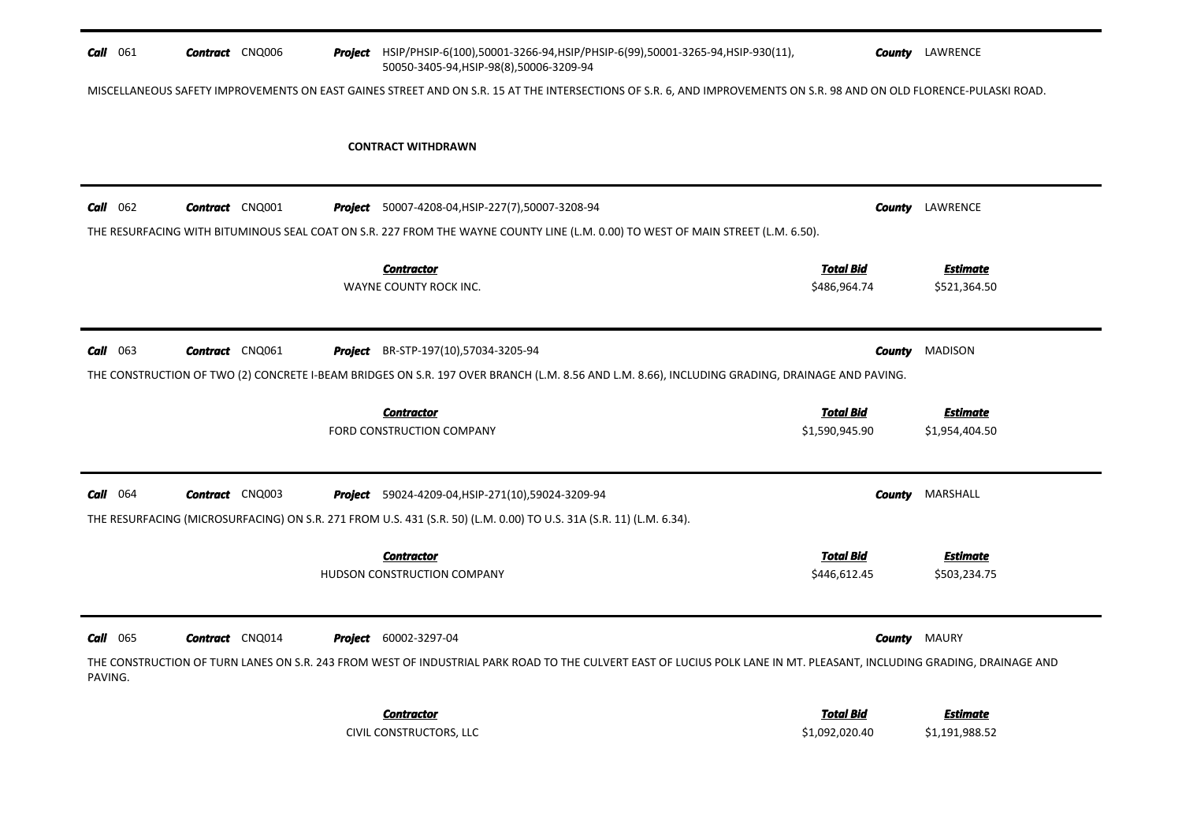| <b>Call</b> 061 | <b>Contract</b> CNQ006                                                                                                                                               |  | <b>Project</b> HSIP/PHSIP-6(100),50001-3266-94,HSIP/PHSIP-6(99),50001-3265-94,HSIP-930(11),<br>50050-3405-94, HSIP-98(8), 50006-3209-94                               |                                    | <b>County</b> LAWRENCE            |  |  |  |
|-----------------|----------------------------------------------------------------------------------------------------------------------------------------------------------------------|--|-----------------------------------------------------------------------------------------------------------------------------------------------------------------------|------------------------------------|-----------------------------------|--|--|--|
|                 | MISCELLANEOUS SAFETY IMPROVEMENTS ON EAST GAINES STREET AND ON S.R. 15 AT THE INTERSECTIONS OF S.R. 6, AND IMPROVEMENTS ON S.R. 98 AND ON OLD FLORENCE-PULASKI ROAD. |  |                                                                                                                                                                       |                                    |                                   |  |  |  |
|                 |                                                                                                                                                                      |  | <b>CONTRACT WITHDRAWN</b>                                                                                                                                             |                                    |                                   |  |  |  |
| <b>Call</b> 062 | <b>Contract</b> CNQ001                                                                                                                                               |  | <b>Project</b> 50007-4208-04, HSIP-227(7), 50007-3208-94                                                                                                              | County                             | LAWRENCE                          |  |  |  |
|                 |                                                                                                                                                                      |  | THE RESURFACING WITH BITUMINOUS SEAL COAT ON S.R. 227 FROM THE WAYNE COUNTY LINE (L.M. 0.00) TO WEST OF MAIN STREET (L.M. 6.50).                                      |                                    |                                   |  |  |  |
|                 |                                                                                                                                                                      |  | <b>Contractor</b><br>WAYNE COUNTY ROCK INC.                                                                                                                           | <b>Total Bid</b><br>\$486,964.74   | <b>Estimate</b><br>\$521,364.50   |  |  |  |
| <b>Call</b> 063 | <b>Contract</b> CNQ061                                                                                                                                               |  | <b>Project</b> BR-STP-197(10),57034-3205-94                                                                                                                           | County                             | <b>MADISON</b>                    |  |  |  |
|                 |                                                                                                                                                                      |  | THE CONSTRUCTION OF TWO (2) CONCRETE I-BEAM BRIDGES ON S.R. 197 OVER BRANCH (L.M. 8.56 AND L.M. 8.66), INCLUDING GRADING, DRAINAGE AND PAVING.                        |                                    |                                   |  |  |  |
|                 |                                                                                                                                                                      |  | <b>Contractor</b><br>FORD CONSTRUCTION COMPANY                                                                                                                        | <b>Total Bid</b><br>\$1,590,945.90 | <b>Estimate</b><br>\$1,954,404.50 |  |  |  |
| <b>Call</b> 064 | <b>Contract</b> CNQ003                                                                                                                                               |  | <b>Project</b> 59024-4209-04, HSIP-271(10), 59024-3209-94                                                                                                             | County                             | MARSHALL                          |  |  |  |
|                 |                                                                                                                                                                      |  | THE RESURFACING (MICROSURFACING) ON S.R. 271 FROM U.S. 431 (S.R. 50) (L.M. 0.00) TO U.S. 31A (S.R. 11) (L.M. 6.34).                                                   |                                    |                                   |  |  |  |
|                 |                                                                                                                                                                      |  | <b>Contractor</b><br>HUDSON CONSTRUCTION COMPANY                                                                                                                      | <b>Total Bid</b><br>\$446,612.45   | Estimate<br>\$503,234.75          |  |  |  |
| <b>Call</b> 065 | <b>Contract</b> CNQ014                                                                                                                                               |  | <b>Project</b> 60002-3297-04                                                                                                                                          | County                             | <b>MAURY</b>                      |  |  |  |
| PAVING.         |                                                                                                                                                                      |  | THE CONSTRUCTION OF TURN LANES ON S.R. 243 FROM WEST OF INDUSTRIAL PARK ROAD TO THE CULVERT EAST OF LUCIUS POLK LANE IN MT. PLEASANT, INCLUDING GRADING, DRAINAGE AND |                                    |                                   |  |  |  |
|                 |                                                                                                                                                                      |  | <b>Contractor</b><br>CIVIL CONSTRUCTORS, LLC                                                                                                                          | <b>Total Bid</b><br>\$1,092,020.40 | <b>Estimate</b><br>\$1,191,988.52 |  |  |  |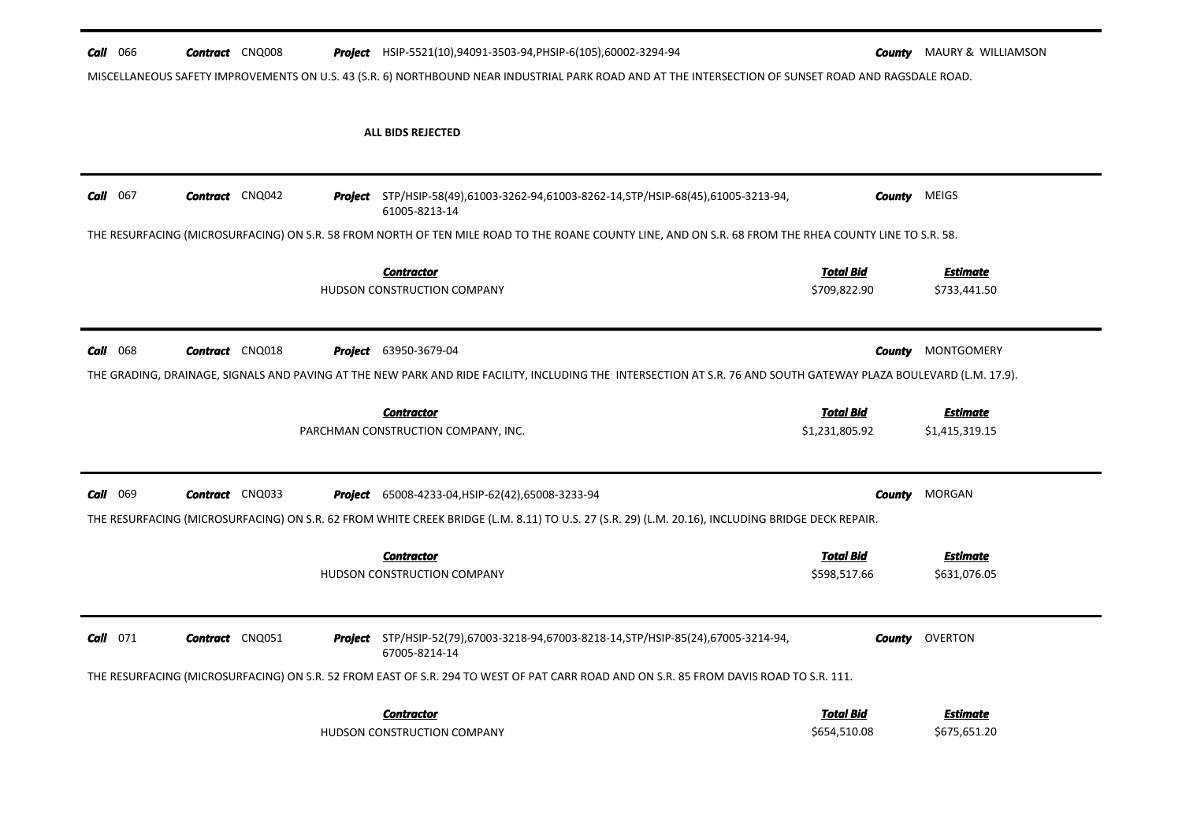| <b>Call</b> 066   |                        | <b>Contract</b> CNQ008 | <b>Project</b> HSIP-5521(10),94091-3503-94,PHSIP-6(105),60002-3294-94                                                                                             |                                  | <b>County</b> MAURY & WILLIAMSON |
|-------------------|------------------------|------------------------|-------------------------------------------------------------------------------------------------------------------------------------------------------------------|----------------------------------|----------------------------------|
|                   |                        |                        | MISCELLANEOUS SAFETY IMPROVEMENTS ON U.S. 43 (S.R. 6) NORTHBOUND NEAR INDUSTRIAL PARK ROAD AND AT THE INTERSECTION OF SUNSET ROAD AND RAGSDALE ROAD.              |                                  |                                  |
|                   |                        |                        | <b>ALL BIDS REJECTED</b>                                                                                                                                          |                                  |                                  |
| <b>Call</b> $067$ | <b>Contract</b> CNQ042 |                        | <b>Project</b> STP/HSIP-58(49),61003-3262-94,61003-8262-14,STP/HSIP-68(45),61005-3213-94,<br>61005-8213-14                                                        | <b>County</b> MEIGS              |                                  |
|                   |                        |                        | THE RESURFACING (MICROSURFACING) ON S.R. 58 FROM NORTH OF TEN MILE ROAD TO THE ROANE COUNTY LINE, AND ON S.R. 68 FROM THE RHEA COUNTY LINE TO S.R. 58.            |                                  |                                  |
|                   |                        |                        | <b>Contractor</b><br>HUDSON CONSTRUCTION COMPANY                                                                                                                  | <b>Total Bid</b><br>\$709,822.90 | Estimate<br>\$733,441.50         |
| <b>Call</b> 068   | <b>Contract</b> CNQ018 |                        | <b>Project</b> 63950-3679-04                                                                                                                                      | County                           | MONTGOMERY                       |
|                   |                        |                        | THE GRADING, DRAINAGE, SIGNALS AND PAVING AT THE NEW PARK AND RIDE FACILITY, INCLUDING THE INTERSECTION AT S.R. 76 AND SOUTH GATEWAY PLAZA BOULEVARD (L.M. 17.9). |                                  |                                  |
|                   |                        |                        | <b>Contractor</b><br>PARCHMAN CONSTRUCTION COMPANY, INC.                                                                                                          | Total Bid<br>\$1,231,805.92      | Estimate<br>\$1,415,319.15       |
| <b>Call</b> 069   | <b>Contract</b> CNQ033 |                        | <b>Project</b> 65008-4233-04, HSIP-62(42), 65008-3233-94                                                                                                          | <b>County</b>                    | MORGAN                           |
|                   |                        |                        | THE RESURFACING (MICROSURFACING) ON S.R. 62 FROM WHITE CREEK BRIDGE (L.M. 8.11) TO U.S. 27 (S.R. 29) (L.M. 20.16), INCLUDING BRIDGE DECK REPAIR.                  |                                  |                                  |
|                   |                        |                        | <b>Contractor</b><br>HUDSON CONSTRUCTION COMPANY                                                                                                                  | <b>Total Bid</b><br>\$598,517.66 | <b>Estimate</b><br>\$631,076.05  |
| $Call$ 071        | <b>Contract</b> CNQ051 |                        | Project STP/HSIP-52(79),67003-3218-94,67003-8218-14,STP/HSIP-85(24),67005-3214-94,<br>67005-8214-14                                                               |                                  | <b>County OVERTON</b>            |
|                   |                        |                        | THE RESURFACING (MICROSURFACING) ON S.R. 52 FROM EAST OF S.R. 294 TO WEST OF PAT CARR ROAD AND ON S.R. 85 FROM DAVIS ROAD TO S.R. 111.                            |                                  |                                  |
|                   |                        |                        |                                                                                                                                                                   |                                  |                                  |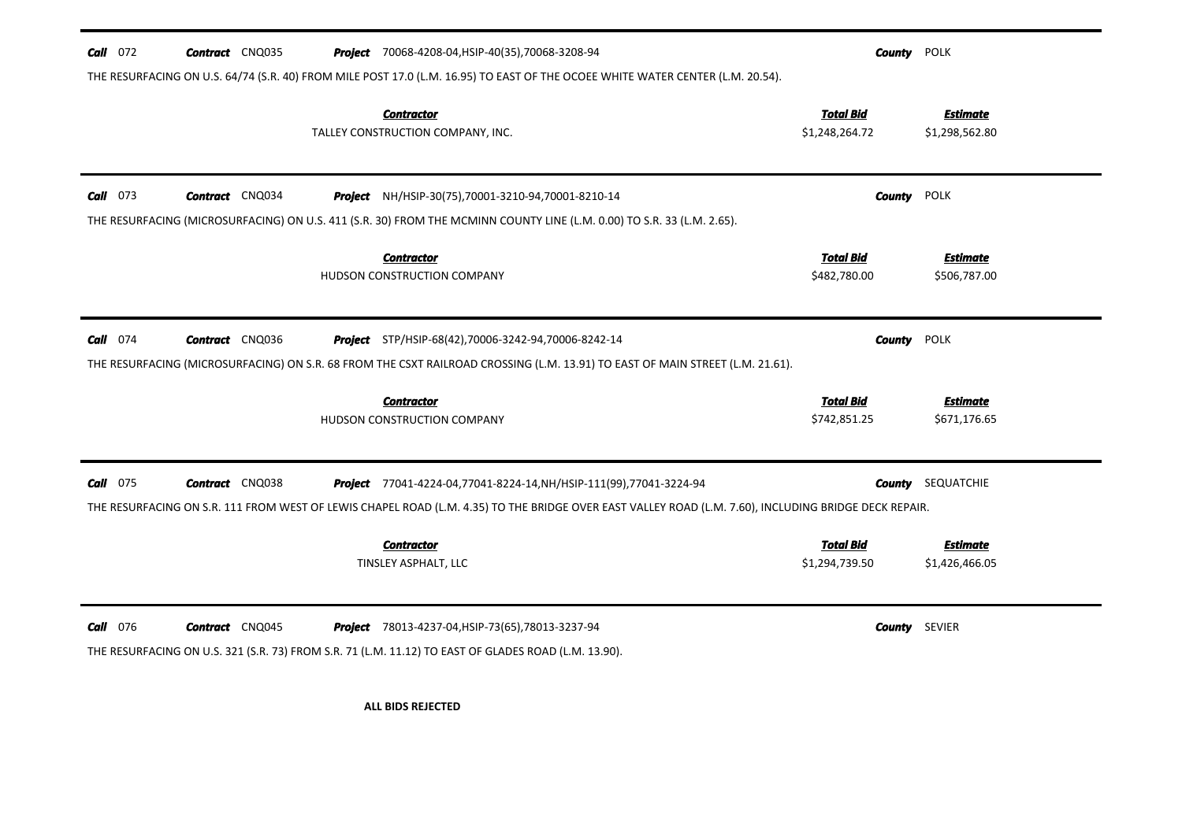| $Call$ 072<br><b>Contract</b> CNQ035      | <b>Project</b> 70068-4208-04, HSIP-40(35), 70068-3208-94                                                                                                         | <b>County</b> POLK                 |                                   |
|-------------------------------------------|------------------------------------------------------------------------------------------------------------------------------------------------------------------|------------------------------------|-----------------------------------|
|                                           | THE RESURFACING ON U.S. 64/74 (S.R. 40) FROM MILE POST 17.0 (L.M. 16.95) TO EAST OF THE OCOEE WHITE WATER CENTER (L.M. 20.54).                                   |                                    |                                   |
|                                           | <b>Contractor</b><br>TALLEY CONSTRUCTION COMPANY, INC.                                                                                                           | <b>Total Bid</b><br>\$1,248,264.72 | <b>Estimate</b><br>\$1,298,562.80 |
| $Call$ 073<br><b>Contract</b> CNQ034      | Project NH/HSIP-30(75),70001-3210-94,70001-8210-14                                                                                                               | County                             | POLK                              |
|                                           | THE RESURFACING (MICROSURFACING) ON U.S. 411 (S.R. 30) FROM THE MCMINN COUNTY LINE (L.M. 0.00) TO S.R. 33 (L.M. 2.65).                                           |                                    |                                   |
|                                           | <b>Contractor</b><br>HUDSON CONSTRUCTION COMPANY                                                                                                                 | <b>Total Bid</b><br>\$482,780.00   | <b>Estimate</b><br>\$506,787.00   |
| <b>Call</b> 074<br><b>Contract</b> CNQ036 | <b>Project</b> STP/HSIP-68(42),70006-3242-94,70006-8242-14                                                                                                       | <b>County</b>                      | <b>POLK</b>                       |
|                                           | THE RESURFACING (MICROSURFACING) ON S.R. 68 FROM THE CSXT RAILROAD CROSSING (L.M. 13.91) TO EAST OF MAIN STREET (L.M. 21.61).                                    |                                    |                                   |
|                                           | <b>Contractor</b><br>HUDSON CONSTRUCTION COMPANY                                                                                                                 | <b>Total Bid</b><br>\$742,851.25   | <b>Estimate</b><br>\$671,176.65   |
| $Call$ 075<br><b>Contract</b> CNQ038      | Project 77041-4224-04,77041-8224-14, NH/HSIP-111(99), 77041-3224-94                                                                                              | County                             | SEQUATCHIE                        |
|                                           | THE RESURFACING ON S.R. 111 FROM WEST OF LEWIS CHAPEL ROAD (L.M. 4.35) TO THE BRIDGE OVER EAST VALLEY ROAD (L.M. 7.60), INCLUDING BRIDGE DECK REPAIR.            |                                    |                                   |
|                                           | <b>Contractor</b><br>TINSLEY ASPHALT, LLC                                                                                                                        | Total Bid<br>\$1,294,739.50        | <b>Estimate</b><br>\$1,426,466.05 |
| <b>Call</b> 076<br><b>Contract</b> CNQ045 | <b>Project</b> 78013-4237-04, HSIP-73(65), 78013-3237-94<br>THE RESURFACING ON U.S. 321 (S.R. 73) FROM S.R. 71 (L.M. 11.12) TO EAST OF GLADES ROAD (L.M. 13.90). | <b>County</b> SEVIER               |                                   |
|                                           | <b>ALL BIDS REJECTED</b>                                                                                                                                         |                                    |                                   |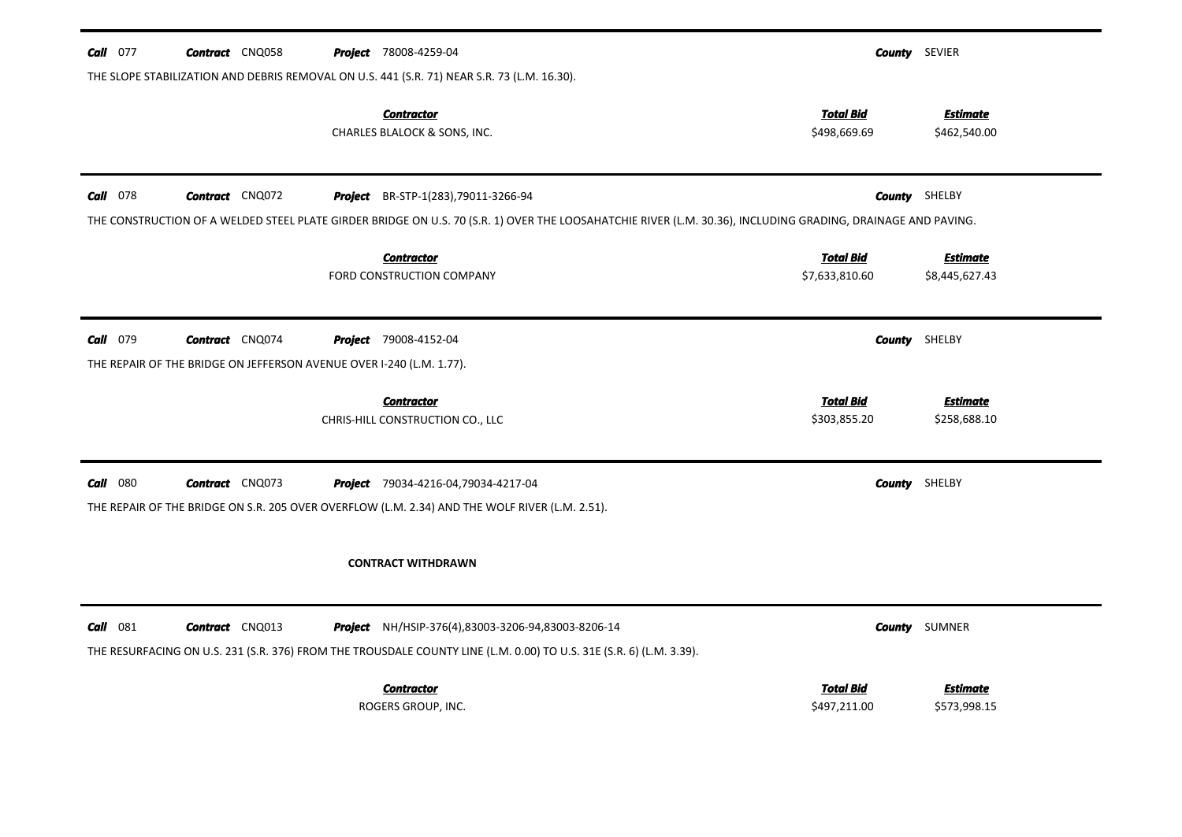| <b>Call</b> 077 | <b>Contract</b> CNQ058                                               | <b>Project</b> 78008-4259-04                                                                                                                                 |                                  | <b>County</b> SEVIER            |
|-----------------|----------------------------------------------------------------------|--------------------------------------------------------------------------------------------------------------------------------------------------------------|----------------------------------|---------------------------------|
|                 |                                                                      | THE SLOPE STABILIZATION AND DEBRIS REMOVAL ON U.S. 441 (S.R. 71) NEAR S.R. 73 (L.M. 16.30).                                                                  |                                  |                                 |
|                 |                                                                      | <b>Contractor</b><br>CHARLES BLALOCK & SONS, INC.                                                                                                            | <b>Total Bid</b><br>\$498,669.69 | <b>Estimate</b><br>\$462,540.00 |
|                 |                                                                      |                                                                                                                                                              |                                  |                                 |
| <b>Call</b> 078 | <b>Contract</b> CNQ072                                               | Project BR-STP-1(283), 79011-3266-94                                                                                                                         |                                  | <b>County</b> SHELBY            |
|                 |                                                                      | THE CONSTRUCTION OF A WELDED STEEL PLATE GIRDER BRIDGE ON U.S. 70 (S.R. 1) OVER THE LOOSAHATCHIE RIVER (L.M. 30.36), INCLUDING GRADING, DRAINAGE AND PAVING. |                                  |                                 |
|                 |                                                                      | <b>Contractor</b>                                                                                                                                            | <b>Total Bid</b>                 | <b>Estimate</b>                 |
|                 |                                                                      | FORD CONSTRUCTION COMPANY                                                                                                                                    | \$7,633,810.60                   | \$8,445,627.43                  |
|                 |                                                                      |                                                                                                                                                              |                                  |                                 |
| <b>Call</b> 079 | <b>Contract</b> CNQ074                                               | <b>Project</b> 79008-4152-04                                                                                                                                 |                                  | <b>County</b> SHELBY            |
|                 | THE REPAIR OF THE BRIDGE ON JEFFERSON AVENUE OVER I-240 (L.M. 1.77). |                                                                                                                                                              |                                  |                                 |
|                 |                                                                      | <b>Contractor</b>                                                                                                                                            | <b>Total Bid</b>                 | <b>Estimate</b>                 |
|                 |                                                                      | CHRIS-HILL CONSTRUCTION CO., LLC                                                                                                                             | \$303,855.20                     | \$258,688.10                    |
|                 |                                                                      |                                                                                                                                                              |                                  |                                 |
| <b>Call</b> 080 | <b>Contract</b> CNQ073                                               | Project 79034-4216-04,79034-4217-04                                                                                                                          |                                  | <b>County</b> SHELBY            |
|                 |                                                                      | THE REPAIR OF THE BRIDGE ON S.R. 205 OVER OVERFLOW (L.M. 2.34) AND THE WOLF RIVER (L.M. 2.51).                                                               |                                  |                                 |
|                 |                                                                      |                                                                                                                                                              |                                  |                                 |
|                 |                                                                      | <b>CONTRACT WITHDRAWN</b>                                                                                                                                    |                                  |                                 |
|                 |                                                                      |                                                                                                                                                              |                                  |                                 |
| $Call$ 081      | <b>Contract</b> CNQ013                                               | <b>Project</b> NH/HSIP-376(4),83003-3206-94,83003-8206-14                                                                                                    |                                  | <b>County</b> SUMNER            |
|                 |                                                                      | THE RESURFACING ON U.S. 231 (S.R. 376) FROM THE TROUSDALE COUNTY LINE (L.M. 0.00) TO U.S. 31E (S.R. 6) (L.M. 3.39).                                          |                                  |                                 |
|                 |                                                                      | <b>Contractor</b>                                                                                                                                            | <b>Total Bid</b>                 | <b>Estimate</b>                 |
|                 |                                                                      | ROGERS GROUP, INC.                                                                                                                                           | \$497,211.00                     | \$573,998.15                    |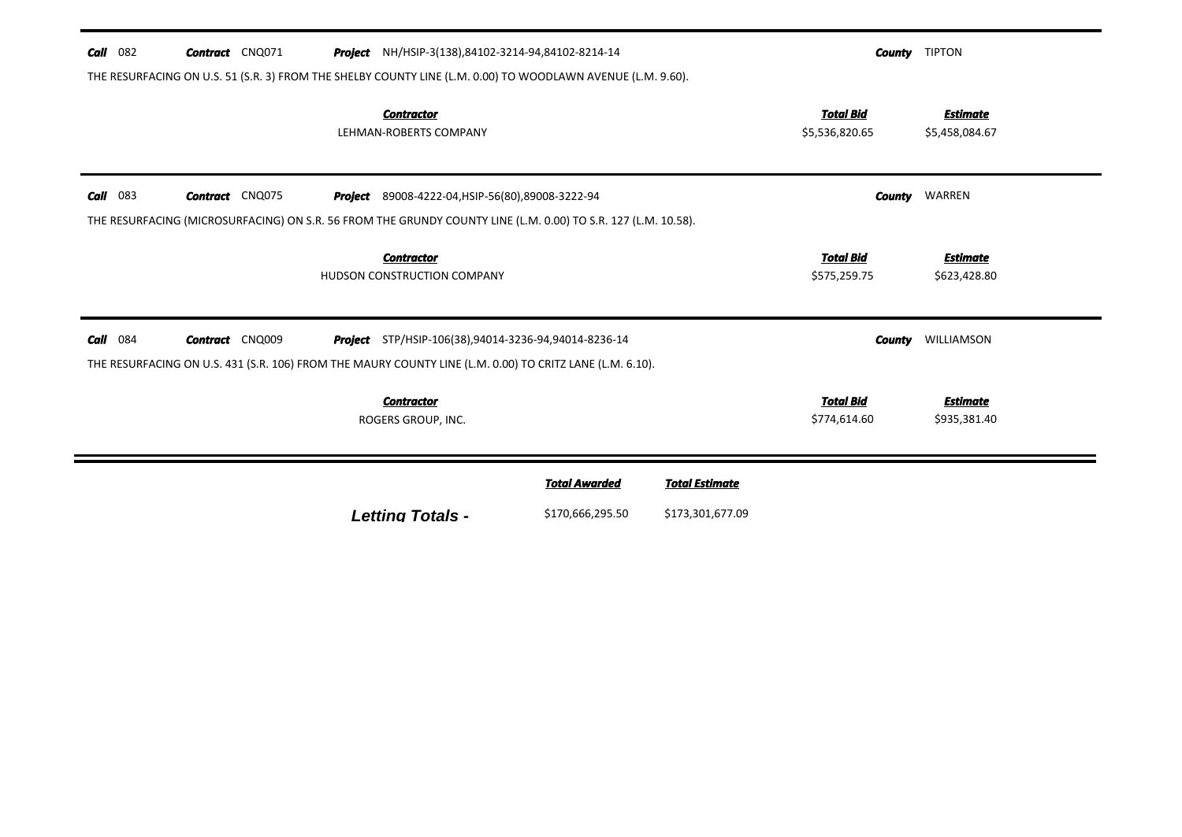| Call<br>082 | <b>Contract</b> CNQ071 | <b>Project</b> NH/HSIP-3(138),84102-3214-94,84102-8214-14<br>THE RESURFACING ON U.S. 51 (S.R. 3) FROM THE SHELBY COUNTY LINE (L.M. 0.00) TO WOODLAWN AVENUE (L.M. 9.60). |                                          |                                           |                                    | <b>County</b> TIPTON              |
|-------------|------------------------|--------------------------------------------------------------------------------------------------------------------------------------------------------------------------|------------------------------------------|-------------------------------------------|------------------------------------|-----------------------------------|
|             |                        | <b>Contractor</b><br>LEHMAN-ROBERTS COMPANY                                                                                                                              |                                          |                                           | <b>Total Bid</b><br>\$5,536,820.65 | <b>Estimate</b><br>\$5,458,084.67 |
| 083<br>Call | <b>Contract</b> CNQ075 | Project<br>89008-4222-04, HSIP-56(80), 89008-3222-94<br>THE RESURFACING (MICROSURFACING) ON S.R. 56 FROM THE GRUNDY COUNTY LINE (L.M. 0.00) TO S.R. 127 (L.M. 10.58).    |                                          |                                           | County                             | WARREN                            |
|             |                        | <b>Contractor</b><br>HUDSON CONSTRUCTION COMPANY                                                                                                                         |                                          |                                           | <b>Total Bid</b><br>\$575,259.75   | <b>Estimate</b><br>\$623,428.80   |
| Call<br>084 | <b>Contract</b> CNQ009 | <b>Project</b> STP/HSIP-106(38),94014-3236-94,94014-8236-14<br>THE RESURFACING ON U.S. 431 (S.R. 106) FROM THE MAURY COUNTY LINE (L.M. 0.00) TO CRITZ LANE (L.M. 6.10).  |                                          |                                           | <b>County</b>                      | WILLIAMSON                        |
|             |                        | <b>Contractor</b><br>ROGERS GROUP, INC.                                                                                                                                  |                                          |                                           | <b>Total Bid</b><br>\$774,614.60   | <b>Estimate</b><br>\$935,381.40   |
|             |                        | <b>Letting Totals -</b>                                                                                                                                                  | <b>Total Awarded</b><br>\$170,666,295.50 | <b>Total Estimate</b><br>\$173,301,677.09 |                                    |                                   |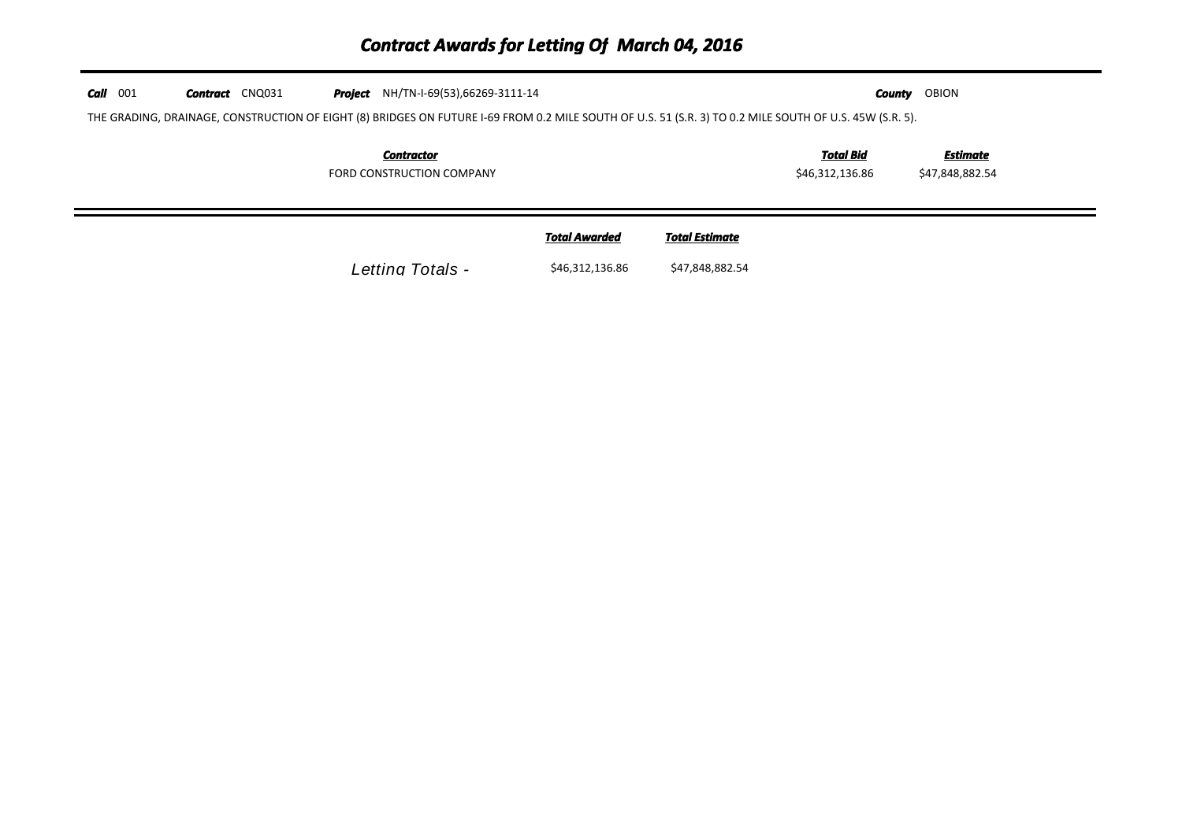## *Contract Awards for Letting Of March 04, 2016*

| $Call$ 001 | <b>Contract</b> CNQ031 | <b>Project</b> NH/TN-I-69(53),66269-3111-14                                                                                                             |                      |                       | County                              | OBION                       |
|------------|------------------------|---------------------------------------------------------------------------------------------------------------------------------------------------------|----------------------|-----------------------|-------------------------------------|-----------------------------|
|            |                        | THE GRADING, DRAINAGE, CONSTRUCTION OF EIGHT (8) BRIDGES ON FUTURE I-69 FROM 0.2 MILE SOUTH OF U.S. 51 (S.R. 3) TO 0.2 MILE SOUTH OF U.S. 45W (S.R. 5). |                      |                       |                                     |                             |
|            |                        | <b>Contractor</b><br>FORD CONSTRUCTION COMPANY                                                                                                          |                      |                       | <u>Total Bid</u><br>\$46,312,136.86 | Estimate<br>\$47,848,882.54 |
|            |                        |                                                                                                                                                         | <b>Total Awarded</b> | <b>Total Estimate</b> |                                     |                             |
|            |                        | Letting Totals -                                                                                                                                        | \$46,312,136.86      | \$47,848,882.54       |                                     |                             |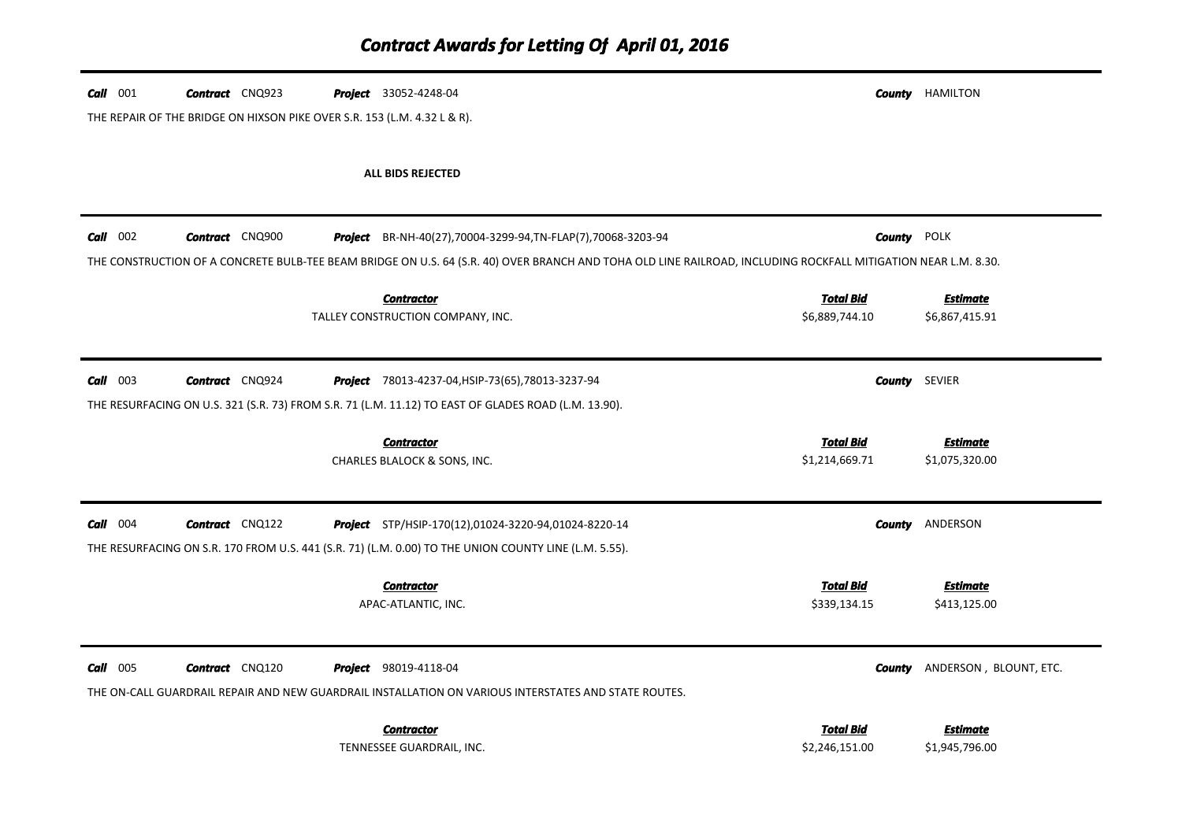| Call 001        | <b>Contract</b> CNQ923                                                   | <b>Project</b> 33052-4248-04 |                                                                                                                                                                | County               | HAMILTON               |
|-----------------|--------------------------------------------------------------------------|------------------------------|----------------------------------------------------------------------------------------------------------------------------------------------------------------|----------------------|------------------------|
|                 | THE REPAIR OF THE BRIDGE ON HIXSON PIKE OVER S.R. 153 (L.M. 4.32 L & R). |                              |                                                                                                                                                                |                      |                        |
|                 |                                                                          |                              | ALL BIDS REJECTED                                                                                                                                              |                      |                        |
|                 |                                                                          |                              |                                                                                                                                                                |                      |                        |
| $Call$ 002      | <b>Contract</b> CNQ900                                                   |                              | Project BR-NH-40(27), 70004-3299-94, TN-FLAP(7), 70068-3203-94                                                                                                 | <b>County POLK</b>   |                        |
|                 |                                                                          |                              | THE CONSTRUCTION OF A CONCRETE BULB-TEE BEAM BRIDGE ON U.S. 64 (S.R. 40) OVER BRANCH AND TOHA OLD LINE RAILROAD, INCLUDING ROCKFALL MITIGATION NEAR L.M. 8.30. |                      |                        |
|                 |                                                                          |                              | <b>Contractor</b>                                                                                                                                              | <b>Total Bid</b>     | <b>Estimate</b>        |
|                 |                                                                          |                              | TALLEY CONSTRUCTION COMPANY, INC.                                                                                                                              | \$6,889,744.10       | \$6,867,415.91         |
| $Call$ 003      | <b>Contract</b> CNQ924                                                   |                              | <b>Project</b> 78013-4237-04, HSIP-73(65), 78013-3237-94                                                                                                       | <b>County</b> SEVIER |                        |
|                 |                                                                          |                              | THE RESURFACING ON U.S. 321 (S.R. 73) FROM S.R. 71 (L.M. 11.12) TO EAST OF GLADES ROAD (L.M. 13.90).                                                           |                      |                        |
|                 |                                                                          |                              | <b>Contractor</b>                                                                                                                                              | <b>Total Bid</b>     | <b>Estimate</b>        |
|                 |                                                                          |                              | CHARLES BLALOCK & SONS, INC.                                                                                                                                   | \$1,214,669.71       | \$1,075,320.00         |
| $Call$ 004      | <b>Contract</b> CNQ122                                                   |                              | <b>Project</b> STP/HSIP-170(12),01024-3220-94,01024-8220-14                                                                                                    | County               | ANDERSON               |
|                 |                                                                          |                              | THE RESURFACING ON S.R. 170 FROM U.S. 441 (S.R. 71) (L.M. 0.00) TO THE UNION COUNTY LINE (L.M. 5.55).                                                          |                      |                        |
|                 |                                                                          |                              | <b>Contractor</b>                                                                                                                                              | <b>Total Bid</b>     | <b>Estimate</b>        |
|                 |                                                                          |                              | APAC-ATLANTIC, INC.                                                                                                                                            | \$339,134.15         | \$413,125.00           |
| <b>Call</b> 005 | <b>Contract</b> CNQ120                                                   | <b>Project</b> 98019-4118-04 |                                                                                                                                                                | County               | ANDERSON, BLOUNT, ETC. |
|                 |                                                                          |                              | THE ON-CALL GUARDRAIL REPAIR AND NEW GUARDRAIL INSTALLATION ON VARIOUS INTERSTATES AND STATE ROUTES.                                                           |                      |                        |
|                 |                                                                          |                              | <b>Contractor</b>                                                                                                                                              | <b>Total Bid</b>     | <b>Estimate</b>        |
|                 |                                                                          |                              | TENNESSEE GUARDRAIL, INC.                                                                                                                                      | \$2,246,151.00       | \$1,945,796.00         |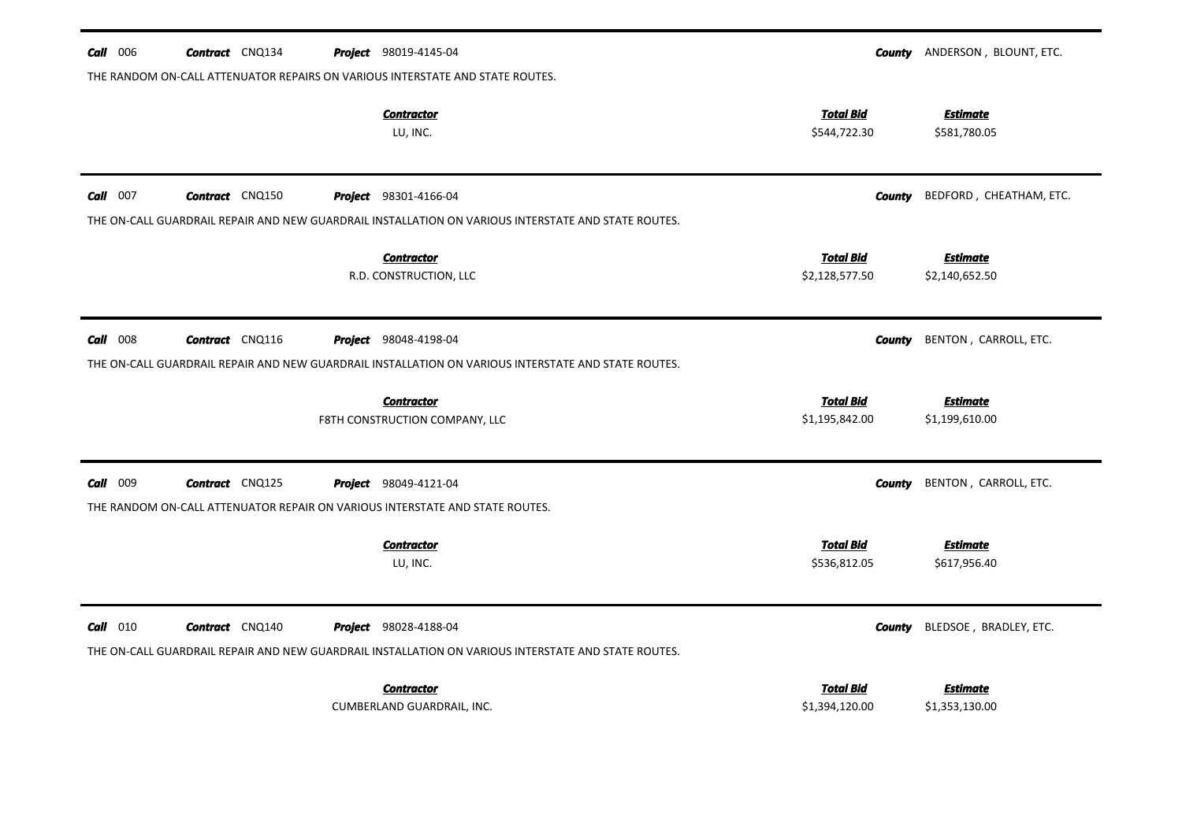| $Call$ 006 | <b>Contract</b> CNQ134 | Project 98019-4145-04                                                                                                               |                                    | <b>County</b> ANDERSON, BLOUNT, ETC. |
|------------|------------------------|-------------------------------------------------------------------------------------------------------------------------------------|------------------------------------|--------------------------------------|
|            |                        | THE RANDOM ON-CALL ATTENUATOR REPAIRS ON VARIOUS INTERSTATE AND STATE ROUTES.                                                       |                                    |                                      |
|            |                        | <b>Contractor</b><br>LU, INC.                                                                                                       | <b>Total Bid</b><br>\$544,722.30   | <b>Estimate</b><br>\$581,780.05      |
| $Call$ 007 | <b>Contract</b> CNQ150 | <b>Project</b> 98301-4166-04                                                                                                        | <b>County</b>                      | BEDFORD, CHEATHAM, ETC.              |
|            |                        | THE ON-CALL GUARDRAIL REPAIR AND NEW GUARDRAIL INSTALLATION ON VARIOUS INTERSTATE AND STATE ROUTES.                                 |                                    |                                      |
|            |                        | <b>Contractor</b><br>R.D. CONSTRUCTION, LLC                                                                                         | <b>Total Bid</b><br>\$2,128,577.50 | <b>Estimate</b><br>\$2,140,652.50    |
| $Call$ 008 | <b>Contract</b> CNQ116 | <b>Project</b> 98048-4198-04<br>THE ON-CALL GUARDRAIL REPAIR AND NEW GUARDRAIL INSTALLATION ON VARIOUS INTERSTATE AND STATE ROUTES. | <b>County</b>                      | BENTON, CARROLL, ETC.                |
|            |                        | <b>Contractor</b><br>F8TH CONSTRUCTION COMPANY, LLC                                                                                 | <b>Total Bid</b><br>\$1,195,842.00 | <b>Estimate</b><br>\$1,199,610.00    |
| Call 009   | <b>Contract</b> CNQ125 | <b>Project</b> 98049-4121-04                                                                                                        | County                             | BENTON, CARROLL, ETC.                |
|            |                        | THE RANDOM ON-CALL ATTENUATOR REPAIR ON VARIOUS INTERSTATE AND STATE ROUTES.                                                        |                                    |                                      |
|            |                        | <b>Contractor</b><br>LU, INC.                                                                                                       | <b>Total Bid</b><br>\$536,812.05   | <b>Estimate</b><br>\$617,956.40      |
| $Call$ 010 | <b>Contract</b> CNQ140 | <b>Project</b> 98028-4188-04<br>THE ON-CALL GUARDRAIL REPAIR AND NEW GUARDRAIL INSTALLATION ON VARIOUS INTERSTATE AND STATE ROUTES. | <b>County</b>                      | BLEDSOE, BRADLEY, ETC.               |
|            |                        | <b>Contractor</b><br>CUMBERLAND GUARDRAIL, INC.                                                                                     | <b>Total Bid</b><br>\$1,394,120.00 | <b>Estimate</b><br>\$1,353,130.00    |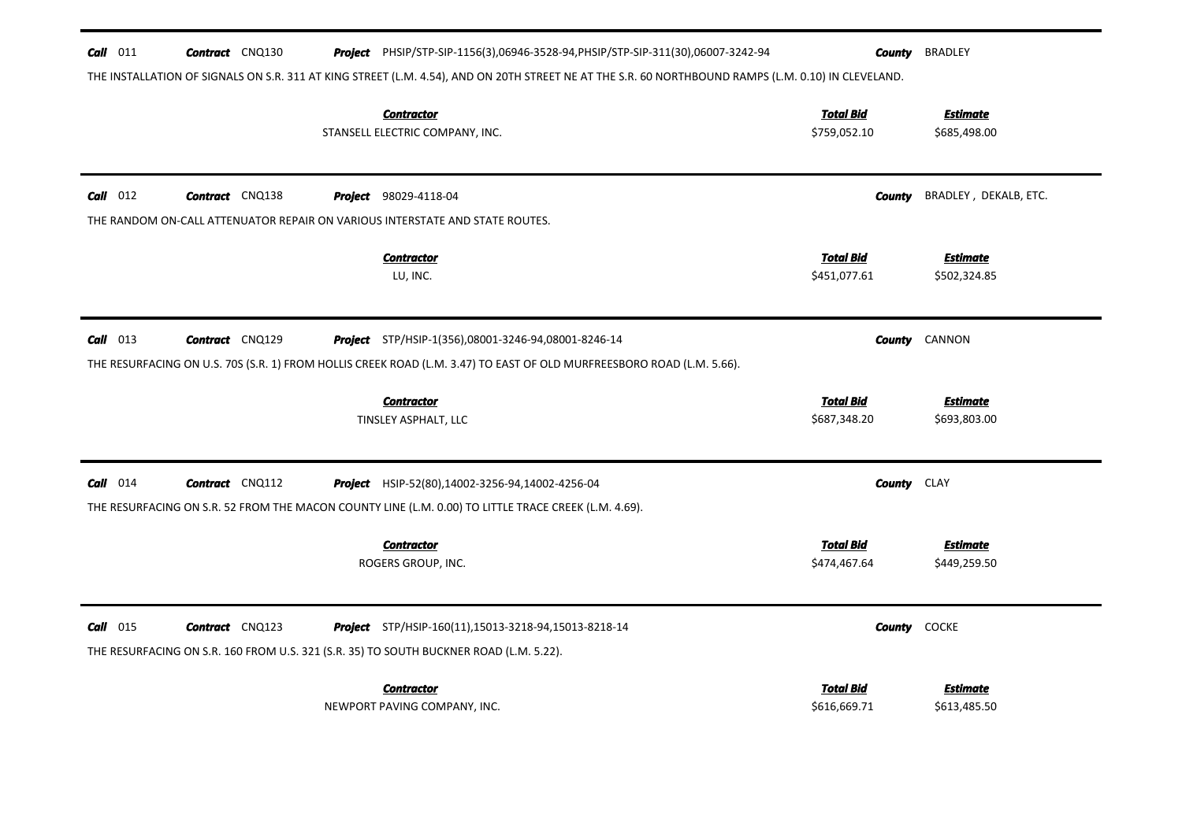| $Call$ 011                                                                                                                                          | <b>Contract</b> CNQ130 |  | Project PHSIP/STP-SIP-1156(3),06946-3528-94, PHSIP/STP-SIP-311(30),06007-3242-94                                                                        | County                           | <b>BRADLEY</b>                  |  |  |
|-----------------------------------------------------------------------------------------------------------------------------------------------------|------------------------|--|---------------------------------------------------------------------------------------------------------------------------------------------------------|----------------------------------|---------------------------------|--|--|
| THE INSTALLATION OF SIGNALS ON S.R. 311 AT KING STREET (L.M. 4.54), AND ON 20TH STREET NE AT THE S.R. 60 NORTHBOUND RAMPS (L.M. 0.10) IN CLEVELAND. |                        |  |                                                                                                                                                         |                                  |                                 |  |  |
|                                                                                                                                                     |                        |  | <b>Contractor</b><br>STANSELL ELECTRIC COMPANY, INC.                                                                                                    | <b>Total Bid</b><br>\$759,052.10 | <b>Estimate</b><br>\$685,498.00 |  |  |
| $Call$ 012                                                                                                                                          | <b>Contract</b> CNQ138 |  | <b>Project</b> 98029-4118-04                                                                                                                            | County                           | BRADLEY, DEKALB, ETC.           |  |  |
|                                                                                                                                                     |                        |  | THE RANDOM ON-CALL ATTENUATOR REPAIR ON VARIOUS INTERSTATE AND STATE ROUTES.                                                                            |                                  |                                 |  |  |
|                                                                                                                                                     |                        |  | <b>Contractor</b><br>LU, INC.                                                                                                                           | <b>Total Bid</b><br>\$451,077.61 | <b>Estimate</b><br>\$502,324.85 |  |  |
| $Call$ 013                                                                                                                                          | <b>Contract</b> CNQ129 |  | Project STP/HSIP-1(356),08001-3246-94,08001-8246-14                                                                                                     | County                           | CANNON                          |  |  |
|                                                                                                                                                     |                        |  | THE RESURFACING ON U.S. 70S (S.R. 1) FROM HOLLIS CREEK ROAD (L.M. 3.47) TO EAST OF OLD MURFREESBORO ROAD (L.M. 5.66).                                   |                                  |                                 |  |  |
|                                                                                                                                                     |                        |  | <b>Contractor</b><br>TINSLEY ASPHALT, LLC                                                                                                               | <b>Total Bid</b><br>\$687,348.20 | <b>Estimate</b><br>\$693,803.00 |  |  |
| $Call$ 014                                                                                                                                          | <b>Contract</b> CNQ112 |  | <b>Project</b> HSIP-52(80),14002-3256-94,14002-4256-04                                                                                                  |                                  | <b>County</b> CLAY              |  |  |
|                                                                                                                                                     |                        |  | THE RESURFACING ON S.R. 52 FROM THE MACON COUNTY LINE (L.M. 0.00) TO LITTLE TRACE CREEK (L.M. 4.69).                                                    |                                  |                                 |  |  |
|                                                                                                                                                     |                        |  | <b>Contractor</b><br>ROGERS GROUP, INC.                                                                                                                 | <b>Total Bid</b><br>\$474,467.64 | <b>Estimate</b><br>\$449,259.50 |  |  |
| $Call$ 015                                                                                                                                          | <b>Contract</b> CNQ123 |  | <b>Project</b> STP/HSIP-160(11), 15013-3218-94, 15013-8218-14<br>THE RESURFACING ON S.R. 160 FROM U.S. 321 (S.R. 35) TO SOUTH BUCKNER ROAD (L.M. 5.22). | County                           | <b>COCKE</b>                    |  |  |
|                                                                                                                                                     |                        |  | <b>Contractor</b><br>NEWPORT PAVING COMPANY, INC.                                                                                                       | <b>Total Bid</b><br>\$616,669.71 | <b>Estimate</b><br>\$613,485.50 |  |  |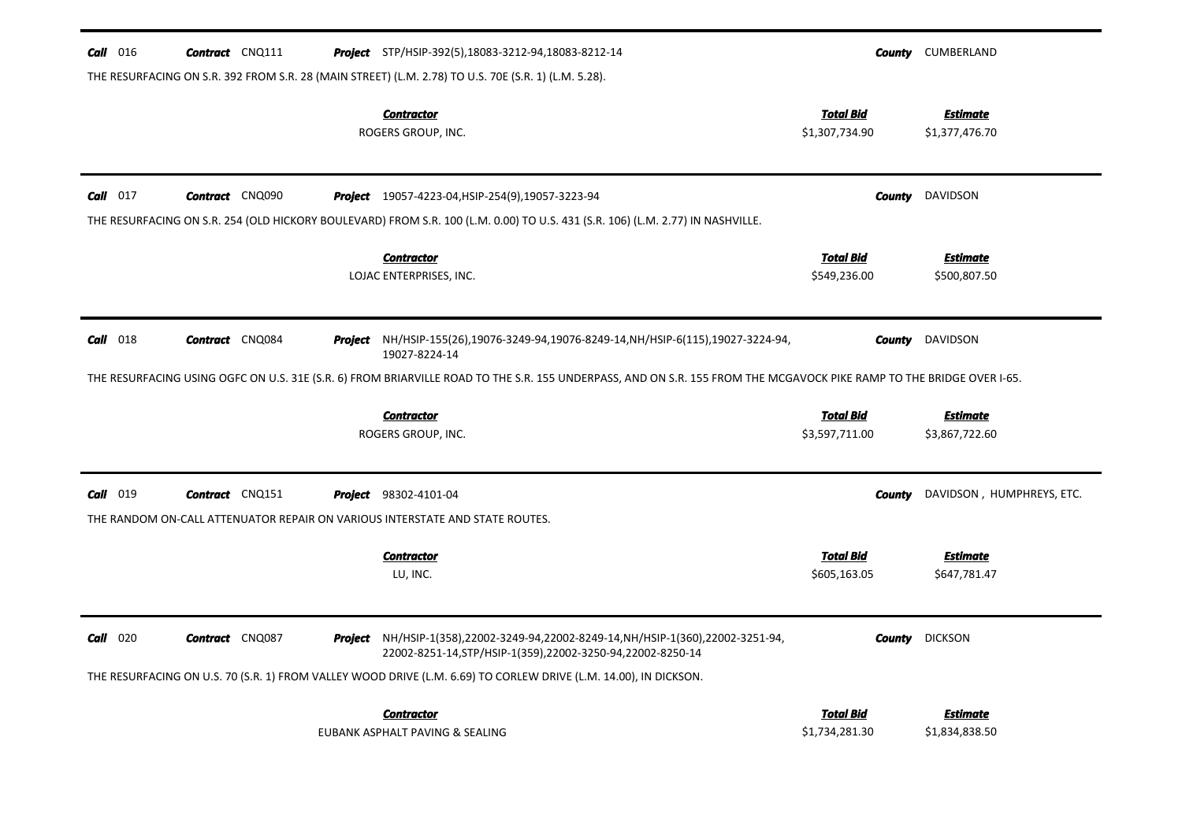| $Call$ 016      | <b>Contract</b> CNQ111 | <b>Project</b> STP/HSIP-392(5),18083-3212-94,18083-8212-14                                                                                                           |                                    | <b>County</b> CUMBERLAND          |
|-----------------|------------------------|----------------------------------------------------------------------------------------------------------------------------------------------------------------------|------------------------------------|-----------------------------------|
|                 |                        | THE RESURFACING ON S.R. 392 FROM S.R. 28 (MAIN STREET) (L.M. 2.78) TO U.S. 70E (S.R. 1) (L.M. 5.28).                                                                 |                                    |                                   |
|                 |                        | <b>Contractor</b><br>ROGERS GROUP, INC.                                                                                                                              | <b>Total Bid</b><br>\$1,307,734.90 | <b>Estimate</b><br>\$1,377,476.70 |
| $Call$ 017      | <b>Contract</b> CNQ090 | <b>Project</b> 19057-4223-04, HSIP-254(9), 19057-3223-94                                                                                                             | County                             | DAVIDSON                          |
|                 |                        | THE RESURFACING ON S.R. 254 (OLD HICKORY BOULEVARD) FROM S.R. 100 (L.M. 0.00) TO U.S. 431 (S.R. 106) (L.M. 2.77) IN NASHVILLE.                                       |                                    |                                   |
|                 |                        | <b>Contractor</b><br>LOJAC ENTERPRISES, INC.                                                                                                                         | <b>Total Bid</b><br>\$549,236.00   | <b>Estimate</b><br>\$500,807.50   |
| <b>Call</b> 018 | <b>Contract</b> CNQ084 | Project NH/HSIP-155(26),19076-3249-94,19076-8249-14, NH/HSIP-6(115), 19027-3224-94,<br>19027-8224-14                                                                 |                                    | <b>County</b> DAVIDSON            |
|                 |                        | THE RESURFACING USING OGFC ON U.S. 31E (S.R. 6) FROM BRIARVILLE ROAD TO THE S.R. 155 UNDERPASS, AND ON S.R. 155 FROM THE MCGAVOCK PIKE RAMP TO THE BRIDGE OVER I-65. |                                    |                                   |
|                 |                        | <b>Contractor</b><br>ROGERS GROUP, INC.                                                                                                                              | <b>Total Bid</b><br>\$3,597,711.00 | <b>Estimate</b><br>\$3,867,722.60 |
| Call<br>019     | <b>Contract</b> CNQ151 | <b>Project</b> 98302-4101-04<br>THE RANDOM ON-CALL ATTENUATOR REPAIR ON VARIOUS INTERSTATE AND STATE ROUTES.                                                         | County                             | DAVIDSON, HUMPHREYS, ETC.         |
|                 |                        | <b>Contractor</b><br>LU, INC.                                                                                                                                        | <u>Total Bid</u><br>\$605,163.05   | Estimate<br>\$647,781.47          |
| $Call$ 020      | <b>Contract</b> CNQ087 | Project NH/HSIP-1(358),22002-3249-94,22002-8249-14, NH/HSIP-1(360),22002-3251-94,<br>22002-8251-14, STP/HSIP-1(359), 22002-3250-94, 22002-8250-14                    | <b>County</b>                      | <b>DICKSON</b>                    |
|                 |                        | THE RESURFACING ON U.S. 70 (S.R. 1) FROM VALLEY WOOD DRIVE (L.M. 6.69) TO CORLEW DRIVE (L.M. 14.00), IN DICKSON.                                                     |                                    |                                   |
|                 |                        | <b>Contractor</b><br>EUBANK ASPHALT PAVING & SEALING                                                                                                                 | <b>Total Bid</b><br>\$1,734,281.30 | <b>Estimate</b><br>\$1,834,838.50 |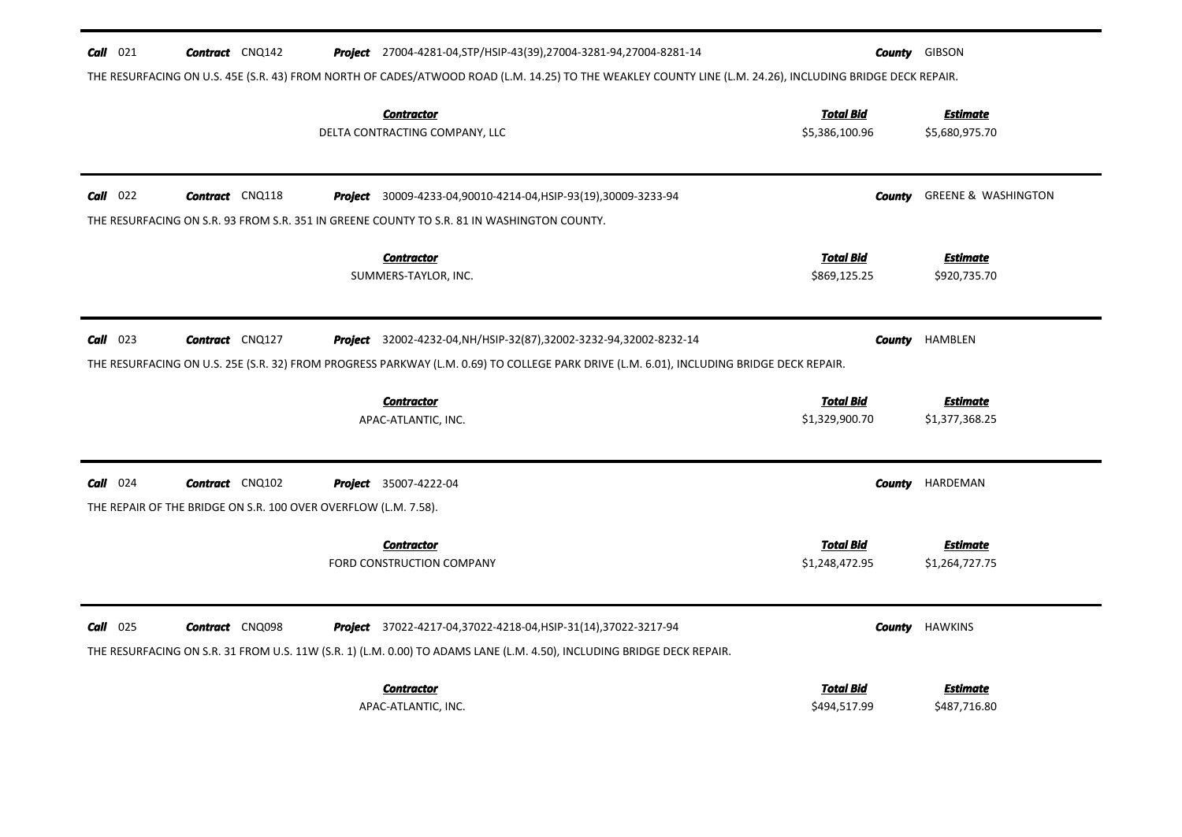| $Call$ 021<br><b>Contract</b> CNQ142                                                       | Project 27004-4281-04, STP/HSIP-43(39), 27004-3281-94, 27004-8281-14                                                                                                                                                   |                                    | <b>County GIBSON</b>              |
|--------------------------------------------------------------------------------------------|------------------------------------------------------------------------------------------------------------------------------------------------------------------------------------------------------------------------|------------------------------------|-----------------------------------|
|                                                                                            | THE RESURFACING ON U.S. 45E (S.R. 43) FROM NORTH OF CADES/ATWOOD ROAD (L.M. 14.25) TO THE WEAKLEY COUNTY LINE (L.M. 24.26), INCLUDING BRIDGE DECK REPAIR.                                                              |                                    |                                   |
|                                                                                            | <b>Contractor</b><br>DELTA CONTRACTING COMPANY, LLC                                                                                                                                                                    | <b>Total Bid</b><br>\$5,386,100.96 | <b>Estimate</b><br>\$5,680,975.70 |
| $Call$ 022<br><b>Contract</b> CNQ118                                                       | Project 30009-4233-04,90010-4214-04, HSIP-93(19), 30009-3233-94                                                                                                                                                        | County                             | <b>GREENE &amp; WASHINGTON</b>    |
| THE RESURFACING ON S.R. 93 FROM S.R. 351 IN GREENE COUNTY TO S.R. 81 IN WASHINGTON COUNTY. |                                                                                                                                                                                                                        |                                    |                                   |
|                                                                                            | <b>Contractor</b><br>SUMMERS-TAYLOR, INC.                                                                                                                                                                              | <b>Total Bid</b><br>\$869,125.25   | <b>Estimate</b><br>\$920,735.70   |
| $Call$ 023<br><b>Contract</b> CNQ127                                                       | <b>Project</b> 32002-4232-04, NH/HSIP-32(87), 32002-3232-94, 32002-8232-14<br>THE RESURFACING ON U.S. 25E (S.R. 32) FROM PROGRESS PARKWAY (L.M. 0.69) TO COLLEGE PARK DRIVE (L.M. 6.01), INCLUDING BRIDGE DECK REPAIR. | County                             | <b>HAMBLEN</b>                    |
|                                                                                            | <b>Contractor</b><br>APAC-ATLANTIC, INC.                                                                                                                                                                               | <b>Total Bid</b><br>\$1,329,900.70 | <b>Estimate</b><br>\$1,377,368.25 |
| $Call$ 024<br><b>Contract</b> CNQ102                                                       | <b>Project</b> 35007-4222-04                                                                                                                                                                                           | <b>County</b>                      | HARDEMAN                          |
| THE REPAIR OF THE BRIDGE ON S.R. 100 OVER OVERFLOW (L.M. 7.58).                            |                                                                                                                                                                                                                        |                                    |                                   |
|                                                                                            | <b>Contractor</b><br>FORD CONSTRUCTION COMPANY                                                                                                                                                                         | <b>Total Bid</b><br>\$1,248,472.95 | <b>Estimate</b><br>\$1,264,727.75 |
| $Call$ 025<br><b>Contract</b> CNQ098                                                       | Project 37022-4217-04,37022-4218-04, HSIP-31(14), 37022-3217-94<br>THE RESURFACING ON S.R. 31 FROM U.S. 11W (S.R. 1) (L.M. 0.00) TO ADAMS LANE (L.M. 4.50), INCLUDING BRIDGE DECK REPAIR.                              | <b>County</b>                      | <b>HAWKINS</b>                    |
|                                                                                            | <b>Contractor</b><br>APAC-ATLANTIC, INC.                                                                                                                                                                               | <b>Total Bid</b><br>\$494,517.99   | Estimate<br>\$487,716.80          |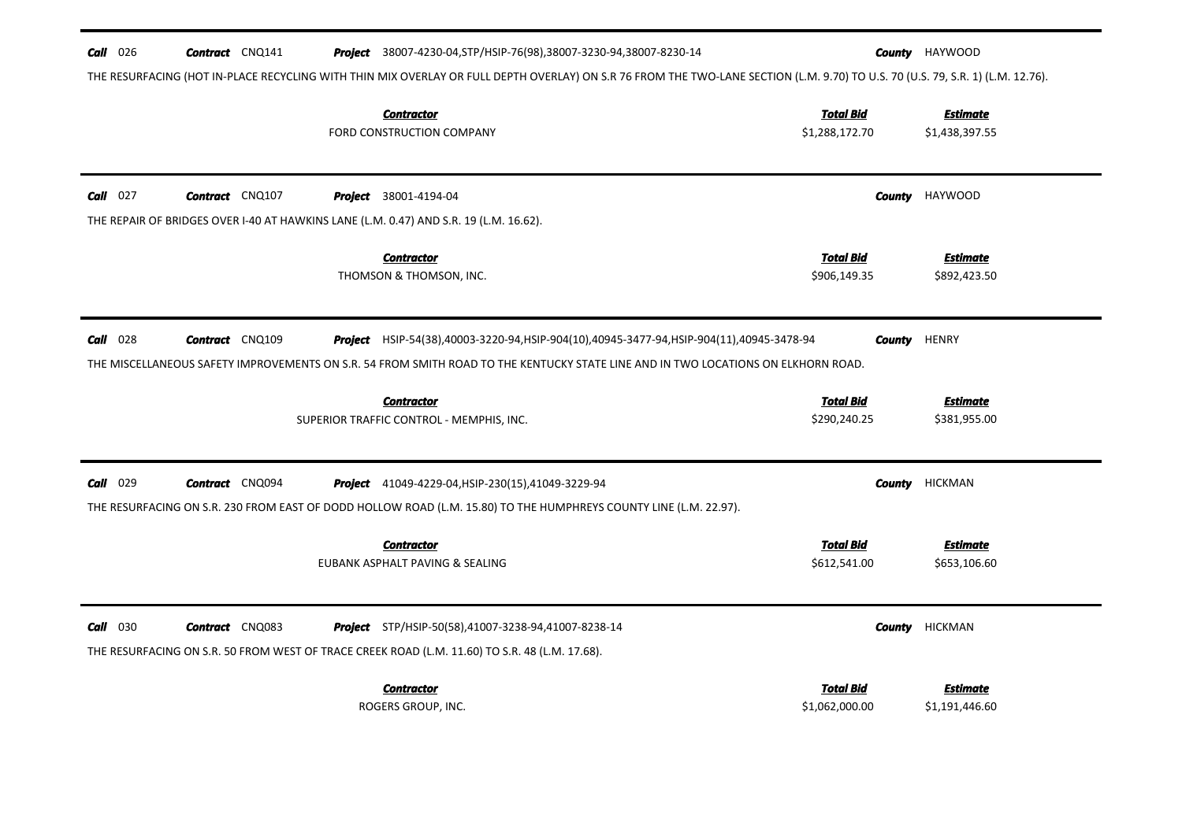| $Call$ 026 | <b>Contract</b> CNQ141 | <b>Project</b> 38007-4230-04, STP/HSIP-76(98), 38007-3230-94, 38007-8230-14                                                                                                     |                                    | <b>County</b> HAYWOOD             |
|------------|------------------------|---------------------------------------------------------------------------------------------------------------------------------------------------------------------------------|------------------------------------|-----------------------------------|
|            |                        | THE RESURFACING (HOT IN-PLACE RECYCLING WITH THIN MIX OVERLAY OR FULL DEPTH OVERLAY) ON S.R 76 FROM THE TWO-LANE SECTION (L.M. 9.70) TO U.S. 70 (U.S. 79, S.R. 1) (L.M. 12.76). |                                    |                                   |
|            |                        | <b>Contractor</b>                                                                                                                                                               | <b>Total Bid</b>                   | <b>Estimate</b>                   |
|            |                        | FORD CONSTRUCTION COMPANY                                                                                                                                                       | \$1,288,172.70                     | \$1,438,397.55                    |
| $Call$ 027 | <b>Contract</b> CNQ107 | <b>Project</b> 38001-4194-04                                                                                                                                                    | County                             | <b>HAYWOOD</b>                    |
|            |                        | THE REPAIR OF BRIDGES OVER I-40 AT HAWKINS LANE (L.M. 0.47) AND S.R. 19 (L.M. 16.62).                                                                                           |                                    |                                   |
|            |                        | <b>Contractor</b>                                                                                                                                                               | <b>Total Bid</b>                   | <b>Estimate</b>                   |
|            |                        | THOMSON & THOMSON, INC.                                                                                                                                                         | \$906,149.35                       | \$892,423.50                      |
|            |                        |                                                                                                                                                                                 |                                    |                                   |
| $Call$ 028 | <b>Contract</b> CNQ109 | <b>Project</b> HSIP-54(38),40003-3220-94,HSIP-904(10),40945-3477-94,HSIP-904(11),40945-3478-94                                                                                  | County                             | <b>HENRY</b>                      |
|            |                        | THE MISCELLANEOUS SAFETY IMPROVEMENTS ON S.R. 54 FROM SMITH ROAD TO THE KENTUCKY STATE LINE AND IN TWO LOCATIONS ON ELKHORN ROAD.                                               |                                    |                                   |
|            |                        | <b>Contractor</b>                                                                                                                                                               | <b>Total Bid</b>                   | <b>Estimate</b>                   |
|            |                        | SUPERIOR TRAFFIC CONTROL - MEMPHIS, INC.                                                                                                                                        | \$290,240.25                       | \$381,955.00                      |
|            |                        |                                                                                                                                                                                 |                                    |                                   |
| Call 029   | <b>Contract</b> CNQ094 | <b>Project</b> 41049-4229-04, HSIP-230(15), 41049-3229-94                                                                                                                       | County                             | <b>HICKMAN</b>                    |
|            |                        | THE RESURFACING ON S.R. 230 FROM EAST OF DODD HOLLOW ROAD (L.M. 15.80) TO THE HUMPHREYS COUNTY LINE (L.M. 22.97).                                                               |                                    |                                   |
|            |                        | <b>Contractor</b>                                                                                                                                                               | <b>Total Bid</b>                   | <u>Estimate</u>                   |
|            |                        | EUBANK ASPHALT PAVING & SEALING                                                                                                                                                 | \$612,541.00                       | \$653,106.60                      |
| $Call$ 030 | <b>Contract</b> CNQ083 | Project STP/HSIP-50(58),41007-3238-94,41007-8238-14                                                                                                                             | County                             | <b>HICKMAN</b>                    |
|            |                        | THE RESURFACING ON S.R. 50 FROM WEST OF TRACE CREEK ROAD (L.M. 11.60) TO S.R. 48 (L.M. 17.68).                                                                                  |                                    |                                   |
|            |                        |                                                                                                                                                                                 |                                    |                                   |
|            |                        | <b>Contractor</b><br>ROGERS GROUP, INC.                                                                                                                                         | <b>Total Bid</b><br>\$1,062,000.00 | <b>Estimate</b><br>\$1,191,446.60 |
|            |                        |                                                                                                                                                                                 |                                    |                                   |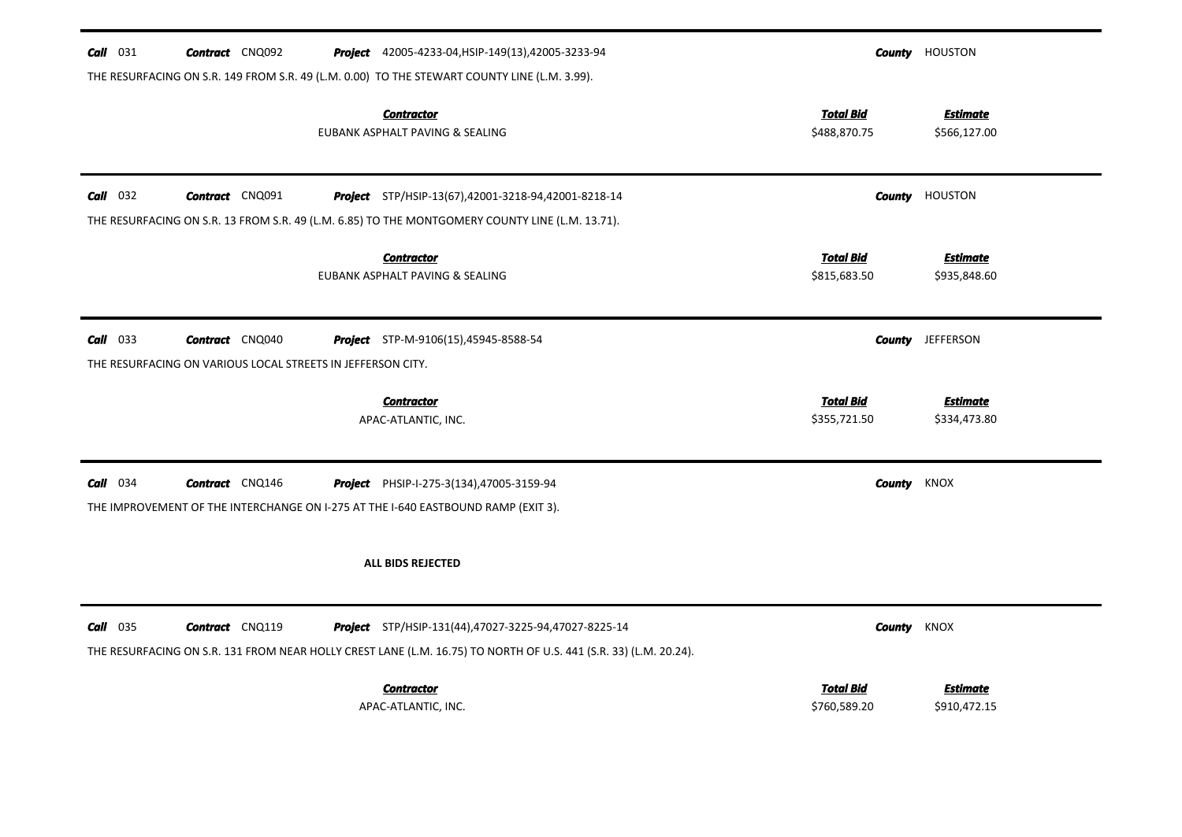| $Call$ 031 | <b>Contract</b> CNQ092                                      | <b>Project</b> 42005-4233-04, HSIP-149(13), 42005-3233-94                                                                                                                       |                                  | <b>County</b> HOUSTON           |
|------------|-------------------------------------------------------------|---------------------------------------------------------------------------------------------------------------------------------------------------------------------------------|----------------------------------|---------------------------------|
|            |                                                             | THE RESURFACING ON S.R. 149 FROM S.R. 49 (L.M. 0.00) TO THE STEWART COUNTY LINE (L.M. 3.99).                                                                                    |                                  |                                 |
|            |                                                             | <b>Contractor</b><br>EUBANK ASPHALT PAVING & SEALING                                                                                                                            | <b>Total Bid</b><br>\$488,870.75 | <b>Estimate</b><br>\$566,127.00 |
| $Call$ 032 | <b>Contract</b> CNQ091                                      | Project STP/HSIP-13(67),42001-3218-94,42001-8218-14                                                                                                                             |                                  | <b>County HOUSTON</b>           |
|            |                                                             | THE RESURFACING ON S.R. 13 FROM S.R. 49 (L.M. 6.85) TO THE MONTGOMERY COUNTY LINE (L.M. 13.71).                                                                                 |                                  |                                 |
|            |                                                             | <b>Contractor</b><br>EUBANK ASPHALT PAVING & SEALING                                                                                                                            | <b>Total Bid</b><br>\$815,683.50 | <b>Estimate</b><br>\$935,848.60 |
| $Call$ 033 | <b>Contract</b> CNQ040                                      | Project STP-M-9106(15),45945-8588-54                                                                                                                                            |                                  | <b>County</b> JEFFERSON         |
|            | THE RESURFACING ON VARIOUS LOCAL STREETS IN JEFFERSON CITY. |                                                                                                                                                                                 |                                  |                                 |
|            |                                                             |                                                                                                                                                                                 |                                  |                                 |
|            |                                                             | <b>Contractor</b><br>APAC-ATLANTIC, INC.                                                                                                                                        | <b>Total Bid</b><br>\$355,721.50 | <b>Estimate</b><br>\$334,473.80 |
| $Call$ 034 | <b>Contract</b> CNQ146                                      | Project PHSIP-I-275-3(134),47005-3159-94                                                                                                                                        | County                           | <b>KNOX</b>                     |
|            |                                                             | THE IMPROVEMENT OF THE INTERCHANGE ON I-275 AT THE I-640 EASTBOUND RAMP (EXIT 3).                                                                                               |                                  |                                 |
|            |                                                             | <b>ALL BIDS REJECTED</b>                                                                                                                                                        |                                  |                                 |
| $Call$ 035 | <b>Contract</b> CNQ119                                      | <b>Project</b> STP/HSIP-131(44),47027-3225-94,47027-8225-14<br>THE RESURFACING ON S.R. 131 FROM NEAR HOLLY CREST LANE (L.M. 16.75) TO NORTH OF U.S. 441 (S.R. 33) (L.M. 20.24). | County                           | KNOX                            |
|            |                                                             | <b>Contractor</b>                                                                                                                                                               | <b>Total Bid</b>                 | <b>Estimate</b>                 |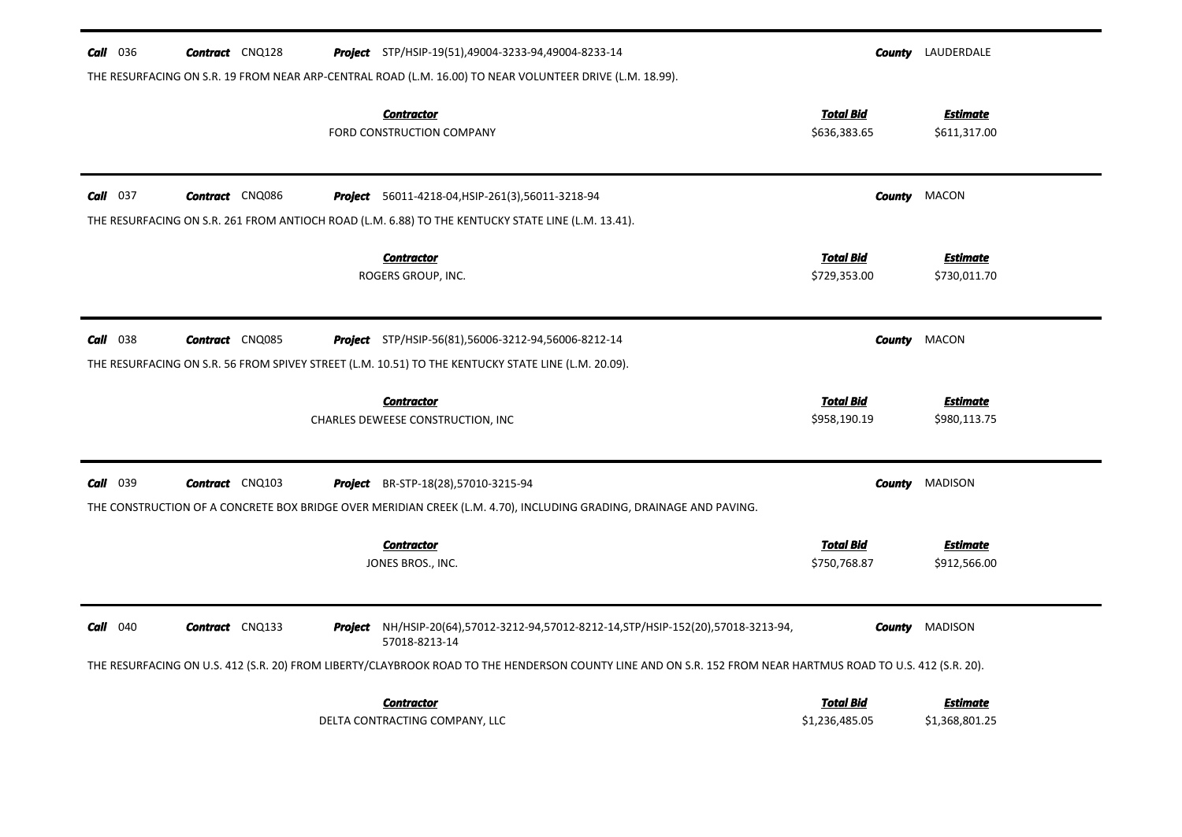| <b>Call</b> 036 | <b>Contract</b> CNQ128 | <b>Project</b> STP/HSIP-19(51),49004-3233-94,49004-8233-14                                                                                                       |                                    | <b>County</b> LAUDERDALE          |
|-----------------|------------------------|------------------------------------------------------------------------------------------------------------------------------------------------------------------|------------------------------------|-----------------------------------|
|                 |                        | THE RESURFACING ON S.R. 19 FROM NEAR ARP-CENTRAL ROAD (L.M. 16.00) TO NEAR VOLUNTEER DRIVE (L.M. 18.99).<br><b>Contractor</b><br>FORD CONSTRUCTION COMPANY       | <b>Total Bid</b><br>\$636,383.65   | <b>Estimate</b><br>\$611,317.00   |
| $Call$ 037      | <b>Contract</b> CNQ086 | <b>Project</b> 56011-4218-04, HSIP-261(3), 56011-3218-94                                                                                                         | <b>County</b>                      | <b>MACON</b>                      |
|                 |                        | THE RESURFACING ON S.R. 261 FROM ANTIOCH ROAD (L.M. 6.88) TO THE KENTUCKY STATE LINE (L.M. 13.41).<br><b>Contractor</b><br>ROGERS GROUP, INC.                    | <b>Total Bid</b><br>\$729,353.00   | <b>Estimate</b><br>\$730,011.70   |
| <b>Call</b> 038 | <b>Contract</b> CNQ085 | <b>Project</b> STP/HSIP-56(81),56006-3212-94,56006-8212-14                                                                                                       | County                             | MACON                             |
|                 |                        | THE RESURFACING ON S.R. 56 FROM SPIVEY STREET (L.M. 10.51) TO THE KENTUCKY STATE LINE (L.M. 20.09).                                                              |                                    |                                   |
|                 |                        | <b>Contractor</b><br>CHARLES DEWEESE CONSTRUCTION, INC                                                                                                           | <u>Total Bid</u><br>\$958,190.19   | <b>Estimate</b><br>\$980,113.75   |
| <b>Call</b> 039 | <b>Contract</b> CNQ103 | <b>Project</b> BR-STP-18(28),57010-3215-94<br>THE CONSTRUCTION OF A CONCRETE BOX BRIDGE OVER MERIDIAN CREEK (L.M. 4.70), INCLUDING GRADING, DRAINAGE AND PAVING. | County                             | <b>MADISON</b>                    |
|                 |                        | <b>Contractor</b><br>JONES BROS., INC.                                                                                                                           | <b>Total Bid</b><br>\$750,768.87   | <b>Estimate</b><br>\$912,566.00   |
| $Call$ 040      | <b>Contract</b> CNQ133 | Project NH/HSIP-20(64),57012-3212-94,57012-8212-14,STP/HSIP-152(20),57018-3213-94,<br>57018-8213-14                                                              | County                             | MADISON                           |
|                 |                        | THE RESURFACING ON U.S. 412 (S.R. 20) FROM LIBERTY/CLAYBROOK ROAD TO THE HENDERSON COUNTY LINE AND ON S.R. 152 FROM NEAR HARTMUS ROAD TO U.S. 412 (S.R. 20).     |                                    |                                   |
|                 |                        | <b>Contractor</b><br>DELTA CONTRACTING COMPANY, LLC                                                                                                              | <b>Total Bid</b><br>\$1,236,485.05 | <b>Estimate</b><br>\$1,368,801.25 |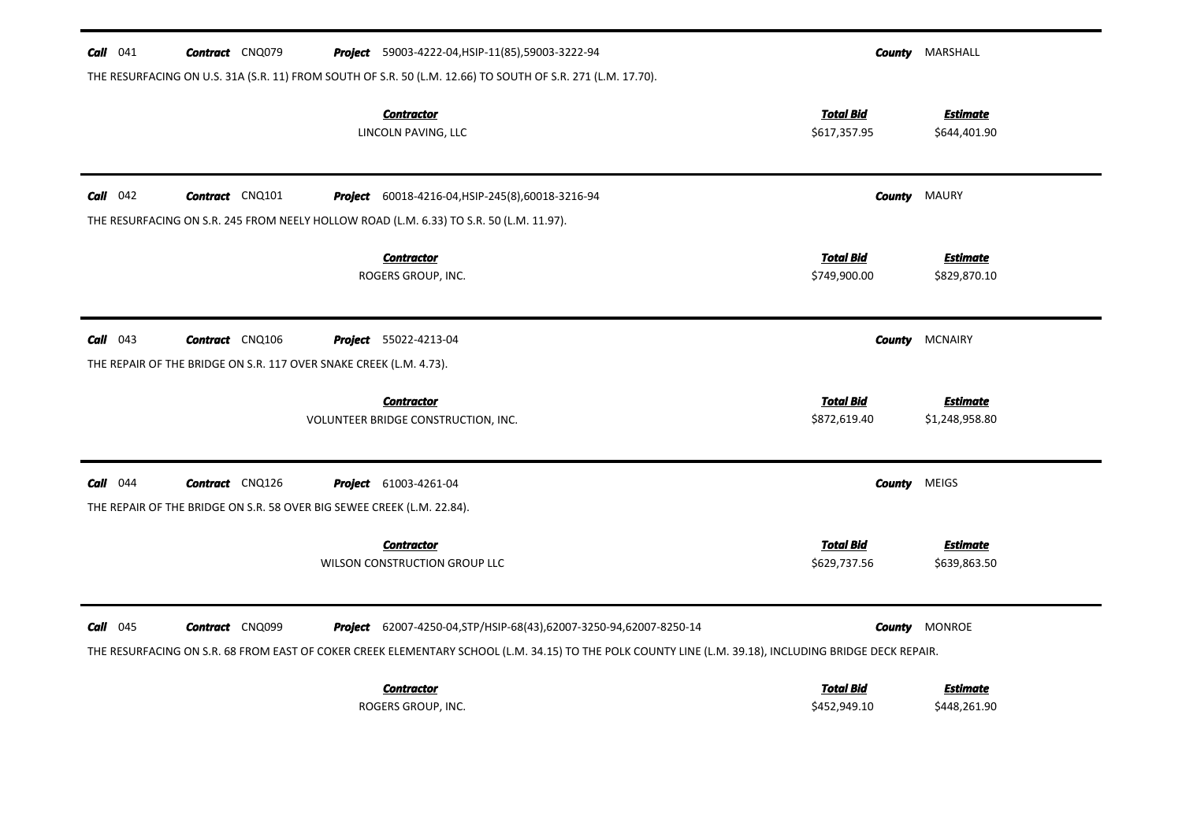| $Call$ 041        | <b>Contract</b> CNQ079                                                 | Project 59003-4222-04, HSIP-11(85), 59003-3222-94                                                                                                      |                                  | <b>County</b> MARSHALL            |
|-------------------|------------------------------------------------------------------------|--------------------------------------------------------------------------------------------------------------------------------------------------------|----------------------------------|-----------------------------------|
|                   |                                                                        | THE RESURFACING ON U.S. 31A (S.R. 11) FROM SOUTH OF S.R. 50 (L.M. 12.66) TO SOUTH OF S.R. 271 (L.M. 17.70).                                            |                                  |                                   |
|                   |                                                                        | <b>Contractor</b><br>LINCOLN PAVING, LLC                                                                                                               | <b>Total Bid</b><br>\$617,357.95 | <b>Estimate</b><br>\$644,401.90   |
| <b>Call</b> $042$ | <b>Contract</b> CNQ101                                                 | Project 60018-4216-04, HSIP-245(8), 60018-3216-94                                                                                                      | County                           | MAURY                             |
|                   |                                                                        | THE RESURFACING ON S.R. 245 FROM NEELY HOLLOW ROAD (L.M. 6.33) TO S.R. 50 (L.M. 11.97).                                                                |                                  |                                   |
|                   |                                                                        | <b>Contractor</b><br>ROGERS GROUP, INC.                                                                                                                | <b>Total Bid</b><br>\$749,900.00 | <b>Estimate</b><br>\$829,870.10   |
| $Call$ 043        | <b>Contract</b> CNQ106                                                 | <b>Project</b> 55022-4213-04                                                                                                                           | County                           | <b>MCNAIRY</b>                    |
|                   | THE REPAIR OF THE BRIDGE ON S.R. 117 OVER SNAKE CREEK (L.M. 4.73).     |                                                                                                                                                        |                                  |                                   |
|                   |                                                                        | <b>Contractor</b><br>VOLUNTEER BRIDGE CONSTRUCTION, INC.                                                                                               | <b>Total Bid</b><br>\$872,619.40 | <b>Estimate</b><br>\$1,248,958.80 |
| $Call$ 044        | <b>Contract</b> CNQ126                                                 | <b>Project</b> 61003-4261-04                                                                                                                           | County                           | MEIGS                             |
|                   | THE REPAIR OF THE BRIDGE ON S.R. 58 OVER BIG SEWEE CREEK (L.M. 22.84). |                                                                                                                                                        |                                  |                                   |
|                   |                                                                        | <b>Contractor</b><br>WILSON CONSTRUCTION GROUP LLC                                                                                                     | <b>Total Bid</b><br>\$629,737.56 | Estimate<br>\$639,863.50          |
| $Call$ 045        | <b>Contract</b> CNQ099                                                 | Project 62007-4250-04, STP/HSIP-68(43), 62007-3250-94, 62007-8250-14                                                                                   | County                           | <b>MONROE</b>                     |
|                   |                                                                        | THE RESURFACING ON S.R. 68 FROM EAST OF COKER CREEK ELEMENTARY SCHOOL (L.M. 34.15) TO THE POLK COUNTY LINE (L.M. 39.18), INCLUDING BRIDGE DECK REPAIR. |                                  |                                   |
|                   |                                                                        | <b>Contractor</b><br>ROGERS GROUP, INC.                                                                                                                | <b>Total Bid</b><br>\$452,949.10 | <b>Estimate</b><br>\$448,261.90   |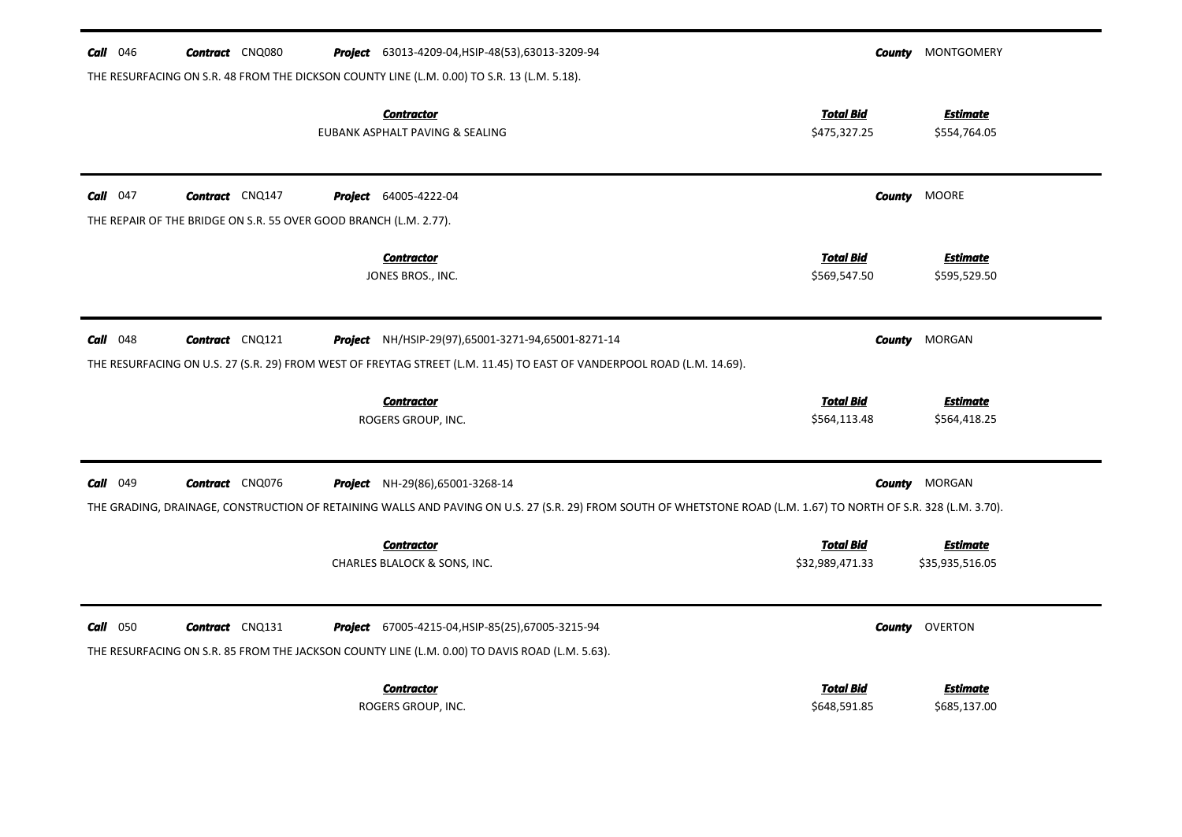| <b>Call</b> $046$ | <b>Contract</b> CNQ080                                            | <b>Project</b> 63013-4209-04, HSIP-48(53), 63013-3209-94                                                                                                          |                                  | <b>County</b> MONTGOMERY        |
|-------------------|-------------------------------------------------------------------|-------------------------------------------------------------------------------------------------------------------------------------------------------------------|----------------------------------|---------------------------------|
|                   |                                                                   | THE RESURFACING ON S.R. 48 FROM THE DICKSON COUNTY LINE (L.M. 0.00) TO S.R. 13 (L.M. 5.18).<br><b>Contractor</b>                                                  | <b>Total Bid</b>                 | <b>Estimate</b>                 |
|                   |                                                                   | EUBANK ASPHALT PAVING & SEALING                                                                                                                                   | \$475,327.25                     | \$554,764.05                    |
| $Call$ 047        | <b>Contract</b> CNQ147                                            | <b>Project</b> 64005-4222-04                                                                                                                                      |                                  | <b>County MOORE</b>             |
|                   | THE REPAIR OF THE BRIDGE ON S.R. 55 OVER GOOD BRANCH (L.M. 2.77). |                                                                                                                                                                   |                                  |                                 |
|                   |                                                                   | <b>Contractor</b><br>JONES BROS., INC.                                                                                                                            | <b>Total Bid</b><br>\$569,547.50 | <b>Estimate</b><br>\$595,529.50 |
|                   |                                                                   |                                                                                                                                                                   |                                  |                                 |
| $Call$ 048        | <b>Contract</b> CNQ121                                            | <b>Project</b> NH/HSIP-29(97),65001-3271-94,65001-8271-14                                                                                                         | <b>County</b>                    | MORGAN                          |
|                   |                                                                   | THE RESURFACING ON U.S. 27 (S.R. 29) FROM WEST OF FREYTAG STREET (L.M. 11.45) TO EAST OF VANDERPOOL ROAD (L.M. 14.69).                                            |                                  |                                 |
|                   |                                                                   | <b>Contractor</b>                                                                                                                                                 | <b>Total Bid</b>                 | <b>Estimate</b>                 |
|                   |                                                                   | ROGERS GROUP, INC.                                                                                                                                                | \$564,113.48                     | \$564,418.25                    |
| <b>Call</b> 049   | <b>Contract</b> CNQ076                                            | Project NH-29(86),65001-3268-14                                                                                                                                   |                                  | <b>County</b> MORGAN            |
|                   |                                                                   | THE GRADING, DRAINAGE, CONSTRUCTION OF RETAINING WALLS AND PAVING ON U.S. 27 (S.R. 29) FROM SOUTH OF WHETSTONE ROAD (L.M. 1.67) TO NORTH OF S.R. 328 (L.M. 3.70). |                                  |                                 |
|                   |                                                                   | <b>Contractor</b>                                                                                                                                                 | <b>Total Bid</b>                 | <b>Estimate</b>                 |
|                   |                                                                   | CHARLES BLALOCK & SONS, INC.                                                                                                                                      | \$32,989,471.33                  | \$35,935,516.05                 |
| $Call$ 050        | <b>Contract</b> CNQ131                                            | Project 67005-4215-04, HSIP-85(25), 67005-3215-94                                                                                                                 |                                  | <b>County</b> OVERTON           |
|                   |                                                                   | THE RESURFACING ON S.R. 85 FROM THE JACKSON COUNTY LINE (L.M. 0.00) TO DAVIS ROAD (L.M. 5.63).                                                                    |                                  |                                 |
|                   |                                                                   | <b>Contractor</b>                                                                                                                                                 | <b>Total Bid</b>                 | <b>Estimate</b>                 |
|                   |                                                                   | ROGERS GROUP, INC.                                                                                                                                                | \$648,591.85                     | \$685,137.00                    |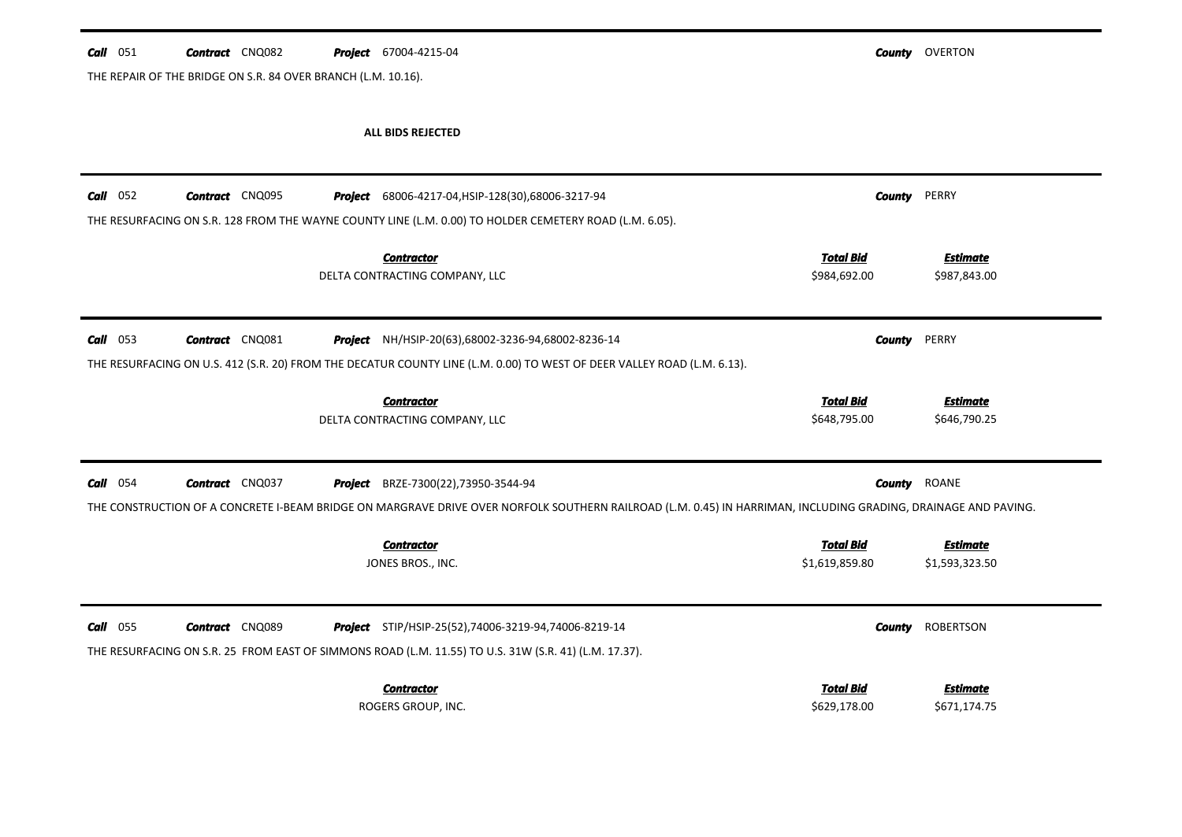| $Call$ 051 |  | <b>Contract</b> CNQ082 |  |  | <b>Project</b> 67004-4215-04 |
|------------|--|------------------------|--|--|------------------------------|
|------------|--|------------------------|--|--|------------------------------|

THE REPAIR OF THE BRIDGE ON S.R. 84 OVER BRANCH (L.M. 10.16).

*County* OVERTON

## **ALL BIDS REJECTED**

| $Call$ 052  | <b>Contract</b> CNQ095 |         | <b>Project</b> 68006-4217-04, HSIP-128(30), 68006-3217-94                                                                                                                                     | <b>County</b>                      | PERRY                             |
|-------------|------------------------|---------|-----------------------------------------------------------------------------------------------------------------------------------------------------------------------------------------------|------------------------------------|-----------------------------------|
|             |                        |         | THE RESURFACING ON S.R. 128 FROM THE WAYNE COUNTY LINE (L.M. 0.00) TO HOLDER CEMETERY ROAD (L.M. 6.05).<br><b>Contractor</b><br>DELTA CONTRACTING COMPANY, LLC                                | <b>Total Bid</b><br>\$984,692.00   | <b>Estimate</b><br>\$987,843.00   |
| 053<br>Call | <b>Contract</b> CNQ081 |         | <b>Project</b> NH/HSIP-20(63),68002-3236-94,68002-8236-14<br>THE RESURFACING ON U.S. 412 (S.R. 20) FROM THE DECATUR COUNTY LINE (L.M. 0.00) TO WEST OF DEER VALLEY ROAD (L.M. 6.13).          | <b>County</b>                      | PERRY                             |
|             |                        |         | <b>Contractor</b><br>DELTA CONTRACTING COMPANY, LLC                                                                                                                                           | Total Bid<br>\$648,795.00          | <b>Estimate</b><br>\$646,790.25   |
| 054<br>Call | <b>Contract</b> CNQ037 | Project | BRZE-7300(22),73950-3544-94<br>THE CONSTRUCTION OF A CONCRETE I-BEAM BRIDGE ON MARGRAVE DRIVE OVER NORFOLK SOUTHERN RAILROAD (L.M. 0.45) IN HARRIMAN, INCLUDING GRADING, DRAINAGE AND PAVING. | <b>County</b>                      | <b>ROANE</b>                      |
|             |                        |         | <b>Contractor</b><br>JONES BROS., INC.                                                                                                                                                        | <b>Total Bid</b><br>\$1,619,859.80 | <b>Estimate</b><br>\$1,593,323.50 |
| 055<br>Call | <b>Contract</b> CNQ089 |         | <b>Project</b> STIP/HSIP-25(52),74006-3219-94,74006-8219-14<br>THE RESURFACING ON S.R. 25 FROM EAST OF SIMMONS ROAD (L.M. 11.55) TO U.S. 31W (S.R. 41) (L.M. 17.37).                          | County                             | ROBERTSON                         |
|             |                        |         | <b>Contractor</b><br>ROGERS GROUP, INC.                                                                                                                                                       | <b>Total Bid</b><br>\$629,178.00   | <b>Estimate</b><br>\$671,174.75   |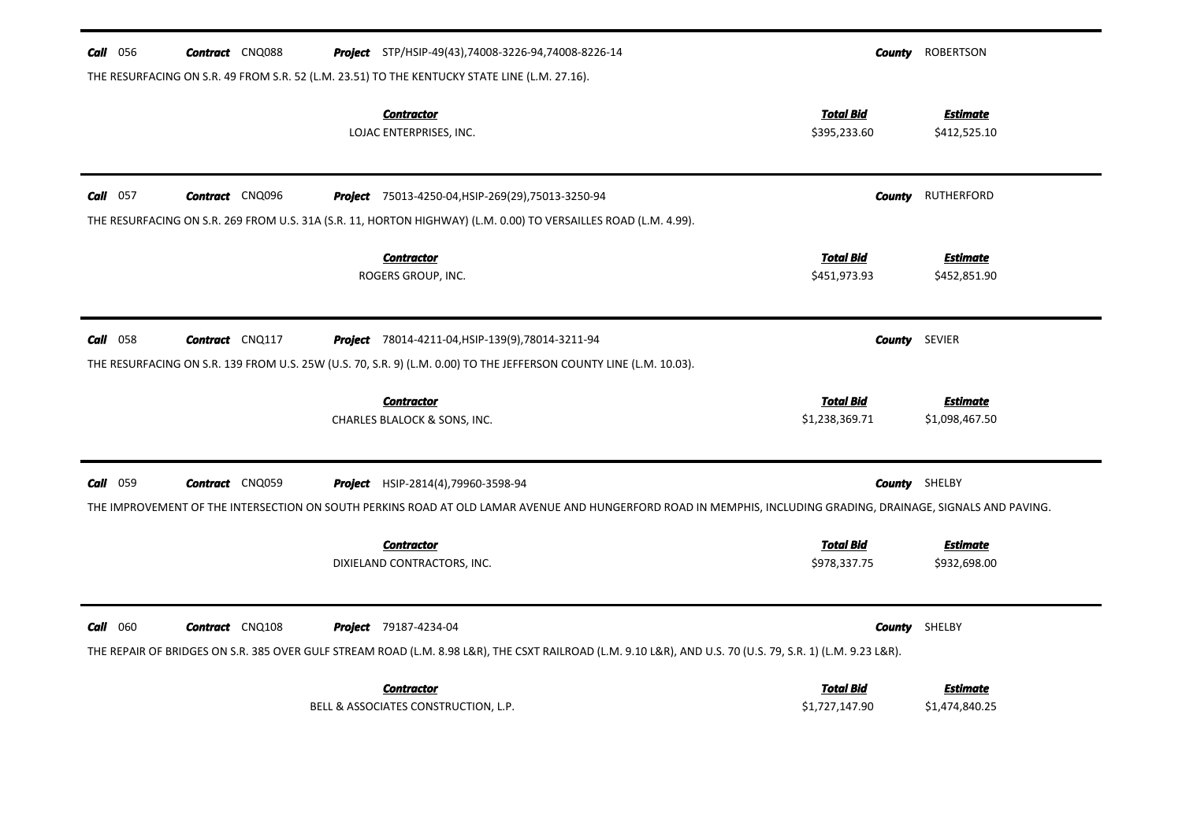| <b>Call</b> 056 | <b>Contract</b> CNQ088 | <b>Project</b> STP/HSIP-49(43),74008-3226-94,74008-8226-14                                                                                                                                 |                                    | <b>County</b> ROBERTSON           |
|-----------------|------------------------|--------------------------------------------------------------------------------------------------------------------------------------------------------------------------------------------|------------------------------------|-----------------------------------|
|                 |                        | THE RESURFACING ON S.R. 49 FROM S.R. 52 (L.M. 23.51) TO THE KENTUCKY STATE LINE (L.M. 27.16).                                                                                              |                                    |                                   |
|                 |                        | <b>Contractor</b><br>LOJAC ENTERPRISES, INC.                                                                                                                                               | <b>Total Bid</b><br>\$395,233.60   | <b>Estimate</b><br>\$412,525.10   |
| Call 057        | <b>Contract</b> CNQ096 | <b>Project</b> 75013-4250-04, HSIP-269(29), 75013-3250-94                                                                                                                                  | County                             | RUTHERFORD                        |
|                 |                        | THE RESURFACING ON S.R. 269 FROM U.S. 31A (S.R. 11, HORTON HIGHWAY) (L.M. 0.00) TO VERSAILLES ROAD (L.M. 4.99).                                                                            |                                    |                                   |
|                 |                        | <b>Contractor</b><br>ROGERS GROUP, INC.                                                                                                                                                    | <b>Total Bid</b><br>\$451,973.93   | <b>Estimate</b><br>\$452,851.90   |
| 058<br>Call     | <b>Contract</b> CNQ117 | Project 78014-4211-04, HSIP-139(9), 78014-3211-94<br>THE RESURFACING ON S.R. 139 FROM U.S. 25W (U.S. 70, S.R. 9) (L.M. 0.00) TO THE JEFFERSON COUNTY LINE (L.M. 10.03).                    |                                    | <b>County</b> SEVIER              |
|                 |                        | <b>Contractor</b><br>CHARLES BLALOCK & SONS, INC.                                                                                                                                          | <b>Total Bid</b><br>\$1,238,369.71 | <b>Estimate</b><br>\$1,098,467.50 |
| Call 059        | <b>Contract</b> CNQ059 | Project HSIP-2814(4),79960-3598-94                                                                                                                                                         |                                    | <b>County</b> SHELBY              |
|                 |                        | THE IMPROVEMENT OF THE INTERSECTION ON SOUTH PERKINS ROAD AT OLD LAMAR AVENUE AND HUNGERFORD ROAD IN MEMPHIS, INCLUDING GRADING, DRAINAGE, SIGNALS AND PAVING.                             |                                    |                                   |
|                 |                        | <b>Contractor</b><br>DIXIELAND CONTRACTORS, INC.                                                                                                                                           | <b>Total Bid</b><br>\$978,337.75   | <b>Estimate</b><br>\$932,698.00   |
| <b>Call</b> 060 | <b>Contract</b> CNQ108 | <b>Project</b> 79187-4234-04<br>THE REPAIR OF BRIDGES ON S.R. 385 OVER GULF STREAM ROAD (L.M. 8.98 L&R), THE CSXT RAILROAD (L.M. 9.10 L&R), AND U.S. 70 (U.S. 79, S.R. 1) (L.M. 9.23 L&R). | <b>County</b>                      | SHELBY                            |
|                 |                        | <b>Contractor</b><br>BELL & ASSOCIATES CONSTRUCTION, L.P.                                                                                                                                  | <b>Total Bid</b><br>\$1,727,147.90 | <b>Estimate</b><br>\$1,474,840.25 |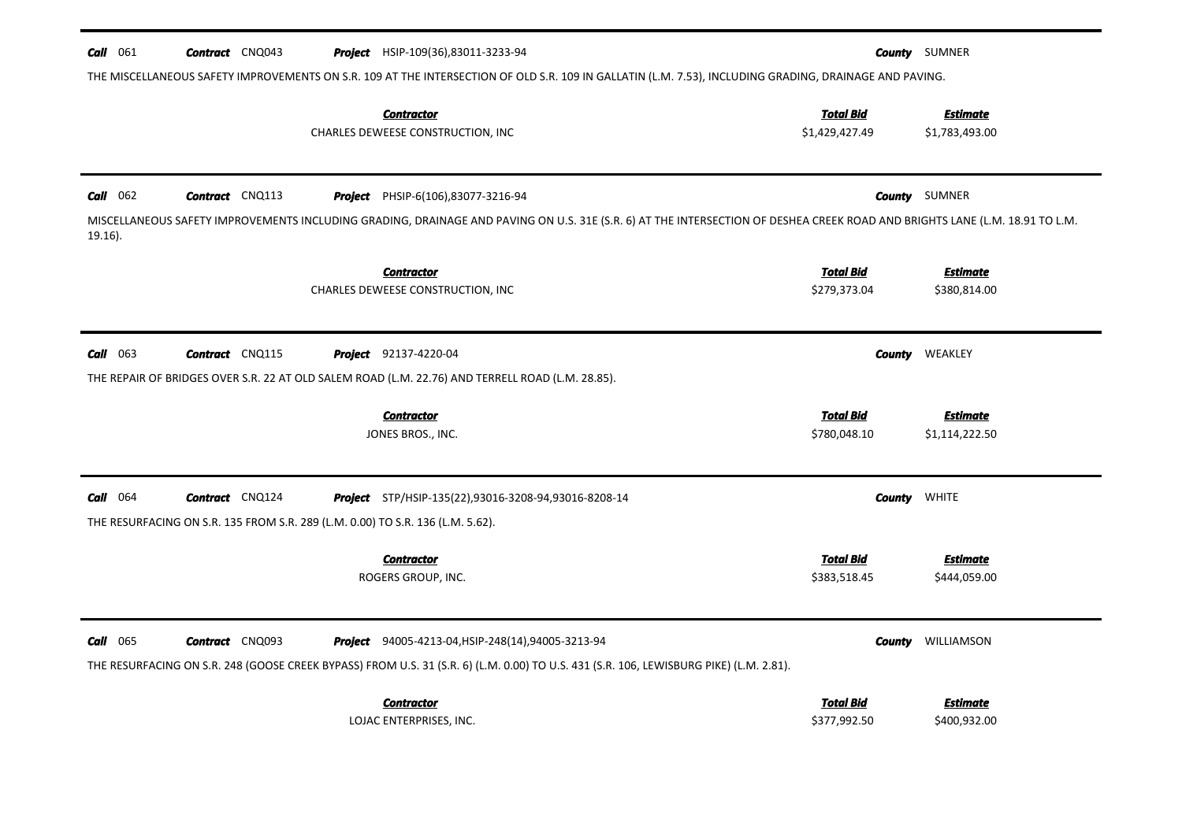| 061<br>Call       | <b>Contract</b> CNQ043                                                         | <b>Project</b> HSIP-109(36),83011-3233-94                                                                                                                                                           |                                    | <b>County</b> SUMNER              |
|-------------------|--------------------------------------------------------------------------------|-----------------------------------------------------------------------------------------------------------------------------------------------------------------------------------------------------|------------------------------------|-----------------------------------|
|                   |                                                                                | THE MISCELLANEOUS SAFETY IMPROVEMENTS ON S.R. 109 AT THE INTERSECTION OF OLD S.R. 109 IN GALLATIN (L.M. 7.53), INCLUDING GRADING, DRAINAGE AND PAVING.                                              |                                    |                                   |
|                   |                                                                                | <b>Contractor</b><br>CHARLES DEWEESE CONSTRUCTION, INC                                                                                                                                              | <b>Total Bid</b><br>\$1,429,427.49 | <b>Estimate</b><br>\$1,783,493.00 |
| $Call$ 062        | <b>Contract</b> CNQ113                                                         | <b>Project</b> PHSIP-6(106),83077-3216-94                                                                                                                                                           |                                    | <b>County</b> SUMNER              |
| $19.16$ ).        |                                                                                | MISCELLANEOUS SAFETY IMPROVEMENTS INCLUDING GRADING, DRAINAGE AND PAVING ON U.S. 31E (S.R. 6) AT THE INTERSECTION OF DESHEA CREEK ROAD AND BRIGHTS LANE (L.M. 18.91 TO L.M.                         |                                    |                                   |
|                   |                                                                                | <b>Contractor</b><br>CHARLES DEWEESE CONSTRUCTION, INC                                                                                                                                              | <b>Total Bid</b><br>\$279,373.04   | <b>Estimate</b><br>\$380,814.00   |
| 063<br>Call       | <b>Contract</b> CNQ115                                                         | <b>Project</b> 92137-4220-04<br>THE REPAIR OF BRIDGES OVER S.R. 22 AT OLD SALEM ROAD (L.M. 22.76) AND TERRELL ROAD (L.M. 28.85).                                                                    | County                             | WEAKLEY                           |
|                   |                                                                                | <b>Contractor</b><br>JONES BROS., INC.                                                                                                                                                              | <b>Total Bid</b><br>\$780,048.10   | <b>Estimate</b><br>\$1,114,222.50 |
| 064<br>Call       | <b>Contract</b> CNQ124                                                         | <b>Project</b> STP/HSIP-135(22),93016-3208-94,93016-8208-14                                                                                                                                         |                                    | <b>County WHITE</b>               |
|                   | THE RESURFACING ON S.R. 135 FROM S.R. 289 (L.M. 0.00) TO S.R. 136 (L.M. 5.62). |                                                                                                                                                                                                     |                                    |                                   |
|                   |                                                                                | <b>Contractor</b><br>ROGERS GROUP, INC.                                                                                                                                                             | <b>Total Bid</b><br>\$383,518.45   | <b>Estimate</b><br>\$444,059.00   |
| <b>Call</b> $065$ | <b>Contract</b> CNQ093                                                         | <b>Project</b> 94005-4213-04, HSIP-248(14), 94005-3213-94<br>THE RESURFACING ON S.R. 248 (GOOSE CREEK BYPASS) FROM U.S. 31 (S.R. 6) (L.M. 0.00) TO U.S. 431 (S.R. 106, LEWISBURG PIKE) (L.M. 2.81). |                                    | <b>County</b> WILLIAMSON          |
|                   |                                                                                | <b>Contractor</b><br>LOJAC ENTERPRISES, INC.                                                                                                                                                        | <b>Total Bid</b><br>\$377,992.50   | <b>Estimate</b><br>\$400,932.00   |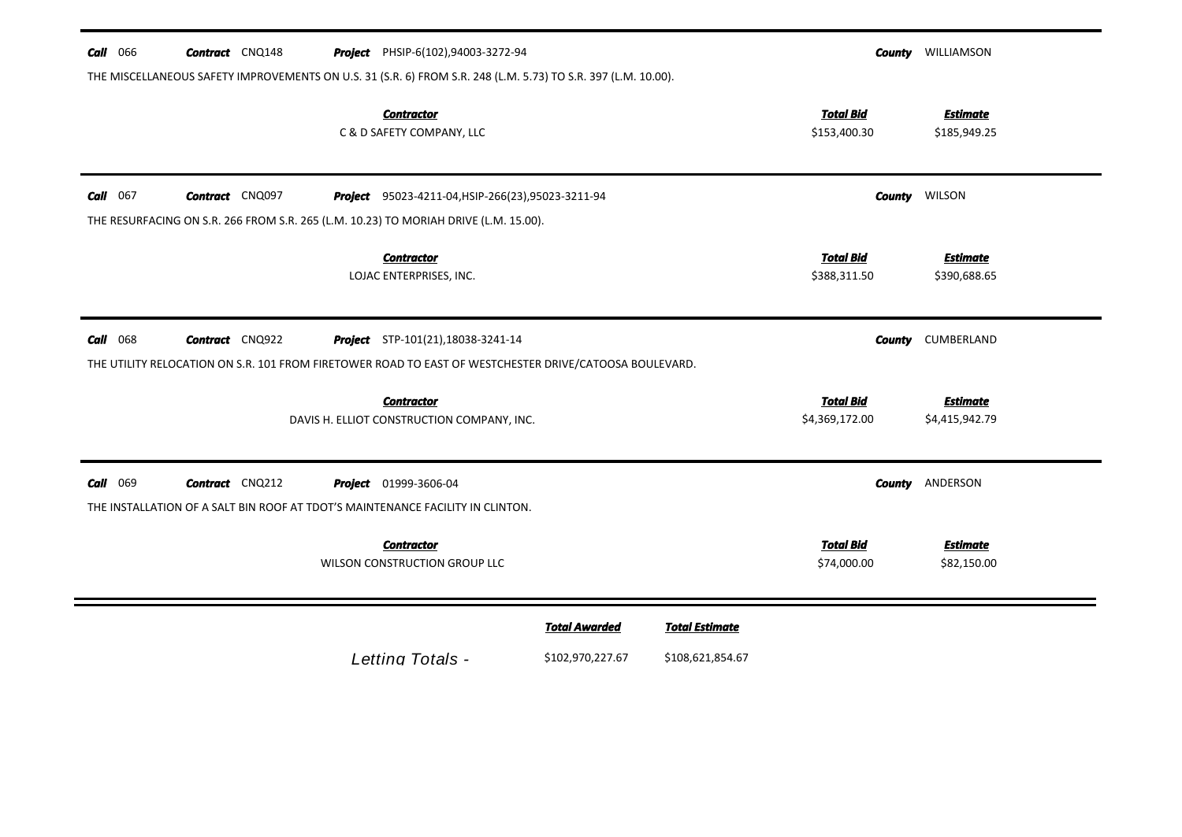|             | <b>Contract</b> CNQ148 | <b>Project</b> PHSIP-6(102),94003-3272-94                                                                                                           |  |                                    | <b>County WILLIAMSON</b>          |  |
|-------------|------------------------|-----------------------------------------------------------------------------------------------------------------------------------------------------|--|------------------------------------|-----------------------------------|--|
|             |                        | THE MISCELLANEOUS SAFETY IMPROVEMENTS ON U.S. 31 (S.R. 6) FROM S.R. 248 (L.M. 5.73) TO S.R. 397 (L.M. 10.00).                                       |  |                                    |                                   |  |
|             |                        | <b>Contractor</b><br>C & D SAFETY COMPANY, LLC                                                                                                      |  | <b>Total Bid</b><br>\$153,400.30   | <b>Estimate</b><br>\$185,949.25   |  |
| 067<br>Call | <b>Contract</b> CNQ097 | Project 95023-4211-04, HSIP-266(23), 95023-3211-94                                                                                                  |  |                                    | <b>County WILSON</b>              |  |
|             |                        | THE RESURFACING ON S.R. 266 FROM S.R. 265 (L.M. 10.23) TO MORIAH DRIVE (L.M. 15.00).                                                                |  |                                    |                                   |  |
|             |                        | <b>Contractor</b><br>LOJAC ENTERPRISES, INC.                                                                                                        |  | <b>Total Bid</b><br>\$388,311.50   | <b>Estimate</b><br>\$390,688.65   |  |
| $Call$ 068  | <b>Contract</b> CNQ922 | <b>Project</b> STP-101(21), 18038-3241-14<br>THE UTILITY RELOCATION ON S.R. 101 FROM FIRETOWER ROAD TO EAST OF WESTCHESTER DRIVE/CATOOSA BOULEVARD. |  | County                             | CUMBERLAND                        |  |
|             |                        |                                                                                                                                                     |  |                                    |                                   |  |
|             |                        | <b>Contractor</b><br>DAVIS H. ELLIOT CONSTRUCTION COMPANY, INC.                                                                                     |  | <b>Total Bid</b><br>\$4,369,172.00 | <b>Estimate</b><br>\$4,415,942.79 |  |
| Call<br>069 | <b>Contract</b> CNQ212 | <b>Project</b> 01999-3606-04<br>THE INSTALLATION OF A SALT BIN ROOF AT TDOT'S MAINTENANCE FACILITY IN CLINTON.                                      |  |                                    | <b>County ANDERSON</b>            |  |
|             |                        | <b>Contractor</b><br>WILSON CONSTRUCTION GROUP LLC                                                                                                  |  | <b>Total Bid</b><br>\$74,000.00    | <b>Estimate</b><br>\$82,150.00    |  |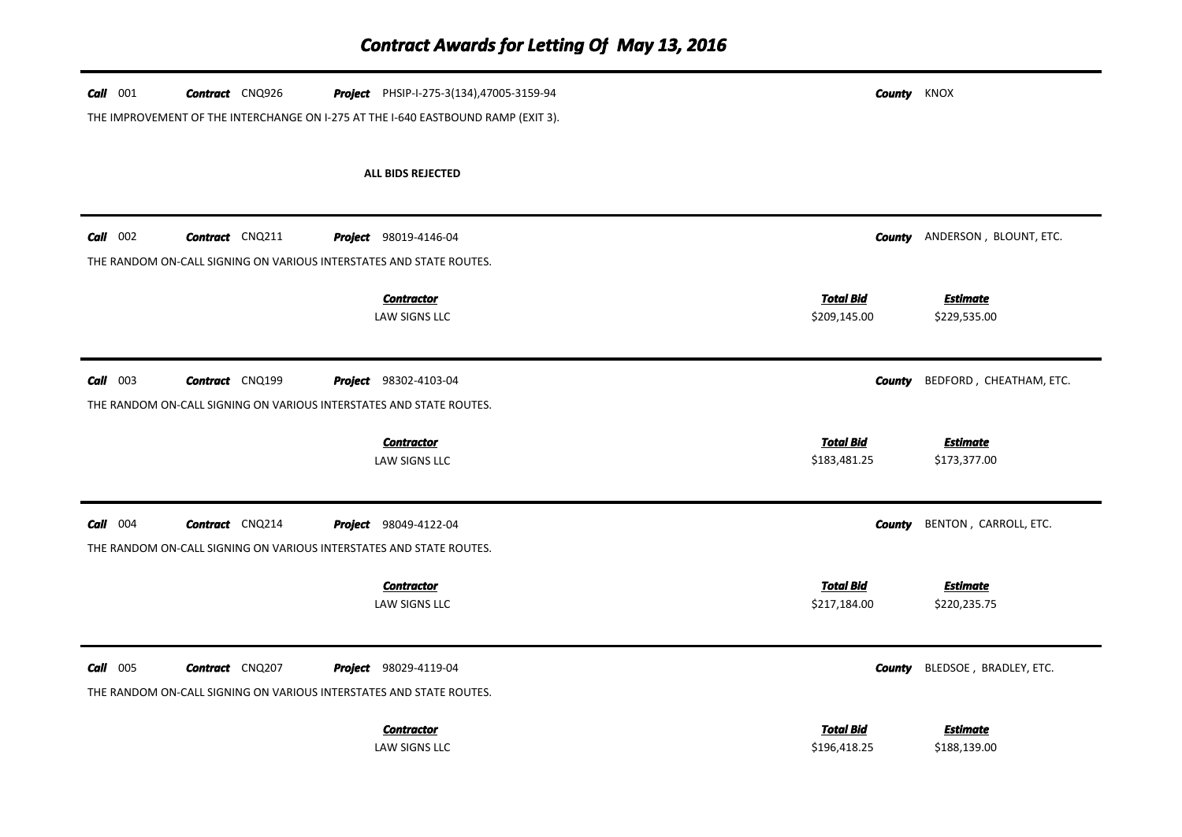| $Call$ 001 | <b>Contract</b> CNQ926 | Project PHSIP-I-275-3(134),47005-3159-94                                          | <b>County KNOX</b>               |                                 |
|------------|------------------------|-----------------------------------------------------------------------------------|----------------------------------|---------------------------------|
|            |                        | THE IMPROVEMENT OF THE INTERCHANGE ON I-275 AT THE I-640 EASTBOUND RAMP (EXIT 3). |                                  |                                 |
|            |                        |                                                                                   |                                  |                                 |
|            |                        | <b>ALL BIDS REJECTED</b>                                                          |                                  |                                 |
|            |                        |                                                                                   |                                  |                                 |
| $Call$ 002 | <b>Contract</b> CNQ211 | <b>Project</b> 98019-4146-04                                                      | County                           | ANDERSON, BLOUNT, ETC.          |
|            |                        | THE RANDOM ON-CALL SIGNING ON VARIOUS INTERSTATES AND STATE ROUTES.               |                                  |                                 |
|            |                        | <b>Contractor</b>                                                                 | <b>Total Bid</b>                 | <b>Estimate</b>                 |
|            |                        | LAW SIGNS LLC                                                                     | \$209,145.00                     | \$229,535.00                    |
|            |                        |                                                                                   |                                  |                                 |
| $Call$ 003 | <b>Contract</b> CNQ199 | <b>Project</b> 98302-4103-04                                                      | <b>County</b>                    | BEDFORD, CHEATHAM, ETC.         |
|            |                        | THE RANDOM ON-CALL SIGNING ON VARIOUS INTERSTATES AND STATE ROUTES.               |                                  |                                 |
|            |                        |                                                                                   |                                  |                                 |
|            |                        | <b>Contractor</b>                                                                 | <b>Total Bid</b>                 | <b>Estimate</b>                 |
|            |                        | LAW SIGNS LLC                                                                     | \$183,481.25                     | \$173,377.00                    |
|            |                        |                                                                                   |                                  |                                 |
| $Call$ 004 | <b>Contract</b> CNQ214 | <b>Project</b> 98049-4122-04                                                      | <b>County</b>                    | BENTON, CARROLL, ETC.           |
|            |                        | THE RANDOM ON-CALL SIGNING ON VARIOUS INTERSTATES AND STATE ROUTES.               |                                  |                                 |
|            |                        |                                                                                   |                                  |                                 |
|            |                        | <b>Contractor</b><br><b>LAW SIGNS LLC</b>                                         | <b>Total Bid</b><br>\$217,184.00 | <b>Estimate</b><br>\$220,235.75 |
|            |                        |                                                                                   |                                  |                                 |
| $Call$ 005 | <b>Contract</b> CNQ207 | <b>Project</b> 98029-4119-04                                                      | <b>County</b>                    | BLEDSOE, BRADLEY, ETC.          |
|            |                        | THE RANDOM ON-CALL SIGNING ON VARIOUS INTERSTATES AND STATE ROUTES.               |                                  |                                 |
|            |                        | <b>Contractor</b>                                                                 | <b>Total Bid</b>                 | <b>Estimate</b>                 |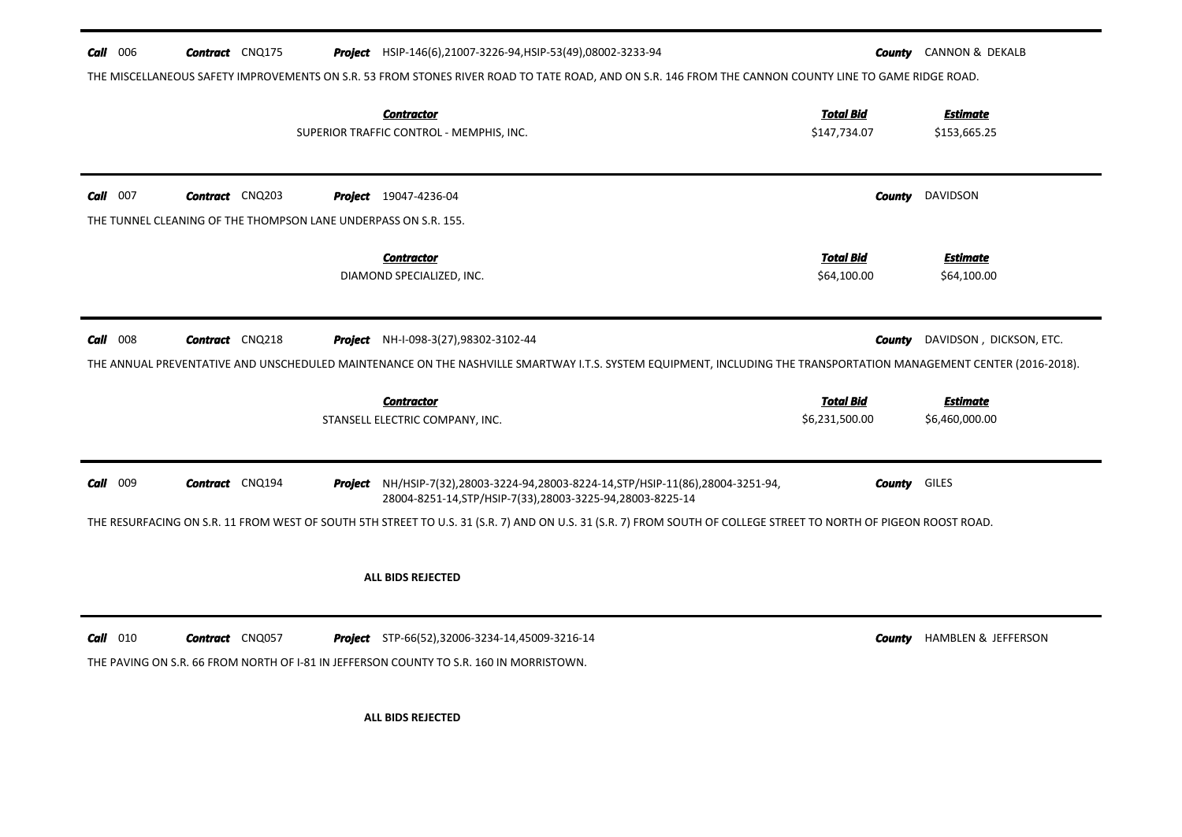| Call<br>006                                                     | <b>Contract</b> CNQ175 | <b>Project</b> HSIP-146(6),21007-3226-94, HSIP-53(49),08002-3233-94<br>THE MISCELLANEOUS SAFETY IMPROVEMENTS ON S.R. 53 FROM STONES RIVER ROAD TO TATE ROAD, AND ON S.R. 146 FROM THE CANNON COUNTY LINE TO GAME RIDGE ROAD. | County                             | CANNON & DEKALB                   |
|-----------------------------------------------------------------|------------------------|------------------------------------------------------------------------------------------------------------------------------------------------------------------------------------------------------------------------------|------------------------------------|-----------------------------------|
|                                                                 |                        | <b>Contractor</b><br>SUPERIOR TRAFFIC CONTROL - MEMPHIS, INC.                                                                                                                                                                | <b>Total Bid</b><br>\$147,734.07   | <b>Estimate</b><br>\$153,665.25   |
| 007<br>Call                                                     | <b>Contract</b> CNQ203 | <b>Project</b> 19047-4236-04                                                                                                                                                                                                 | County                             | DAVIDSON                          |
| THE TUNNEL CLEANING OF THE THOMPSON LANE UNDERPASS ON S.R. 155. |                        | <b>Contractor</b><br>DIAMOND SPECIALIZED, INC.                                                                                                                                                                               | <b>Total Bid</b><br>\$64,100.00    | <b>Estimate</b><br>\$64,100.00    |
| Call<br>008                                                     | <b>Contract</b> CNQ218 | <b>Project</b> NH-I-098-3(27),98302-3102-44                                                                                                                                                                                  | County                             | DAVIDSON, DICKSON, ETC.           |
|                                                                 |                        | THE ANNUAL PREVENTATIVE AND UNSCHEDULED MAINTENANCE ON THE NASHVILLE SMARTWAY I.T.S. SYSTEM EQUIPMENT, INCLUDING THE TRANSPORTATION MANAGEMENT CENTER (2016-2018).                                                           |                                    |                                   |
|                                                                 |                        | <b>Contractor</b><br>STANSELL ELECTRIC COMPANY, INC.                                                                                                                                                                         | <b>Total Bid</b><br>\$6,231,500.00 | <b>Estimate</b><br>\$6,460,000.00 |
| Call 009                                                        | <b>Contract</b> CNQ194 | Project NH/HSIP-7(32),28003-3224-94,28003-8224-14, STP/HSIP-11(86),28004-3251-94,<br>28004-8251-14, STP/HSIP-7(33), 28003-3225-94, 28003-8225-14                                                                             | County                             | <b>GILES</b>                      |
|                                                                 |                        | THE RESURFACING ON S.R. 11 FROM WEST OF SOUTH 5TH STREET TO U.S. 31 (S.R. 7) AND ON U.S. 31 (S.R. 7) FROM SOUTH OF COLLEGE STREET TO NORTH OF PIGEON ROOST ROAD.                                                             |                                    |                                   |
|                                                                 |                        | <b>ALL BIDS REJECTED</b>                                                                                                                                                                                                     |                                    |                                   |
| $Call$ 010                                                      | <b>Contract</b> CNQ057 | <b>Project</b> STP-66(52),32006-3234-14,45009-3216-14<br>THE PAVING ON S.R. 66 FROM NORTH OF I-81 IN JEFFERSON COUNTY TO S.R. 160 IN MORRISTOWN.                                                                             | County                             | <b>HAMBLEN &amp; JEFFERSON</b>    |
|                                                                 |                        | ALL BIDS REJECTED                                                                                                                                                                                                            |                                    |                                   |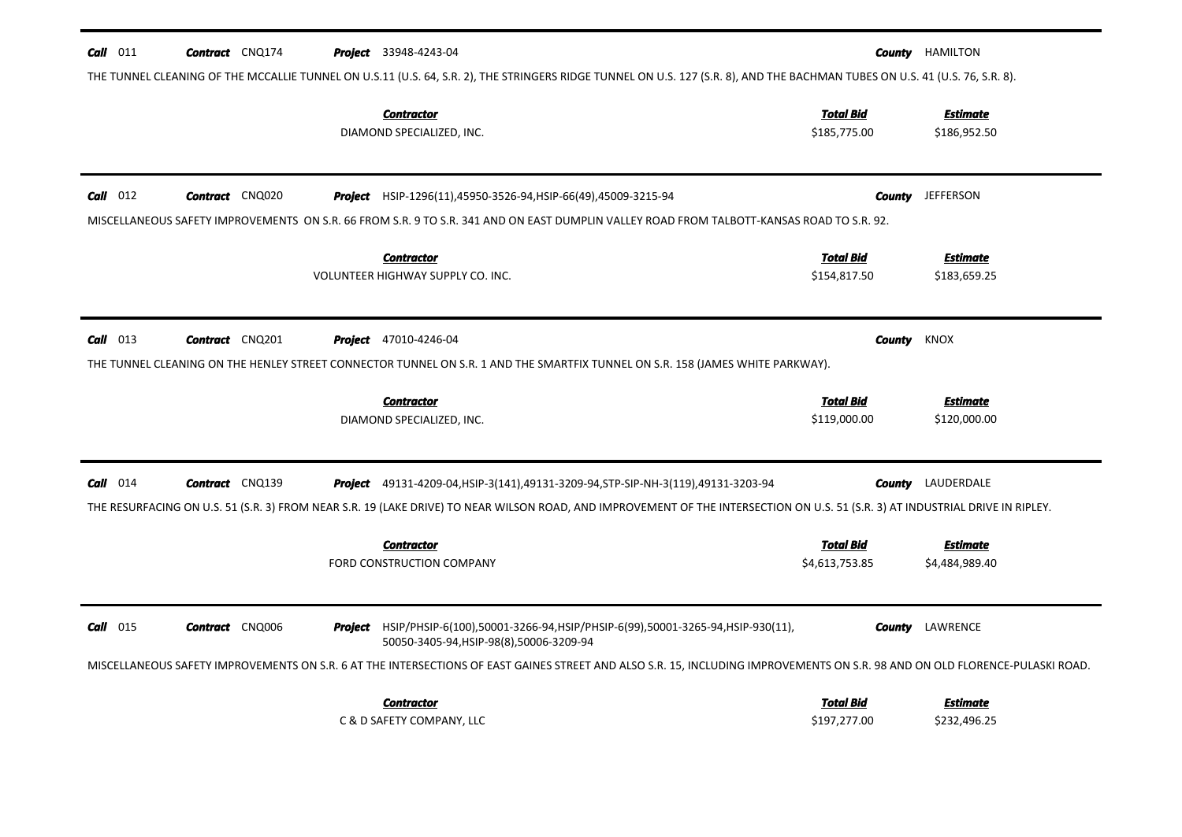| Call 011   | <b>Contract</b> CNQ174 |         | <b>Project</b> 33948-4243-04<br>THE TUNNEL CLEANING OF THE MCCALLIE TUNNEL ON U.S.11 (U.S. 64, S.R. 2), THE STRINGERS RIDGE TUNNEL ON U.S. 127 (S.R. 8), AND THE BACHMAN TUBES ON U.S. 41 (U.S. 76, S.R. 8).                                                                 |                                    | <b>County</b> HAMILTON            |
|------------|------------------------|---------|------------------------------------------------------------------------------------------------------------------------------------------------------------------------------------------------------------------------------------------------------------------------------|------------------------------------|-----------------------------------|
|            |                        |         | <b>Contractor</b><br>DIAMOND SPECIALIZED, INC.                                                                                                                                                                                                                               | <b>Total Bid</b><br>\$185,775.00   | <b>Estimate</b><br>\$186,952.50   |
| $Call$ 012 | <b>Contract</b> CNQ020 |         | <b>Project</b> HSIP-1296(11),45950-3526-94, HSIP-66(49),45009-3215-94<br>MISCELLANEOUS SAFETY IMPROVEMENTS ON S.R. 66 FROM S.R. 9 TO S.R. 341 AND ON EAST DUMPLIN VALLEY ROAD FROM TALBOTT-KANSAS ROAD TO S.R. 92.                                                           | County                             | <b>JEFFERSON</b>                  |
|            |                        |         | <b>Contractor</b><br>VOLUNTEER HIGHWAY SUPPLY CO. INC.                                                                                                                                                                                                                       | <b>Total Bid</b><br>\$154,817.50   | <b>Estimate</b><br>\$183,659.25   |
| $Call$ 013 | <b>Contract</b> CNQ201 |         | <b>Project</b> 47010-4246-04<br>THE TUNNEL CLEANING ON THE HENLEY STREET CONNECTOR TUNNEL ON S.R. 1 AND THE SMARTFIX TUNNEL ON S.R. 158 (JAMES WHITE PARKWAY).                                                                                                               | County                             | KNOX                              |
|            |                        |         | <b>Contractor</b><br>DIAMOND SPECIALIZED, INC.                                                                                                                                                                                                                               | <b>Total Bid</b><br>\$119,000.00   | <b>Estimate</b><br>\$120,000.00   |
| $Call$ 014 | <b>Contract</b> CNQ139 |         | <b>Project</b> 49131-4209-04, HSIP-3(141), 49131-3209-94, STP-SIP-NH-3(119), 49131-3203-94<br>THE RESURFACING ON U.S. 51 (S.R. 3) FROM NEAR S.R. 19 (LAKE DRIVE) TO NEAR WILSON ROAD, AND IMPROVEMENT OF THE INTERSECTION ON U.S. 51 (S.R. 3) AT INDUSTRIAL DRIVE IN RIPLEY. | County                             | LAUDERDALE                        |
|            |                        |         | <b>Contractor</b><br>FORD CONSTRUCTION COMPANY                                                                                                                                                                                                                               | <b>Total Bid</b><br>\$4,613,753.85 | <b>Estimate</b><br>\$4,484,989.40 |
| $Call$ 015 | <b>Contract</b> CNQ006 | Project | HSIP/PHSIP-6(100),50001-3266-94,HSIP/PHSIP-6(99),50001-3265-94,HSIP-930(11),<br>50050-3405-94, HSIP-98(8), 50006-3209-94                                                                                                                                                     | County                             | LAWRENCE                          |
|            |                        |         | MISCELLANEOUS SAFETY IMPROVEMENTS ON S.R. 6 AT THE INTERSECTIONS OF EAST GAINES STREET AND ALSO S.R. 15, INCLUDING IMPROVEMENTS ON S.R. 98 AND ON OLD FLORENCE-PULASKI ROAD.<br><b>Contractor</b><br>C & D SAFETY COMPANY, LLC                                               | <b>Total Bid</b><br>\$197,277.00   | <b>Estimate</b><br>\$232,496.25   |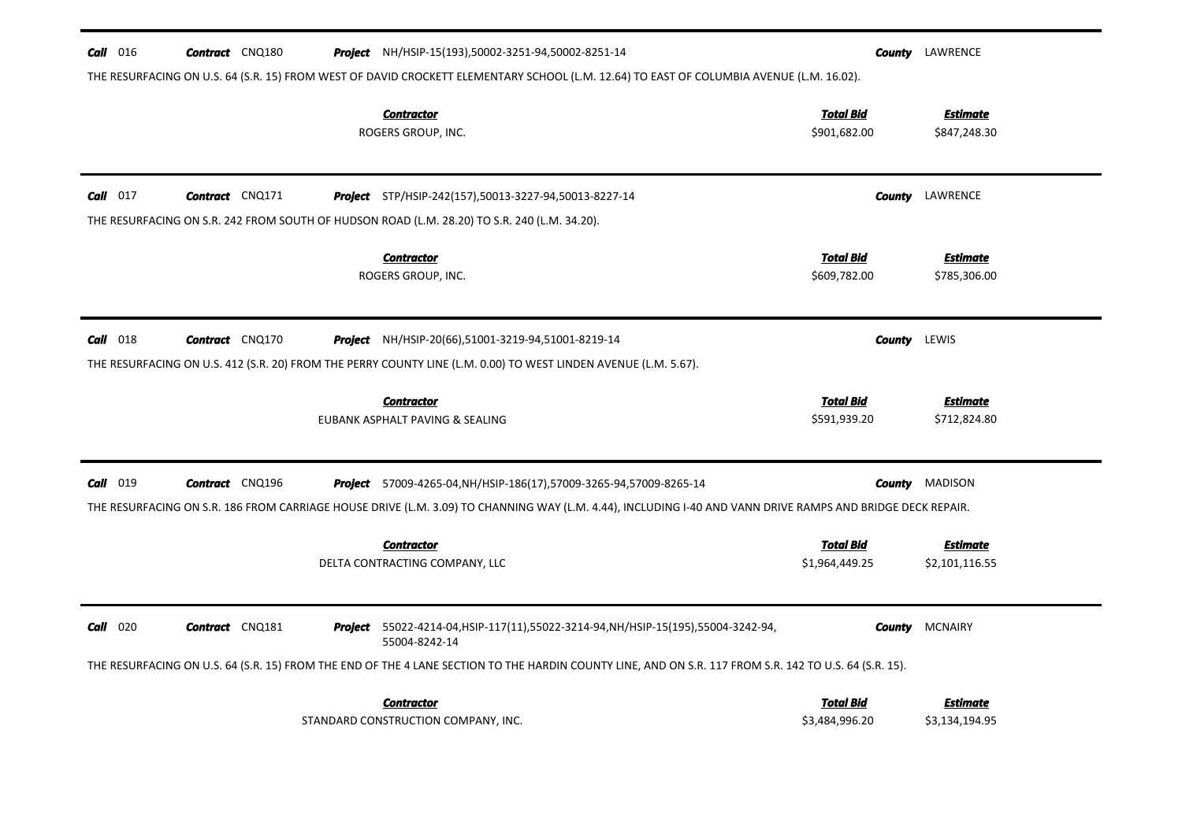| <b>Call</b> 016<br><b>Contract</b> CNQ180                                                                                                              | <b>Project</b> NH/HSIP-15(193),50002-3251-94,50002-8251-14                                                                                                                                                                                | LAWRENCE<br>County                |  |
|--------------------------------------------------------------------------------------------------------------------------------------------------------|-------------------------------------------------------------------------------------------------------------------------------------------------------------------------------------------------------------------------------------------|-----------------------------------|--|
| THE RESURFACING ON U.S. 64 (S.R. 15) FROM WEST OF DAVID CROCKETT ELEMENTARY SCHOOL (L.M. 12.64) TO EAST OF COLUMBIA AVENUE (L.M. 16.02).               |                                                                                                                                                                                                                                           |                                   |  |
| <b>Contractor</b><br>ROGERS GROUP, INC.                                                                                                                | <b>Total Bid</b><br>\$901,682.00                                                                                                                                                                                                          | <b>Estimate</b><br>\$847,248.30   |  |
| $Call$ 017<br><b>Contract</b> CNQ171<br>THE RESURFACING ON S.R. 242 FROM SOUTH OF HUDSON ROAD (L.M. 28.20) TO S.R. 240 (L.M. 34.20).                   | <b>Project</b> STP/HSIP-242(157),50013-3227-94,50013-8227-14                                                                                                                                                                              | LAWRENCE<br>County                |  |
| <b>Contractor</b><br>ROGERS GROUP, INC.                                                                                                                | <b>Total Bid</b><br>\$609,782.00                                                                                                                                                                                                          | <b>Estimate</b><br>\$785,306.00   |  |
| <b>Call</b> 018<br><b>Contract</b> CNQ170                                                                                                              | <b>Project</b> NH/HSIP-20(66),51001-3219-94,51001-8219-14                                                                                                                                                                                 | LEWIS<br>County                   |  |
| THE RESURFACING ON U.S. 412 (S.R. 20) FROM THE PERRY COUNTY LINE (L.M. 0.00) TO WEST LINDEN AVENUE (L.M. 5.67).                                        |                                                                                                                                                                                                                                           |                                   |  |
| <b>Contractor</b><br>EUBANK ASPHALT PAVING & SEALING                                                                                                   | <b>Total Bid</b><br>\$591,939.20                                                                                                                                                                                                          | <b>Estimate</b><br>\$712,824.80   |  |
| Call 019<br><b>Contract</b> CNQ196                                                                                                                     | <b>Project</b> 57009-4265-04, NH/HSIP-186(17), 57009-3265-94, 57009-8265-14<br>THE RESURFACING ON S.R. 186 FROM CARRIAGE HOUSE DRIVE (L.M. 3.09) TO CHANNING WAY (L.M. 4.44), INCLUDING I-40 AND VANN DRIVE RAMPS AND BRIDGE DECK REPAIR. | <b>MADISON</b><br>County          |  |
| <b>Contractor</b><br>DELTA CONTRACTING COMPANY, LLC                                                                                                    | <b>Total Bid</b><br>\$1,964,449.25                                                                                                                                                                                                        | <b>Estimate</b><br>\$2,101,116.55 |  |
| $Call$ 020<br><b>Contract</b> CNQ181<br>55004-8242-14                                                                                                  | Project 55022-4214-04, HSIP-117(11), 55022-3214-94, NH/HSIP-15(195), 55004-3242-94,                                                                                                                                                       | <b>MCNAIRY</b><br>County          |  |
| THE RESURFACING ON U.S. 64 (S.R. 15) FROM THE END OF THE 4 LANE SECTION TO THE HARDIN COUNTY LINE, AND ON S.R. 117 FROM S.R. 142 TO U.S. 64 (S.R. 15). |                                                                                                                                                                                                                                           |                                   |  |
| <b>Contractor</b><br>STANDARD CONSTRUCTION COMPANY, INC.                                                                                               | <b>Total Bid</b><br>\$3,484,996.20                                                                                                                                                                                                        | <b>Estimate</b><br>\$3,134,194.95 |  |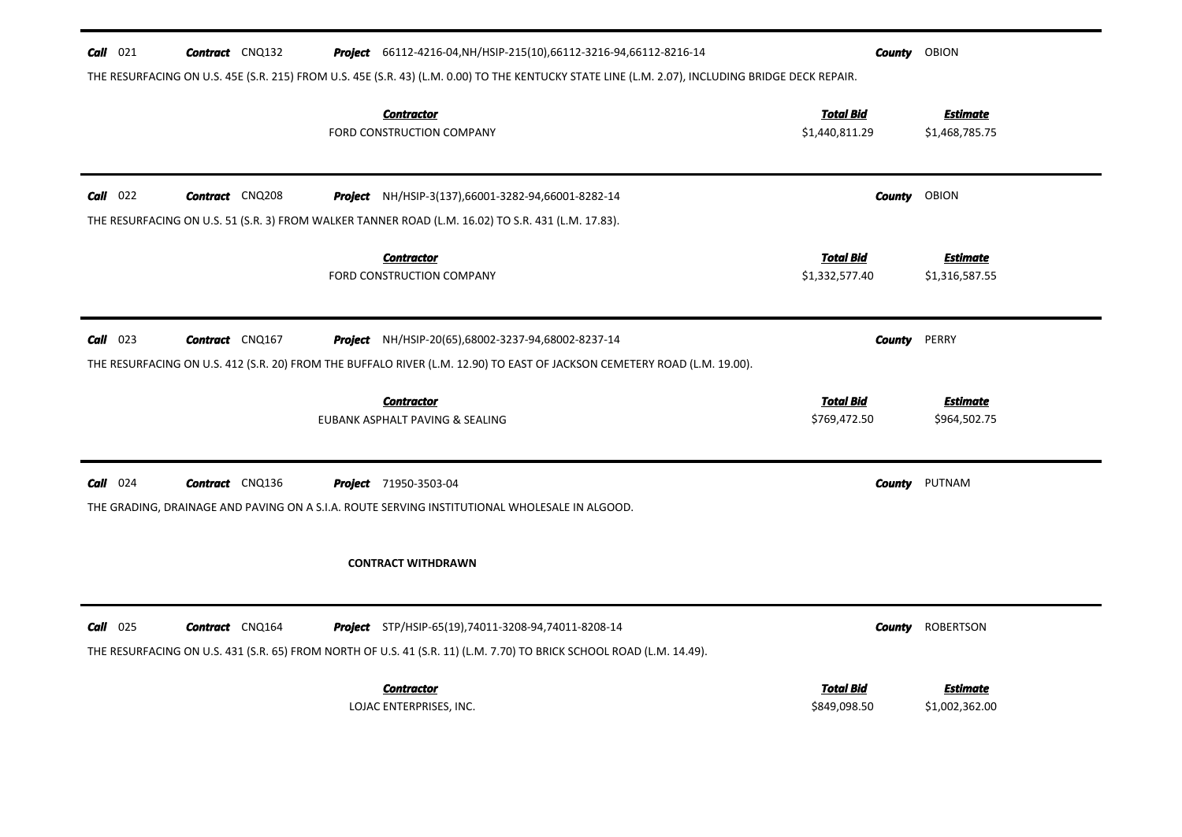| $Call$ 021 | <b>Contract</b> CNQ132 | <b>Project</b> 66112-4216-04, NH/HSIP-215(10), 66112-3216-94, 66112-8216-14<br>THE RESURFACING ON U.S. 45E (S.R. 215) FROM U.S. 45E (S.R. 43) (L.M. 0.00) TO THE KENTUCKY STATE LINE (L.M. 2.07), INCLUDING BRIDGE DECK REPAIR. |                                    | <b>County</b> OBION               |
|------------|------------------------|---------------------------------------------------------------------------------------------------------------------------------------------------------------------------------------------------------------------------------|------------------------------------|-----------------------------------|
|            |                        | <b>Contractor</b><br>FORD CONSTRUCTION COMPANY                                                                                                                                                                                  | <b>Total Bid</b><br>\$1,440,811.29 | <b>Estimate</b><br>\$1,468,785.75 |
| $Call$ 022 | <b>Contract</b> CNQ208 | <b>Project</b> NH/HSIP-3(137),66001-3282-94,66001-8282-14                                                                                                                                                                       | County                             | OBION                             |
|            |                        | THE RESURFACING ON U.S. 51 (S.R. 3) FROM WALKER TANNER ROAD (L.M. 16.02) TO S.R. 431 (L.M. 17.83).                                                                                                                              |                                    |                                   |
|            |                        | <b>Contractor</b><br>FORD CONSTRUCTION COMPANY                                                                                                                                                                                  | <b>Total Bid</b><br>\$1,332,577.40 | Estimate<br>\$1,316,587.55        |
| $Call$ 023 | <b>Contract</b> CNQ167 | <b>Project</b> NH/HSIP-20(65),68002-3237-94,68002-8237-14                                                                                                                                                                       | County                             | PERRY                             |
|            |                        | THE RESURFACING ON U.S. 412 (S.R. 20) FROM THE BUFFALO RIVER (L.M. 12.90) TO EAST OF JACKSON CEMETERY ROAD (L.M. 19.00).                                                                                                        |                                    |                                   |
|            |                        | <b>Contractor</b><br>EUBANK ASPHALT PAVING & SEALING                                                                                                                                                                            | <b>Total Bid</b><br>\$769,472.50   | <b>Estimate</b><br>\$964,502.75   |
| $Call$ 024 | <b>Contract</b> CNQ136 | <b>Project</b> 71950-3503-04                                                                                                                                                                                                    | County                             | PUTNAM                            |
|            |                        | THE GRADING, DRAINAGE AND PAVING ON A S.I.A. ROUTE SERVING INSTITUTIONAL WHOLESALE IN ALGOOD.                                                                                                                                   |                                    |                                   |
|            |                        |                                                                                                                                                                                                                                 |                                    |                                   |
|            |                        | <b>CONTRACT WITHDRAWN</b>                                                                                                                                                                                                       |                                    |                                   |
| $Call$ 025 | <b>Contract</b> CNQ164 | <b>Project</b> STP/HSIP-65(19),74011-3208-94,74011-8208-14                                                                                                                                                                      | County                             | <b>ROBERTSON</b>                  |
|            |                        | THE RESURFACING ON U.S. 431 (S.R. 65) FROM NORTH OF U.S. 41 (S.R. 11) (L.M. 7.70) TO BRICK SCHOOL ROAD (L.M. 14.49).                                                                                                            |                                    |                                   |
|            |                        | <b>Contractor</b>                                                                                                                                                                                                               | <b>Total Bid</b>                   | Estimate                          |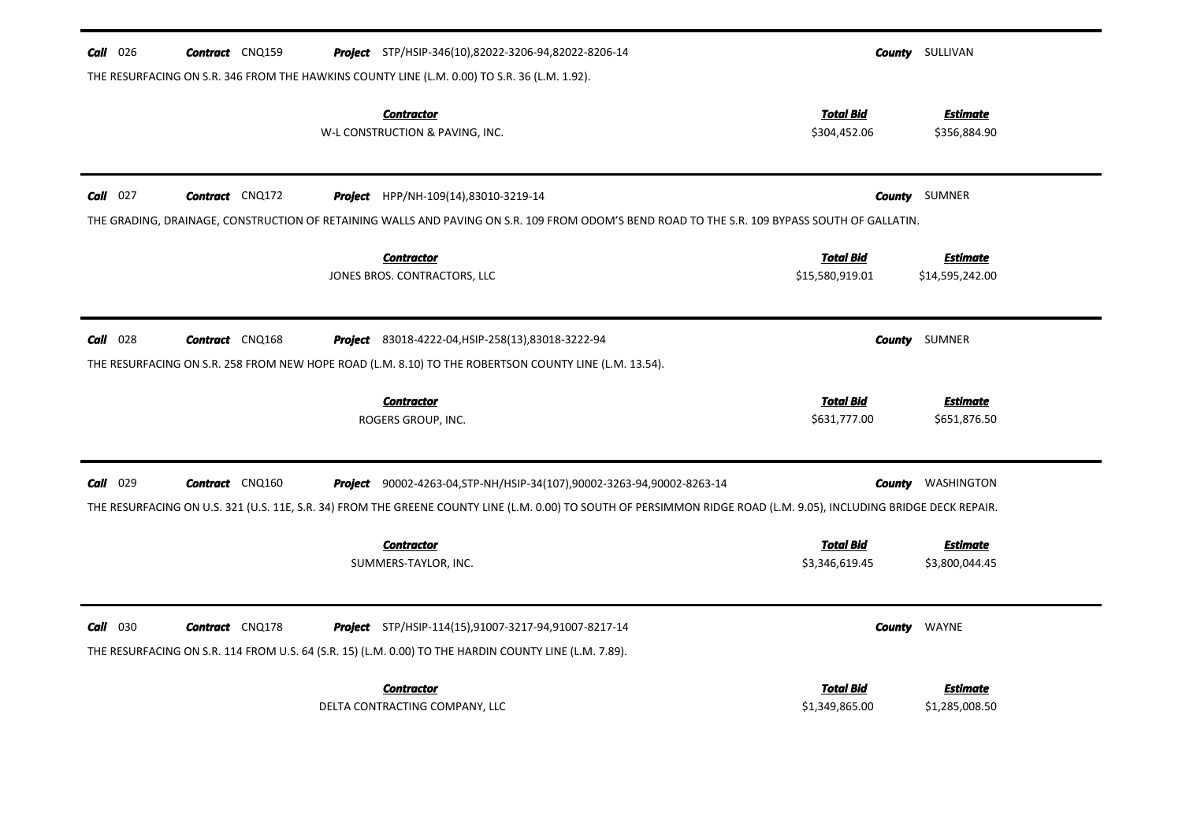| $Call$ 026 | <b>Contract</b> CNQ159 | <b>Project</b> STP/HSIP-346(10),82022-3206-94,82022-8206-14                                                                                                                                                                                     |                                    | <b>County</b> SULLIVAN            |
|------------|------------------------|-------------------------------------------------------------------------------------------------------------------------------------------------------------------------------------------------------------------------------------------------|------------------------------------|-----------------------------------|
|            |                        | THE RESURFACING ON S.R. 346 FROM THE HAWKINS COUNTY LINE (L.M. 0.00) TO S.R. 36 (L.M. 1.92).<br><b>Contractor</b>                                                                                                                               | <b>Total Bid</b>                   | <b>Estimate</b>                   |
|            |                        | W-L CONSTRUCTION & PAVING, INC.                                                                                                                                                                                                                 | \$304,452.06                       | \$356,884.90                      |
| $Call$ 027 | <b>Contract</b> CNQ172 | <b>Project</b> HPP/NH-109(14),83010-3219-14<br>THE GRADING, DRAINAGE, CONSTRUCTION OF RETAINING WALLS AND PAVING ON S.R. 109 FROM ODOM'S BEND ROAD TO THE S.R. 109 BYPASS SOUTH OF GALLATIN.                                                    | County                             | SUMNER                            |
|            |                        | <b>Contractor</b>                                                                                                                                                                                                                               | <b>Total Bid</b>                   | <b>Estimate</b>                   |
|            |                        | JONES BROS. CONTRACTORS, LLC                                                                                                                                                                                                                    | \$15,580,919.01                    | \$14,595,242.00                   |
| $Call$ 028 | <b>Contract</b> CNQ168 | <b>Project</b> 83018-4222-04, HSIP-258(13), 83018-3222-94<br>THE RESURFACING ON S.R. 258 FROM NEW HOPE ROAD (L.M. 8.10) TO THE ROBERTSON COUNTY LINE (L.M. 13.54).                                                                              | County                             | SUMNER                            |
|            |                        | <b>Contractor</b><br>ROGERS GROUP, INC.                                                                                                                                                                                                         | <b>Total Bid</b><br>\$631,777.00   | <b>Estimate</b><br>\$651,876.50   |
| $Call$ 029 | <b>Contract</b> CNQ160 | Project 90002-4263-04, STP-NH/HSIP-34(107), 90002-3263-94, 90002-8263-14<br>THE RESURFACING ON U.S. 321 (U.S. 11E, S.R. 34) FROM THE GREENE COUNTY LINE (L.M. 0.00) TO SOUTH OF PERSIMMON RIDGE ROAD (L.M. 9.05), INCLUDING BRIDGE DECK REPAIR. |                                    | <b>County</b> WASHINGTON          |
|            |                        | <b>Contractor</b><br>SUMMERS-TAYLOR, INC.                                                                                                                                                                                                       | <b>Total Bid</b><br>\$3,346,619.45 | <b>Estimate</b><br>\$3,800,044.45 |
| $Call$ 030 | <b>Contract</b> CNQ178 | Project STP/HSIP-114(15),91007-3217-94,91007-8217-14<br>THE RESURFACING ON S.R. 114 FROM U.S. 64 (S.R. 15) (L.M. 0.00) TO THE HARDIN COUNTY LINE (L.M. 7.89).                                                                                   | County                             | WAYNE                             |
|            |                        | <b>Contractor</b><br>DELTA CONTRACTING COMPANY, LLC                                                                                                                                                                                             | <b>Total Bid</b><br>\$1,349,865.00 | <b>Estimate</b><br>\$1,285,008.50 |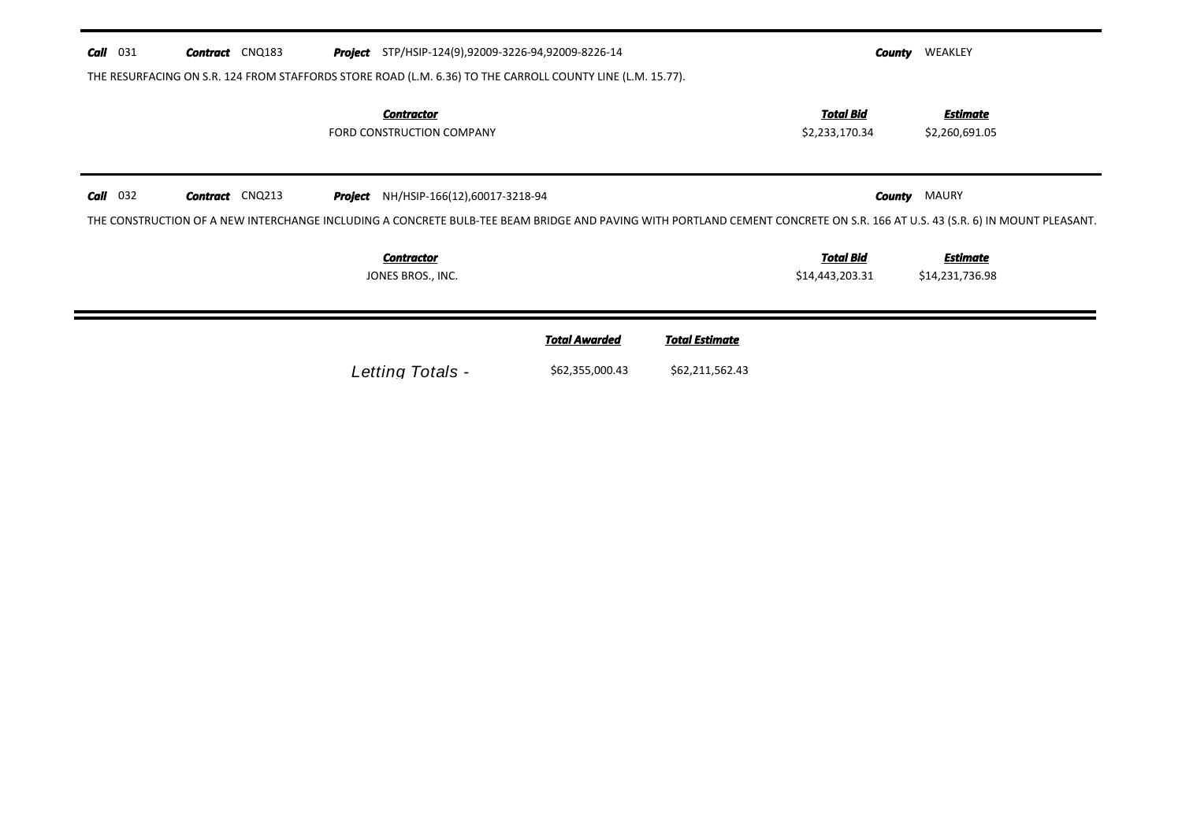| <b>Call</b> 031 | <b>Contract</b> CNQ183 | <b>Project</b> STP/HSIP-124(9),92009-3226-94,92009-8226-14                                                                                                                                                                  |                      |                       | County                              | WEAKLEY                            |
|-----------------|------------------------|-----------------------------------------------------------------------------------------------------------------------------------------------------------------------------------------------------------------------------|----------------------|-----------------------|-------------------------------------|------------------------------------|
|                 |                        | THE RESURFACING ON S.R. 124 FROM STAFFORDS STORE ROAD (L.M. 6.36) TO THE CARROLL COUNTY LINE (L.M. 15.77).                                                                                                                  |                      |                       |                                     |                                    |
|                 |                        | <b>Contractor</b><br>FORD CONSTRUCTION COMPANY                                                                                                                                                                              |                      |                       | Total Bid<br>\$2,233,170.34         | <b>Estimate</b><br>\$2,260,691.05  |
| $Call$ 032      | <b>Contract</b> CNQ213 | <b>Project</b> NH/HSIP-166(12),60017-3218-94<br>THE CONSTRUCTION OF A NEW INTERCHANGE INCLUDING A CONCRETE BULB-TEE BEAM BRIDGE AND PAVING WITH PORTLAND CEMENT CONCRETE ON S.R. 166 AT U.S. 43 (S.R. 6) IN MOUNT PLEASANT. |                      |                       |                                     | <b>County MAURY</b>                |
|                 |                        | <b>Contractor</b><br>JONES BROS., INC.                                                                                                                                                                                      |                      |                       | <u>Total Bid</u><br>\$14,443,203.31 | <b>Estimate</b><br>\$14,231,736.98 |
|                 |                        |                                                                                                                                                                                                                             | <b>Total Awarded</b> | <b>Total Estimate</b> |                                     |                                    |
|                 |                        | Letting Totals -                                                                                                                                                                                                            | \$62,355,000.43      | \$62,211,562.43       |                                     |                                    |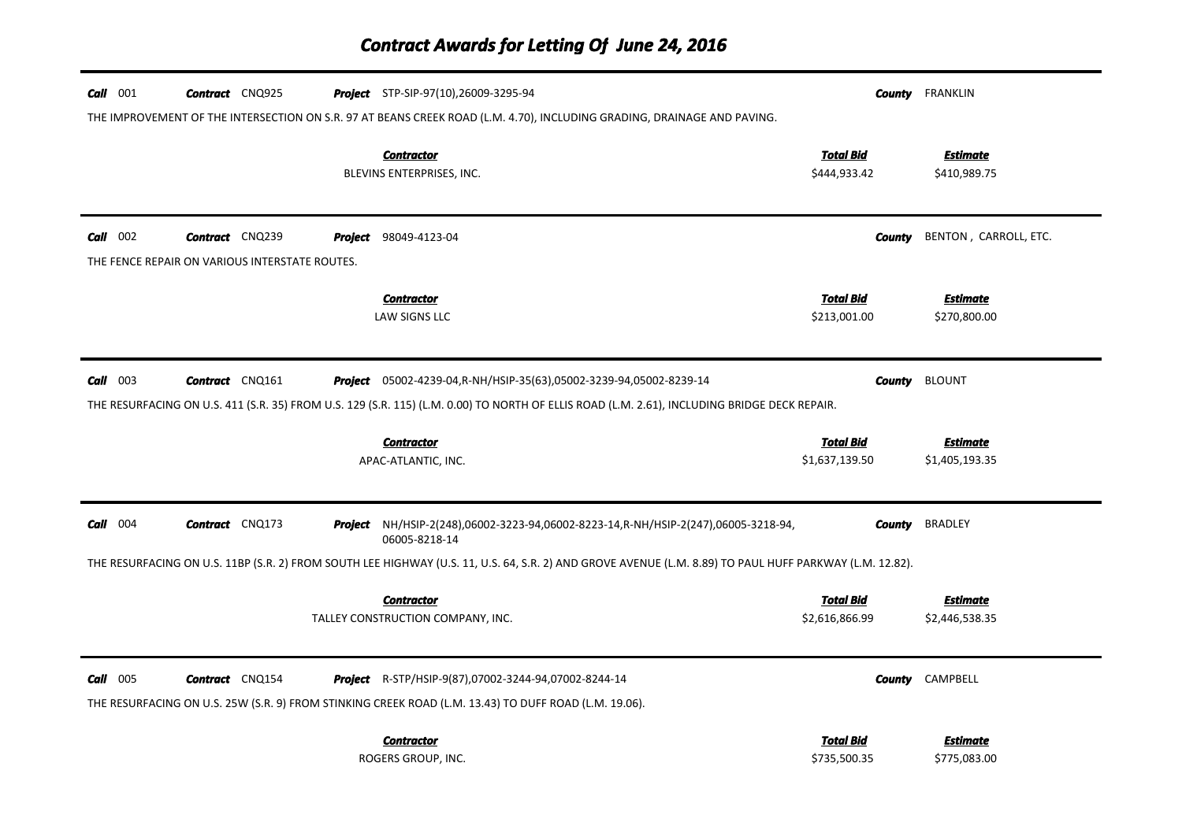# *Contract Awards for Letting Of June 24, 2016*

| $Call$ 001 | <b>Contract</b> CNQ925                         | <b>Project</b> STP-SIP-97(10),26009-3295-94                                                                                                             |                                    | <b>County</b> FRANKLIN            |
|------------|------------------------------------------------|---------------------------------------------------------------------------------------------------------------------------------------------------------|------------------------------------|-----------------------------------|
|            |                                                | THE IMPROVEMENT OF THE INTERSECTION ON S.R. 97 AT BEANS CREEK ROAD (L.M. 4.70), INCLUDING GRADING, DRAINAGE AND PAVING.                                 |                                    |                                   |
|            |                                                | <b>Contractor</b><br>BLEVINS ENTERPRISES, INC.                                                                                                          | <b>Total Bid</b><br>\$444,933.42   | <b>Estimate</b><br>\$410,989.75   |
|            |                                                |                                                                                                                                                         |                                    |                                   |
| $Call$ 002 | <b>Contract</b> CNQ239                         | <b>Project</b> 98049-4123-04                                                                                                                            | <b>County</b>                      | BENTON, CARROLL, ETC.             |
|            | THE FENCE REPAIR ON VARIOUS INTERSTATE ROUTES. |                                                                                                                                                         |                                    |                                   |
|            |                                                | <b>Contractor</b>                                                                                                                                       | <b>Total Bid</b>                   | <b>Estimate</b>                   |
|            |                                                | LAW SIGNS LLC                                                                                                                                           | \$213,001.00                       | \$270,800.00                      |
| $Call$ 003 | <b>Contract</b> CNQ161                         | <b>Project</b> 05002-4239-04, R-NH/HSIP-35(63), 05002-3239-94, 05002-8239-14                                                                            |                                    | <b>County</b> BLOUNT              |
|            |                                                | THE RESURFACING ON U.S. 411 (S.R. 35) FROM U.S. 129 (S.R. 115) (L.M. 0.00) TO NORTH OF ELLIS ROAD (L.M. 2.61), INCLUDING BRIDGE DECK REPAIR.            |                                    |                                   |
|            |                                                |                                                                                                                                                         |                                    |                                   |
|            |                                                |                                                                                                                                                         |                                    |                                   |
|            |                                                | <b>Contractor</b><br>APAC-ATLANTIC, INC.                                                                                                                | <b>Total Bid</b><br>\$1,637,139.50 | <b>Estimate</b><br>\$1,405,193.35 |
|            |                                                |                                                                                                                                                         |                                    |                                   |
| $Call$ 004 | <b>Contract</b> CNQ173                         | Project NH/HSIP-2(248),06002-3223-94,06002-8223-14, R-NH/HSIP-2(247),06005-3218-94,<br>06005-8218-14                                                    | County                             | <b>BRADLEY</b>                    |
|            |                                                | THE RESURFACING ON U.S. 11BP (S.R. 2) FROM SOUTH LEE HIGHWAY (U.S. 11, U.S. 64, S.R. 2) AND GROVE AVENUE (L.M. 8.89) TO PAUL HUFF PARKWAY (L.M. 12.82). |                                    |                                   |
|            |                                                | <b>Contractor</b>                                                                                                                                       | <b>Total Bid</b>                   | <b>Estimate</b>                   |
|            |                                                | TALLEY CONSTRUCTION COMPANY, INC.                                                                                                                       | \$2,616,866.99                     | \$2,446,538.35                    |
| $Call$ 005 | <b>Contract</b> CNQ154                         | Project R-STP/HSIP-9(87),07002-3244-94,07002-8244-14                                                                                                    |                                    | <b>County</b> CAMPBELL            |
|            |                                                | THE RESURFACING ON U.S. 25W (S.R. 9) FROM STINKING CREEK ROAD (L.M. 13.43) TO DUFF ROAD (L.M. 19.06).                                                   |                                    |                                   |
|            |                                                | <b>Contractor</b>                                                                                                                                       | <b>Total Bid</b>                   | <b>Estimate</b>                   |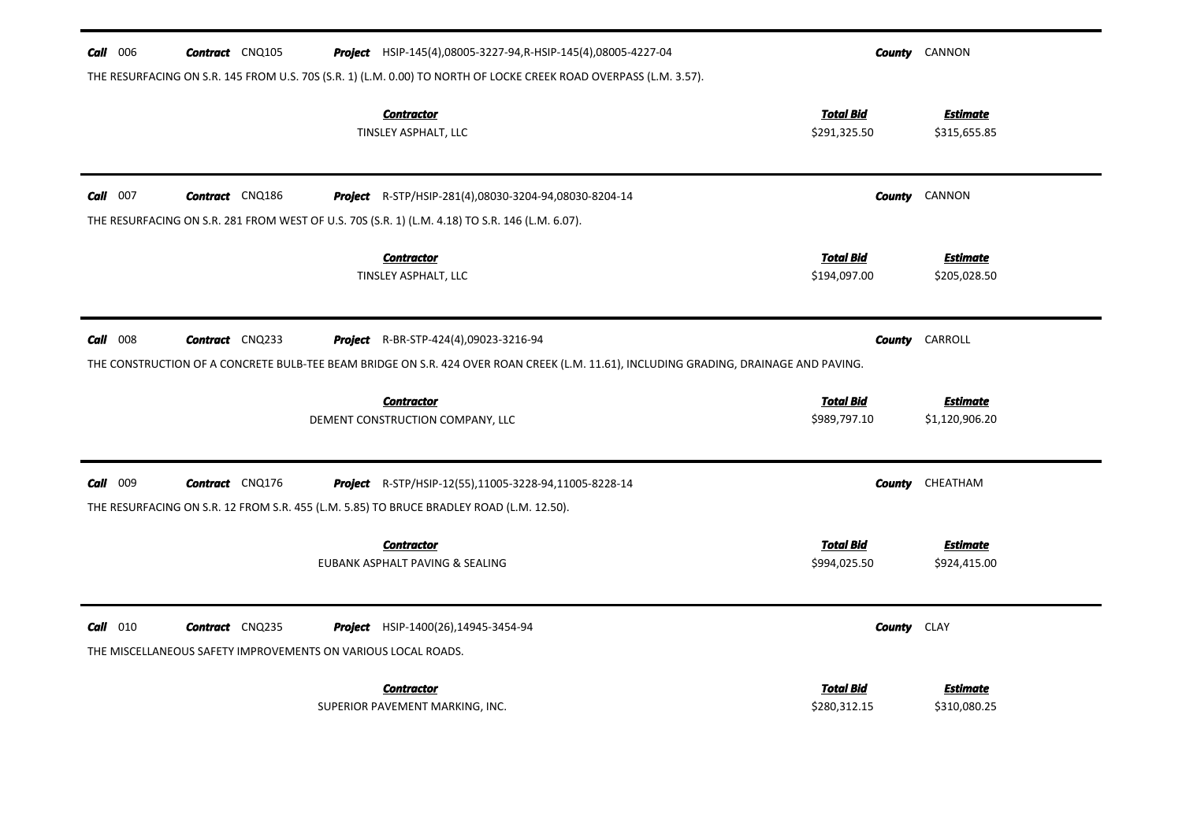| $Call$ 006 | <b>Contract</b> CNQ105                                                                  | Project HSIP-145(4),08005-3227-94, R-HSIP-145(4),08005-4227-04                                                                                    |                                  | <b>County</b> CANNON            |
|------------|-----------------------------------------------------------------------------------------|---------------------------------------------------------------------------------------------------------------------------------------------------|----------------------------------|---------------------------------|
|            |                                                                                         | THE RESURFACING ON S.R. 145 FROM U.S. 70S (S.R. 1) (L.M. 0.00) TO NORTH OF LOCKE CREEK ROAD OVERPASS (L.M. 3.57).                                 |                                  |                                 |
|            |                                                                                         | <b>Contractor</b><br>TINSLEY ASPHALT, LLC                                                                                                         | <b>Total Bid</b><br>\$291,325.50 | <b>Estimate</b><br>\$315,655.85 |
| $Call$ 007 | <b>Contract</b> CNQ186                                                                  | Project R-STP/HSIP-281(4),08030-3204-94,08030-8204-14                                                                                             |                                  | <b>County</b> CANNON            |
|            |                                                                                         | THE RESURFACING ON S.R. 281 FROM WEST OF U.S. 70S (S.R. 1) (L.M. 4.18) TO S.R. 146 (L.M. 6.07).                                                   |                                  |                                 |
|            |                                                                                         | <b>Contractor</b><br>TINSLEY ASPHALT, LLC                                                                                                         | <b>Total Bid</b><br>\$194,097.00 | <b>Estimate</b><br>\$205,028.50 |
| $Call$ 008 | <b>Contract</b> CNQ233                                                                  | <b>Project</b> R-BR-STP-424(4),09023-3216-94                                                                                                      |                                  | <b>County</b> CARROLL           |
|            |                                                                                         | THE CONSTRUCTION OF A CONCRETE BULB-TEE BEAM BRIDGE ON S.R. 424 OVER ROAN CREEK (L.M. 11.61), INCLUDING GRADING, DRAINAGE AND PAVING.             |                                  |                                 |
|            |                                                                                         | <b>Contractor</b>                                                                                                                                 | <b>Total Bid</b>                 | <b>Estimate</b>                 |
|            |                                                                                         | DEMENT CONSTRUCTION COMPANY, LLC                                                                                                                  | \$989,797.10                     | \$1,120,906.20                  |
| Call 009   | <b>Contract</b> CNQ176                                                                  | Project R-STP/HSIP-12(55),11005-3228-94,11005-8228-14<br>THE RESURFACING ON S.R. 12 FROM S.R. 455 (L.M. 5.85) TO BRUCE BRADLEY ROAD (L.M. 12.50). | County                           | CHEATHAM                        |
|            |                                                                                         | <b>Contractor</b>                                                                                                                                 | <b>Total Bid</b>                 | <b>Estimate</b>                 |
|            |                                                                                         | EUBANK ASPHALT PAVING & SEALING                                                                                                                   | \$994,025.50                     | \$924,415.00                    |
| $Call$ 010 | <b>Contract</b> CNQ235<br>THE MISCELLANEOUS SAFETY IMPROVEMENTS ON VARIOUS LOCAL ROADS. | <b>Project</b> HSIP-1400(26),14945-3454-94                                                                                                        | County                           | <b>CLAY</b>                     |
|            |                                                                                         |                                                                                                                                                   |                                  |                                 |
|            |                                                                                         | <b>Contractor</b><br>SUPERIOR PAVEMENT MARKING, INC.                                                                                              | <b>Total Bid</b><br>\$280,312.15 | <b>Estimate</b><br>\$310,080.25 |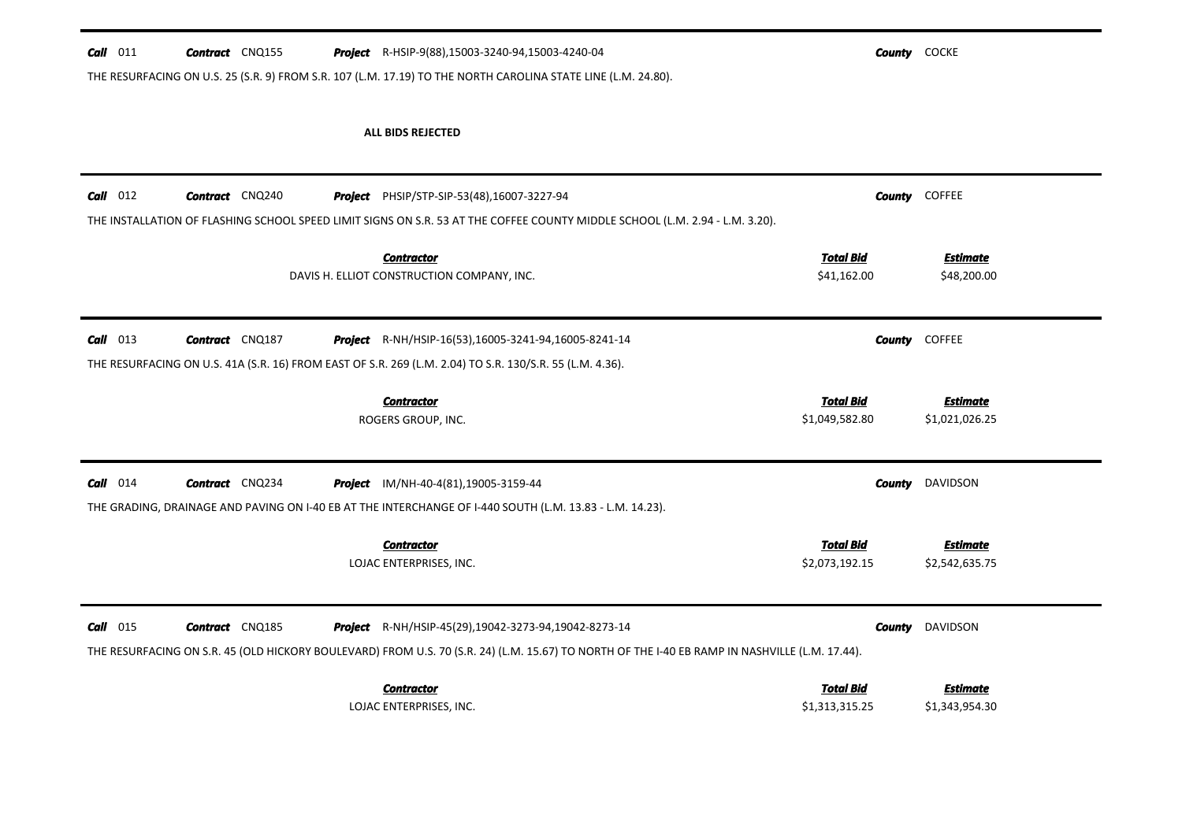#### **Call** 011 **Contract** CNQ155 **Project** R-HSIP-9(88),15003-3240-94,15003-4240-04 **County** COCKE

-

Ξ.

THE RESURFACING ON U.S. 25 (S.R. 9) FROM S.R. 107 (L.M. 17.19) TO THE NORTH CAROLINA STATE LINE (L.M. 24.80).

### ALL BIDS REJECTED

| $Call$ 012 | <b>Contract</b> CNQ240 | Project<br>PHSIP/STP-SIP-53(48),16007-3227-94                                                                                                                       | THE INSTALLATION OF FLASHING SCHOOL SPEED LIMIT SIGNS ON S.R. 53 AT THE COFFEE COUNTY MIDDLE SCHOOL (L.M. 2.94 - L.M. 3.20).                   | <b>COFFEE</b><br><b>County</b>    |
|------------|------------------------|---------------------------------------------------------------------------------------------------------------------------------------------------------------------|------------------------------------------------------------------------------------------------------------------------------------------------|-----------------------------------|
|            |                        | <b>Contractor</b><br>DAVIS H. ELLIOT CONSTRUCTION COMPANY, INC.                                                                                                     | <b>Total Bid</b><br>\$41,162.00                                                                                                                | <b>Estimate</b><br>\$48,200.00    |
| $Call$ 013 | <b>Contract</b> CNQ187 | Project<br>R-NH/HSIP-16(53),16005-3241-94,16005-8241-14<br>THE RESURFACING ON U.S. 41A (S.R. 16) FROM EAST OF S.R. 269 (L.M. 2.04) TO S.R. 130/S.R. 55 (L.M. 4.36). |                                                                                                                                                | <b>COFFEE</b><br><b>County</b>    |
|            |                        | <b>Contractor</b><br>ROGERS GROUP, INC.                                                                                                                             | <b>Total Bid</b><br>\$1,049,582.80                                                                                                             | <b>Estimate</b><br>\$1,021,026.25 |
| $Call$ 014 | <b>Contract</b> CNQ234 | Project<br>IM/NH-40-4(81),19005-3159-44<br>THE GRADING, DRAINAGE AND PAVING ON I-40 EB AT THE INTERCHANGE OF I-440 SOUTH (L.M. 13.83 - L.M. 14.23).                 |                                                                                                                                                | <b>DAVIDSON</b><br><b>County</b>  |
|            |                        | <b>Contractor</b><br>LOJAC ENTERPRISES, INC.                                                                                                                        | <b>Total Bid</b><br>\$2,073,192.15                                                                                                             | <b>Estimate</b><br>\$2,542,635.75 |
| $Call$ 015 | <b>Contract</b> CNQ185 | R-NH/HSIP-45(29),19042-3273-94,19042-8273-14<br>Project                                                                                                             | THE RESURFACING ON S.R. 45 (OLD HICKORY BOULEVARD) FROM U.S. 70 (S.R. 24) (L.M. 15.67) TO NORTH OF THE I-40 EB RAMP IN NASHVILLE (L.M. 17.44). | <b>DAVIDSON</b><br><b>County</b>  |
|            |                        | <b>Contractor</b><br>LOJAC ENTERPRISES, INC.                                                                                                                        | <b>Total Bid</b><br>\$1,313,315.25                                                                                                             | <b>Estimate</b><br>\$1,343,954.30 |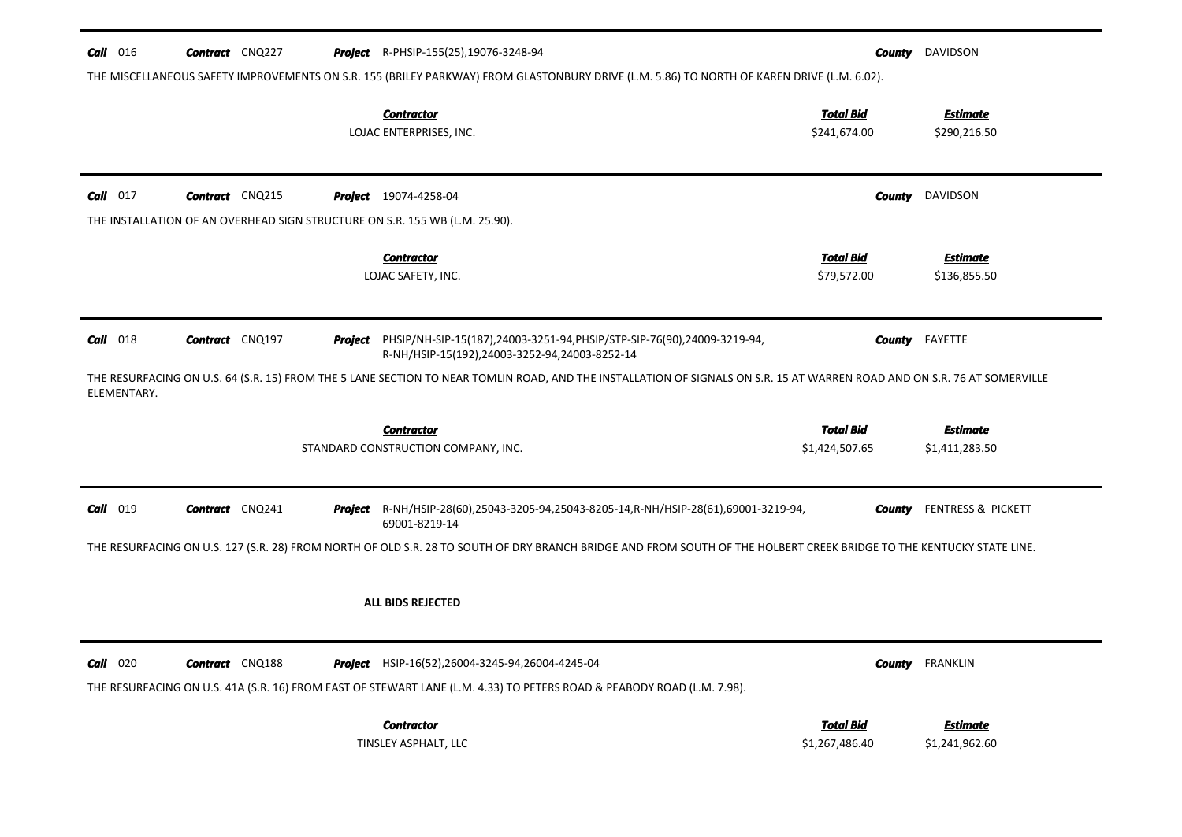| $Call$ 016  | <b>Contract</b> CNQ227 | <b>Project</b> R-PHSIP-155(25), 19076-3248-94                                                                                                                                              | County                             | DAVIDSON                          |
|-------------|------------------------|--------------------------------------------------------------------------------------------------------------------------------------------------------------------------------------------|------------------------------------|-----------------------------------|
|             |                        | THE MISCELLANEOUS SAFETY IMPROVEMENTS ON S.R. 155 (BRILEY PARKWAY) FROM GLASTONBURY DRIVE (L.M. 5.86) TO NORTH OF KAREN DRIVE (L.M. 6.02).<br><b>Contractor</b><br>LOJAC ENTERPRISES, INC. | <b>Total Bid</b><br>\$241,674.00   | <b>Estimate</b><br>\$290,216.50   |
| $Call$ 017  | <b>Contract</b> CNQ215 | <b>Project</b> 19074-4258-04                                                                                                                                                               | County                             | DAVIDSON                          |
|             |                        | THE INSTALLATION OF AN OVERHEAD SIGN STRUCTURE ON S.R. 155 WB (L.M. 25.90).                                                                                                                |                                    |                                   |
|             |                        | <b>Contractor</b><br>LOJAC SAFETY, INC.                                                                                                                                                    | <b>Total Bid</b><br>\$79,572.00    | <b>Estimate</b><br>\$136,855.50   |
| Call 018    | <b>Contract</b> CNQ197 | Project PHSIP/NH-SIP-15(187),24003-3251-94, PHSIP/STP-SIP-76(90),24009-3219-94,<br>R-NH/HSIP-15(192),24003-3252-94,24003-8252-14                                                           |                                    | <b>County</b> FAYETTE             |
| ELEMENTARY. |                        | THE RESURFACING ON U.S. 64 (S.R. 15) FROM THE 5 LANE SECTION TO NEAR TOMLIN ROAD, AND THE INSTALLATION OF SIGNALS ON S.R. 15 AT WARREN ROAD AND ON S.R. 76 AT SOMERVILLE                   |                                    |                                   |
|             |                        | <b>Contractor</b>                                                                                                                                                                          | <b>Total Bid</b>                   | <b>Estimate</b>                   |
|             |                        | STANDARD CONSTRUCTION COMPANY, INC.                                                                                                                                                        | \$1,424,507.65                     | \$1,411,283.50                    |
| Call 019    | <b>Contract</b> CNQ241 | Project R-NH/HSIP-28(60),25043-3205-94,25043-8205-14,R-NH/HSIP-28(61),69001-3219-94,<br>69001-8219-14                                                                                      | County                             | FENTRESS & PICKETT                |
|             |                        | THE RESURFACING ON U.S. 127 (S.R. 28) FROM NORTH OF OLD S.R. 28 TO SOUTH OF DRY BRANCH BRIDGE AND FROM SOUTH OF THE HOLBERT CREEK BRIDGE TO THE KENTUCKY STATE LINE.                       |                                    |                                   |
|             |                        | <b>ALL BIDS REJECTED</b>                                                                                                                                                                   |                                    |                                   |
| $Call$ 020  | <b>Contract</b> CNQ188 | <b>Project</b> HSIP-16(52), 26004-3245-94, 26004-4245-04<br>THE RESURFACING ON U.S. 41A (S.R. 16) FROM EAST OF STEWART LANE (L.M. 4.33) TO PETERS ROAD & PEABODY ROAD (L.M. 7.98).         |                                    | <b>County</b> FRANKLIN            |
|             |                        | <b>Contractor</b><br>TINSLEY ASPHALT, LLC                                                                                                                                                  | <b>Total Bid</b><br>\$1,267,486.40 | <b>Estimate</b><br>\$1,241,962.60 |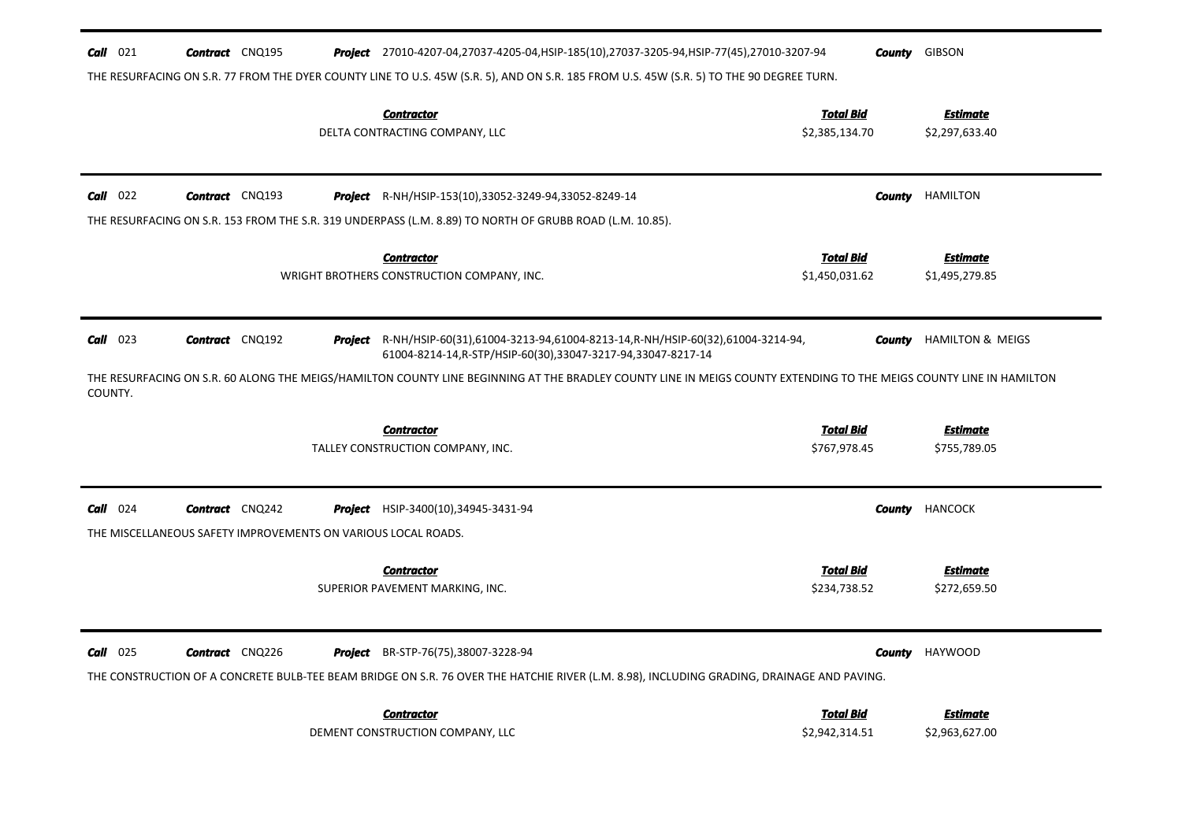| $Call$ 021            | <b>Contract</b> CNQ195                                                                  | Project 27010-4207-04,27037-4205-04, HSIP-185(10), 27037-3205-94, HSIP-77(45), 27010-3207-94                                                                                                                                                                                                                                  | County                             | <b>GIBSON</b>                     |
|-----------------------|-----------------------------------------------------------------------------------------|-------------------------------------------------------------------------------------------------------------------------------------------------------------------------------------------------------------------------------------------------------------------------------------------------------------------------------|------------------------------------|-----------------------------------|
|                       |                                                                                         | THE RESURFACING ON S.R. 77 FROM THE DYER COUNTY LINE TO U.S. 45W (S.R. 5), AND ON S.R. 185 FROM U.S. 45W (S.R. 5) TO THE 90 DEGREE TURN.                                                                                                                                                                                      |                                    |                                   |
|                       |                                                                                         | <b>Contractor</b><br>DELTA CONTRACTING COMPANY, LLC                                                                                                                                                                                                                                                                           | <b>Total Bid</b><br>\$2,385,134.70 | <b>Estimate</b><br>\$2,297,633.40 |
| $Call$ 022            | <b>Contract</b> CNQ193                                                                  | <b>Project</b> R-NH/HSIP-153(10),33052-3249-94,33052-8249-14<br>THE RESURFACING ON S.R. 153 FROM THE S.R. 319 UNDERPASS (L.M. 8.89) TO NORTH OF GRUBB ROAD (L.M. 10.85).                                                                                                                                                      | County                             | <b>HAMILTON</b>                   |
|                       |                                                                                         | <b>Contractor</b><br>WRIGHT BROTHERS CONSTRUCTION COMPANY, INC.                                                                                                                                                                                                                                                               | <b>Total Bid</b><br>\$1,450,031.62 | <b>Estimate</b><br>\$1,495,279.85 |
| $Call$ 023<br>COUNTY. | <b>Contract</b> CNQ192                                                                  | Project R-NH/HSIP-60(31),61004-3213-94,61004-8213-14,R-NH/HSIP-60(32),61004-3214-94,<br>61004-8214-14, R-STP/HSIP-60(30), 33047-3217-94, 33047-8217-14<br>THE RESURFACING ON S.R. 60 ALONG THE MEIGS/HAMILTON COUNTY LINE BEGINNING AT THE BRADLEY COUNTY LINE IN MEIGS COUNTY EXTENDING TO THE MEIGS COUNTY LINE IN HAMILTON | County                             | HAMILTON & MEIGS                  |
|                       |                                                                                         | <b>Contractor</b><br>TALLEY CONSTRUCTION COMPANY, INC.                                                                                                                                                                                                                                                                        | <b>Total Bid</b><br>\$767,978.45   | <b>Estimate</b><br>\$755,789.05   |
| $Call$ 024            | <b>Contract</b> CNQ242<br>THE MISCELLANEOUS SAFETY IMPROVEMENTS ON VARIOUS LOCAL ROADS. | <b>Project</b> HSIP-3400(10),34945-3431-94                                                                                                                                                                                                                                                                                    | County                             | <b>HANCOCK</b>                    |
|                       |                                                                                         | <b>Contractor</b><br>SUPERIOR PAVEMENT MARKING, INC.                                                                                                                                                                                                                                                                          | <b>Total Bid</b><br>\$234,738.52   | <b>Estimate</b><br>\$272,659.50   |
| $Call$ 025            | <b>Contract</b> CNQ226                                                                  | <b>Project</b> BR-STP-76(75),38007-3228-94<br>THE CONSTRUCTION OF A CONCRETE BULB-TEE BEAM BRIDGE ON S.R. 76 OVER THE HATCHIE RIVER (L.M. 8.98), INCLUDING GRADING, DRAINAGE AND PAVING.                                                                                                                                      |                                    | <b>County</b> HAYWOOD             |
|                       |                                                                                         | <b>Contractor</b><br>DEMENT CONSTRUCTION COMPANY, LLC                                                                                                                                                                                                                                                                         | <b>Total Bid</b><br>\$2,942,314.51 | <b>Estimate</b><br>\$2,963,627.00 |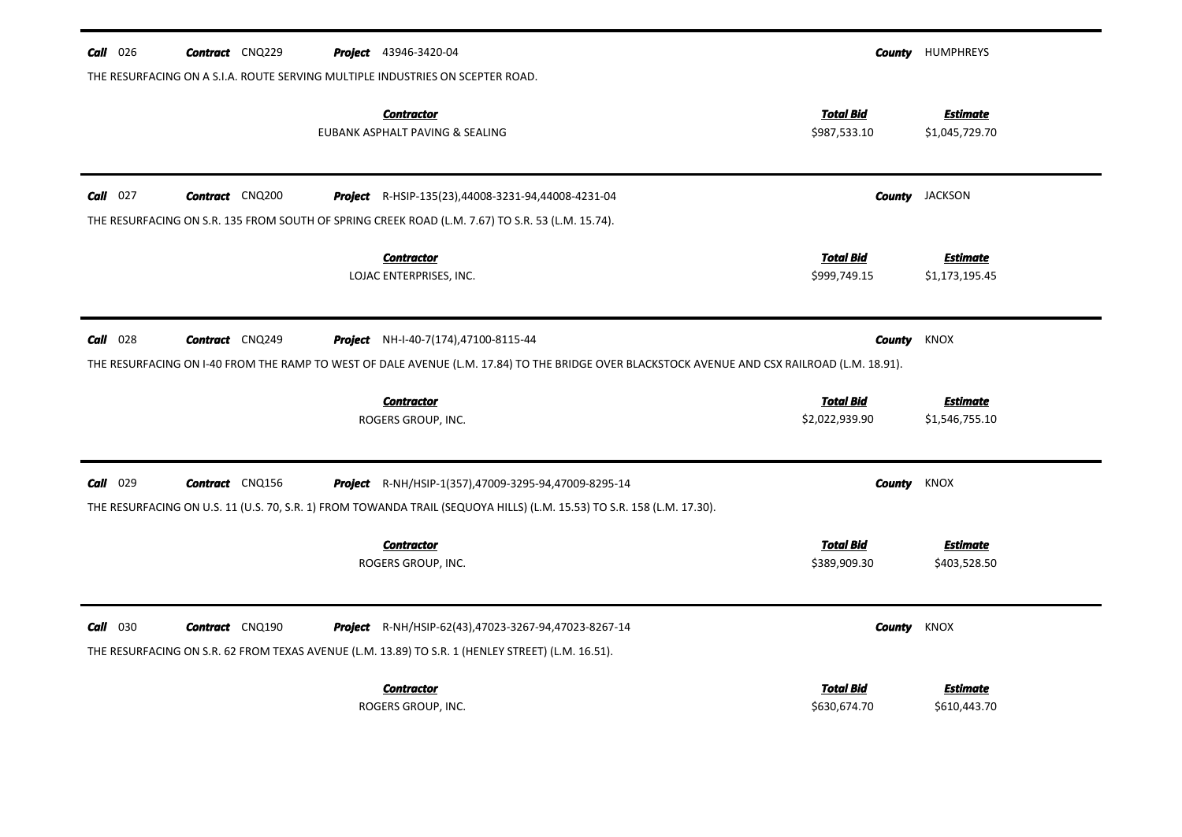| $Call$ 026 | <b>Contract</b> CNQ229 | <b>Project</b> 43946-3420-04                                                                                                                  |                  | <b>County</b> HUMPHREYS |
|------------|------------------------|-----------------------------------------------------------------------------------------------------------------------------------------------|------------------|-------------------------|
|            |                        | THE RESURFACING ON A S.I.A. ROUTE SERVING MULTIPLE INDUSTRIES ON SCEPTER ROAD.                                                                |                  |                         |
|            |                        | <b>Contractor</b>                                                                                                                             | <b>Total Bid</b> | <b>Estimate</b>         |
|            |                        | EUBANK ASPHALT PAVING & SEALING                                                                                                               | \$987,533.10     | \$1,045,729.70          |
|            |                        |                                                                                                                                               |                  |                         |
| $Call$ 027 | <b>Contract</b> CNQ200 | <b>Project</b> R-HSIP-135(23),44008-3231-94,44008-4231-04                                                                                     |                  | <b>County</b> JACKSON   |
|            |                        | THE RESURFACING ON S.R. 135 FROM SOUTH OF SPRING CREEK ROAD (L.M. 7.67) TO S.R. 53 (L.M. 15.74).                                              |                  |                         |
|            |                        | <b>Contractor</b>                                                                                                                             | <b>Total Bid</b> | <b>Estimate</b>         |
|            |                        | LOJAC ENTERPRISES, INC.                                                                                                                       | \$999,749.15     | \$1,173,195.45          |
|            |                        |                                                                                                                                               |                  |                         |
| $Call$ 028 | <b>Contract</b> CNQ249 | <b>Project</b> NH-I-40-7(174),47100-8115-44                                                                                                   | County           | KNOX                    |
|            |                        | THE RESURFACING ON I-40 FROM THE RAMP TO WEST OF DALE AVENUE (L.M. 17.84) TO THE BRIDGE OVER BLACKSTOCK AVENUE AND CSX RAILROAD (L.M. 18.91). |                  |                         |
|            |                        | <b>Contractor</b>                                                                                                                             | <b>Total Bid</b> | <b>Estimate</b>         |
|            |                        | ROGERS GROUP, INC.                                                                                                                            | \$2,022,939.90   | \$1,546,755.10          |
|            |                        |                                                                                                                                               |                  |                         |
|            |                        |                                                                                                                                               |                  |                         |
| $Call$ 029 | <b>Contract</b> CNQ156 | <b>Project</b> R-NH/HSIP-1(357),47009-3295-94,47009-8295-14                                                                                   | County           | KNOX                    |
|            |                        | THE RESURFACING ON U.S. 11 (U.S. 70, S.R. 1) FROM TOWANDA TRAIL (SEQUOYA HILLS) (L.M. 15.53) TO S.R. 158 (L.M. 17.30).                        |                  |                         |
|            |                        | <b>Contractor</b>                                                                                                                             | <b>Total Bid</b> | <b>Estimate</b>         |
|            |                        | ROGERS GROUP, INC.                                                                                                                            | \$389,909.30     | \$403,528.50            |
|            |                        |                                                                                                                                               |                  |                         |
| $Call$ 030 | <b>Contract</b> CNQ190 | <b>Project</b> R-NH/HSIP-62(43),47023-3267-94,47023-8267-14                                                                                   | County           | <b>KNOX</b>             |
|            |                        | THE RESURFACING ON S.R. 62 FROM TEXAS AVENUE (L.M. 13.89) TO S.R. 1 (HENLEY STREET) (L.M. 16.51).                                             |                  |                         |
|            |                        | <b>Contractor</b>                                                                                                                             | Total Bid        | <b>Estimate</b>         |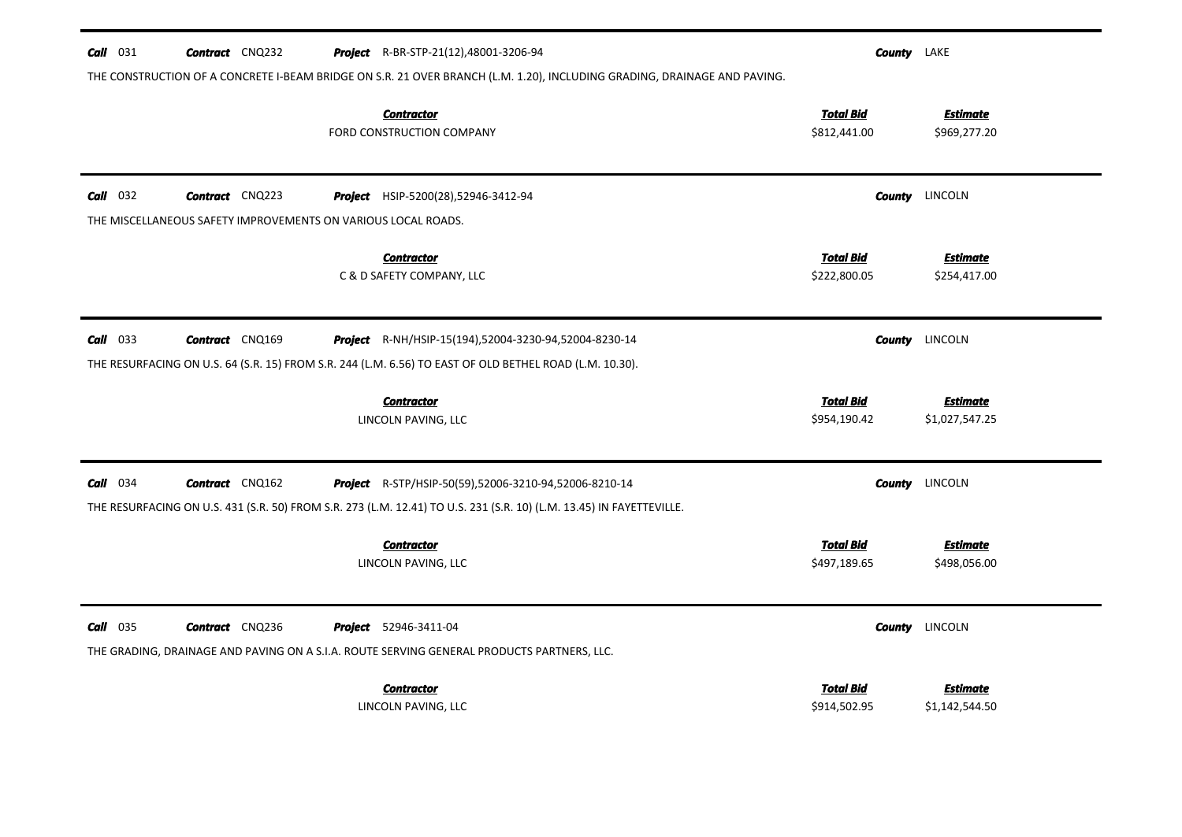| $Call$ 031 | <b>Contract</b> CNQ232                                        | <b>Project</b> R-BR-STP-21(12),48001-3206-94                                                                             |                                  | <b>County</b> LAKE |                                   |
|------------|---------------------------------------------------------------|--------------------------------------------------------------------------------------------------------------------------|----------------------------------|--------------------|-----------------------------------|
|            |                                                               | THE CONSTRUCTION OF A CONCRETE I-BEAM BRIDGE ON S.R. 21 OVER BRANCH (L.M. 1.20), INCLUDING GRADING, DRAINAGE AND PAVING. |                                  |                    |                                   |
|            |                                                               | <b>Contractor</b><br>FORD CONSTRUCTION COMPANY                                                                           | <b>Total Bid</b><br>\$812,441.00 |                    | <b>Estimate</b><br>\$969,277.20   |
| $Call$ 032 | <b>Contract</b> CNQ223                                        | Project HSIP-5200(28),52946-3412-94                                                                                      |                                  | County             | LINCOLN                           |
|            | THE MISCELLANEOUS SAFETY IMPROVEMENTS ON VARIOUS LOCAL ROADS. |                                                                                                                          |                                  |                    |                                   |
|            |                                                               | <b>Contractor</b><br>C & D SAFETY COMPANY, LLC                                                                           | <b>Total Bid</b><br>\$222,800.05 |                    | <b>Estimate</b><br>\$254,417.00   |
| $Call$ 033 | <b>Contract</b> CNQ169                                        | <b>Project</b> R-NH/HSIP-15(194),52004-3230-94,52004-8230-14                                                             |                                  | <b>County</b>      | LINCOLN                           |
|            |                                                               | THE RESURFACING ON U.S. 64 (S.R. 15) FROM S.R. 244 (L.M. 6.56) TO EAST OF OLD BETHEL ROAD (L.M. 10.30).                  |                                  |                    |                                   |
|            |                                                               | <b>Contractor</b><br>LINCOLN PAVING, LLC                                                                                 | <b>Total Bid</b><br>\$954,190.42 |                    | <b>Estimate</b><br>\$1,027,547.25 |
| $Call$ 034 | <b>Contract</b> CNQ162                                        | Project R-STP/HSIP-50(59),52006-3210-94,52006-8210-14                                                                    |                                  | County             | LINCOLN                           |
|            |                                                               | THE RESURFACING ON U.S. 431 (S.R. 50) FROM S.R. 273 (L.M. 12.41) TO U.S. 231 (S.R. 10) (L.M. 13.45) IN FAYETTEVILLE.     |                                  |                    |                                   |
|            |                                                               | <b>Contractor</b><br>LINCOLN PAVING, LLC                                                                                 | <b>Total Bid</b><br>\$497,189.65 |                    | <b>Estimate</b><br>\$498,056.00   |
| $Call$ 035 | <b>Contract</b> CNQ236                                        | <b>Project</b> 52946-3411-04                                                                                             |                                  | <b>County</b>      | LINCOLN                           |
|            |                                                               | THE GRADING, DRAINAGE AND PAVING ON A S.I.A. ROUTE SERVING GENERAL PRODUCTS PARTNERS, LLC.                               |                                  |                    |                                   |
|            |                                                               | <b>Contractor</b><br>LINCOLN PAVING, LLC                                                                                 | <b>Total Bid</b><br>\$914,502.95 |                    | Estimate<br>\$1,142,544.50        |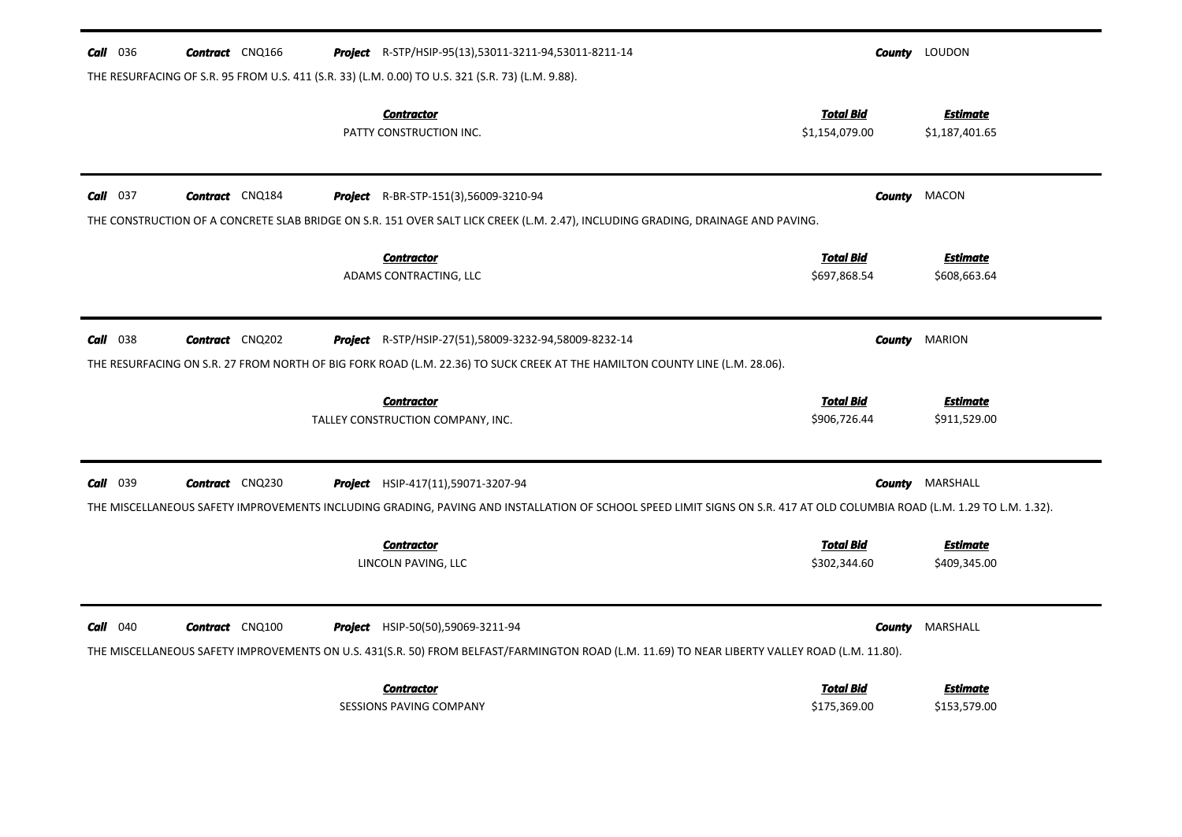| <b>Call</b> 036<br><b>Contract</b> CNQ166 | <b>Project</b> R-STP/HSIP-95(13),53011-3211-94,53011-8211-14<br>THE RESURFACING OF S.R. 95 FROM U.S. 411 (S.R. 33) (L.M. 0.00) TO U.S. 321 (S.R. 73) (L.M. 9.88).                                                   |                                    | <b>County</b> LOUDON              |
|-------------------------------------------|---------------------------------------------------------------------------------------------------------------------------------------------------------------------------------------------------------------------|------------------------------------|-----------------------------------|
|                                           | <b>Contractor</b><br>PATTY CONSTRUCTION INC.                                                                                                                                                                        | <b>Total Bid</b><br>\$1,154,079.00 | <b>Estimate</b><br>\$1,187,401.65 |
| $Call$ 037<br><b>Contract</b> CNQ184      | <b>Project</b> R-BR-STP-151(3),56009-3210-94                                                                                                                                                                        | <b>County</b>                      | MACON                             |
|                                           | THE CONSTRUCTION OF A CONCRETE SLAB BRIDGE ON S.R. 151 OVER SALT LICK CREEK (L.M. 2.47), INCLUDING GRADING, DRAINAGE AND PAVING.<br><b>Contractor</b><br>ADAMS CONTRACTING, LLC                                     | <b>Total Bid</b><br>\$697,868.54   | <b>Estimate</b><br>\$608,663.64   |
| $Call$ 038<br><b>Contract</b> CNQ202      | <b>Project</b> R-STP/HSIP-27(51),58009-3232-94,58009-8232-14                                                                                                                                                        | <b>County</b>                      | <b>MARION</b>                     |
|                                           | THE RESURFACING ON S.R. 27 FROM NORTH OF BIG FORK ROAD (L.M. 22.36) TO SUCK CREEK AT THE HAMILTON COUNTY LINE (L.M. 28.06).<br><b>Contractor</b><br>TALLEY CONSTRUCTION COMPANY, INC.                               | <b>Total Bid</b><br>\$906,726.44   | <b>Estimate</b><br>\$911,529.00   |
| Call 039<br><b>Contract</b> CNQ230        | <b>Project</b> HSIP-417(11),59071-3207-94                                                                                                                                                                           |                                    | <b>County</b> MARSHALL            |
|                                           | THE MISCELLANEOUS SAFETY IMPROVEMENTS INCLUDING GRADING, PAVING AND INSTALLATION OF SCHOOL SPEED LIMIT SIGNS ON S.R. 417 AT OLD COLUMBIA ROAD (L.M. 1.29 TO L.M. 1.32).<br><b>Contractor</b><br>LINCOLN PAVING, LLC | <b>Total Bid</b><br>\$302,344.60   | <b>Estimate</b><br>\$409,345.00   |
| $Call$ 040<br><b>Contract</b> CNQ100      | <b>Project</b> HSIP-50(50),59069-3211-94<br>THE MISCELLANEOUS SAFETY IMPROVEMENTS ON U.S. 431(S.R. 50) FROM BELFAST/FARMINGTON ROAD (L.M. 11.69) TO NEAR LIBERTY VALLEY ROAD (L.M. 11.80).                          | County                             | MARSHALL                          |
|                                           | <b>Contractor</b><br><b>SESSIONS PAVING COMPANY</b>                                                                                                                                                                 | <b>Total Bid</b><br>\$175,369.00   | <b>Estimate</b><br>\$153,579.00   |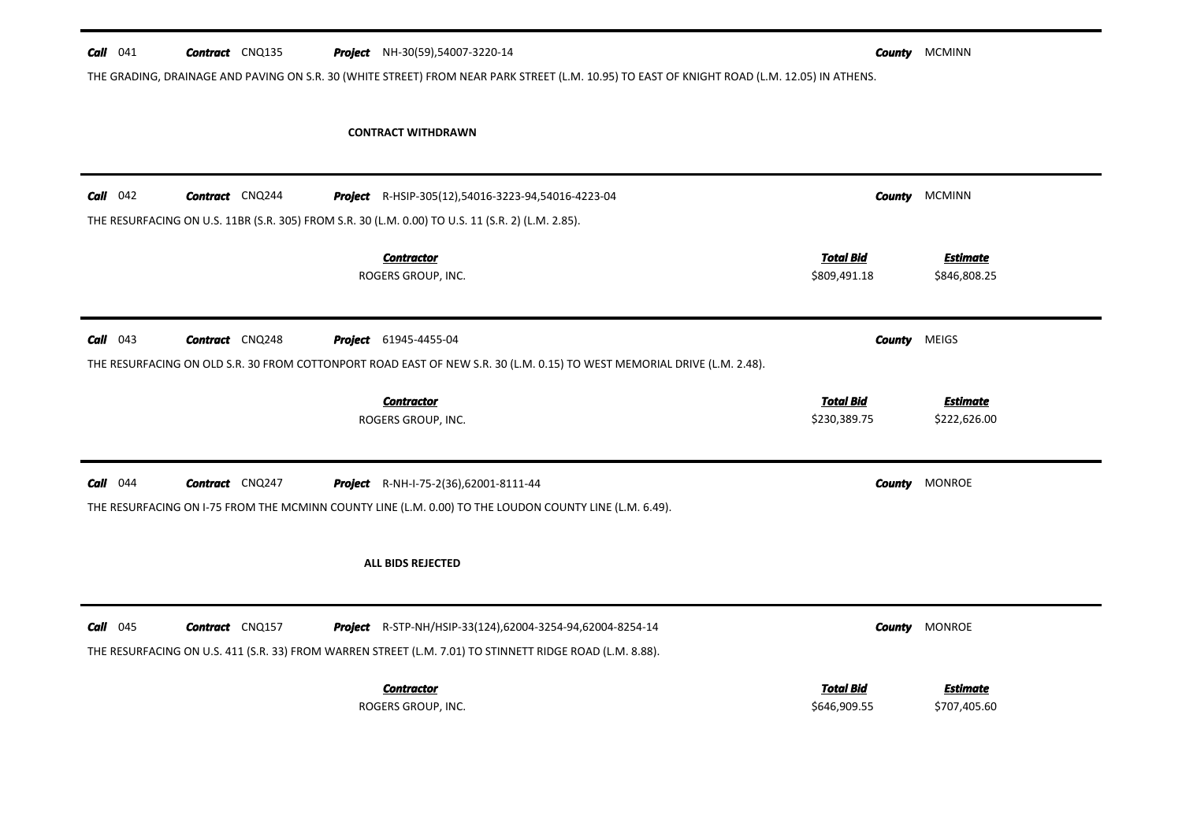| $Call$ 041 | <b>Contract</b> CNQ135 |  | <b>Project</b> NH-30(59),54007-3220-14                                                                                                       |                                  | <b>County</b> MCMINN            |
|------------|------------------------|--|----------------------------------------------------------------------------------------------------------------------------------------------|----------------------------------|---------------------------------|
|            |                        |  | THE GRADING, DRAINAGE AND PAVING ON S.R. 30 (WHITE STREET) FROM NEAR PARK STREET (L.M. 10.95) TO EAST OF KNIGHT ROAD (L.M. 12.05) IN ATHENS. |                                  |                                 |
|            |                        |  |                                                                                                                                              |                                  |                                 |
|            |                        |  |                                                                                                                                              |                                  |                                 |
|            |                        |  | <b>CONTRACT WITHDRAWN</b>                                                                                                                    |                                  |                                 |
|            |                        |  |                                                                                                                                              |                                  |                                 |
|            |                        |  |                                                                                                                                              |                                  |                                 |
| $Call$ 042 | <b>Contract</b> CNQ244 |  | <b>Project</b> R-HSIP-305(12),54016-3223-94,54016-4223-04                                                                                    |                                  | <b>County</b> MCMINN            |
|            |                        |  | THE RESURFACING ON U.S. 11BR (S.R. 305) FROM S.R. 30 (L.M. 0.00) TO U.S. 11 (S.R. 2) (L.M. 2.85).                                            |                                  |                                 |
|            |                        |  |                                                                                                                                              |                                  |                                 |
|            |                        |  | <b>Contractor</b>                                                                                                                            | <b>Total Bid</b>                 | <b>Estimate</b>                 |
|            |                        |  | ROGERS GROUP, INC.                                                                                                                           | \$809,491.18                     | \$846,808.25                    |
|            |                        |  |                                                                                                                                              |                                  |                                 |
|            |                        |  |                                                                                                                                              |                                  |                                 |
| $Call$ 043 | <b>Contract</b> CNQ248 |  | <b>Project</b> 61945-4455-04                                                                                                                 |                                  | <b>County MEIGS</b>             |
|            |                        |  | THE RESURFACING ON OLD S.R. 30 FROM COTTONPORT ROAD EAST OF NEW S.R. 30 (L.M. 0.15) TO WEST MEMORIAL DRIVE (L.M. 2.48).                      |                                  |                                 |
|            |                        |  |                                                                                                                                              |                                  |                                 |
|            |                        |  |                                                                                                                                              |                                  |                                 |
|            |                        |  | <b>Contractor</b>                                                                                                                            | <b>Total Bid</b>                 | <b>Estimate</b>                 |
|            |                        |  | ROGERS GROUP, INC.                                                                                                                           | \$230,389.75                     | \$222,626.00                    |
|            |                        |  |                                                                                                                                              |                                  |                                 |
| $Call$ 044 | <b>Contract</b> CNQ247 |  | <b>Project</b> R-NH-I-75-2(36),62001-8111-44                                                                                                 |                                  | <b>County</b> MONROE            |
|            |                        |  |                                                                                                                                              |                                  |                                 |
|            |                        |  | THE RESURFACING ON 1-75 FROM THE MCMINN COUNTY LINE (L.M. 0.00) TO THE LOUDON COUNTY LINE (L.M. 6.49).                                       |                                  |                                 |
|            |                        |  |                                                                                                                                              |                                  |                                 |
|            |                        |  | ALL BIDS REJECTED                                                                                                                            |                                  |                                 |
|            |                        |  |                                                                                                                                              |                                  |                                 |
|            |                        |  |                                                                                                                                              |                                  |                                 |
| $Call$ 045 | <b>Contract</b> CNQ157 |  | Project R-STP-NH/HSIP-33(124),62004-3254-94,62004-8254-14                                                                                    |                                  | <b>County</b> MONROE            |
|            |                        |  | THE RESURFACING ON U.S. 411 (S.R. 33) FROM WARREN STREET (L.M. 7.01) TO STINNETT RIDGE ROAD (L.M. 8.88).                                     |                                  |                                 |
|            |                        |  |                                                                                                                                              |                                  |                                 |
|            |                        |  | <b>Contractor</b><br>ROGERS GROUP, INC.                                                                                                      | <b>Total Bid</b><br>\$646,909.55 | <b>Estimate</b><br>\$707,405.60 |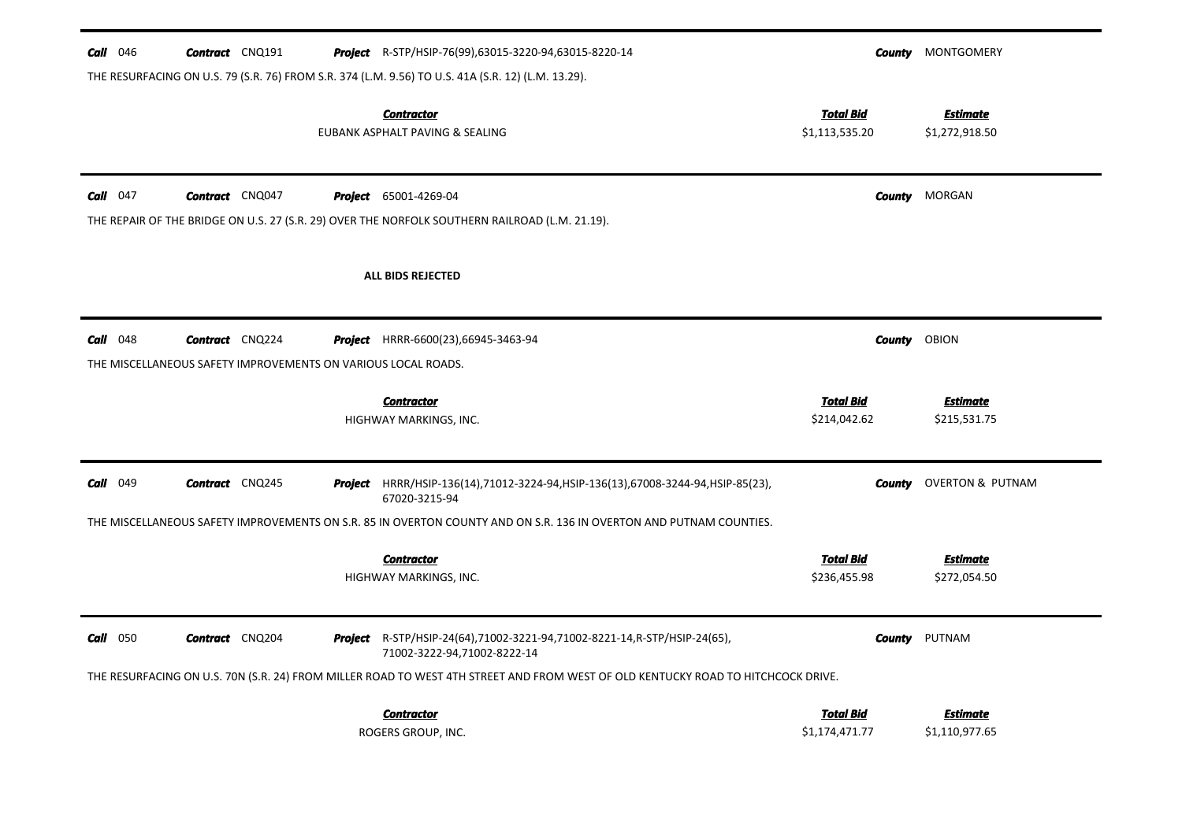| $Call$ 046  | <b>Contract</b> CNQ191                                        | <b>Project</b> R-STP/HSIP-76(99),63015-3220-94,63015-8220-14                                                                     | County                             | MONTGOMERY                        |
|-------------|---------------------------------------------------------------|----------------------------------------------------------------------------------------------------------------------------------|------------------------------------|-----------------------------------|
|             |                                                               | THE RESURFACING ON U.S. 79 (S.R. 76) FROM S.R. 374 (L.M. 9.56) TO U.S. 41A (S.R. 12) (L.M. 13.29).                               |                                    |                                   |
|             |                                                               | <b>Contractor</b><br>EUBANK ASPHALT PAVING & SEALING                                                                             | <b>Total Bid</b><br>\$1,113,535.20 | <b>Estimate</b><br>\$1,272,918.50 |
| $Call$ 047  | <b>Contract</b> CNQ047                                        | <b>Project</b> 65001-4269-04<br>THE REPAIR OF THE BRIDGE ON U.S. 27 (S.R. 29) OVER THE NORFOLK SOUTHERN RAILROAD (L.M. 21.19).   | County                             | MORGAN                            |
|             |                                                               | ALL BIDS REJECTED                                                                                                                |                                    |                                   |
| $Call$ 048  | <b>Contract</b> CNQ224                                        | <b>Project</b> HRRR-6600(23),66945-3463-94                                                                                       | <b>County</b>                      | OBION                             |
|             | THE MISCELLANEOUS SAFETY IMPROVEMENTS ON VARIOUS LOCAL ROADS. |                                                                                                                                  |                                    |                                   |
|             |                                                               | <b>Contractor</b><br>HIGHWAY MARKINGS, INC.                                                                                      | <b>Total Bid</b><br>\$214,042.62   | <b>Estimate</b><br>\$215,531.75   |
| Call<br>049 | <b>Contract</b> CNQ245                                        | <b>Project</b> HRRR/HSIP-136(14),71012-3224-94,HSIP-136(13),67008-3244-94,HSIP-85(23),<br>67020-3215-94                          | <b>County</b>                      | <b>OVERTON &amp; PUTNAM</b>       |
|             |                                                               | THE MISCELLANEOUS SAFETY IMPROVEMENTS ON S.R. 85 IN OVERTON COUNTY AND ON S.R. 136 IN OVERTON AND PUTNAM COUNTIES.               |                                    |                                   |
|             |                                                               | <b>Contractor</b><br>HIGHWAY MARKINGS, INC.                                                                                      | <b>Total Bid</b><br>\$236,455.98   | <b>Estimate</b><br>\$272,054.50   |
| $Call$ 050  | <b>Contract</b> CNQ204                                        | <b>Project</b> R-STP/HSIP-24(64),71002-3221-94,71002-8221-14,R-STP/HSIP-24(65),<br>71002-3222-94,71002-8222-14                   |                                    | <b>County</b> PUTNAM              |
|             |                                                               | THE RESURFACING ON U.S. 70N (S.R. 24) FROM MILLER ROAD TO WEST 4TH STREET AND FROM WEST OF OLD KENTUCKY ROAD TO HITCHCOCK DRIVE. |                                    |                                   |
|             |                                                               | <b>Contractor</b><br>ROGERS GROUP, INC.                                                                                          | <b>Total Bid</b><br>\$1,174,471.77 | <b>Estimate</b><br>\$1,110,977.65 |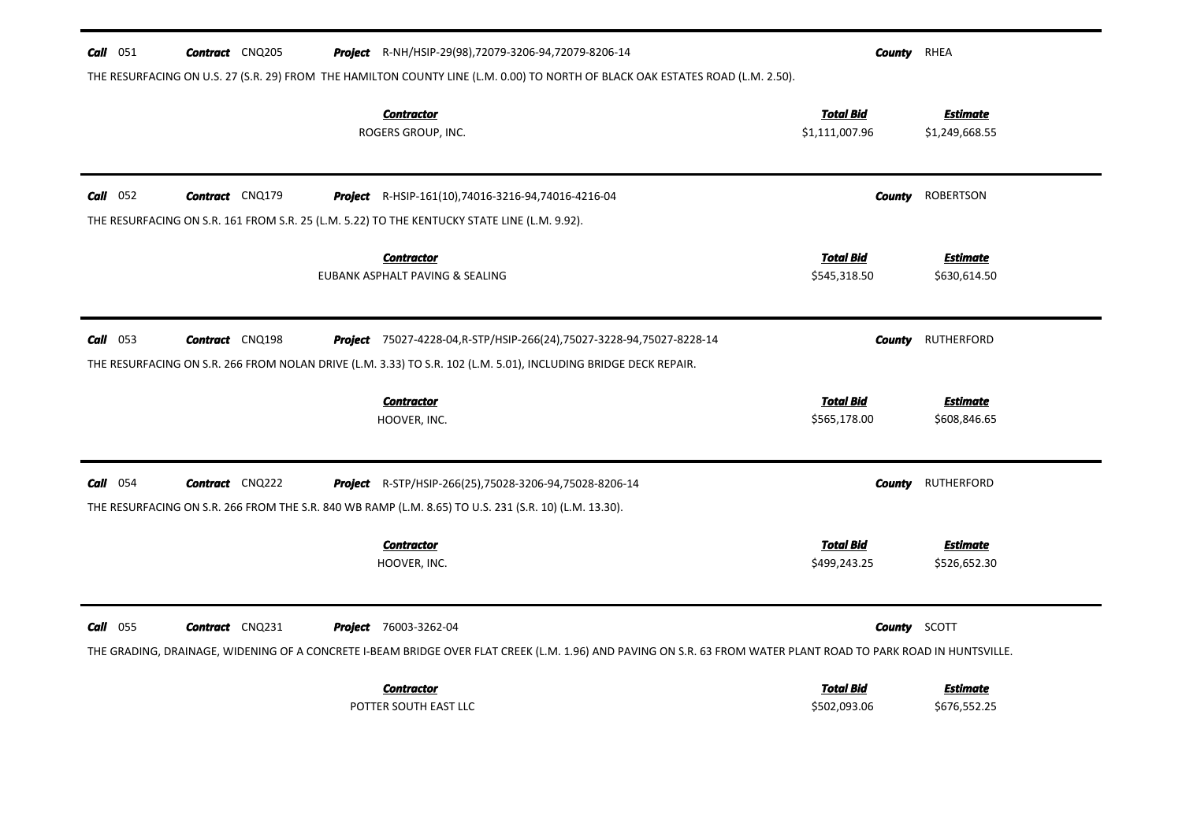| <b>Call</b> 051 | <b>Contract</b> CNQ205 | <b>Project</b> R-NH/HSIP-29(98),72079-3206-94,72079-8206-14                                                                                                                              | <b>County</b> RHEA                 |                                   |
|-----------------|------------------------|------------------------------------------------------------------------------------------------------------------------------------------------------------------------------------------|------------------------------------|-----------------------------------|
|                 |                        | THE RESURFACING ON U.S. 27 (S.R. 29) FROM THE HAMILTON COUNTY LINE (L.M. 0.00) TO NORTH OF BLACK OAK ESTATES ROAD (L.M. 2.50).                                                           |                                    |                                   |
|                 |                        | <b>Contractor</b><br>ROGERS GROUP, INC.                                                                                                                                                  | <b>Total Bid</b><br>\$1,111,007.96 | <b>Estimate</b><br>\$1,249,668.55 |
| $Call$ 052      | <b>Contract</b> CNQ179 | Project R-HSIP-161(10),74016-3216-94,74016-4216-04                                                                                                                                       | County                             | <b>ROBERTSON</b>                  |
|                 |                        | THE RESURFACING ON S.R. 161 FROM S.R. 25 (L.M. 5.22) TO THE KENTUCKY STATE LINE (L.M. 9.92).                                                                                             |                                    |                                   |
|                 |                        | <b>Contractor</b><br>EUBANK ASPHALT PAVING & SEALING                                                                                                                                     | <b>Total Bid</b><br>\$545,318.50   | <b>Estimate</b><br>\$630,614.50   |
| $Call$ 053      | <b>Contract</b> CNQ198 | <b>Project</b> 75027-4228-04, R-STP/HSIP-266(24), 75027-3228-94, 75027-8228-14                                                                                                           | County                             | <b>RUTHERFORD</b>                 |
|                 |                        | THE RESURFACING ON S.R. 266 FROM NOLAN DRIVE (L.M. 3.33) TO S.R. 102 (L.M. 5.01), INCLUDING BRIDGE DECK REPAIR.                                                                          |                                    |                                   |
|                 |                        | <b>Contractor</b><br>HOOVER, INC.                                                                                                                                                        | <b>Total Bid</b><br>\$565,178.00   | <b>Estimate</b><br>\$608,846.65   |
| $Call$ 054      | <b>Contract</b> CNQ222 | <b>Project</b> R-STP/HSIP-266(25),75028-3206-94,75028-8206-14<br>THE RESURFACING ON S.R. 266 FROM THE S.R. 840 WB RAMP (L.M. 8.65) TO U.S. 231 (S.R. 10) (L.M. 13.30).                   | <b>County</b>                      | RUTHERFORD                        |
|                 |                        | <b>Contractor</b><br>HOOVER, INC.                                                                                                                                                        | Total Bid<br>\$499,243.25          | <b>Estimate</b><br>\$526,652.30   |
| Call 055        | <b>Contract</b> CNQ231 | Project 76003-3262-04<br>THE GRADING, DRAINAGE, WIDENING OF A CONCRETE I-BEAM BRIDGE OVER FLAT CREEK (L.M. 1.96) AND PAVING ON S.R. 63 FROM WATER PLANT ROAD TO PARK ROAD IN HUNTSVILLE. | <b>County</b> SCOTT                |                                   |
|                 |                        | <b>Contractor</b><br>POTTER SOUTH EAST LLC                                                                                                                                               | <b>Total Bid</b><br>\$502,093.06   | Estimate<br>\$676,552.25          |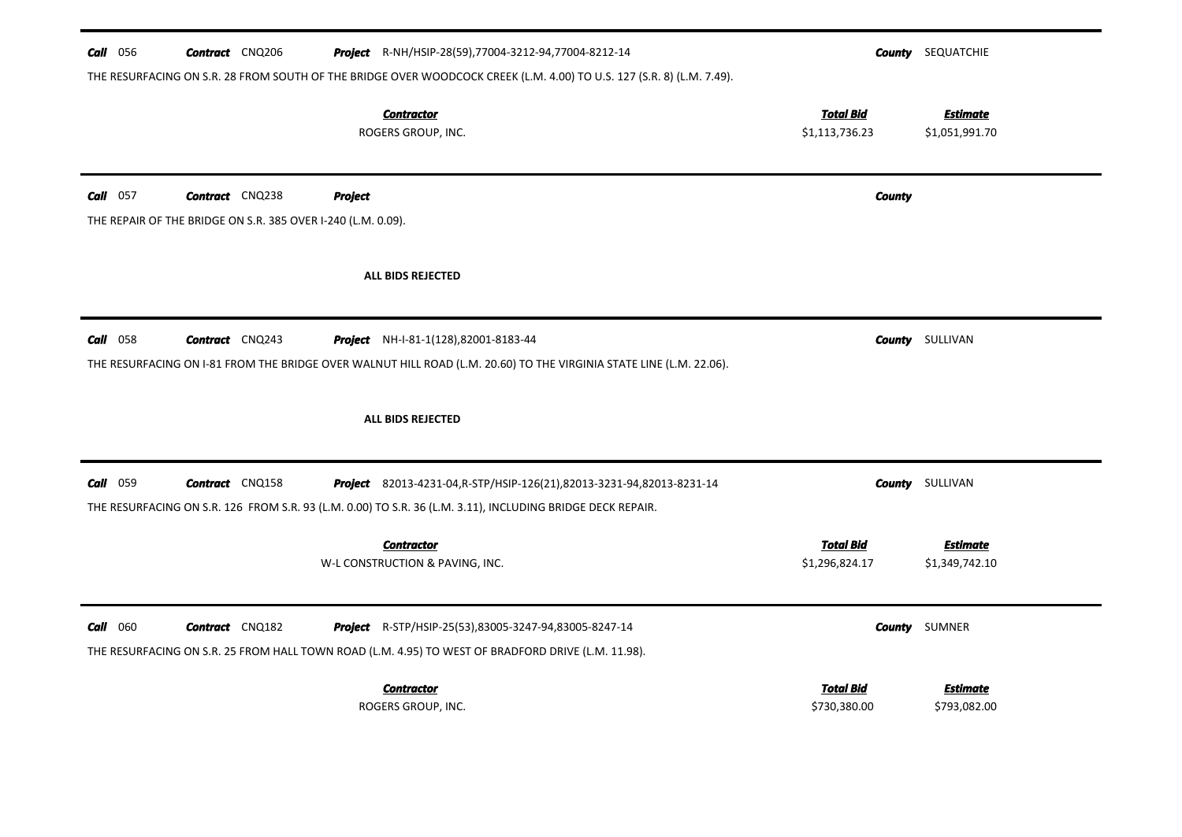| Call 056<br><b>Contract</b> CNQ206<br>Project R-NH/HSIP-28(59),77004-3212-94,77004-8212-14<br>THE RESURFACING ON S.R. 28 FROM SOUTH OF THE BRIDGE OVER WOODCOCK CREEK (L.M. 4.00) TO U.S. 127 (S.R. 8) (L.M. 7.49). |                                    | <b>County</b> SEQUATCHIE          |
|---------------------------------------------------------------------------------------------------------------------------------------------------------------------------------------------------------------------|------------------------------------|-----------------------------------|
| <b>Contractor</b><br>ROGERS GROUP, INC.                                                                                                                                                                             | <b>Total Bid</b><br>\$1,113,736.23 | <b>Estimate</b><br>\$1,051,991.70 |
| Call 057<br><b>Contract</b> CNQ238<br><b>Project</b>                                                                                                                                                                | <b>County</b>                      |                                   |
| THE REPAIR OF THE BRIDGE ON S.R. 385 OVER I-240 (L.M. 0.09).                                                                                                                                                        |                                    |                                   |
| <b>ALL BIDS REJECTED</b>                                                                                                                                                                                            |                                    |                                   |
| <b>Contract</b> CNQ243<br><b>Call</b> 058<br><b>Project</b> NH-I-81-1(128),82001-8183-44                                                                                                                            |                                    | <b>County</b> SULLIVAN            |
| THE RESURFACING ON I-81 FROM THE BRIDGE OVER WALNUT HILL ROAD (L.M. 20.60) TO THE VIRGINIA STATE LINE (L.M. 22.06).                                                                                                 |                                    |                                   |
| <b>ALL BIDS REJECTED</b>                                                                                                                                                                                            |                                    |                                   |
| Call 059<br><b>Contract</b> CNQ158<br>Project 82013-4231-04, R-STP/HSIP-126(21), 82013-3231-94, 82013-8231-14                                                                                                       | County                             | SULLIVAN                          |
| THE RESURFACING ON S.R. 126 FROM S.R. 93 (L.M. 0.00) TO S.R. 36 (L.M. 3.11), INCLUDING BRIDGE DECK REPAIR.                                                                                                          |                                    |                                   |
| <b>Contractor</b><br>W-L CONSTRUCTION & PAVING, INC.                                                                                                                                                                | <b>Total Bid</b><br>\$1,296,824.17 | <b>Estimate</b><br>\$1,349,742.10 |
| $Call$ 060<br><b>Contract</b> CNQ182<br><b>Project</b> R-STP/HSIP-25(53),83005-3247-94,83005-8247-14                                                                                                                |                                    | <b>County</b> SUMNER              |
| THE RESURFACING ON S.R. 25 FROM HALL TOWN ROAD (L.M. 4.95) TO WEST OF BRADFORD DRIVE (L.M. 11.98).                                                                                                                  |                                    |                                   |
| <b>Contractor</b><br>ROGERS GROUP, INC.                                                                                                                                                                             | <b>Total Bid</b><br>\$730,380.00   | <b>Estimate</b><br>\$793,082.00   |
|                                                                                                                                                                                                                     |                                    |                                   |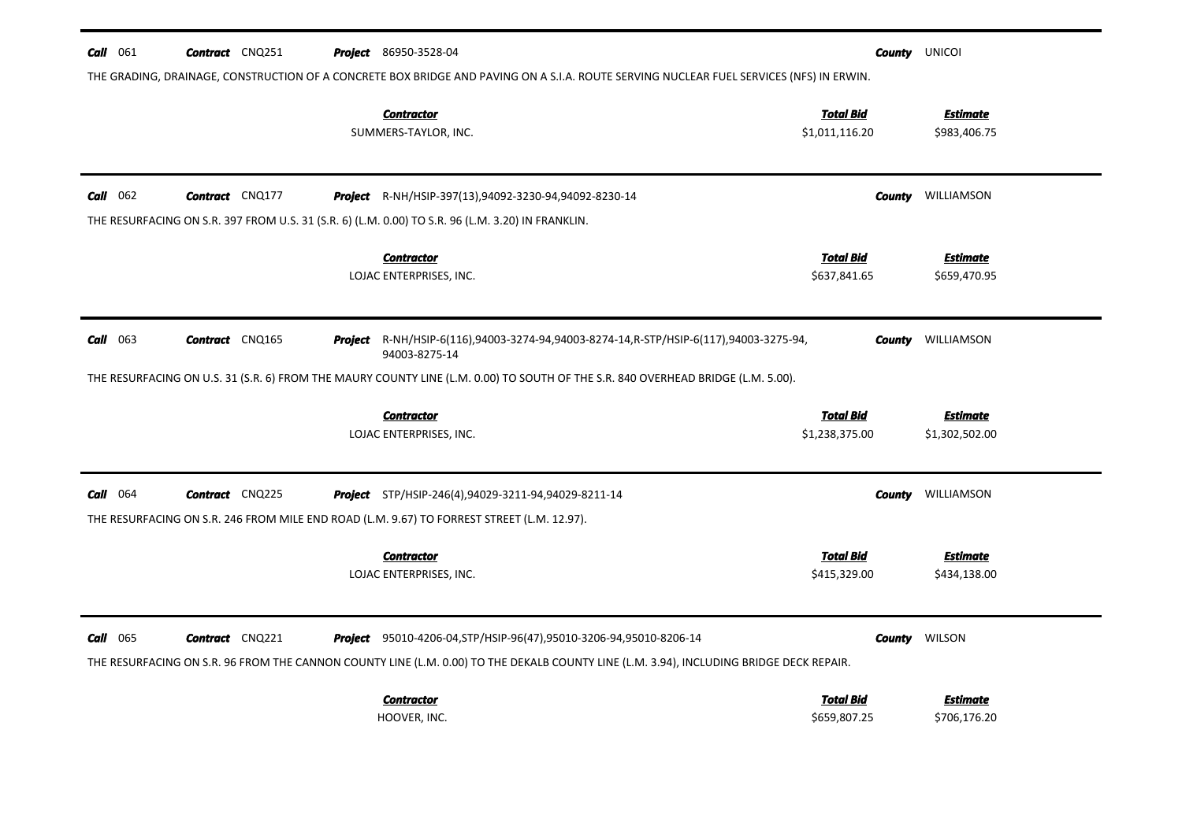| Call 061        | <b>Contract</b> CNQ251 |         | <b>Project</b> 86950-3528-04                                                                                                                                                                                           |                                    |               | <b>County</b> UNICOI              |
|-----------------|------------------------|---------|------------------------------------------------------------------------------------------------------------------------------------------------------------------------------------------------------------------------|------------------------------------|---------------|-----------------------------------|
|                 |                        |         | THE GRADING, DRAINAGE, CONSTRUCTION OF A CONCRETE BOX BRIDGE AND PAVING ON A S.I.A. ROUTE SERVING NUCLEAR FUEL SERVICES (NFS) IN ERWIN.<br><b>Contractor</b><br>SUMMERS-TAYLOR, INC.                                   | <b>Total Bid</b><br>\$1,011,116.20 |               | <b>Estimate</b><br>\$983,406.75   |
| 062<br>Call     | <b>Contract</b> CNQ177 |         | Project R-NH/HSIP-397(13),94092-3230-94,94092-8230-14<br>THE RESURFACING ON S.R. 397 FROM U.S. 31 (S.R. 6) (L.M. 0.00) TO S.R. 96 (L.M. 3.20) IN FRANKLIN.                                                             |                                    | County        | WILLIAMSON                        |
|                 |                        |         | <b>Contractor</b><br>LOJAC ENTERPRISES, INC.                                                                                                                                                                           | <b>Total Bid</b><br>\$637,841.65   |               | <b>Estimate</b><br>\$659,470.95   |
| $Call$ 063      | <b>Contract</b> CNQ165 | Project | R-NH/HSIP-6(116),94003-3274-94,94003-8274-14,R-STP/HSIP-6(117),94003-3275-94,<br>94003-8275-14                                                                                                                         |                                    | <b>County</b> | WILLIAMSON                        |
|                 |                        |         | THE RESURFACING ON U.S. 31 (S.R. 6) FROM THE MAURY COUNTY LINE (L.M. 0.00) TO SOUTH OF THE S.R. 840 OVERHEAD BRIDGE (L.M. 5.00).                                                                                       |                                    |               |                                   |
|                 |                        |         | <b>Contractor</b><br>LOJAC ENTERPRISES, INC.                                                                                                                                                                           | <b>Total Bid</b><br>\$1,238,375.00 |               | <b>Estimate</b><br>\$1,302,502.00 |
| <b>Call</b> 064 | <b>Contract</b> CNQ225 |         | <b>Project</b> STP/HSIP-246(4),94029-3211-94,94029-8211-14<br>THE RESURFACING ON S.R. 246 FROM MILE END ROAD (L.M. 9.67) TO FORREST STREET (L.M. 12.97).                                                               |                                    | County        | WILLIAMSON                        |
|                 |                        |         | <b>Contractor</b><br>LOJAC ENTERPRISES, INC.                                                                                                                                                                           | <b>Total Bid</b><br>\$415,329.00   |               | <b>Estimate</b><br>\$434,138.00   |
| $Call$ 065      | <b>Contract</b> CNQ221 |         | <b>Project</b> 95010-4206-04, STP/HSIP-96(47), 95010-3206-94, 95010-8206-14<br>THE RESURFACING ON S.R. 96 FROM THE CANNON COUNTY LINE (L.M. 0.00) TO THE DEKALB COUNTY LINE (L.M. 3.94), INCLUDING BRIDGE DECK REPAIR. |                                    |               | <b>County</b> WILSON              |
|                 |                        |         | <b>Contractor</b><br>HOOVER, INC.                                                                                                                                                                                      | <b>Total Bid</b><br>\$659,807.25   |               | <b>Estimate</b><br>\$706,176.20   |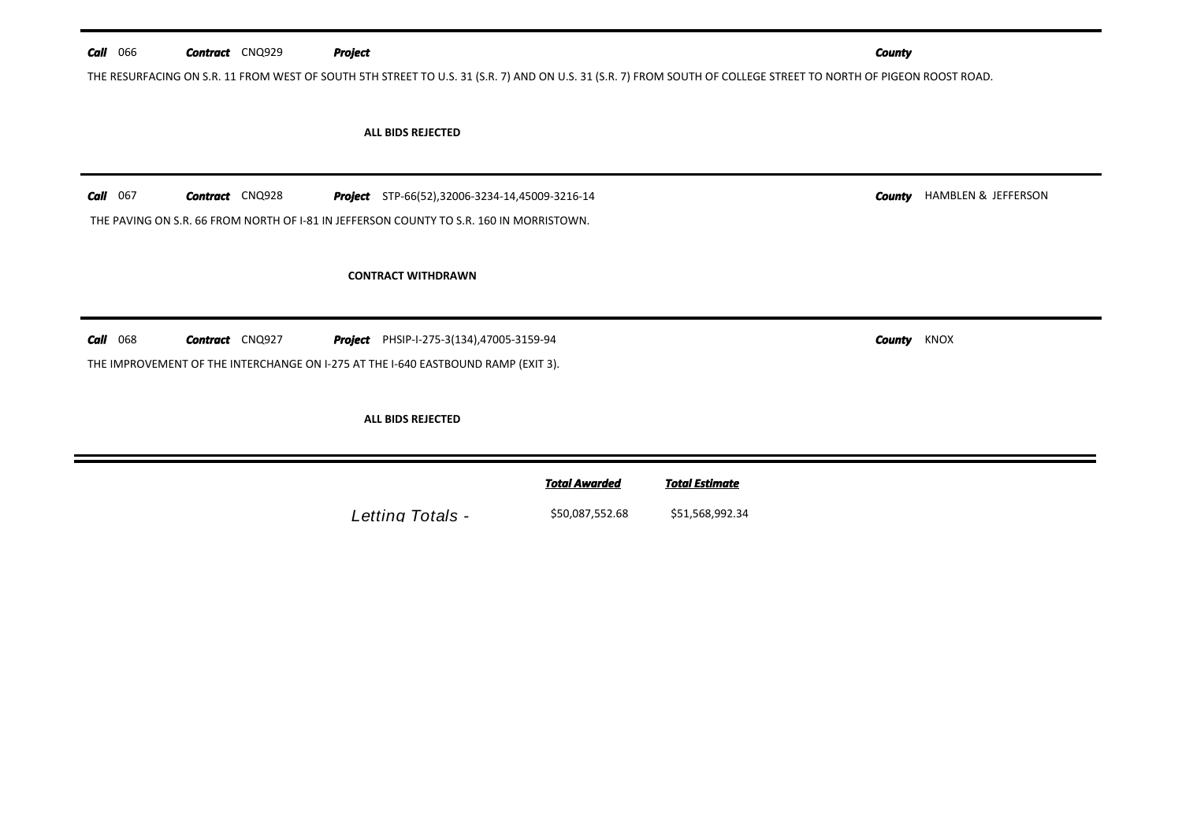| <b>Call</b> 066 | <b>Contract</b> CNQ929 | <b>Project</b>                                                                                                                                                   |                      |                       | <b>County</b>  |                     |
|-----------------|------------------------|------------------------------------------------------------------------------------------------------------------------------------------------------------------|----------------------|-----------------------|----------------|---------------------|
|                 |                        | THE RESURFACING ON S.R. 11 FROM WEST OF SOUTH 5TH STREET TO U.S. 31 (S.R. 7) AND ON U.S. 31 (S.R. 7) FROM SOUTH OF COLLEGE STREET TO NORTH OF PIGEON ROOST ROAD. |                      |                       |                |                     |
|                 |                        | ALL BIDS REJECTED                                                                                                                                                |                      |                       |                |                     |
| <b>Call</b> 067 | <b>Contract</b> CNQ928 | <b>Project</b> STP-66(52),32006-3234-14,45009-3216-14<br>THE PAVING ON S.R. 66 FROM NORTH OF I-81 IN JEFFERSON COUNTY TO S.R. 160 IN MORRISTOWN.                 |                      |                       | County         | HAMBLEN & JEFFERSON |
|                 |                        | <b>CONTRACT WITHDRAWN</b>                                                                                                                                        |                      |                       |                |                     |
| <b>Call</b> 068 | <b>Contract</b> CNQ927 | <b>Project</b> PHSIP-I-275-3(134),47005-3159-94<br>THE IMPROVEMENT OF THE INTERCHANGE ON I-275 AT THE I-640 EASTBOUND RAMP (EXIT 3).                             |                      |                       | KNOX<br>County |                     |
|                 |                        | ALL BIDS REJECTED                                                                                                                                                |                      |                       |                |                     |
|                 |                        |                                                                                                                                                                  | <b>Total Awarded</b> | <b>Total Estimate</b> |                |                     |
|                 |                        | Letting Totals -                                                                                                                                                 | \$50,087,552.68      | \$51,568,992.34       |                |                     |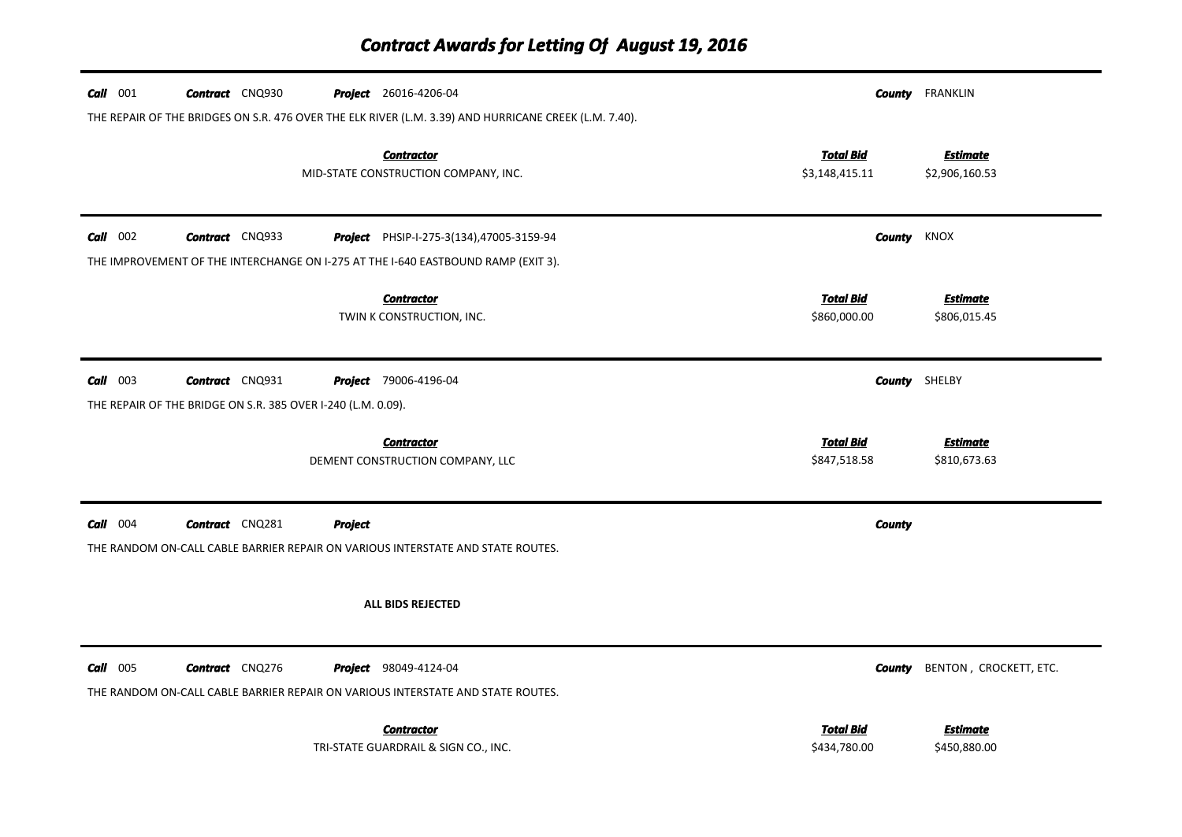### *Contract Awards for Letting Of August 19, 2016*

| $Call$ 001 | <b>Contract</b> CNQ930                                       |                | <b>Project</b> 26016-4206-04                                                                                    |                                    | <b>County</b> FRANKLIN            |
|------------|--------------------------------------------------------------|----------------|-----------------------------------------------------------------------------------------------------------------|------------------------------------|-----------------------------------|
|            |                                                              |                | THE REPAIR OF THE BRIDGES ON S.R. 476 OVER THE ELK RIVER (L.M. 3.39) AND HURRICANE CREEK (L.M. 7.40).           |                                    |                                   |
|            |                                                              |                | <b>Contractor</b><br>MID-STATE CONSTRUCTION COMPANY, INC.                                                       | <b>Total Bid</b><br>\$3,148,415.11 | <b>Estimate</b><br>\$2,906,160.53 |
| $Call$ 002 | <b>Contract</b> CNQ933                                       |                | Project PHSIP-I-275-3(134),47005-3159-94                                                                        |                                    | <b>County</b> KNOX                |
|            |                                                              |                | THE IMPROVEMENT OF THE INTERCHANGE ON I-275 AT THE I-640 EASTBOUND RAMP (EXIT 3).                               |                                    |                                   |
|            |                                                              |                | <b>Contractor</b><br>TWIN K CONSTRUCTION, INC.                                                                  | <b>Total Bid</b><br>\$860,000.00   | <b>Estimate</b><br>\$806,015.45   |
| $Call$ 003 | <b>Contract</b> CNQ931                                       |                | <b>Project</b> 79006-4196-04                                                                                    |                                    | <b>County</b> SHELBY              |
|            | THE REPAIR OF THE BRIDGE ON S.R. 385 OVER I-240 (L.M. 0.09). |                |                                                                                                                 |                                    |                                   |
|            |                                                              |                | <b>Contractor</b><br>DEMENT CONSTRUCTION COMPANY, LLC                                                           | <b>Total Bid</b><br>\$847,518.58   | <b>Estimate</b><br>\$810,673.63   |
| $Call$ 004 | <b>Contract</b> CNQ281                                       | <b>Project</b> |                                                                                                                 | <b>County</b>                      |                                   |
|            |                                                              |                | THE RANDOM ON-CALL CABLE BARRIER REPAIR ON VARIOUS INTERSTATE AND STATE ROUTES.                                 |                                    |                                   |
|            |                                                              |                | ALL BIDS REJECTED                                                                                               |                                    |                                   |
| $Call$ 005 | <b>Contract</b> CNQ276                                       |                | <b>Project</b> 98049-4124-04<br>THE RANDOM ON-CALL CABLE BARRIER REPAIR ON VARIOUS INTERSTATE AND STATE ROUTES. | County                             | BENTON, CROCKETT, ETC.            |
|            |                                                              |                | <b>Contractor</b><br>TRI-STATE GUARDRAIL & SIGN CO., INC.                                                       | <b>Total Bid</b><br>\$434,780.00   | <b>Estimate</b><br>\$450,880.00   |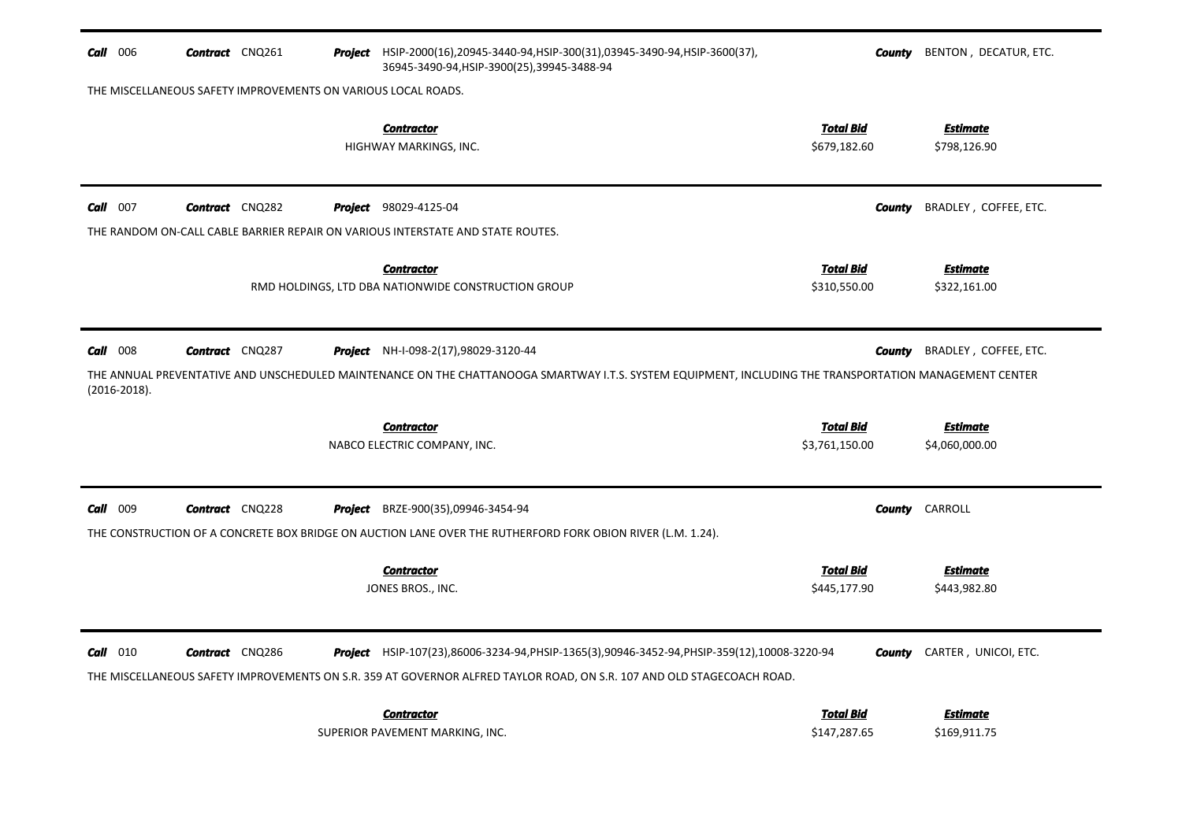| $Call$ 006       | <b>Contract</b> CNQ261                                        | <b>Project</b> HSIP-2000(16),20945-3440-94, HSIP-300(31),03945-3490-94, HSIP-3600(37),<br>36945-3490-94, HSIP-3900(25), 39945-3488-94                                                                                | County                           | BENTON, DECATUR, ETC.              |
|------------------|---------------------------------------------------------------|----------------------------------------------------------------------------------------------------------------------------------------------------------------------------------------------------------------------|----------------------------------|------------------------------------|
|                  | THE MISCELLANEOUS SAFETY IMPROVEMENTS ON VARIOUS LOCAL ROADS. |                                                                                                                                                                                                                      |                                  |                                    |
|                  |                                                               | <b>Contractor</b><br>HIGHWAY MARKINGS, INC.                                                                                                                                                                          | <b>Total Bid</b><br>\$679,182.60 | <u>Estimate</u><br>\$798,126.90    |
| 007<br>Call      | <b>Contract</b> CNQ282                                        | <b>Project</b> 98029-4125-04                                                                                                                                                                                         | <b>County</b>                    | BRADLEY, COFFEE, ETC.              |
|                  |                                                               | THE RANDOM ON-CALL CABLE BARRIER REPAIR ON VARIOUS INTERSTATE AND STATE ROUTES.                                                                                                                                      |                                  |                                    |
|                  |                                                               | <b>Contractor</b><br>RMD HOLDINGS, LTD DBA NATIONWIDE CONSTRUCTION GROUP                                                                                                                                             | <b>Total Bid</b><br>\$310,550.00 | <u>Estimate</u><br>\$322,161.00    |
| <b>Call</b> 008  | <b>Contract</b> CNQ287                                        | <b>Project</b> NH-I-098-2(17),98029-3120-44                                                                                                                                                                          | County                           | BRADLEY, COFFEE, ETC.              |
| $(2016 - 2018).$ |                                                               | THE ANNUAL PREVENTATIVE AND UNSCHEDULED MAINTENANCE ON THE CHATTANOOGA SMARTWAY I.T.S. SYSTEM EQUIPMENT, INCLUDING THE TRANSPORTATION MANAGEMENT CENTER                                                              |                                  |                                    |
|                  |                                                               | <b>Contractor</b>                                                                                                                                                                                                    | <b>Total Bid</b>                 | <b>Estimate</b>                    |
|                  |                                                               | NABCO ELECTRIC COMPANY, INC.                                                                                                                                                                                         | \$3,761,150.00                   | \$4,060,000.00                     |
| Call 009         | <b>Contract</b> CNQ228                                        | <b>Project</b> BRZE-900(35),09946-3454-94                                                                                                                                                                            | <b>County</b>                    | CARROLL                            |
|                  |                                                               | THE CONSTRUCTION OF A CONCRETE BOX BRIDGE ON AUCTION LANE OVER THE RUTHERFORD FORK OBION RIVER (L.M. 1.24).                                                                                                          |                                  |                                    |
|                  |                                                               | <b>Contractor</b>                                                                                                                                                                                                    | <b>Total Bid</b>                 | <b>Estimate</b>                    |
|                  |                                                               | JONES BROS., INC.                                                                                                                                                                                                    | \$445,177.90                     | \$443,982.80                       |
| $Call$ 010       | <b>Contract</b> CNQ286                                        | Project HSIP-107(23),86006-3234-94,PHSIP-1365(3),90946-3452-94,PHSIP-359(12),10008-3220-94<br>THE MISCELLANEOUS SAFETY IMPROVEMENTS ON S.R. 359 AT GOVERNOR ALFRED TAYLOR ROAD, ON S.R. 107 AND OLD STAGECOACH ROAD. |                                  | <b>County</b> CARTER, UNICOI, ETC. |
|                  |                                                               | <b>Contractor</b><br>SUPERIOR PAVEMENT MARKING, INC.                                                                                                                                                                 | <b>Total Bid</b><br>\$147,287.65 | <b>Estimate</b><br>\$169,911.75    |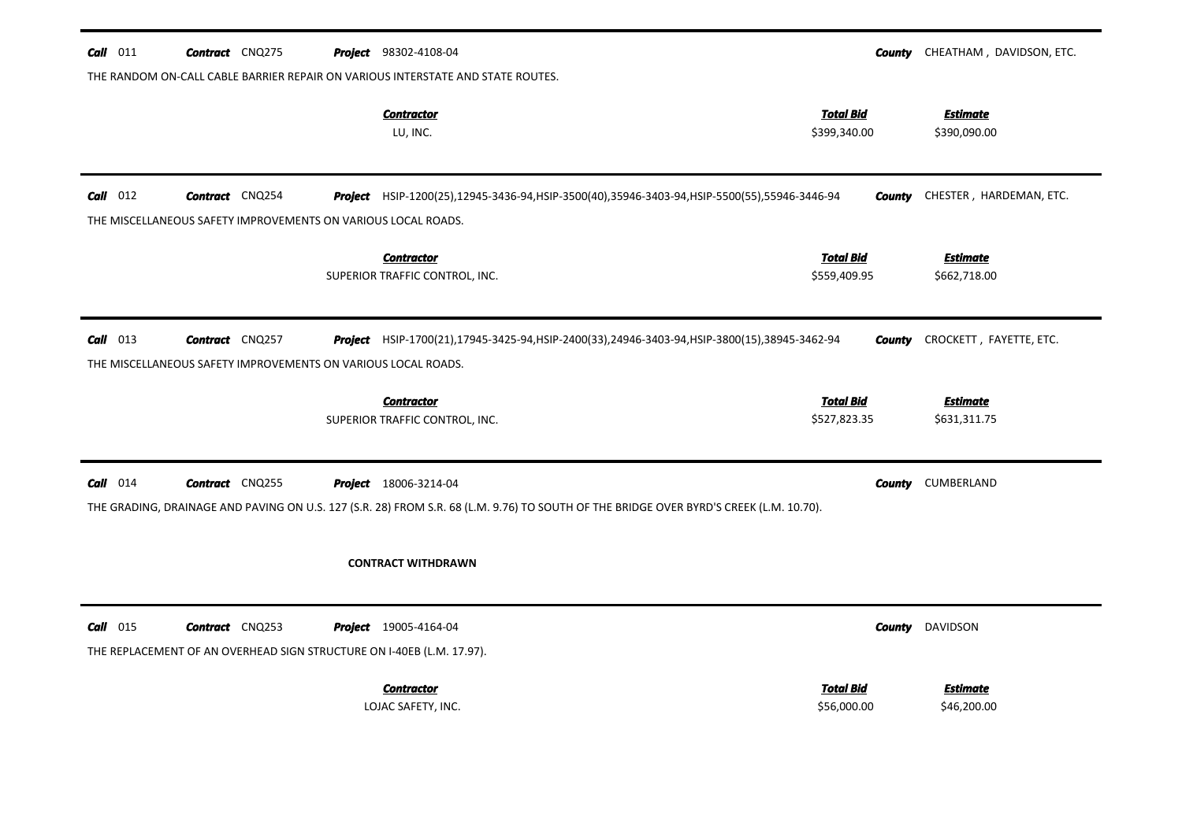| Call 011   | <b>Contract</b> CNQ275 |                                                               | <b>Project</b> 98302-4108-04                                                                          |                                                                                                                                        | County        | CHEATHAM, DAVIDSON, ETC.        |
|------------|------------------------|---------------------------------------------------------------|-------------------------------------------------------------------------------------------------------|----------------------------------------------------------------------------------------------------------------------------------------|---------------|---------------------------------|
|            |                        |                                                               | THE RANDOM ON-CALL CABLE BARRIER REPAIR ON VARIOUS INTERSTATE AND STATE ROUTES.                       |                                                                                                                                        |               |                                 |
|            |                        |                                                               | <b>Contractor</b><br>LU, INC.                                                                         | <b>Total Bid</b><br>\$399,340.00                                                                                                       |               | <b>Estimate</b><br>\$390,090.00 |
| $Call$ 012 | <b>Contract</b> CNQ254 |                                                               |                                                                                                       | Project HSIP-1200(25),12945-3436-94,HSIP-3500(40),35946-3403-94,HSIP-5500(55),55946-3446-94                                            | <b>County</b> | CHESTER, HARDEMAN, ETC.         |
|            |                        | THE MISCELLANEOUS SAFETY IMPROVEMENTS ON VARIOUS LOCAL ROADS. |                                                                                                       |                                                                                                                                        |               |                                 |
|            |                        |                                                               | <b>Contractor</b><br>SUPERIOR TRAFFIC CONTROL, INC.                                                   | <b>Total Bid</b><br>\$559,409.95                                                                                                       |               | <b>Estimate</b><br>\$662,718.00 |
| $Call$ 013 | <b>Contract</b> CNQ257 | THE MISCELLANEOUS SAFETY IMPROVEMENTS ON VARIOUS LOCAL ROADS. |                                                                                                       | Project HSIP-1700(21),17945-3425-94,HSIP-2400(33),24946-3403-94,HSIP-3800(15),38945-3462-94                                            | <b>County</b> | CROCKETT, FAYETTE, ETC.         |
|            |                        |                                                               | <b>Contractor</b>                                                                                     | <b>Total Bid</b>                                                                                                                       |               | <b>Estimate</b>                 |
|            |                        |                                                               | SUPERIOR TRAFFIC CONTROL, INC.                                                                        | \$527,823.35                                                                                                                           |               | \$631,311.75                    |
| $Call$ 014 | <b>Contract</b> CNQ255 |                                                               | <b>Project</b> 18006-3214-04                                                                          | THE GRADING, DRAINAGE AND PAVING ON U.S. 127 (S.R. 28) FROM S.R. 68 (L.M. 9.76) TO SOUTH OF THE BRIDGE OVER BYRD'S CREEK (L.M. 10.70). | <b>County</b> | CUMBERLAND                      |
|            |                        |                                                               | <b>CONTRACT WITHDRAWN</b>                                                                             |                                                                                                                                        |               |                                 |
| $Call$ 015 | <b>Contract</b> CNQ253 |                                                               | <b>Project</b> 19005-4164-04<br>THE REPLACEMENT OF AN OVERHEAD SIGN STRUCTURE ON I-40EB (L.M. 17.97). |                                                                                                                                        | County        | DAVIDSON                        |
|            |                        |                                                               | <b>Contractor</b>                                                                                     | <b>Total Bid</b>                                                                                                                       |               | <b>Estimate</b>                 |
|            |                        |                                                               | LOJAC SAFETY, INC.                                                                                    | \$56,000.00                                                                                                                            |               | \$46,200.00                     |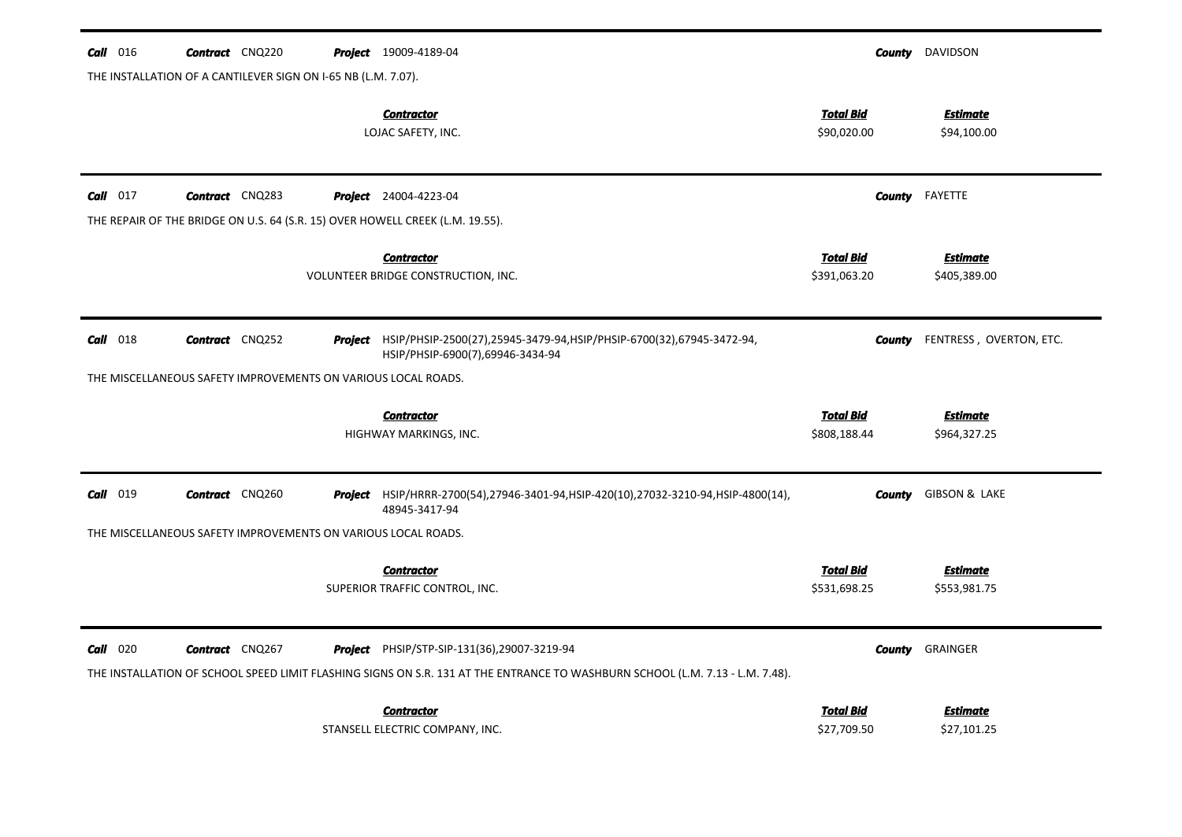| Call<br>016     | <b>Contract</b> CNQ220                                        | <b>Project</b> 19009-4189-04                                                                                                                                                 | County                           | DAVIDSON                        |
|-----------------|---------------------------------------------------------------|------------------------------------------------------------------------------------------------------------------------------------------------------------------------------|----------------------------------|---------------------------------|
|                 | THE INSTALLATION OF A CANTILEVER SIGN ON I-65 NB (L.M. 7.07). |                                                                                                                                                                              |                                  |                                 |
|                 |                                                               | <b>Contractor</b><br>LOJAC SAFETY, INC.                                                                                                                                      | <b>Total Bid</b><br>\$90,020.00  | <b>Estimate</b><br>\$94,100.00  |
| $Call$ 017      | <b>Contract</b> CNQ283                                        | <b>Project</b> 24004-4223-04                                                                                                                                                 | County                           | FAYETTE                         |
|                 |                                                               | THE REPAIR OF THE BRIDGE ON U.S. 64 (S.R. 15) OVER HOWELL CREEK (L.M. 19.55).                                                                                                |                                  |                                 |
|                 |                                                               | <b>Contractor</b><br>VOLUNTEER BRIDGE CONSTRUCTION, INC.                                                                                                                     | <b>Total Bid</b><br>\$391,063.20 | <b>Estimate</b><br>\$405,389.00 |
| Call<br>018     | <b>Contract</b> CNQ252                                        | Project HSIP/PHSIP-2500(27),25945-3479-94, HSIP/PHSIP-6700(32),67945-3472-94,<br>HSIP/PHSIP-6900(7),69946-3434-94                                                            | County                           | FENTRESS, OVERTON, ETC.         |
|                 | THE MISCELLANEOUS SAFETY IMPROVEMENTS ON VARIOUS LOCAL ROADS. |                                                                                                                                                                              |                                  |                                 |
|                 |                                                               | <b>Contractor</b><br>HIGHWAY MARKINGS, INC.                                                                                                                                  | <b>Total Bid</b><br>\$808,188.44 | <b>Estimate</b><br>\$964,327.25 |
| 019<br>Call     | <b>Contract</b> CNQ260                                        | Project HSIP/HRRR-2700(54),27946-3401-94,HSIP-420(10),27032-3210-94,HSIP-4800(14),<br>48945-3417-94                                                                          | <b>County</b>                    | <b>GIBSON &amp; LAKE</b>        |
|                 | THE MISCELLANEOUS SAFETY IMPROVEMENTS ON VARIOUS LOCAL ROADS. |                                                                                                                                                                              |                                  |                                 |
|                 |                                                               | <b>Contractor</b><br>SUPERIOR TRAFFIC CONTROL, INC.                                                                                                                          | <b>Total Bid</b><br>\$531,698.25 | <b>Estimate</b><br>\$553,981.75 |
| <b>Call</b> 020 | <b>Contract</b> CNQ267                                        | Project PHSIP/STP-SIP-131(36),29007-3219-94<br>THE INSTALLATION OF SCHOOL SPEED LIMIT FLASHING SIGNS ON S.R. 131 AT THE ENTRANCE TO WASHBURN SCHOOL (L.M. 7.13 - L.M. 7.48). |                                  | <b>County GRAINGER</b>          |
|                 |                                                               | <b>Contractor</b><br>STANSELL ELECTRIC COMPANY, INC.                                                                                                                         | <b>Total Bid</b><br>\$27,709.50  | <b>Estimate</b><br>\$27,101.25  |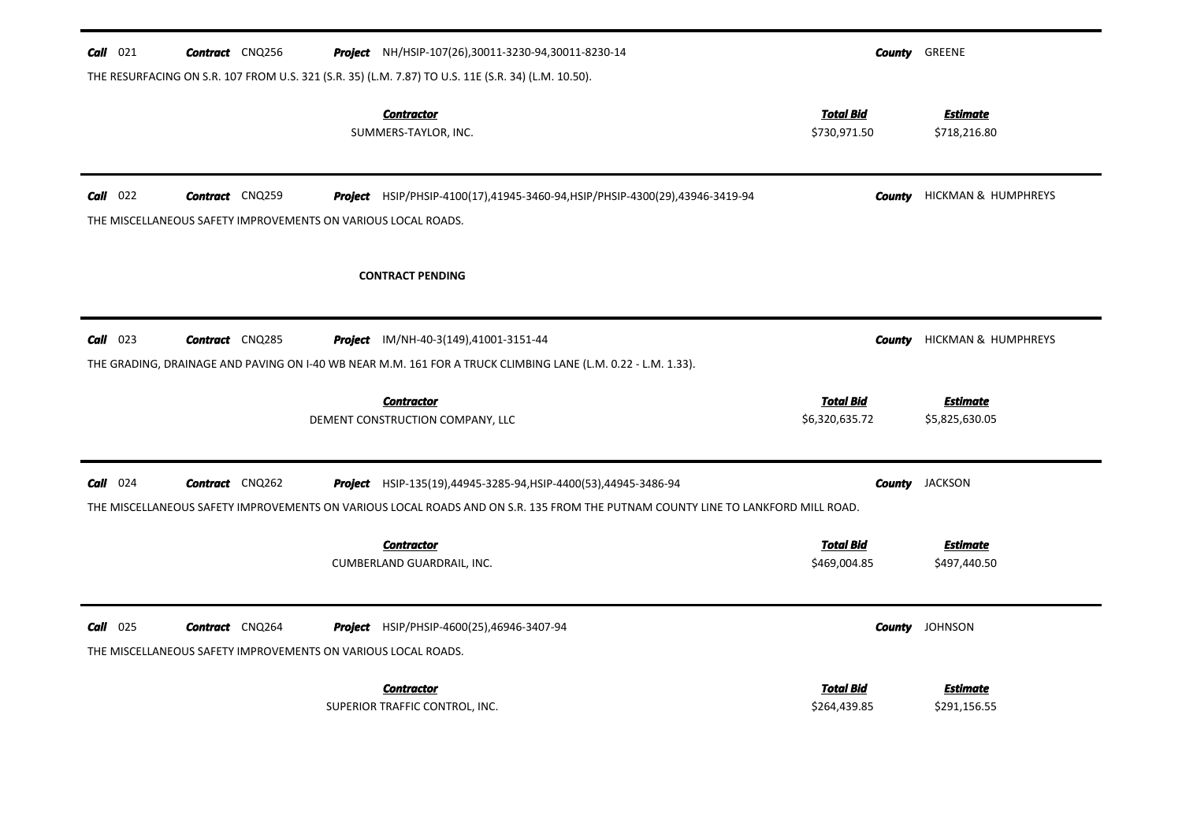| $Call$ 021 | <b>Contract</b> CNQ256                                        | <b>Project</b> NH/HSIP-107(26),30011-3230-94,30011-8230-14                                                                      |                                    | <b>County GREENE</b>              |
|------------|---------------------------------------------------------------|---------------------------------------------------------------------------------------------------------------------------------|------------------------------------|-----------------------------------|
|            |                                                               | THE RESURFACING ON S.R. 107 FROM U.S. 321 (S.R. 35) (L.M. 7.87) TO U.S. 11E (S.R. 34) (L.M. 10.50).                             |                                    |                                   |
|            |                                                               | <b>Contractor</b><br>SUMMERS-TAYLOR, INC.                                                                                       | <b>Total Bid</b><br>\$730,971.50   | <b>Estimate</b><br>\$718,216.80   |
| $Call$ 022 | <b>Contract</b> CNQ259                                        | Project HSIP/PHSIP-4100(17),41945-3460-94, HSIP/PHSIP-4300(29),43946-3419-94                                                    |                                    | <b>County</b> HICKMAN & HUMPHREYS |
|            | THE MISCELLANEOUS SAFETY IMPROVEMENTS ON VARIOUS LOCAL ROADS. |                                                                                                                                 |                                    |                                   |
|            |                                                               | <b>CONTRACT PENDING</b>                                                                                                         |                                    |                                   |
| $Call$ 023 | <b>Contract</b> CNQ285                                        | <b>Project</b> IM/NH-40-3(149),41001-3151-44                                                                                    | County                             | HICKMAN & HUMPHREYS               |
|            |                                                               | THE GRADING, DRAINAGE AND PAVING ON 1-40 WB NEAR M.M. 161 FOR A TRUCK CLIMBING LANE (L.M. 0.22 - L.M. 1.33).                    |                                    |                                   |
|            |                                                               |                                                                                                                                 |                                    |                                   |
|            |                                                               | <b>Contractor</b><br>DEMENT CONSTRUCTION COMPANY, LLC                                                                           | <b>Total Bid</b><br>\$6,320,635.72 | <b>Estimate</b><br>\$5,825,630.05 |
|            |                                                               |                                                                                                                                 |                                    |                                   |
| $Call$ 024 | <b>Contract</b> CNQ262                                        | Project HSIP-135(19),44945-3285-94, HSIP-4400(53),44945-3486-94                                                                 | County                             | <b>JACKSON</b>                    |
|            |                                                               | THE MISCELLANEOUS SAFETY IMPROVEMENTS ON VARIOUS LOCAL ROADS AND ON S.R. 135 FROM THE PUTNAM COUNTY LINE TO LANKFORD MILL ROAD. |                                    |                                   |
|            |                                                               | <b>Contractor</b>                                                                                                               | <b>Total Bid</b>                   | <b>Estimate</b>                   |
|            |                                                               |                                                                                                                                 |                                    |                                   |
|            |                                                               | CUMBERLAND GUARDRAIL, INC.                                                                                                      | \$469,004.85                       | \$497,440.50                      |
|            |                                                               |                                                                                                                                 |                                    |                                   |
| $Call$ 025 | <b>Contract</b> CNQ264                                        | <b>Project</b> HSIP/PHSIP-4600(25),46946-3407-94                                                                                |                                    | <b>County</b> JOHNSON             |
|            | THE MISCELLANEOUS SAFETY IMPROVEMENTS ON VARIOUS LOCAL ROADS. |                                                                                                                                 |                                    |                                   |
|            |                                                               | <b>Contractor</b>                                                                                                               | <b>Total Bid</b>                   | <b>Estimate</b>                   |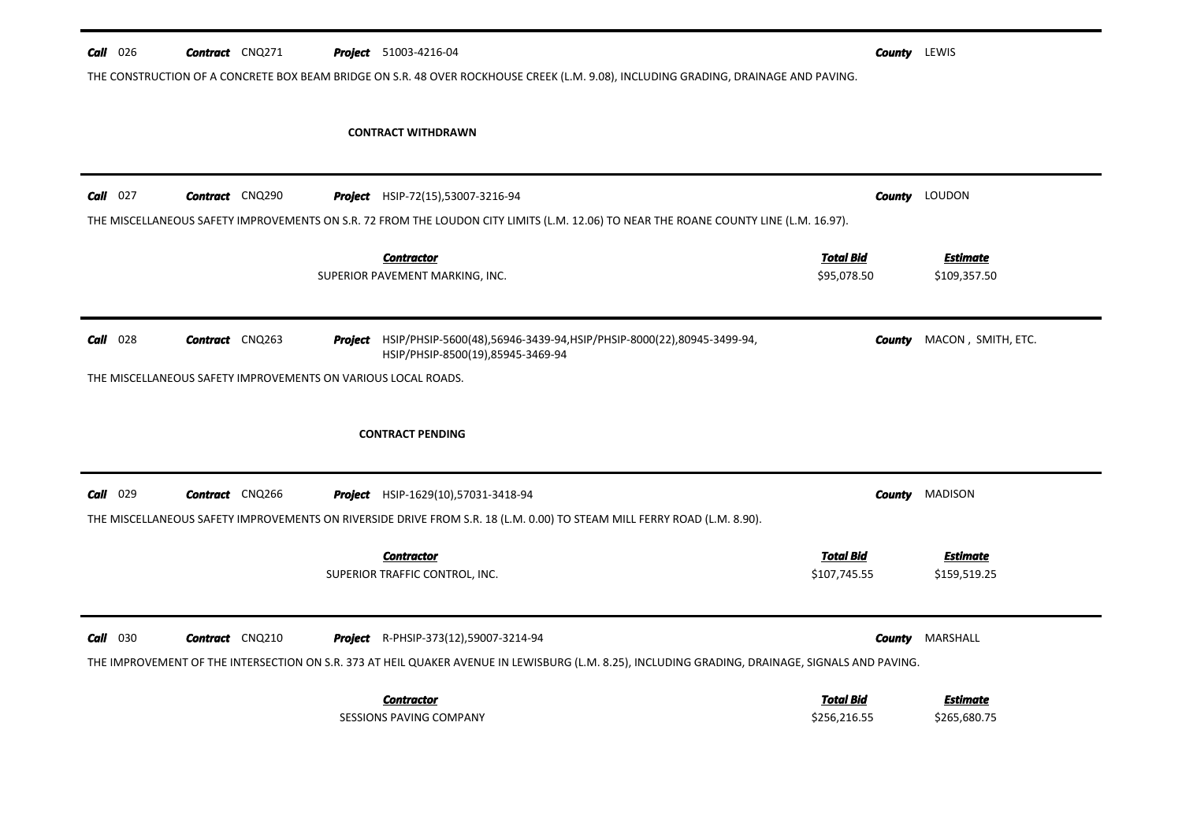| $Call$ 026               | <b>Contract</b> CNQ271 |  | <b>Project</b> 51003-4216-04                                                                                                                     |                  | <b>County</b> LEWIS |                                  |
|--------------------------|------------------------|--|--------------------------------------------------------------------------------------------------------------------------------------------------|------------------|---------------------|----------------------------------|
|                          |                        |  | THE CONSTRUCTION OF A CONCRETE BOX BEAM BRIDGE ON S.R. 48 OVER ROCKHOUSE CREEK (L.M. 9.08), INCLUDING GRADING, DRAINAGE AND PAVING.              |                  |                     |                                  |
|                          |                        |  | <b>CONTRACT WITHDRAWN</b>                                                                                                                        |                  |                     |                                  |
| $Call$ 027               | <b>Contract</b> CNQ290 |  | Project HSIP-72(15),53007-3216-94                                                                                                                |                  |                     | <b>County</b> LOUDON             |
|                          |                        |  | THE MISCELLANEOUS SAFETY IMPROVEMENTS ON S.R. 72 FROM THE LOUDON CITY LIMITS (L.M. 12.06) TO NEAR THE ROANE COUNTY LINE (L.M. 16.97).            |                  |                     |                                  |
|                          |                        |  | <b>Contractor</b>                                                                                                                                | <u>Total Bid</u> |                     | <b>Estimate</b>                  |
|                          |                        |  | SUPERIOR PAVEMENT MARKING, INC.                                                                                                                  | \$95,078.50      |                     | \$109,357.50                     |
|                          | <b>Contract</b> CNQ263 |  | Project HSIP/PHSIP-5600(48),56946-3439-94, HSIP/PHSIP-8000(22),80945-3499-94,                                                                    |                  |                     | <b>County</b> MACON, SMITH, ETC. |
|                          |                        |  |                                                                                                                                                  |                  |                     |                                  |
| $Call$ 028               |                        |  | HSIP/PHSIP-8500(19),85945-3469-94<br>THE MISCELLANEOUS SAFETY IMPROVEMENTS ON VARIOUS LOCAL ROADS.                                               |                  |                     |                                  |
|                          |                        |  | <b>CONTRACT PENDING</b>                                                                                                                          |                  |                     |                                  |
|                          | <b>Contract</b> CNQ266 |  | <b>Project</b> HSIP-1629(10),57031-3418-94                                                                                                       |                  |                     | <b>County MADISON</b>            |
|                          |                        |  | THE MISCELLANEOUS SAFETY IMPROVEMENTS ON RIVERSIDE DRIVE FROM S.R. 18 (L.M. 0.00) TO STEAM MILL FERRY ROAD (L.M. 8.90).                          |                  |                     |                                  |
|                          |                        |  | <b>Contractor</b>                                                                                                                                | <b>Total Bid</b> |                     | <b>Estimate</b>                  |
|                          |                        |  | SUPERIOR TRAFFIC CONTROL, INC.                                                                                                                   | \$107,745.55     |                     | \$159,519.25                     |
| $Call$ 029<br>$Call$ 030 | <b>Contract</b> CNQ210 |  | Project R-PHSIP-373(12),59007-3214-94                                                                                                            |                  | County              | MARSHALL                         |
|                          |                        |  | THE IMPROVEMENT OF THE INTERSECTION ON S.R. 373 AT HEIL QUAKER AVENUE IN LEWISBURG (L.M. 8.25), INCLUDING GRADING, DRAINAGE, SIGNALS AND PAVING. |                  |                     |                                  |
|                          |                        |  | <b>Contractor</b>                                                                                                                                | <b>Total Bid</b> |                     | <b>Estimate</b>                  |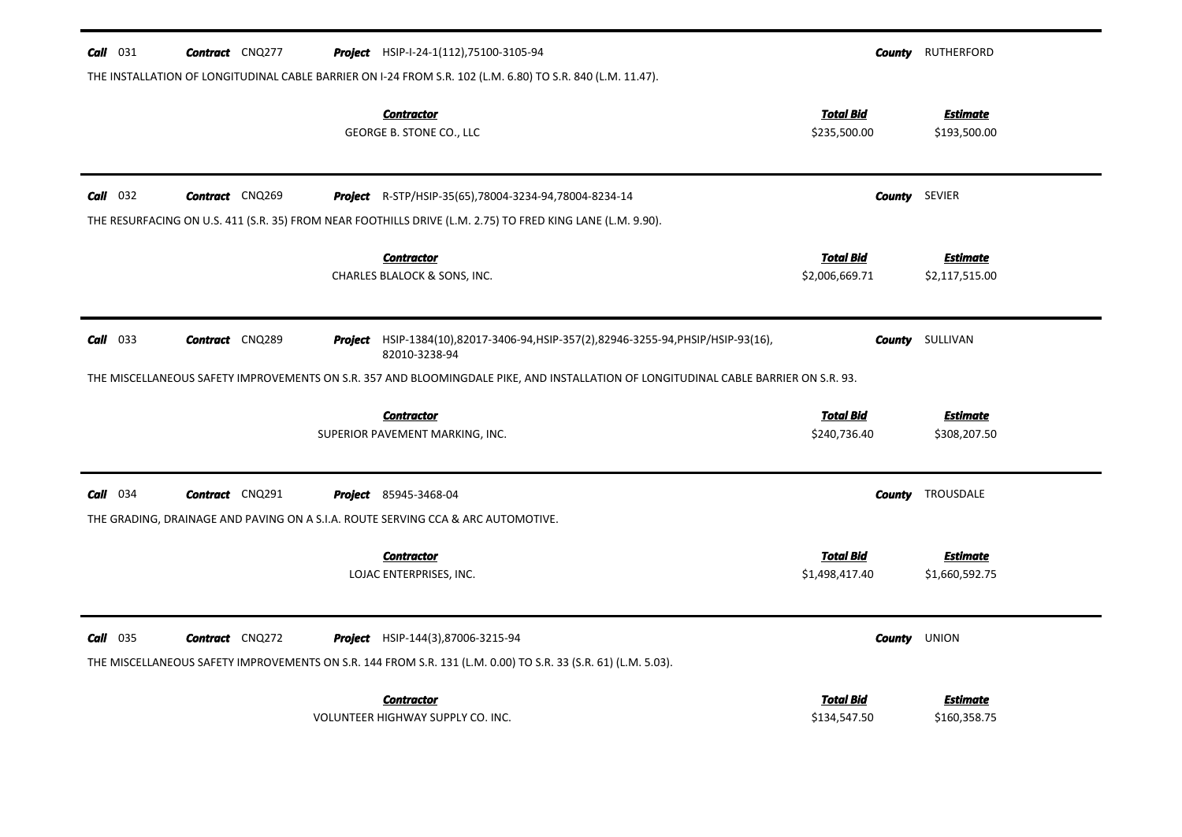| $Call$ 031      | <b>Contract</b> CNQ277 | <b>Project</b> HSIP-I-24-1(112), 75100-3105-94                                                                                                                             |                                    | <b>County</b> RUTHERFORD          |
|-----------------|------------------------|----------------------------------------------------------------------------------------------------------------------------------------------------------------------------|------------------------------------|-----------------------------------|
|                 |                        | THE INSTALLATION OF LONGITUDINAL CABLE BARRIER ON I-24 FROM S.R. 102 (L.M. 6.80) TO S.R. 840 (L.M. 11.47).<br><b>Contractor</b>                                            | <u>Total Bid</u>                   | <b>Estimate</b>                   |
|                 |                        | GEORGE B. STONE CO., LLC                                                                                                                                                   | \$235,500.00                       | \$193,500.00                      |
| $Call$ 032      | <b>Contract</b> CNQ269 | <b>Project</b> R-STP/HSIP-35(65),78004-3234-94,78004-8234-14<br>THE RESURFACING ON U.S. 411 (S.R. 35) FROM NEAR FOOTHILLS DRIVE (L.M. 2.75) TO FRED KING LANE (L.M. 9.90). | County                             | SEVIER                            |
|                 |                        | <b>Contractor</b><br>CHARLES BLALOCK & SONS, INC.                                                                                                                          | <u>Total Bid</u><br>\$2,006,669.71 | <b>Estimate</b><br>\$2,117,515.00 |
| $Call$ 033      | <b>Contract</b> CNQ289 | Project HSIP-1384(10),82017-3406-94, HSIP-357(2),82946-3255-94, PHSIP/HSIP-93(16),<br>82010-3238-94                                                                        |                                    | <b>County</b> SULLIVAN            |
|                 |                        | THE MISCELLANEOUS SAFETY IMPROVEMENTS ON S.R. 357 AND BLOOMINGDALE PIKE, AND INSTALLATION OF LONGITUDINAL CABLE BARRIER ON S.R. 93.                                        |                                    |                                   |
|                 |                        |                                                                                                                                                                            |                                    |                                   |
|                 |                        | <b>Contractor</b>                                                                                                                                                          | <b>Total Bid</b>                   | <b>Estimate</b>                   |
|                 |                        | SUPERIOR PAVEMENT MARKING, INC.                                                                                                                                            | \$240,736.40                       | \$308,207.50                      |
| $Call$ 034      | <b>Contract</b> CNQ291 | <b>Project</b> 85945-3468-04                                                                                                                                               |                                    | <b>County</b> TROUSDALE           |
|                 |                        | THE GRADING, DRAINAGE AND PAVING ON A S.I.A. ROUTE SERVING CCA & ARC AUTOMOTIVE.                                                                                           |                                    |                                   |
|                 |                        | <b>Contractor</b><br>LOJAC ENTERPRISES, INC.                                                                                                                               | <b>Total Bid</b><br>\$1,498,417.40 | <u>Estimate</u><br>\$1,660,592.75 |
| <b>Call</b> 035 | <b>Contract</b> CNQ272 | <b>Project</b> HSIP-144(3),87006-3215-94<br>THE MISCELLANEOUS SAFETY IMPROVEMENTS ON S.R. 144 FROM S.R. 131 (L.M. 0.00) TO S.R. 33 (S.R. 61) (L.M. 5.03).                  | County                             | <b>UNION</b>                      |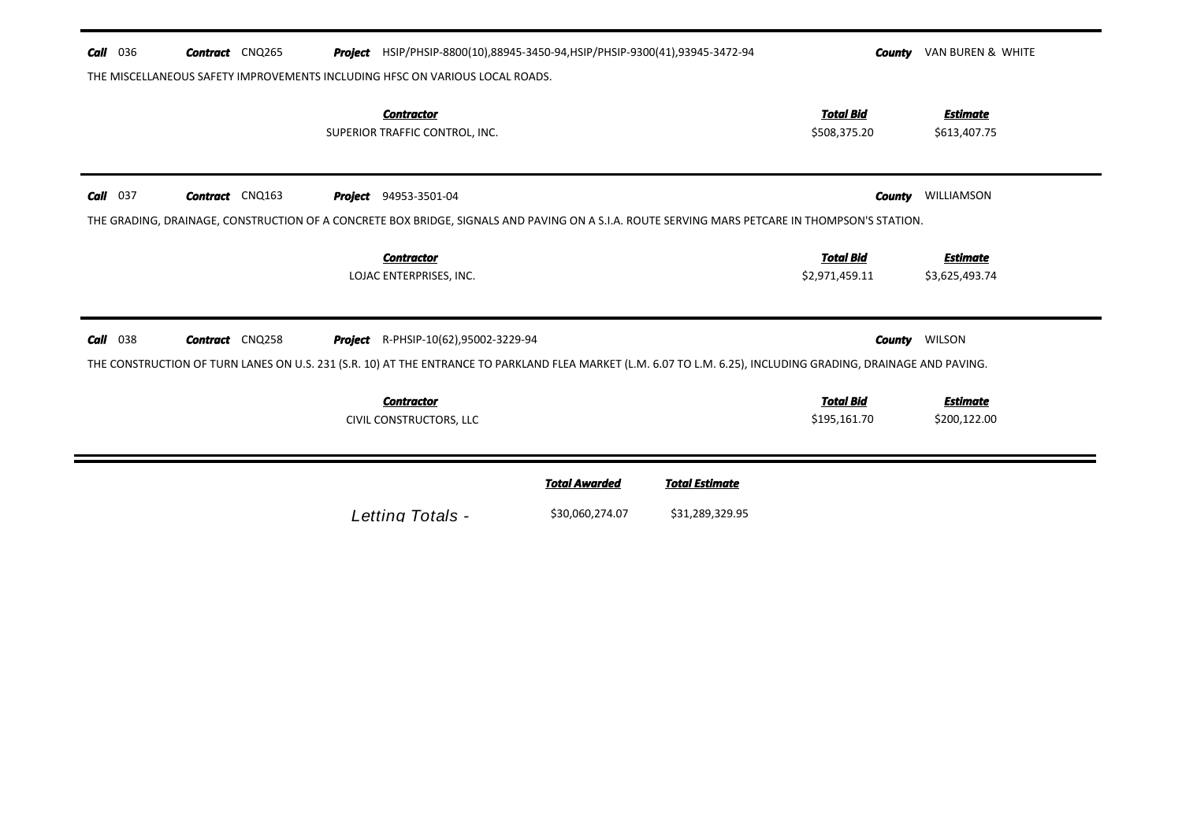| Call       | 036 | <b>Contract</b> CNQ265 |  | Project HSIP/PHSIP-8800(10),88945-3450-94, HSIP/PHSIP-9300(41),93945-3472-94                                                                                                                           |                      |                       | County                             | VAN BUREN & WHITE                 |
|------------|-----|------------------------|--|--------------------------------------------------------------------------------------------------------------------------------------------------------------------------------------------------------|----------------------|-----------------------|------------------------------------|-----------------------------------|
|            |     |                        |  | THE MISCELLANEOUS SAFETY IMPROVEMENTS INCLUDING HFSC ON VARIOUS LOCAL ROADS.                                                                                                                           |                      |                       |                                    |                                   |
|            |     |                        |  | <b>Contractor</b><br>SUPERIOR TRAFFIC CONTROL, INC.                                                                                                                                                    |                      |                       | <b>Total Bid</b><br>\$508,375.20   | <b>Estimate</b><br>\$613,407.75   |
| $Call$ 037 |     | <b>Contract</b> CNQ163 |  | <b>Project</b> 94953-3501-04<br>THE GRADING, DRAINAGE, CONSTRUCTION OF A CONCRETE BOX BRIDGE, SIGNALS AND PAVING ON A S.I.A. ROUTE SERVING MARS PETCARE IN THOMPSON'S STATION.                         |                      |                       | County                             | WILLIAMSON                        |
|            |     |                        |  | <b>Contractor</b><br>LOJAC ENTERPRISES, INC.                                                                                                                                                           |                      |                       | <b>Total Bid</b><br>\$2,971,459.11 | <b>Estimate</b><br>\$3,625,493.74 |
| Call       | 038 | <b>Contract</b> CNQ258 |  | Project R-PHSIP-10(62),95002-3229-94<br>THE CONSTRUCTION OF TURN LANES ON U.S. 231 (S.R. 10) AT THE ENTRANCE TO PARKLAND FLEA MARKET (L.M. 6.07 TO L.M. 6.25), INCLUDING GRADING, DRAINAGE AND PAVING. |                      |                       |                                    | <b>County</b> WILSON              |
|            |     |                        |  | <b>Contractor</b><br>CIVIL CONSTRUCTORS, LLC                                                                                                                                                           |                      |                       | <b>Total Bid</b><br>\$195,161.70   | <b>Estimate</b><br>\$200,122.00   |
|            |     |                        |  |                                                                                                                                                                                                        | <b>Total Awarded</b> | <b>Total Estimate</b> |                                    |                                   |
|            |     |                        |  |                                                                                                                                                                                                        |                      |                       |                                    |                                   |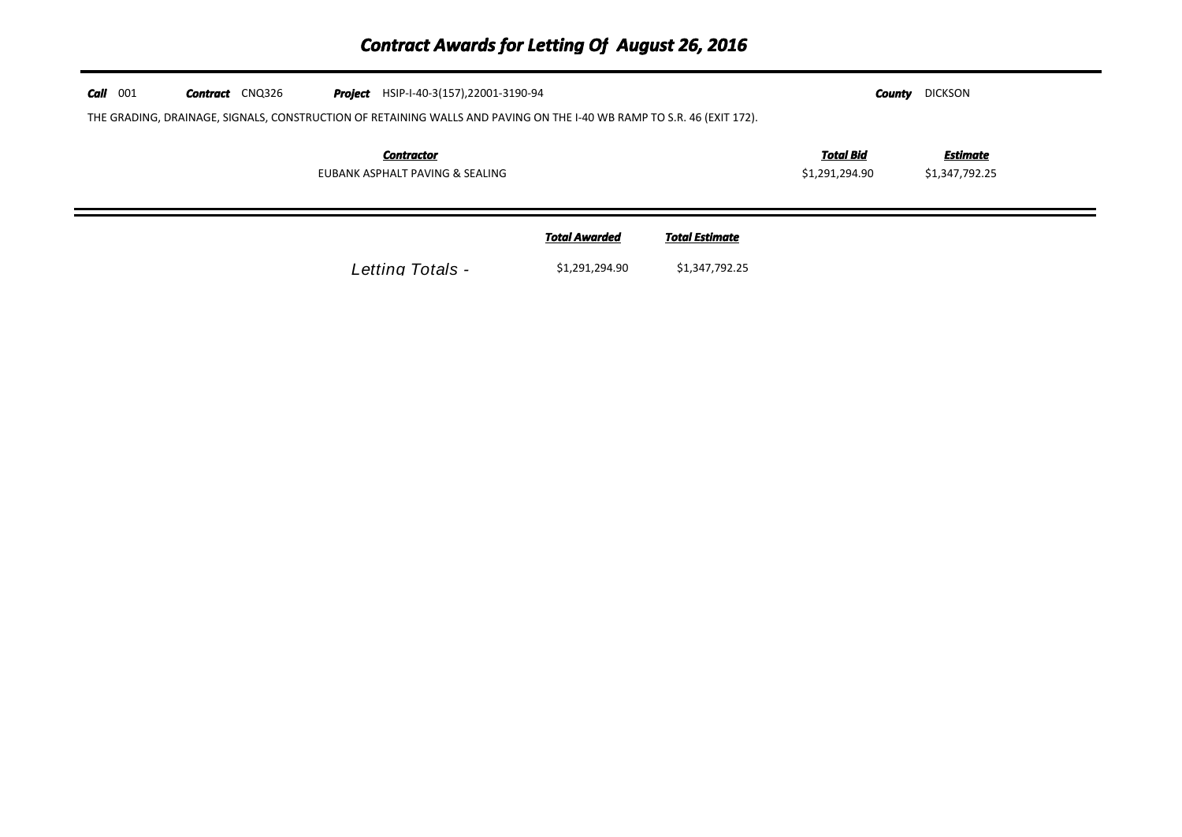# *Contract Awards for Letting Of August 26, 2016*

| $Call$ 001 | <b>Contract</b> CNQ326 | <b>Project</b> HSIP-I-40-3(157), 22001-3190-94<br>THE GRADING, DRAINAGE, SIGNALS, CONSTRUCTION OF RETAINING WALLS AND PAVING ON THE I-40 WB RAMP TO S.R. 46 (EXIT 172). |                      |                       | County                             | <b>DICKSON</b>             |  |
|------------|------------------------|-------------------------------------------------------------------------------------------------------------------------------------------------------------------------|----------------------|-----------------------|------------------------------------|----------------------------|--|
|            |                        | <b>Contractor</b><br>EUBANK ASPHALT PAVING & SEALING                                                                                                                    |                      |                       | <b>Total Bid</b><br>\$1,291,294.90 | Estimate<br>\$1,347,792.25 |  |
|            |                        |                                                                                                                                                                         | <b>Total Awarded</b> | <b>Total Estimate</b> |                                    |                            |  |
|            |                        | Letting Totals -                                                                                                                                                        | \$1,291,294.90       | \$1,347,792.25        |                                    |                            |  |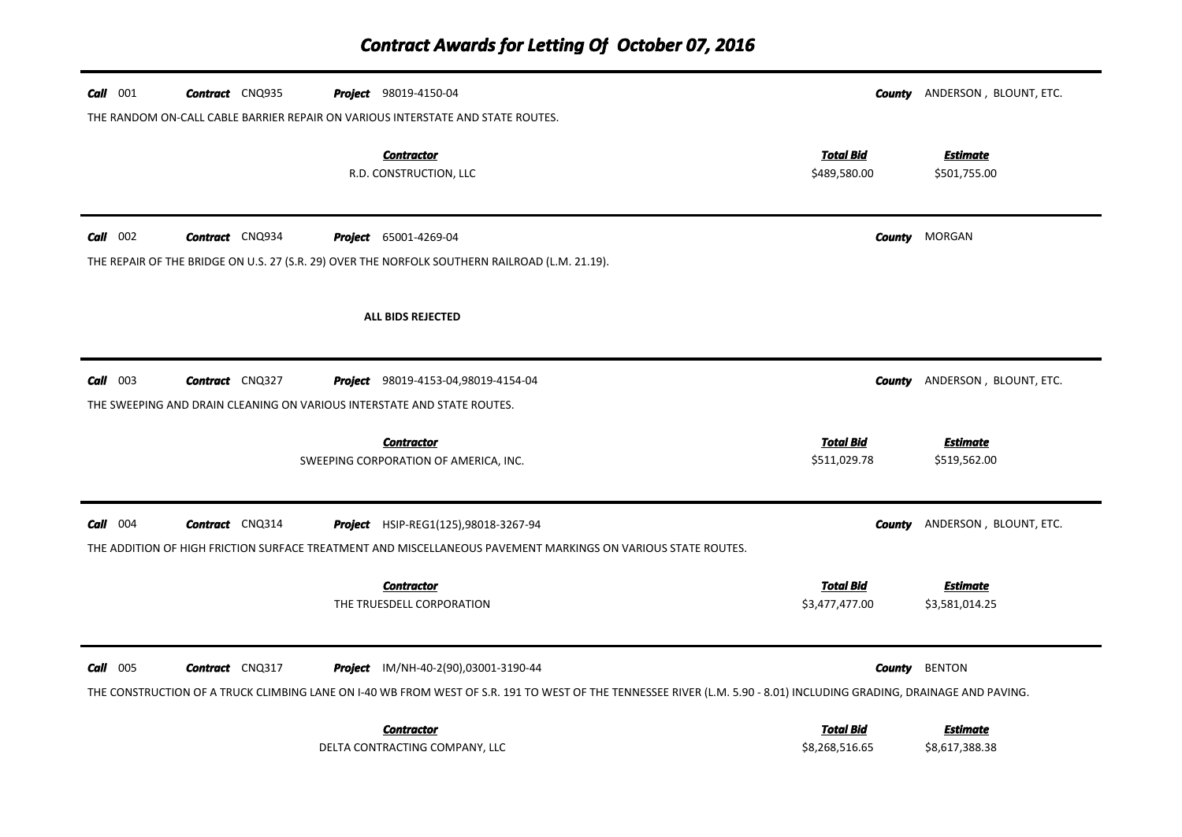| $Call$ 001 | <b>Contract</b> CNQ935 | <b>Project</b> 98019-4150-04                                                                                                                                                                                        |                                    | <b>County</b> ANDERSON, BLOUNT, ETC. |
|------------|------------------------|---------------------------------------------------------------------------------------------------------------------------------------------------------------------------------------------------------------------|------------------------------------|--------------------------------------|
|            |                        | THE RANDOM ON-CALL CABLE BARRIER REPAIR ON VARIOUS INTERSTATE AND STATE ROUTES.                                                                                                                                     |                                    |                                      |
|            |                        | <b>Contractor</b><br>R.D. CONSTRUCTION, LLC                                                                                                                                                                         | <b>Total Bid</b><br>\$489,580.00   | <u>Estimate</u><br>\$501,755.00      |
| $Call$ 002 | <b>Contract</b> CNQ934 | <b>Project</b> 65001-4269-04                                                                                                                                                                                        |                                    | <b>County</b> MORGAN                 |
|            |                        | THE REPAIR OF THE BRIDGE ON U.S. 27 (S.R. 29) OVER THE NORFOLK SOUTHERN RAILROAD (L.M. 21.19).                                                                                                                      |                                    |                                      |
|            |                        | <b>ALL BIDS REJECTED</b>                                                                                                                                                                                            |                                    |                                      |
| $Call$ 003 | Contract CNQ327        | Project 98019-4153-04,98019-4154-04                                                                                                                                                                                 |                                    | <b>County</b> ANDERSON, BLOUNT, ETC. |
|            |                        | THE SWEEPING AND DRAIN CLEANING ON VARIOUS INTERSTATE AND STATE ROUTES.                                                                                                                                             |                                    |                                      |
|            |                        | <b>Contractor</b><br>SWEEPING CORPORATION OF AMERICA, INC.                                                                                                                                                          | <b>Total Bid</b><br>\$511,029.78   | <b>Estimate</b><br>\$519,562.00      |
| $Call$ 004 | Contract CNQ314        | Project HSIP-REG1(125),98018-3267-94                                                                                                                                                                                |                                    | <b>County</b> ANDERSON, BLOUNT, ETC. |
|            |                        | THE ADDITION OF HIGH FRICTION SURFACE TREATMENT AND MISCELLANEOUS PAVEMENT MARKINGS ON VARIOUS STATE ROUTES.                                                                                                        |                                    |                                      |
|            |                        | <b>Contractor</b><br>THE TRUESDELL CORPORATION                                                                                                                                                                      | <b>Total Bid</b><br>\$3,477,477.00 | <b>Estimate</b><br>\$3,581,014.25    |
| $Call$ 005 | <b>Contract</b> CNQ317 | <b>Project</b> IM/NH-40-2(90),03001-3190-44<br>THE CONSTRUCTION OF A TRUCK CLIMBING LANE ON I-40 WB FROM WEST OF S.R. 191 TO WEST OF THE TENNESSEE RIVER (L.M. 5.90 - 8.01) INCLUDING GRADING, DRAINAGE AND PAVING. |                                    | <b>County</b> BENTON                 |
|            |                        | <b>Contractor</b><br>DELTA CONTRACTING COMPANY, LLC                                                                                                                                                                 | <b>Total Bid</b><br>\$8,268,516.65 | <b>Estimate</b><br>\$8,617,388.38    |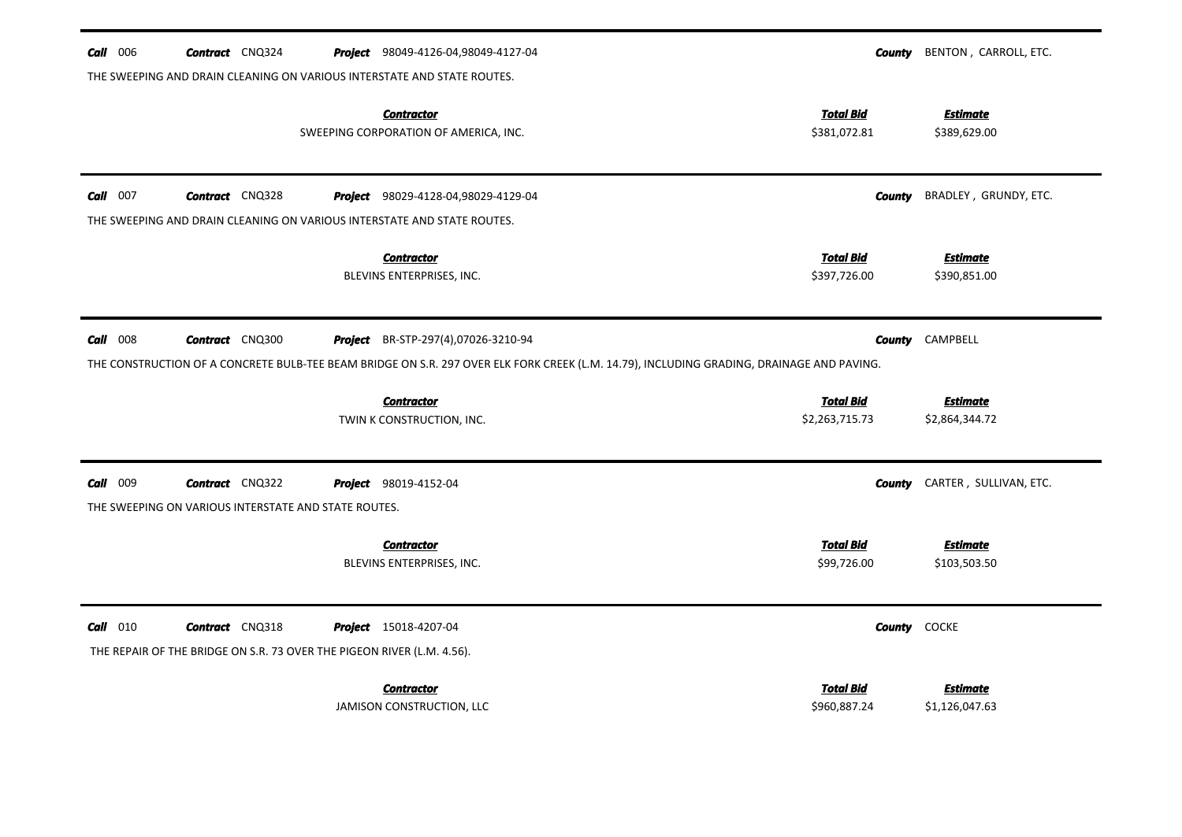| $Call$ 006<br><b>Contract</b> CNQ324<br>THE SWEEPING AND DRAIN CLEANING ON VARIOUS INTERSTATE AND STATE ROUTES. | Project 98049-4126-04,98049-4127-04                                                                                                                                                                           | <b>County</b>                    | BENTON, CARROLL, ETC.           |  |  |  |  |
|-----------------------------------------------------------------------------------------------------------------|---------------------------------------------------------------------------------------------------------------------------------------------------------------------------------------------------------------|----------------------------------|---------------------------------|--|--|--|--|
|                                                                                                                 | <b>Contractor</b><br>SWEEPING CORPORATION OF AMERICA, INC.                                                                                                                                                    | <b>Total Bid</b><br>\$381,072.81 | <b>Estimate</b><br>\$389,629.00 |  |  |  |  |
| $Call$ 007<br><b>Contract</b> CNQ328                                                                            | Project 98029-4128-04,98029-4129-04                                                                                                                                                                           | <b>County</b>                    | BRADLEY, GRUNDY, ETC.           |  |  |  |  |
| THE SWEEPING AND DRAIN CLEANING ON VARIOUS INTERSTATE AND STATE ROUTES.                                         |                                                                                                                                                                                                               |                                  |                                 |  |  |  |  |
|                                                                                                                 | <b>Contractor</b>                                                                                                                                                                                             | <b>Total Bid</b>                 | <b>Estimate</b>                 |  |  |  |  |
|                                                                                                                 | BLEVINS ENTERPRISES, INC.                                                                                                                                                                                     | \$397,726.00                     | \$390,851.00                    |  |  |  |  |
| $Call$ 008<br><b>Contract</b> CNQ300                                                                            | CAMPBELL<br><b>Project</b> BR-STP-297(4),07026-3210-94<br>County<br>THE CONSTRUCTION OF A CONCRETE BULB-TEE BEAM BRIDGE ON S.R. 297 OVER ELK FORK CREEK (L.M. 14.79), INCLUDING GRADING, DRAINAGE AND PAVING. |                                  |                                 |  |  |  |  |
|                                                                                                                 | <b>Contractor</b>                                                                                                                                                                                             | <b>Total Bid</b>                 | <b>Estimate</b>                 |  |  |  |  |
|                                                                                                                 | TWIN K CONSTRUCTION, INC.                                                                                                                                                                                     | \$2,263,715.73                   | \$2,864,344.72                  |  |  |  |  |
| <b>Call</b> 009<br><b>Contract</b> CNQ322                                                                       | Project 98019-4152-04                                                                                                                                                                                         | County                           | CARTER, SULLIVAN, ETC.          |  |  |  |  |
| THE SWEEPING ON VARIOUS INTERSTATE AND STATE ROUTES.                                                            |                                                                                                                                                                                                               |                                  |                                 |  |  |  |  |
|                                                                                                                 | <b>Contractor</b><br>BLEVINS ENTERPRISES, INC.                                                                                                                                                                | <b>Total Bid</b><br>\$99,726.00  | <b>Estimate</b><br>\$103,503.50 |  |  |  |  |
| $Call$ 010<br><b>Contract</b> CNQ318                                                                            | Project 15018-4207-04                                                                                                                                                                                         | County                           | <b>COCKE</b>                    |  |  |  |  |
| THE REPAIR OF THE BRIDGE ON S.R. 73 OVER THE PIGEON RIVER (L.M. 4.56).                                          |                                                                                                                                                                                                               |                                  |                                 |  |  |  |  |
|                                                                                                                 | <b>Contractor</b>                                                                                                                                                                                             | <b>Total Bid</b>                 | <b>Estimate</b>                 |  |  |  |  |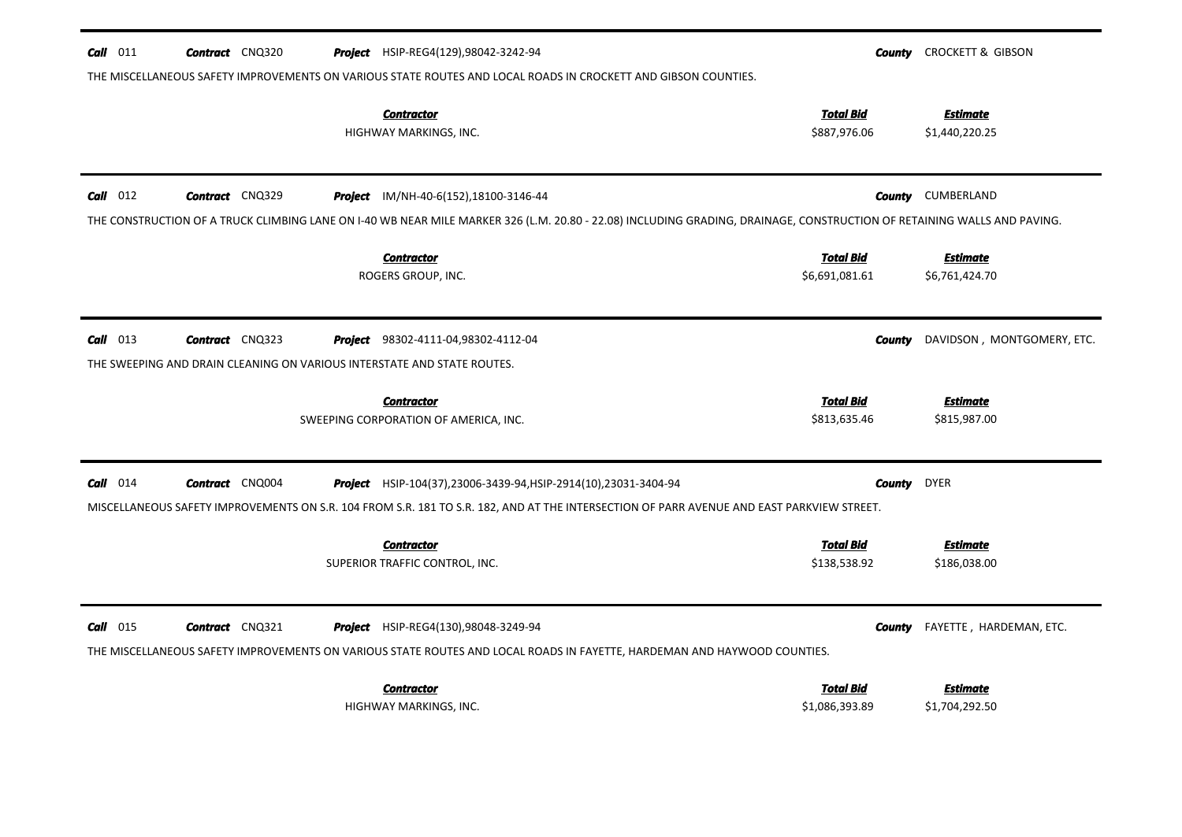| $Call$ 011<br><b>Contract</b> CNQ320                                    | <b>Project</b> HSIP-REG4(129),98042-3242-94                                                                                                                             | County           | <b>CROCKETT &amp; GIBSON</b> |
|-------------------------------------------------------------------------|-------------------------------------------------------------------------------------------------------------------------------------------------------------------------|------------------|------------------------------|
|                                                                         | THE MISCELLANEOUS SAFETY IMPROVEMENTS ON VARIOUS STATE ROUTES AND LOCAL ROADS IN CROCKETT AND GIBSON COUNTIES.                                                          |                  |                              |
|                                                                         | <b>Contractor</b>                                                                                                                                                       | <b>Total Bid</b> | <b>Estimate</b>              |
|                                                                         | HIGHWAY MARKINGS, INC.                                                                                                                                                  | \$887,976.06     | \$1,440,220.25               |
|                                                                         |                                                                                                                                                                         |                  |                              |
| $Call$ 012<br><b>Contract</b> CNQ329                                    | <b>Project</b> IM/NH-40-6(152), 18100-3146-44                                                                                                                           | County           | CUMBERLAND                   |
|                                                                         | THE CONSTRUCTION OF A TRUCK CLIMBING LANE ON I-40 WB NEAR MILE MARKER 326 (L.M. 20.80 - 22.08) INCLUDING GRADING, DRAINAGE, CONSTRUCTION OF RETAINING WALLS AND PAVING. |                  |                              |
|                                                                         | <b>Contractor</b>                                                                                                                                                       | <b>Total Bid</b> | <b>Estimate</b>              |
|                                                                         | ROGERS GROUP, INC.                                                                                                                                                      | \$6,691,081.61   | \$6,761,424.70               |
|                                                                         |                                                                                                                                                                         |                  |                              |
| $Call$ 013<br><b>Contract</b> CNQ323                                    | <b>Project</b> 98302-4111-04,98302-4112-04                                                                                                                              | County           | DAVIDSON, MONTGOMERY, ETC.   |
| THE SWEEPING AND DRAIN CLEANING ON VARIOUS INTERSTATE AND STATE ROUTES. |                                                                                                                                                                         |                  |                              |
|                                                                         | <b>Contractor</b>                                                                                                                                                       | <b>Total Bid</b> | <b>Estimate</b>              |
|                                                                         | SWEEPING CORPORATION OF AMERICA, INC.                                                                                                                                   | \$813,635.46     | \$815,987.00                 |
|                                                                         |                                                                                                                                                                         |                  |                              |
| $Call$ 014<br><b>Contract</b> CNQ004                                    | <b>Project</b> HSIP-104(37), 23006-3439-94, HSIP-2914(10), 23031-3404-94                                                                                                | County           | <b>DYER</b>                  |
|                                                                         | MISCELLANEOUS SAFETY IMPROVEMENTS ON S.R. 104 FROM S.R. 181 TO S.R. 182, AND AT THE INTERSECTION OF PARR AVENUE AND EAST PARKVIEW STREET.                               |                  |                              |
|                                                                         |                                                                                                                                                                         |                  |                              |
|                                                                         | <b>Contractor</b>                                                                                                                                                       | <b>Total Bid</b> | <b>Estimate</b>              |
|                                                                         | SUPERIOR TRAFFIC CONTROL, INC.                                                                                                                                          | \$138,538.92     | \$186,038.00                 |
|                                                                         |                                                                                                                                                                         |                  |                              |
| $Call$ 015<br><b>Contract</b> CNQ321                                    | <b>Project</b> HSIP-REG4(130),98048-3249-94                                                                                                                             | County           | FAYETTE, HARDEMAN, ETC.      |
|                                                                         | THE MISCELLANEOUS SAFETY IMPROVEMENTS ON VARIOUS STATE ROUTES AND LOCAL ROADS IN FAYETTE, HARDEMAN AND HAYWOOD COUNTIES.                                                |                  |                              |
|                                                                         | <b>Contractor</b>                                                                                                                                                       | <b>Total Bid</b> | <b>Estimate</b>              |
|                                                                         | HIGHWAY MARKINGS, INC.                                                                                                                                                  | \$1,086,393.89   | \$1,704,292.50               |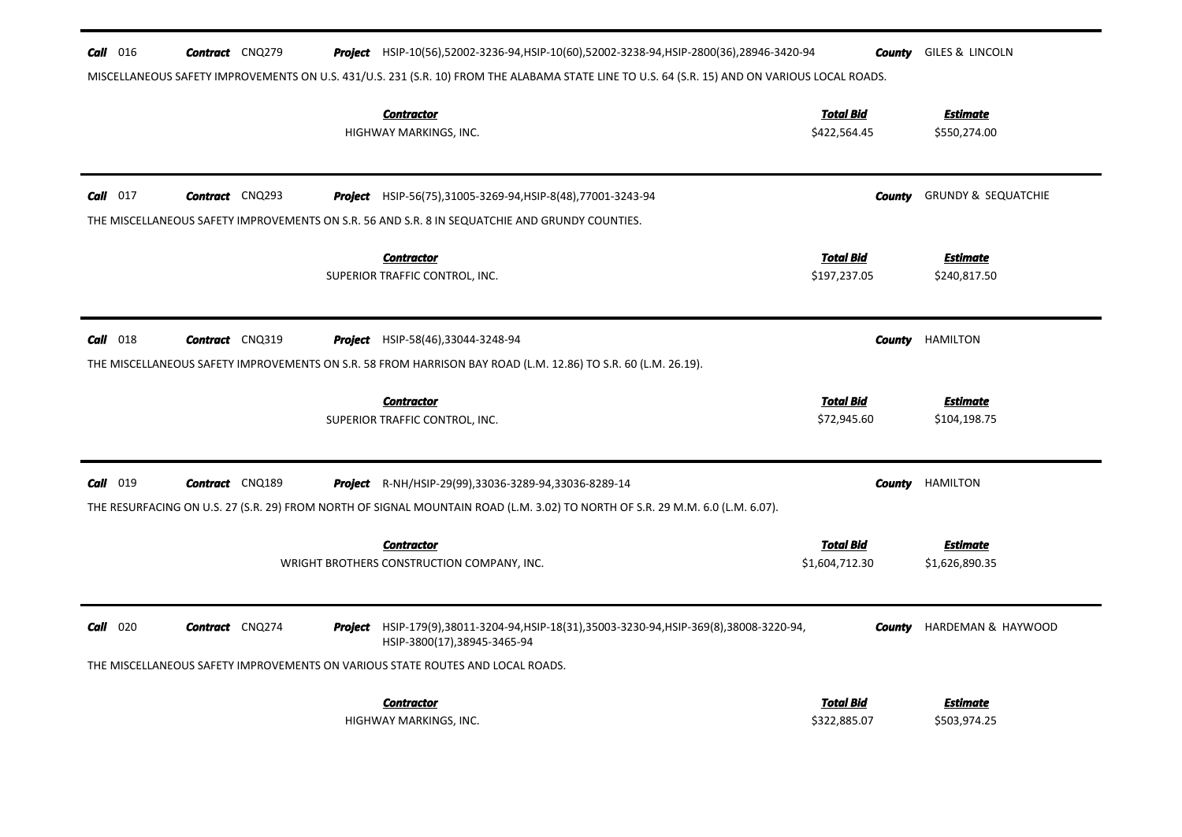| $\frac{Call}{016}$ | <b>Contract</b> CNQ279                                                                                                                        |  | <b>Project</b> HSIP-10(56),52002-3236-94,HSIP-10(60),52002-3238-94,HSIP-2800(36),28946-3420-94                                | County                             | GILES & LINCOLN                   |  |  |  |
|--------------------|-----------------------------------------------------------------------------------------------------------------------------------------------|--|-------------------------------------------------------------------------------------------------------------------------------|------------------------------------|-----------------------------------|--|--|--|
|                    | MISCELLANEOUS SAFETY IMPROVEMENTS ON U.S. 431/U.S. 231 (S.R. 10) FROM THE ALABAMA STATE LINE TO U.S. 64 (S.R. 15) AND ON VARIOUS LOCAL ROADS. |  |                                                                                                                               |                                    |                                   |  |  |  |
|                    |                                                                                                                                               |  | <b>Contractor</b><br>HIGHWAY MARKINGS, INC.                                                                                   | <b>Total Bid</b><br>\$422,564.45   | <b>Estimate</b><br>\$550,274.00   |  |  |  |
| $Call$ 017         | <b>Contract</b> CNQ293                                                                                                                        |  | <b>Project</b> HSIP-56(75),31005-3269-94,HSIP-8(48),77001-3243-94                                                             | County                             | <b>GRUNDY &amp; SEQUATCHIE</b>    |  |  |  |
|                    |                                                                                                                                               |  | THE MISCELLANEOUS SAFETY IMPROVEMENTS ON S.R. 56 AND S.R. 8 IN SEQUATCHIE AND GRUNDY COUNTIES.                                |                                    |                                   |  |  |  |
|                    |                                                                                                                                               |  | <b>Contractor</b><br>SUPERIOR TRAFFIC CONTROL, INC.                                                                           | <b>Total Bid</b><br>\$197,237.05   | <b>Estimate</b><br>\$240,817.50   |  |  |  |
| $Call$ 018         | <b>Contract</b> CNQ319                                                                                                                        |  | Project HSIP-58(46),33044-3248-94                                                                                             | <b>County</b>                      | HAMILTON                          |  |  |  |
|                    |                                                                                                                                               |  | THE MISCELLANEOUS SAFETY IMPROVEMENTS ON S.R. 58 FROM HARRISON BAY ROAD (L.M. 12.86) TO S.R. 60 (L.M. 26.19).                 |                                    |                                   |  |  |  |
|                    |                                                                                                                                               |  | <b>Contractor</b><br>SUPERIOR TRAFFIC CONTROL, INC.                                                                           | <b>Total Bid</b><br>\$72,945.60    | Estimate<br>\$104,198.75          |  |  |  |
| $Call$ 019         | <b>Contract</b> CNQ189                                                                                                                        |  | <b>Project</b> R-NH/HSIP-29(99),33036-3289-94,33036-8289-14                                                                   | County                             | HAMILTON                          |  |  |  |
|                    |                                                                                                                                               |  | THE RESURFACING ON U.S. 27 (S.R. 29) FROM NORTH OF SIGNAL MOUNTAIN ROAD (L.M. 3.02) TO NORTH OF S.R. 29 M.M. 6.0 (L.M. 6.07). |                                    |                                   |  |  |  |
|                    |                                                                                                                                               |  | <b>Contractor</b><br>WRIGHT BROTHERS CONSTRUCTION COMPANY, INC.                                                               | <b>Total Bid</b><br>\$1,604,712.30 | <b>Estimate</b><br>\$1,626,890.35 |  |  |  |
| $Call$ 020         | <b>Contract</b> CNQ274                                                                                                                        |  | <b>Project</b> HSIP-179(9),38011-3204-94,HSIP-18(31),35003-3230-94,HSIP-369(8),38008-3220-94,<br>HSIP-3800(17),38945-3465-94  | County                             | HARDEMAN & HAYWOOD                |  |  |  |
|                    |                                                                                                                                               |  | THE MISCELLANEOUS SAFETY IMPROVEMENTS ON VARIOUS STATE ROUTES AND LOCAL ROADS.                                                |                                    |                                   |  |  |  |
|                    |                                                                                                                                               |  | <b>Contractor</b><br>HIGHWAY MARKINGS, INC.                                                                                   | Total Bid<br>\$322,885.07          | <b>Estimate</b><br>\$503,974.25   |  |  |  |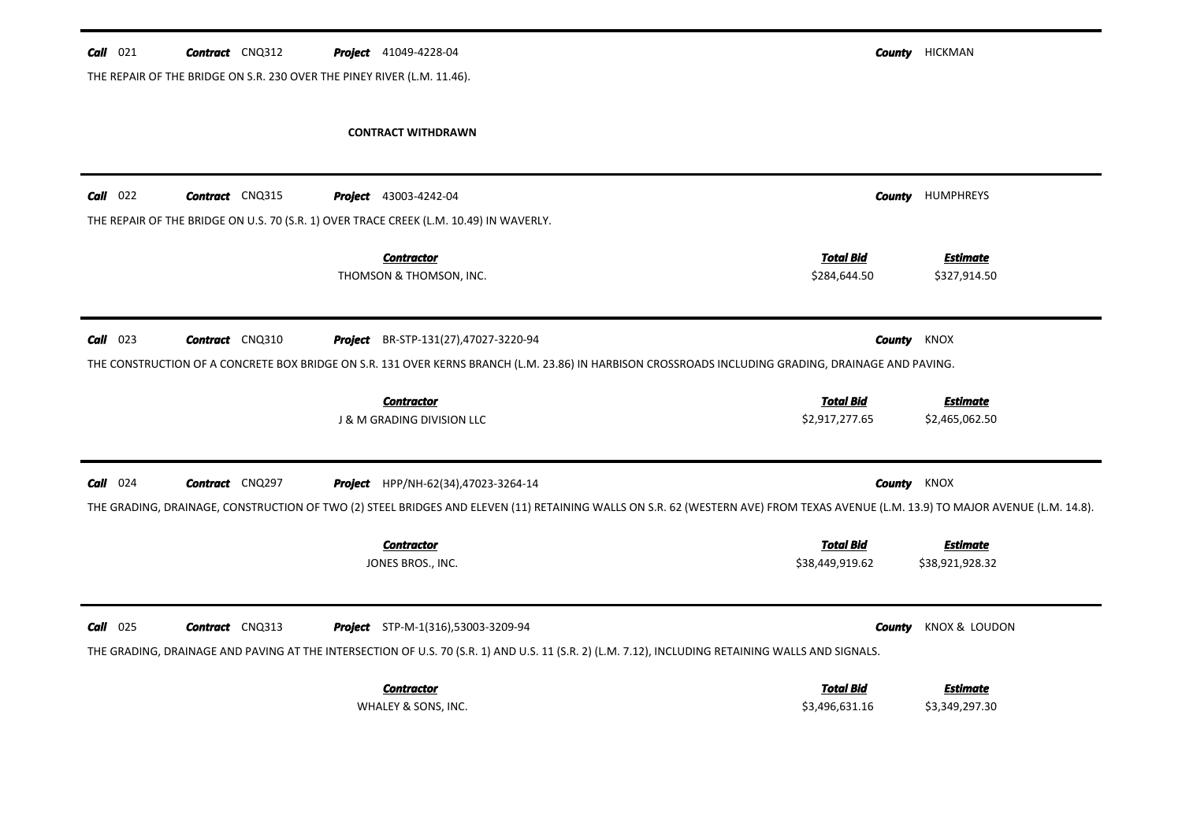| $Call$ 021 | <b>Contract</b> CNQ312                                                  | <b>Project</b> 41049-4228-04                                                                                                                                                     |                                    | <b>County HICKMAN</b>             |
|------------|-------------------------------------------------------------------------|----------------------------------------------------------------------------------------------------------------------------------------------------------------------------------|------------------------------------|-----------------------------------|
|            | THE REPAIR OF THE BRIDGE ON S.R. 230 OVER THE PINEY RIVER (L.M. 11.46). |                                                                                                                                                                                  |                                    |                                   |
|            |                                                                         | <b>CONTRACT WITHDRAWN</b>                                                                                                                                                        |                                    |                                   |
|            |                                                                         |                                                                                                                                                                                  |                                    |                                   |
| $Call$ 022 | <b>Contract</b> CNQ315                                                  | Project 43003-4242-04                                                                                                                                                            | County                             | <b>HUMPHREYS</b>                  |
|            |                                                                         | THE REPAIR OF THE BRIDGE ON U.S. 70 (S.R. 1) OVER TRACE CREEK (L.M. 10.49) IN WAVERLY.                                                                                           |                                    |                                   |
|            |                                                                         | <b>Contractor</b>                                                                                                                                                                | <b>Total Bid</b>                   | <b>Estimate</b>                   |
|            |                                                                         | THOMSON & THOMSON, INC.                                                                                                                                                          | \$284,644.50                       | \$327,914.50                      |
| $Call$ 023 | <b>Contract</b> CNQ310                                                  | Project BR-STP-131(27),47027-3220-94                                                                                                                                             | County                             | KNOX                              |
|            |                                                                         | THE CONSTRUCTION OF A CONCRETE BOX BRIDGE ON S.R. 131 OVER KERNS BRANCH (L.M. 23.86) IN HARBISON CROSSROADS INCLUDING GRADING, DRAINAGE AND PAVING.                              |                                    |                                   |
|            |                                                                         |                                                                                                                                                                                  |                                    |                                   |
|            |                                                                         | <b>Contractor</b>                                                                                                                                                                | <b>Total Bid</b>                   | <b>Estimate</b>                   |
|            |                                                                         | J & M GRADING DIVISION LLC                                                                                                                                                       | \$2,917,277.65                     | \$2,465,062.50                    |
| $Call$ 024 | <b>Contract</b> CNQ297                                                  | Project HPP/NH-62(34),47023-3264-14                                                                                                                                              | <b>County</b> KNOX                 |                                   |
|            |                                                                         | THE GRADING, DRAINAGE, CONSTRUCTION OF TWO (2) STEEL BRIDGES AND ELEVEN (11) RETAINING WALLS ON S.R. 62 (WESTERN AVE) FROM TEXAS AVENUE (L.M. 13.9) TO MAJOR AVENUE (L.M. 14.8). |                                    |                                   |
|            |                                                                         | <b>Contractor</b>                                                                                                                                                                | <b>Total Bid</b>                   | <b>Estimate</b>                   |
|            |                                                                         | JONES BROS., INC.                                                                                                                                                                | \$38,449,919.62                    | \$38,921,928.32                   |
|            |                                                                         |                                                                                                                                                                                  |                                    |                                   |
| $Call$ 025 | <b>Contract</b> CNQ313                                                  | Project STP-M-1(316),53003-3209-94                                                                                                                                               | County                             | KNOX & LOUDON                     |
|            |                                                                         | THE GRADING, DRAINAGE AND PAVING AT THE INTERSECTION OF U.S. 70 (S.R. 1) AND U.S. 11 (S.R. 2) (L.M. 7.12), INCLUDING RETAINING WALLS AND SIGNALS.                                |                                    |                                   |
|            |                                                                         | <b>Contractor</b><br>WHALEY & SONS, INC.                                                                                                                                         | <b>Total Bid</b><br>\$3,496,631.16 | <b>Estimate</b><br>\$3,349,297.30 |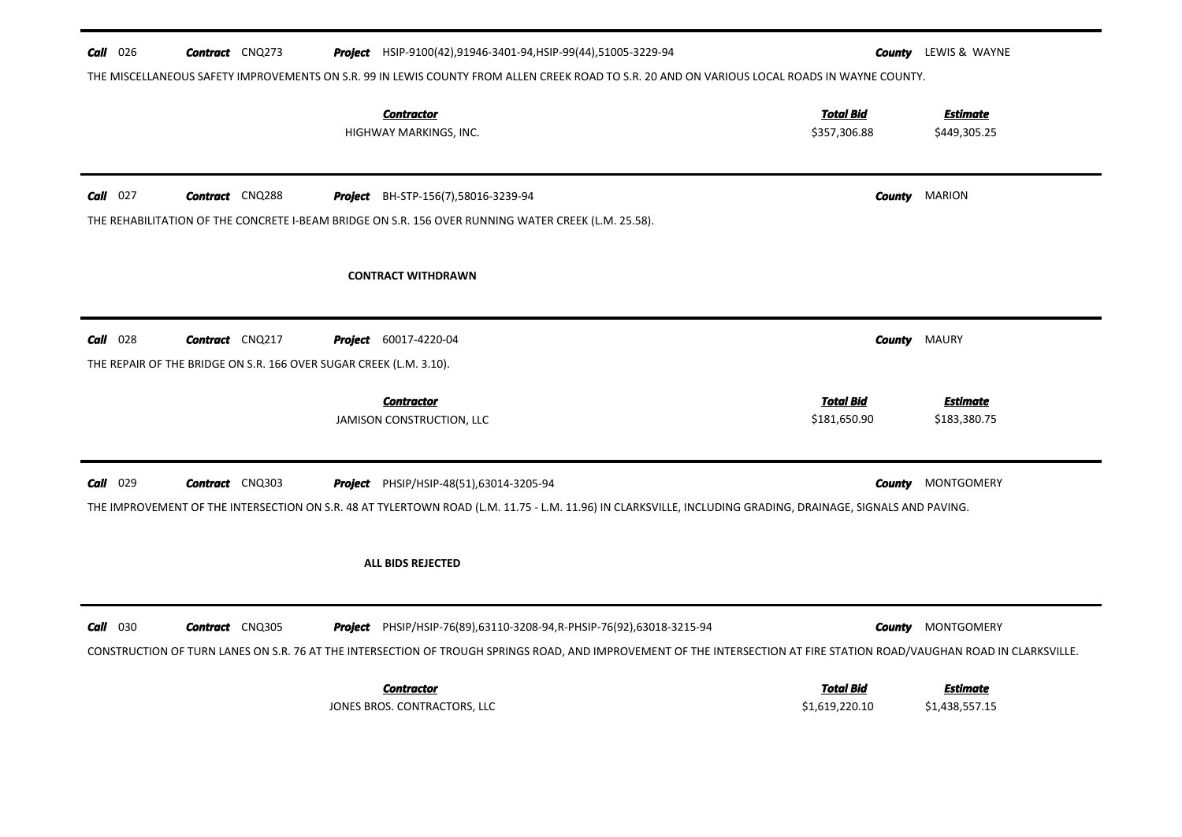| $Call$ 026 | <b>Contract</b> CNQ273                                             | Project HSIP-9100(42),91946-3401-94,HSIP-99(44),51005-3229-94<br>THE MISCELLANEOUS SAFETY IMPROVEMENTS ON S.R. 99 IN LEWIS COUNTY FROM ALLEN CREEK ROAD TO S.R. 20 AND ON VARIOUS LOCAL ROADS IN WAYNE COUNTY. |                                  | County | LEWIS & WAYNE                   |
|------------|--------------------------------------------------------------------|----------------------------------------------------------------------------------------------------------------------------------------------------------------------------------------------------------------|----------------------------------|--------|---------------------------------|
|            |                                                                    | <b>Contractor</b><br>HIGHWAY MARKINGS, INC.                                                                                                                                                                    | <b>Total Bid</b><br>\$357,306.88 |        | <b>Estimate</b><br>\$449,305.25 |
| $Call$ 027 | <b>Contract</b> CNQ288                                             | <b>Project</b> BH-STP-156(7),58016-3239-94                                                                                                                                                                     |                                  | County | <b>MARION</b>                   |
|            |                                                                    | THE REHABILITATION OF THE CONCRETE I-BEAM BRIDGE ON S.R. 156 OVER RUNNING WATER CREEK (L.M. 25.58).                                                                                                            |                                  |        |                                 |
|            |                                                                    | <b>CONTRACT WITHDRAWN</b>                                                                                                                                                                                      |                                  |        |                                 |
| $Call$ 028 | <b>Contract</b> CNQ217                                             | <b>Project</b> 60017-4220-04                                                                                                                                                                                   |                                  | County | MAURY                           |
|            | THE REPAIR OF THE BRIDGE ON S.R. 166 OVER SUGAR CREEK (L.M. 3.10). |                                                                                                                                                                                                                |                                  |        |                                 |
|            |                                                                    | <b>Contractor</b><br>JAMISON CONSTRUCTION, LLC                                                                                                                                                                 | <b>Total Bid</b><br>\$181,650.90 |        | <b>Estimate</b><br>\$183,380.75 |
| $Call$ 029 | <b>Contract</b> CNQ303                                             | <b>Project</b> PHSIP/HSIP-48(51),63014-3205-94                                                                                                                                                                 |                                  | County | <b>MONTGOMERY</b>               |
|            |                                                                    | THE IMPROVEMENT OF THE INTERSECTION ON S.R. 48 AT TYLERTOWN ROAD (L.M. 11.75 - L.M. 11.96) IN CLARKSVILLE, INCLUDING GRADING, DRAINAGE, SIGNALS AND PAVING.                                                    |                                  |        |                                 |
|            |                                                                    | <b>ALL BIDS REJECTED</b>                                                                                                                                                                                       |                                  |        |                                 |
| $Call$ 030 | <b>Contract</b> CNQ305                                             | <b>Project</b> PHSIP/HSIP-76(89),63110-3208-94, R-PHSIP-76(92),63018-3215-94                                                                                                                                   |                                  | County | <b>MONTGOMERY</b>               |
|            |                                                                    | CONSTRUCTION OF TURN LANES ON S.R. 76 AT THE INTERSECTION OF TROUGH SPRINGS ROAD, AND IMPROVEMENT OF THE INTERSECTION AT FIRE STATION ROAD/VAUGHAN ROAD IN CLARKSVILLE.                                        |                                  |        |                                 |
|            |                                                                    | <b>Contractor</b>                                                                                                                                                                                              | <b>Total Bid</b>                 |        | Estimate                        |
|            |                                                                    | JONES BROS. CONTRACTORS, LLC                                                                                                                                                                                   | \$1,619,220.10                   |        | \$1,438,557.15                  |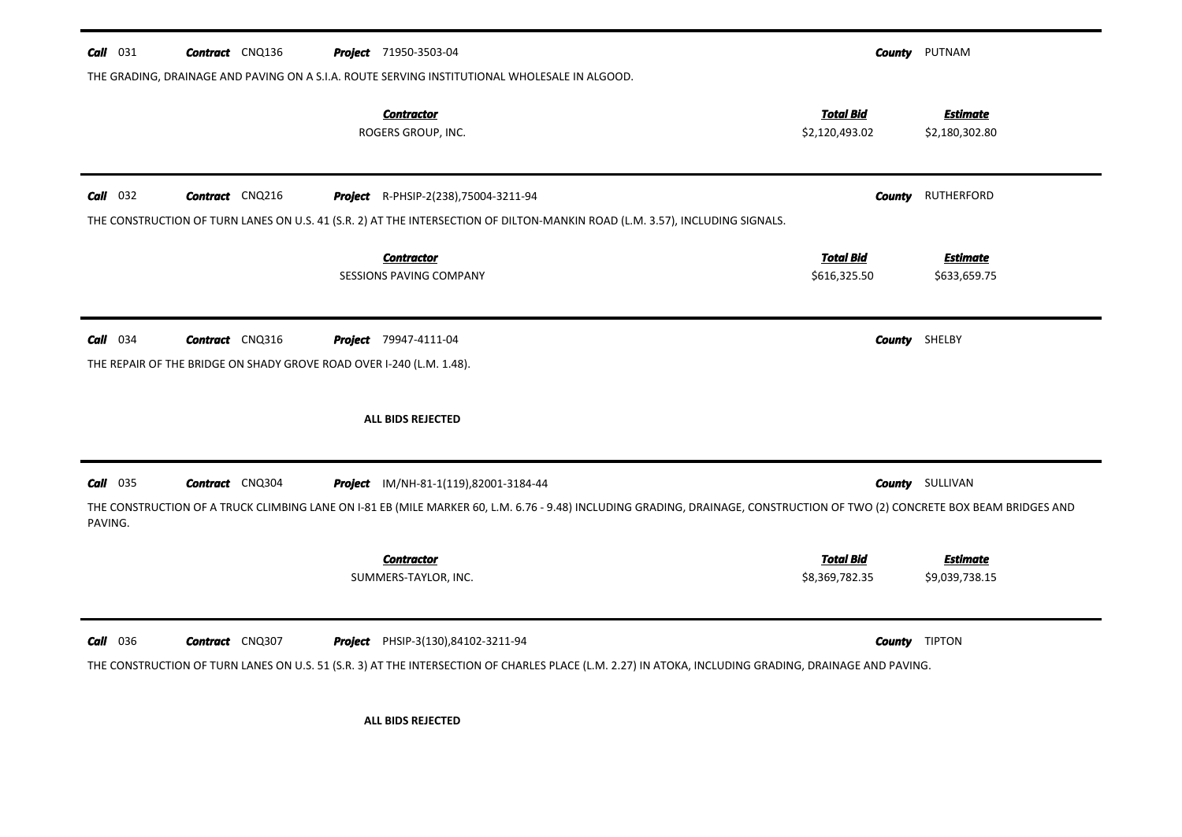| $Call$ 031 | <b>Contract</b> CNQ136                                                                         | <b>Project</b> 71950-3503-04                                                                                                                                                                       |                                    | <b>County</b> PUTNAM              |
|------------|------------------------------------------------------------------------------------------------|----------------------------------------------------------------------------------------------------------------------------------------------------------------------------------------------------|------------------------------------|-----------------------------------|
|            |                                                                                                | THE GRADING, DRAINAGE AND PAVING ON A S.I.A. ROUTE SERVING INSTITUTIONAL WHOLESALE IN ALGOOD.                                                                                                      |                                    |                                   |
|            |                                                                                                | <b>Contractor</b><br>ROGERS GROUP, INC.                                                                                                                                                            | <b>Total Bid</b><br>\$2,120,493.02 | <b>Estimate</b><br>\$2,180,302.80 |
| $Call$ 032 | <b>Contract</b> CNQ216                                                                         | Project R-PHSIP-2(238), 75004-3211-94<br>THE CONSTRUCTION OF TURN LANES ON U.S. 41 (S.R. 2) AT THE INTERSECTION OF DILTON-MANKIN ROAD (L.M. 3.57), INCLUDING SIGNALS.                              | County                             | RUTHERFORD                        |
|            |                                                                                                | <b>Contractor</b><br>SESSIONS PAVING COMPANY                                                                                                                                                       | <b>Total Bid</b><br>\$616,325.50   | <b>Estimate</b><br>\$633,659.75   |
| $Call$ 034 | <b>Contract</b> CNQ316<br>THE REPAIR OF THE BRIDGE ON SHADY GROVE ROAD OVER I-240 (L.M. 1.48). | <b>Project</b> 79947-4111-04                                                                                                                                                                       |                                    | <b>County</b> SHELBY              |
|            |                                                                                                | ALL BIDS REJECTED                                                                                                                                                                                  |                                    |                                   |
| $Call$ 035 | <b>Contract</b> CNQ304                                                                         | Project IM/NH-81-1(119),82001-3184-44                                                                                                                                                              |                                    | <b>County</b> SULLIVAN            |
| PAVING.    |                                                                                                | THE CONSTRUCTION OF A TRUCK CLIMBING LANE ON I-81 EB (MILE MARKER 60, L.M. 6.76 - 9.48) INCLUDING GRADING, DRAINAGE, CONSTRUCTION OF TWO (2) CONCRETE BOX BEAM BRIDGES AND                         |                                    |                                   |
|            |                                                                                                | <b>Contractor</b><br>SUMMERS-TAYLOR, INC.                                                                                                                                                          | <b>Total Bid</b><br>\$8,369,782.35 | <b>Estimate</b><br>\$9,039,738.15 |
| $Call$ 036 | <b>Contract</b> CNQ307                                                                         | <b>Project</b> PHSIP-3(130),84102-3211-94<br>THE CONSTRUCTION OF TURN LANES ON U.S. 51 (S.R. 3) AT THE INTERSECTION OF CHARLES PLACE (L.M. 2.27) IN ATOKA, INCLUDING GRADING, DRAINAGE AND PAVING. |                                    | <b>County</b> TIPTON              |
|            |                                                                                                | ALL BIDS REJECTED                                                                                                                                                                                  |                                    |                                   |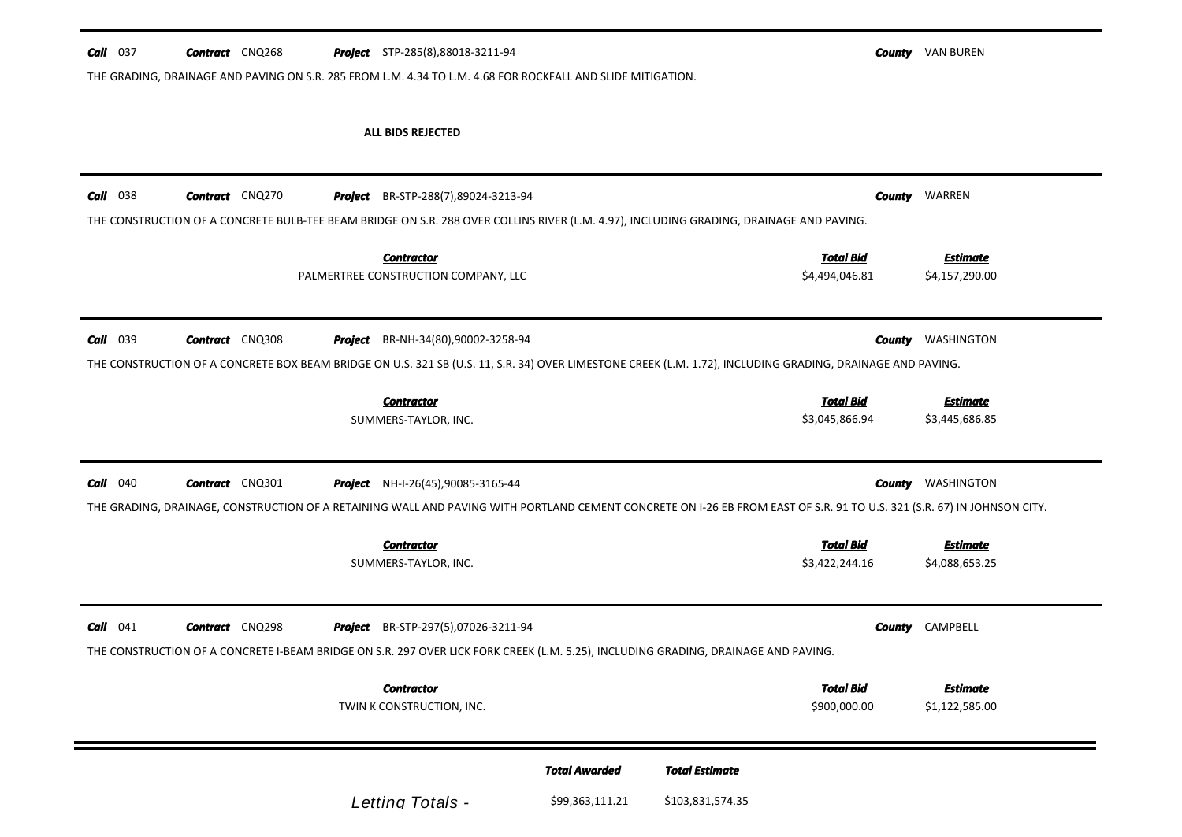| $Call$ 037 | <b>Contract</b> CNQ268 |         | <b>Project</b> STP-285(8),88018-3211-94                                                                                                                                 |        | <b>County VAN BUREN</b> |
|------------|------------------------|---------|-------------------------------------------------------------------------------------------------------------------------------------------------------------------------|--------|-------------------------|
|            |                        |         | THE GRADING, DRAINAGE AND PAVING ON S.R. 285 FROM L.M. 4.34 TO L.M. 4.68 FOR ROCKFALL AND SLIDE MITIGATION.                                                             |        |                         |
|            |                        |         |                                                                                                                                                                         |        |                         |
|            |                        |         | ALL BIDS REJECTED                                                                                                                                                       |        |                         |
|            |                        |         |                                                                                                                                                                         |        |                         |
| $Call$ 038 | <b>Contract</b> CNQ270 | Project | BR-STP-288(7),89024-3213-94                                                                                                                                             | County | WARREN                  |
|            |                        |         | THE CONSTRUCTION OF A CONCRETE BULB-TEE BEAM BRIDGE ON S.R. 288 OVER COLLINS RIVER (L.M. 4.97), INCLUDING GRADING, DRAINAGE AND PAVING.                                 |        |                         |
|            |                        |         | <b>Total Bid</b><br><b>Contractor</b>                                                                                                                                   |        | <b>Estimate</b>         |
|            |                        |         | PALMERTREE CONSTRUCTION COMPANY, LLC<br>\$4,494,046.81                                                                                                                  |        | \$4,157,290.00          |
|            |                        |         |                                                                                                                                                                         |        |                         |
| Call 039   | <b>Contract</b> CNQ308 | Project | BR-NH-34(80),90002-3258-94                                                                                                                                              | County | WASHINGTON              |
|            |                        |         | THE CONSTRUCTION OF A CONCRETE BOX BEAM BRIDGE ON U.S. 321 SB (U.S. 11, S.R. 34) OVER LIMESTONE CREEK (L.M. 1.72), INCLUDING GRADING, DRAINAGE AND PAVING.              |        |                         |
|            |                        |         | <b>Total Bid</b><br><b>Contractor</b>                                                                                                                                   |        | <b>Estimate</b>         |
|            |                        |         | SUMMERS-TAYLOR, INC.<br>\$3,045,866.94                                                                                                                                  |        | \$3,445,686.85          |
|            |                        |         |                                                                                                                                                                         |        |                         |
| $Call$ 040 | <b>Contract</b> CNQ301 |         | <b>Project</b> NH-I-26(45),90085-3165-44                                                                                                                                | County | WASHINGTON              |
|            |                        |         | THE GRADING, DRAINAGE, CONSTRUCTION OF A RETAINING WALL AND PAVING WITH PORTLAND CEMENT CONCRETE ON I-26 EB FROM EAST OF S.R. 91 TO U.S. 321 (S.R. 67) IN JOHNSON CITY. |        |                         |
|            |                        |         | <b>Total Bid</b><br><b>Contractor</b>                                                                                                                                   |        | <b>Estimate</b>         |
|            |                        |         | \$3,422,244.16<br>SUMMERS-TAYLOR, INC.                                                                                                                                  |        | \$4,088,653.25          |
|            |                        |         |                                                                                                                                                                         |        |                         |
| $Call$ 041 | <b>Contract</b> CNQ298 |         | <b>Project</b> BR-STP-297(5),07026-3211-94                                                                                                                              | County | CAMPBELL                |
|            |                        |         | THE CONSTRUCTION OF A CONCRETE I-BEAM BRIDGE ON S.R. 297 OVER LICK FORK CREEK (L.M. 5.25), INCLUDING GRADING, DRAINAGE AND PAVING.                                      |        |                         |

\$900,000.00 \$1,122,585.00 *Estimate* TWIN K CONSTRUCTION, INC. *Contractor Total Bid*

|                  | <b>Total Awarded</b> | Total Estimate   |
|------------------|----------------------|------------------|
| Letting Totals - | \$99,363,111.21      | \$103,831,574.35 |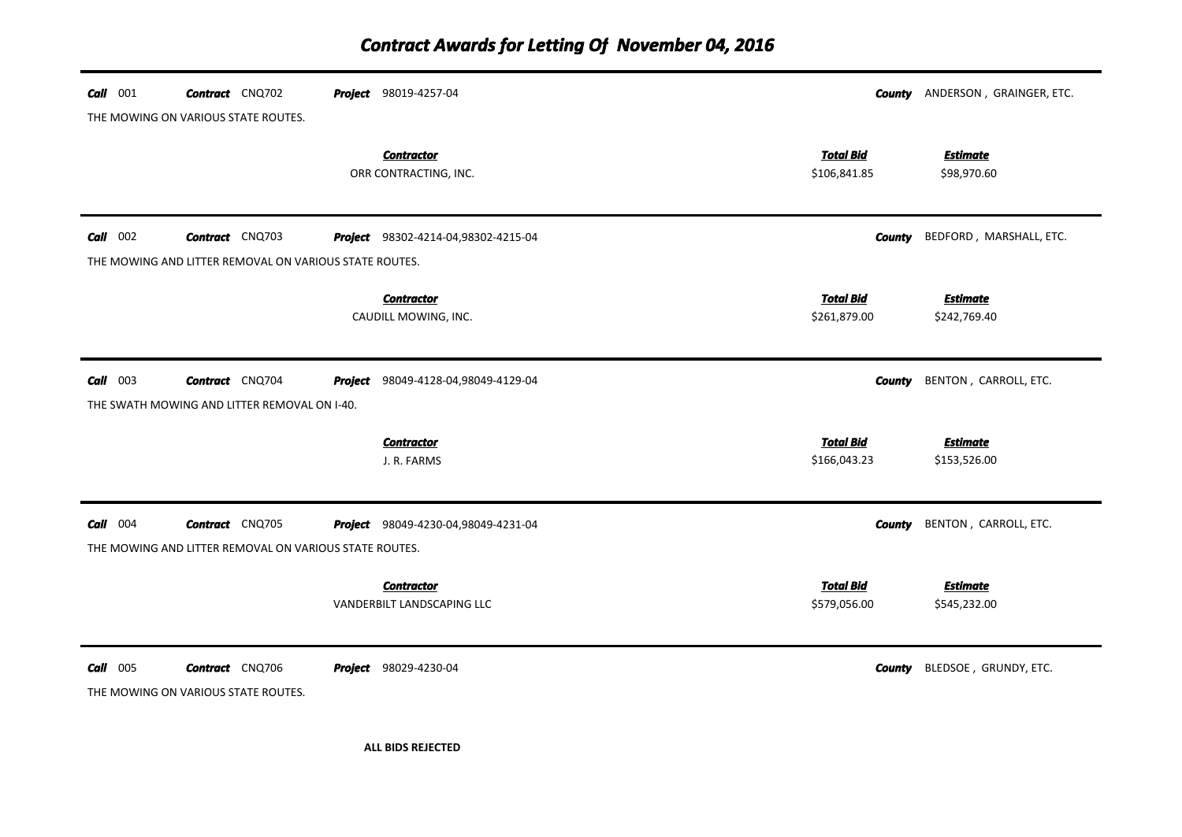| $Call$ 001 | <b>Contract</b> CNQ702<br>THE MOWING ON VARIOUS STATE ROUTES. | <b>Project</b> 98019-4257-04                    |                                  | <b>County</b> ANDERSON, GRAINGER, ETC. |
|------------|---------------------------------------------------------------|-------------------------------------------------|----------------------------------|----------------------------------------|
|            |                                                               | <b>Contractor</b><br>ORR CONTRACTING, INC.      | <b>Total Bid</b><br>\$106,841.85 | <b>Estimate</b><br>\$98,970.60         |
| $Call$ 002 | <b>Contract</b> CNQ703                                        | <b>Project</b> 98302-4214-04,98302-4215-04      | <b>County</b>                    | BEDFORD, MARSHALL, ETC.                |
|            | THE MOWING AND LITTER REMOVAL ON VARIOUS STATE ROUTES.        |                                                 |                                  |                                        |
|            |                                                               | <b>Contractor</b><br>CAUDILL MOWING, INC.       | <b>Total Bid</b><br>\$261,879.00 | <b>Estimate</b><br>\$242,769.40        |
| $Call$ 003 | <b>Contract</b> CNQ704                                        | Project 98049-4128-04,98049-4129-04             | <b>County</b>                    | BENTON, CARROLL, ETC.                  |
|            | THE SWATH MOWING AND LITTER REMOVAL ON I-40.                  |                                                 |                                  |                                        |
|            |                                                               | <b>Contractor</b><br>J. R. FARMS                | <b>Total Bid</b><br>\$166,043.23 | <b>Estimate</b><br>\$153,526.00        |
| $Call$ 004 | <b>Contract</b> CNQ705                                        | Project 98049-4230-04,98049-4231-04             | County                           | BENTON, CARROLL, ETC.                  |
|            | THE MOWING AND LITTER REMOVAL ON VARIOUS STATE ROUTES.        |                                                 |                                  |                                        |
|            |                                                               | <b>Contractor</b><br>VANDERBILT LANDSCAPING LLC | <b>Total Bid</b><br>\$579,056.00 | <u>Estimate</u><br>\$545,232.00        |
| $Call$ 005 | <b>Contract</b> CNQ706<br>THE MOWING ON VARIOUS STATE ROUTES. | Project 98029-4230-04                           | County                           | BLEDSOE, GRUNDY, ETC.                  |

**ALL BIDS REJECTED**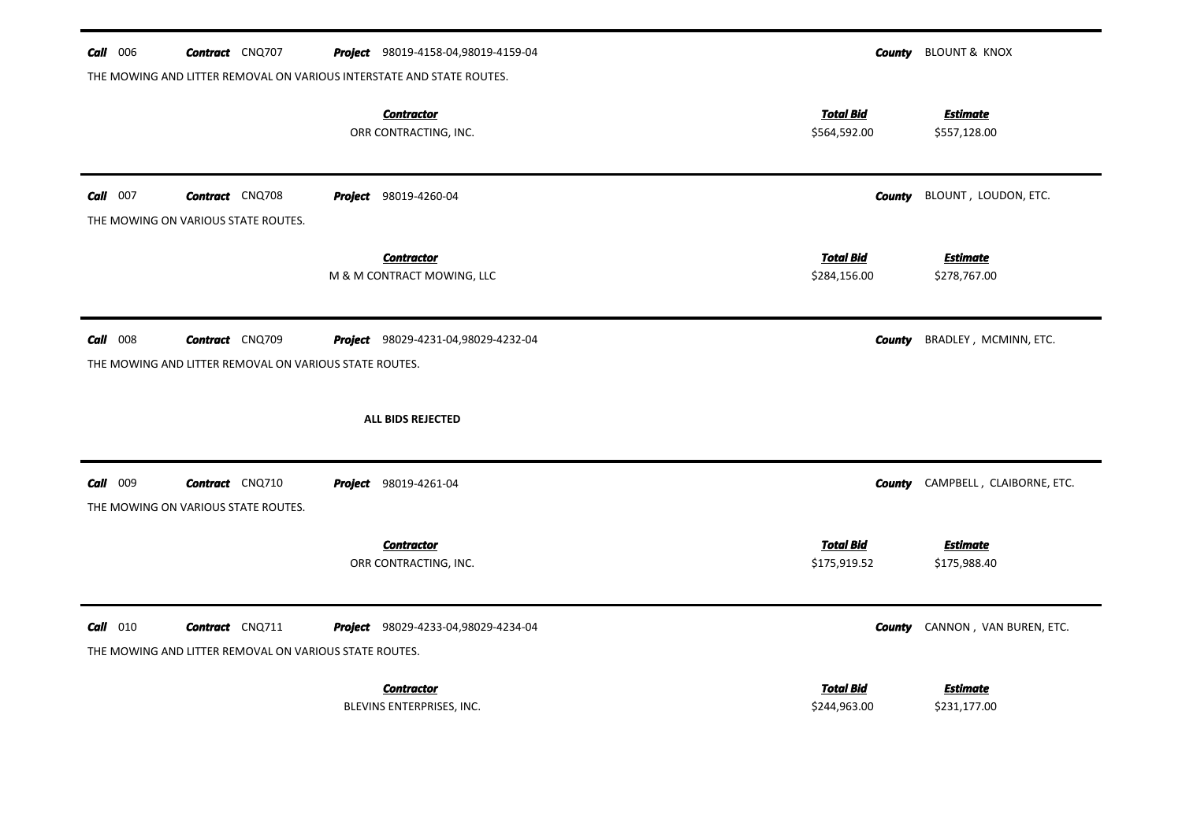| $Call$ 006 | <b>Contract</b> CNQ707                                                           | <b>Project</b> 98019-4158-04,98019-4159-04                                                                          |                                  | <b>County</b> BLOUNT & KNOX              |
|------------|----------------------------------------------------------------------------------|---------------------------------------------------------------------------------------------------------------------|----------------------------------|------------------------------------------|
|            |                                                                                  | THE MOWING AND LITTER REMOVAL ON VARIOUS INTERSTATE AND STATE ROUTES.<br><b>Contractor</b><br>ORR CONTRACTING, INC. | <b>Total Bid</b><br>\$564,592.00 | <b>Estimate</b><br>\$557,128.00          |
| $Call$ 007 | <b>Contract</b> CNQ708<br>THE MOWING ON VARIOUS STATE ROUTES.                    | <b>Project</b> 98019-4260-04                                                                                        |                                  | <b>County</b> BLOUNT, LOUDON, ETC.       |
|            |                                                                                  | <b>Contractor</b><br>M & M CONTRACT MOWING, LLC                                                                     | <b>Total Bid</b><br>\$284,156.00 | <b>Estimate</b><br>\$278,767.00          |
| $Call$ 008 | <b>Contract</b> CNQ709<br>THE MOWING AND LITTER REMOVAL ON VARIOUS STATE ROUTES. | <b>Project</b> 98029-4231-04,98029-4232-04                                                                          |                                  | BRADLEY, MCMINN, ETC.<br>County          |
|            |                                                                                  | <b>ALL BIDS REJECTED</b>                                                                                            |                                  |                                          |
| Call 009   | <b>Contract</b> CNQ710<br>THE MOWING ON VARIOUS STATE ROUTES.                    | <b>Project</b> 98019-4261-04                                                                                        |                                  | County<br>CAMPBELL, CLAIBORNE, ETC.      |
|            |                                                                                  | <b>Contractor</b><br>ORR CONTRACTING, INC.                                                                          | <b>Total Bid</b><br>\$175,919.52 | <b>Estimate</b><br>\$175,988.40          |
| $Call$ 010 | <b>Contract</b> CNQ711<br>THE MOWING AND LITTER REMOVAL ON VARIOUS STATE ROUTES. | Project 98029-4233-04,98029-4234-04                                                                                 |                                  | CANNON, VAN BUREN, ETC.<br><b>County</b> |
|            |                                                                                  | <b>Contractor</b><br>BLEVINS ENTERPRISES, INC.                                                                      | <b>Total Bid</b><br>\$244,963.00 | <b>Estimate</b><br>\$231,177.00          |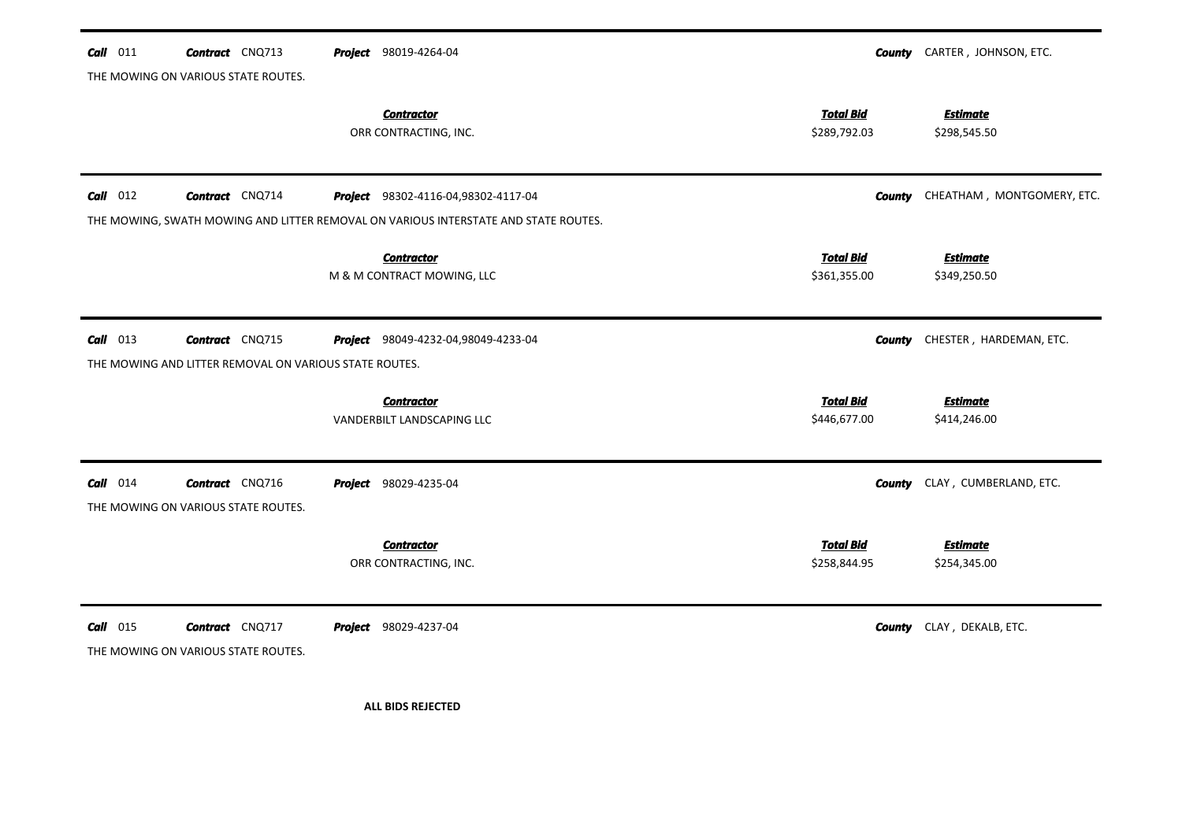| $Call$ 011 | <b>Contract</b> CNQ713                                 | <b>Project</b> 98019-4264-04                                                        |                  | <b>County</b> CARTER, JOHNSON, ETC.  |
|------------|--------------------------------------------------------|-------------------------------------------------------------------------------------|------------------|--------------------------------------|
|            | THE MOWING ON VARIOUS STATE ROUTES.                    |                                                                                     |                  |                                      |
|            |                                                        | <b>Contractor</b>                                                                   | <b>Total Bid</b> | <b>Estimate</b>                      |
|            |                                                        | ORR CONTRACTING, INC.                                                               | \$289,792.03     | \$298,545.50                         |
|            |                                                        |                                                                                     |                  |                                      |
| $Call$ 012 | <b>Contract</b> CNQ714                                 | Project 98302-4116-04,98302-4117-04                                                 | County           | CHEATHAM, MONTGOMERY, ETC.           |
|            |                                                        | THE MOWING, SWATH MOWING AND LITTER REMOVAL ON VARIOUS INTERSTATE AND STATE ROUTES. |                  |                                      |
|            |                                                        | <b>Contractor</b>                                                                   | <b>Total Bid</b> | <b>Estimate</b>                      |
|            |                                                        | M & M CONTRACT MOWING, LLC                                                          | \$361,355.00     | \$349,250.50                         |
|            |                                                        |                                                                                     |                  |                                      |
| $Call$ 013 | <b>Contract</b> CNQ715                                 | Project 98049-4232-04,98049-4233-04                                                 | County           | CHESTER, HARDEMAN, ETC.              |
|            | THE MOWING AND LITTER REMOVAL ON VARIOUS STATE ROUTES. |                                                                                     |                  |                                      |
|            |                                                        | <b>Contractor</b>                                                                   | <b>Total Bid</b> | <b>Estimate</b>                      |
|            |                                                        | VANDERBILT LANDSCAPING LLC                                                          | \$446,677.00     | \$414,246.00                         |
|            |                                                        |                                                                                     |                  |                                      |
| $Call$ 014 | <b>Contract</b> CNQ716                                 | <b>Project</b> 98029-4235-04                                                        |                  | <b>County</b> CLAY, CUMBERLAND, ETC. |
|            | THE MOWING ON VARIOUS STATE ROUTES.                    |                                                                                     |                  |                                      |
|            |                                                        | <b>Contractor</b>                                                                   | <b>Total Bid</b> | <b>Estimate</b>                      |
|            |                                                        | ORR CONTRACTING, INC.                                                               | \$258,844.95     | \$254,345.00                         |
|            |                                                        |                                                                                     |                  |                                      |
| $Call$ 015 | <b>Contract</b> CNQ717                                 | <b>Project</b> 98029-4237-04                                                        |                  | <b>County</b> CLAY, DEKALB, ETC.     |
|            | THE MOWING ON VARIOUS STATE ROUTES.                    |                                                                                     |                  |                                      |
|            |                                                        |                                                                                     |                  |                                      |
|            |                                                        | <b>ALL BIDS REJECTED</b>                                                            |                  |                                      |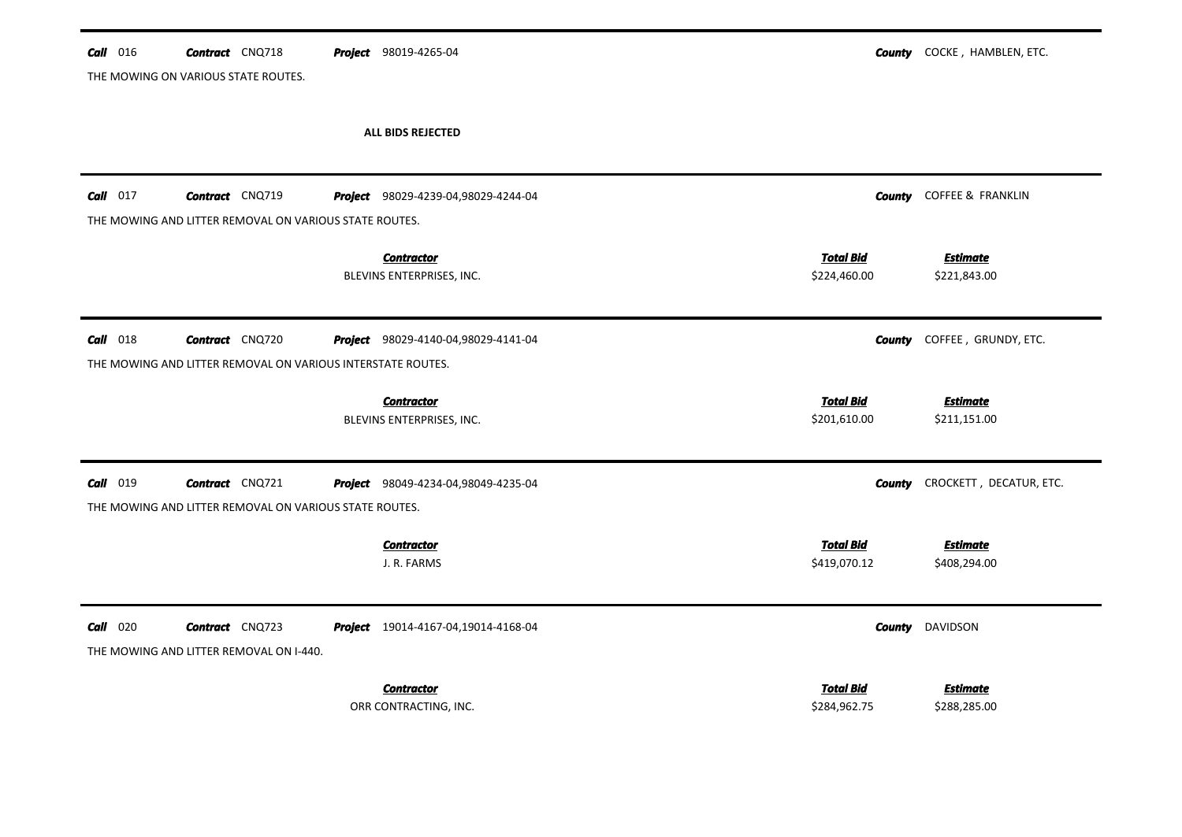| $Call$ 016                          | <b>Contract</b> CNQ718 |                                                             | <b>Project</b> 98019-4265-04                   |                                  | <b>County</b> COCKE, HAMBLEN, ETC. |
|-------------------------------------|------------------------|-------------------------------------------------------------|------------------------------------------------|----------------------------------|------------------------------------|
| THE MOWING ON VARIOUS STATE ROUTES. |                        |                                                             |                                                |                                  |                                    |
|                                     |                        |                                                             | ALL BIDS REJECTED                              |                                  |                                    |
| $Call$ 017                          | <b>Contract</b> CNQ719 |                                                             | Project 98029-4239-04,98029-4244-04            | County                           | COFFEE & FRANKLIN                  |
|                                     |                        | THE MOWING AND LITTER REMOVAL ON VARIOUS STATE ROUTES.      |                                                |                                  |                                    |
|                                     |                        |                                                             | <b>Contractor</b><br>BLEVINS ENTERPRISES, INC. | <b>Total Bid</b><br>\$224,460.00 | <b>Estimate</b><br>\$221,843.00    |
| $Call$ 018                          | <b>Contract</b> CNQ720 |                                                             | Project 98029-4140-04,98029-4141-04            | <b>County</b>                    | COFFEE, GRUNDY, ETC.               |
|                                     |                        | THE MOWING AND LITTER REMOVAL ON VARIOUS INTERSTATE ROUTES. |                                                |                                  |                                    |
|                                     |                        |                                                             | <b>Contractor</b><br>BLEVINS ENTERPRISES, INC. | <b>Total Bid</b><br>\$201,610.00 | <b>Estimate</b><br>\$211,151.00    |
| $Call$ 019                          | <b>Contract</b> CNQ721 |                                                             | Project 98049-4234-04,98049-4235-04            | County                           | CROCKETT, DECATUR, ETC.            |
|                                     |                        | THE MOWING AND LITTER REMOVAL ON VARIOUS STATE ROUTES.      |                                                |                                  |                                    |
|                                     |                        |                                                             | <b>Contractor</b><br>J. R. FARMS               | <b>Total Bid</b><br>\$419,070.12 | <b>Estimate</b><br>\$408,294.00    |
| $Call$ 020                          | <b>Contract</b> CNQ723 |                                                             | Project 19014-4167-04,19014-4168-04            | County                           | <b>DAVIDSON</b>                    |
|                                     |                        | THE MOWING AND LITTER REMOVAL ON I-440.                     |                                                |                                  |                                    |
|                                     |                        |                                                             | <b>Contractor</b><br>ORR CONTRACTING, INC.     | <b>Total Bid</b><br>\$284,962.75 | <b>Estimate</b><br>\$288,285.00    |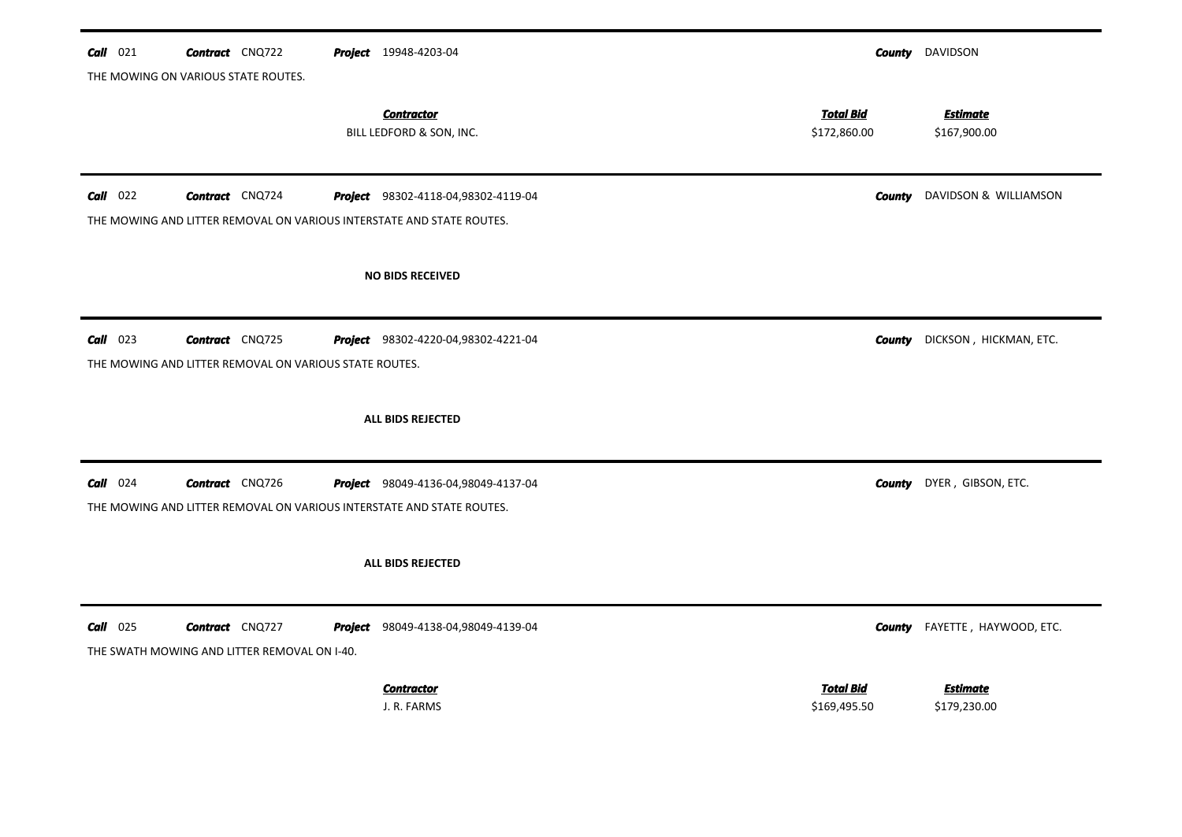| $Call$ 021<br><b>Contract</b> CNQ722<br><b>Project</b> 19948-4203-04                                                               |                                  | <b>County</b> DAVIDSON               |
|------------------------------------------------------------------------------------------------------------------------------------|----------------------------------|--------------------------------------|
| THE MOWING ON VARIOUS STATE ROUTES.                                                                                                |                                  |                                      |
| <b>Contractor</b><br>BILL LEDFORD & SON, INC.                                                                                      | <b>Total Bid</b><br>\$172,860.00 | <b>Estimate</b><br>\$167,900.00      |
| $Call$ 022<br><b>Contract</b> CNQ724<br>Project 98302-4118-04,98302-4119-04                                                        |                                  | <b>County</b> DAVIDSON & WILLIAMSON  |
| THE MOWING AND LITTER REMOVAL ON VARIOUS INTERSTATE AND STATE ROUTES.                                                              |                                  |                                      |
| <b>NO BIDS RECEIVED</b>                                                                                                            |                                  |                                      |
| $Call$ 023<br><b>Contract</b> CNQ725<br>Project 98302-4220-04,98302-4221-04                                                        |                                  | <b>County</b> DICKSON, HICKMAN, ETC. |
| THE MOWING AND LITTER REMOVAL ON VARIOUS STATE ROUTES.                                                                             |                                  |                                      |
| ALL BIDS REJECTED                                                                                                                  |                                  |                                      |
| Call 024<br><b>Contract</b> CNQ726<br>Project 98049-4136-04,98049-4137-04                                                          | County                           | DYER, GIBSON, ETC.                   |
| THE MOWING AND LITTER REMOVAL ON VARIOUS INTERSTATE AND STATE ROUTES.                                                              |                                  |                                      |
| ALL BIDS REJECTED                                                                                                                  |                                  |                                      |
| $Call$ 025<br><b>Contract</b> CNQ727<br><b>Project</b> 98049-4138-04,98049-4139-04<br>THE SWATH MOWING AND LITTER REMOVAL ON I-40. |                                  | <b>County</b> FAYETTE, HAYWOOD, ETC. |
| <b>Contractor</b><br>J. R. FARMS                                                                                                   | <b>Total Bid</b><br>\$169,495.50 | <b>Estimate</b><br>\$179,230.00      |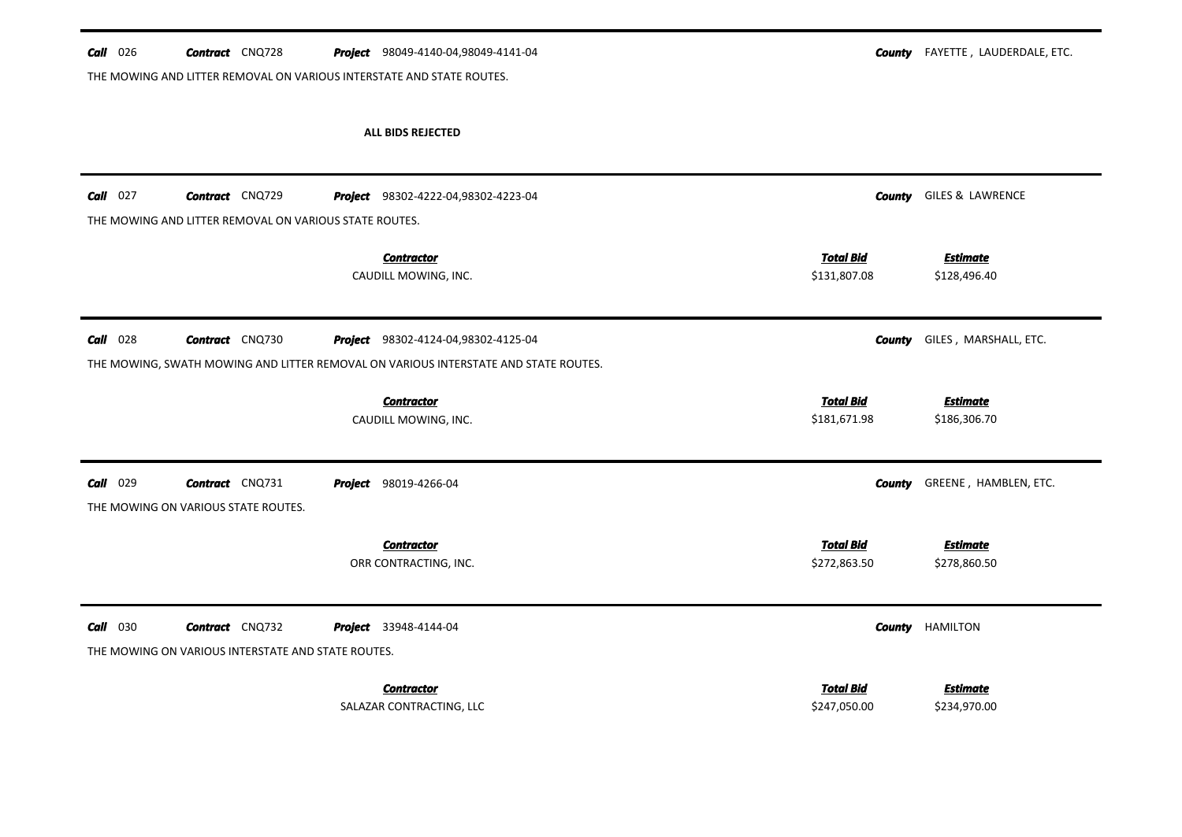|                 |                                                                                  | THE MOWING AND LITTER REMOVAL ON VARIOUS INTERSTATE AND STATE ROUTES.                                                      |                                                                     |
|-----------------|----------------------------------------------------------------------------------|----------------------------------------------------------------------------------------------------------------------------|---------------------------------------------------------------------|
|                 |                                                                                  | <b>ALL BIDS REJECTED</b>                                                                                                   |                                                                     |
| $Call$ 027      | <b>Contract</b> CNQ729<br>THE MOWING AND LITTER REMOVAL ON VARIOUS STATE ROUTES. | Project 98302-4222-04,98302-4223-04                                                                                        | GILES & LAWRENCE<br><b>County</b>                                   |
|                 |                                                                                  | <b>Contractor</b><br>CAUDILL MOWING, INC.                                                                                  | <b>Total Bid</b><br><b>Estimate</b><br>\$131,807.08<br>\$128,496.40 |
| $Call$ 028      | <b>Contract</b> CNQ730                                                           | Project 98302-4124-04,98302-4125-04<br>THE MOWING, SWATH MOWING AND LITTER REMOVAL ON VARIOUS INTERSTATE AND STATE ROUTES. | GILES, MARSHALL, ETC.<br>County                                     |
|                 |                                                                                  | <b>Contractor</b><br>CAUDILL MOWING, INC.                                                                                  | <b>Total Bid</b><br><b>Estimate</b><br>\$181,671.98<br>\$186,306.70 |
| <b>Call</b> 029 | <b>Contract</b> CNQ731<br>THE MOWING ON VARIOUS STATE ROUTES.                    | <b>Project</b> 98019-4266-04                                                                                               | GREENE, HAMBLEN, ETC.<br><b>County</b>                              |
|                 |                                                                                  | <b>Contractor</b><br>ORR CONTRACTING, INC.                                                                                 | <b>Total Bid</b><br><b>Estimate</b><br>\$272,863.50<br>\$278,860.50 |
| Call 030        | <b>Contract</b> CNQ732<br>THE MOWING ON VARIOUS INTERSTATE AND STATE ROUTES.     | Project 33948-4144-04                                                                                                      | <b>HAMILTON</b><br>County                                           |
|                 |                                                                                  | <b>Contractor</b><br>SALAZAR CONTRACTING, LLC                                                                              | <b>Total Bid</b><br><b>Estimate</b><br>\$247,050.00<br>\$234,970.00 |

## *Call* 026 *Contract* CNQ728 *Project*

**County** FAYETTE, LAUDERDALE, ETC.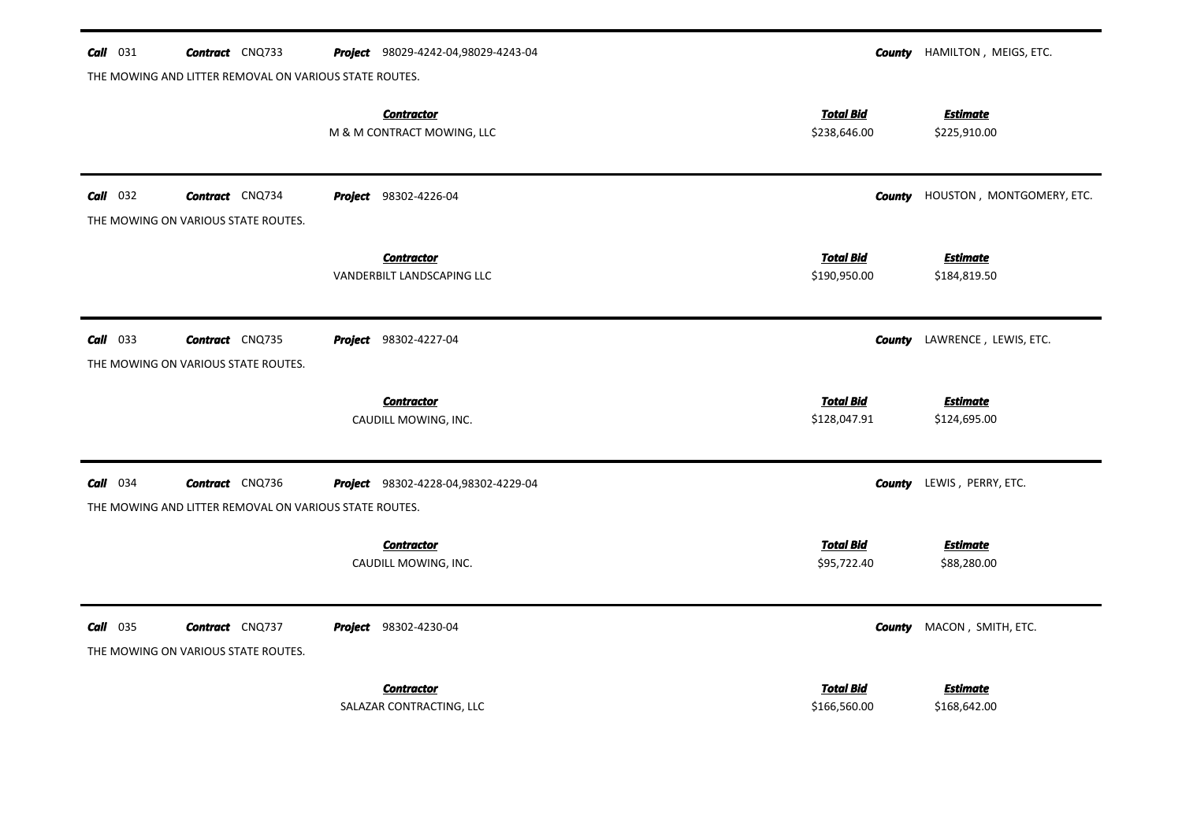| $Call$ 031      | <b>Contract</b> CNQ733                                        | Project 98029-4242-04,98029-4243-04             |                                  | <b>County</b> HAMILTON, MEIGS, ETC. |
|-----------------|---------------------------------------------------------------|-------------------------------------------------|----------------------------------|-------------------------------------|
|                 | THE MOWING AND LITTER REMOVAL ON VARIOUS STATE ROUTES.        |                                                 |                                  |                                     |
|                 |                                                               | <b>Contractor</b><br>M & M CONTRACT MOWING, LLC | <b>Total Bid</b><br>\$238,646.00 | <b>Estimate</b><br>\$225,910.00     |
| $Call$ 032      | <b>Contract</b> CNQ734<br>THE MOWING ON VARIOUS STATE ROUTES. | <b>Project</b> 98302-4226-04                    | County                           | HOUSTON, MONTGOMERY, ETC.           |
|                 |                                                               | <b>Contractor</b><br>VANDERBILT LANDSCAPING LLC | <b>Total Bid</b><br>\$190,950.00 | <b>Estimate</b><br>\$184,819.50     |
| $Call$ 033      | <b>Contract</b> CNQ735<br>THE MOWING ON VARIOUS STATE ROUTES. | <b>Project</b> 98302-4227-04                    | County                           | LAWRENCE, LEWIS, ETC.               |
|                 |                                                               | <b>Contractor</b>                               | <b>Total Bid</b>                 | <b>Estimate</b>                     |
|                 |                                                               | CAUDILL MOWING, INC.                            | \$128,047.91                     | \$124,695.00                        |
| <b>Call</b> 034 | <b>Contract</b> CNQ736                                        | Project 98302-4228-04,98302-4229-04             | <b>County</b>                    | LEWIS, PERRY, ETC.                  |
|                 | THE MOWING AND LITTER REMOVAL ON VARIOUS STATE ROUTES.        |                                                 |                                  |                                     |
|                 |                                                               | <b>Contractor</b><br>CAUDILL MOWING, INC.       | <b>Total Bid</b><br>\$95,722.40  | <b>Estimate</b><br>\$88,280.00      |
| $Call$ 035      | <b>Contract</b> CNQ737<br>THE MOWING ON VARIOUS STATE ROUTES. | <b>Project</b> 98302-4230-04                    | County                           | MACON, SMITH, ETC.                  |
|                 |                                                               | <b>Contractor</b>                               | <b>Total Bid</b>                 | <b>Estimate</b>                     |
|                 |                                                               | SALAZAR CONTRACTING, LLC                        | \$166,560.00                     | \$168,642.00                        |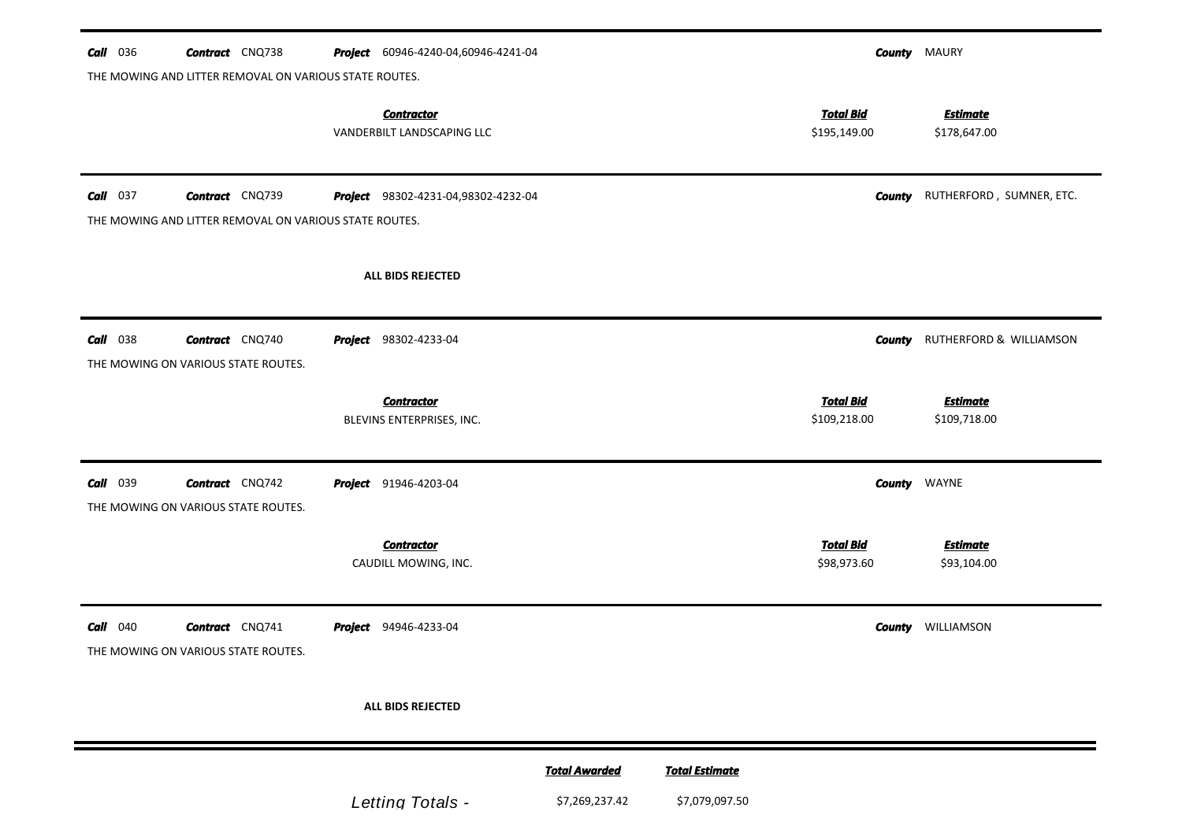| <b>Call</b> 036 | <b>Contract</b> CNQ738<br>THE MOWING AND LITTER REMOVAL ON VARIOUS STATE ROUTES. | <b>Project</b> 60946-4240-04,60946-4241-04      |                                        |                                         |                                  | <b>County MAURY</b>                    |
|-----------------|----------------------------------------------------------------------------------|-------------------------------------------------|----------------------------------------|-----------------------------------------|----------------------------------|----------------------------------------|
|                 |                                                                                  | <b>Contractor</b><br>VANDERBILT LANDSCAPING LLC |                                        |                                         | <u>Total Bid</u><br>\$195,149.00 | <b>Estimate</b><br>\$178,647.00        |
| $Call$ 037      | <b>Contract</b> CNQ739<br>THE MOWING AND LITTER REMOVAL ON VARIOUS STATE ROUTES. | <b>Project</b> 98302-4231-04,98302-4232-04      |                                        |                                         |                                  | <b>County</b> RUTHERFORD, SUMNER, ETC. |
|                 |                                                                                  | ALL BIDS REJECTED                               |                                        |                                         |                                  |                                        |
| <b>Call</b> 038 | <b>Contract</b> CNQ740<br>THE MOWING ON VARIOUS STATE ROUTES.                    | <b>Project</b> 98302-4233-04                    |                                        |                                         | County                           | RUTHERFORD & WILLIAMSON                |
|                 |                                                                                  | <b>Contractor</b><br>BLEVINS ENTERPRISES, INC.  |                                        |                                         | <b>Total Bid</b><br>\$109,218.00 | <b>Estimate</b><br>\$109,718.00        |
| <b>Call</b> 039 | <b>Contract</b> CNQ742<br>THE MOWING ON VARIOUS STATE ROUTES.                    | <b>Project</b> 91946-4203-04                    |                                        |                                         |                                  | <b>County</b> WAYNE                    |
|                 |                                                                                  | <b>Contractor</b><br>CAUDILL MOWING, INC.       |                                        |                                         | <b>Total Bid</b><br>\$98,973.60  | <b>Estimate</b><br>\$93,104.00         |
| $Call$ 040      | <b>Contract</b> CNQ741<br>THE MOWING ON VARIOUS STATE ROUTES.                    | <b>Project</b> 94946-4233-04                    |                                        |                                         |                                  | <b>County</b> WILLIAMSON               |
|                 |                                                                                  | ALL BIDS REJECTED                               |                                        |                                         |                                  |                                        |
|                 |                                                                                  | Letting Totals -                                | <b>Total Awarded</b><br>\$7,269,237.42 | <b>Total Estimate</b><br>\$7,079,097.50 |                                  |                                        |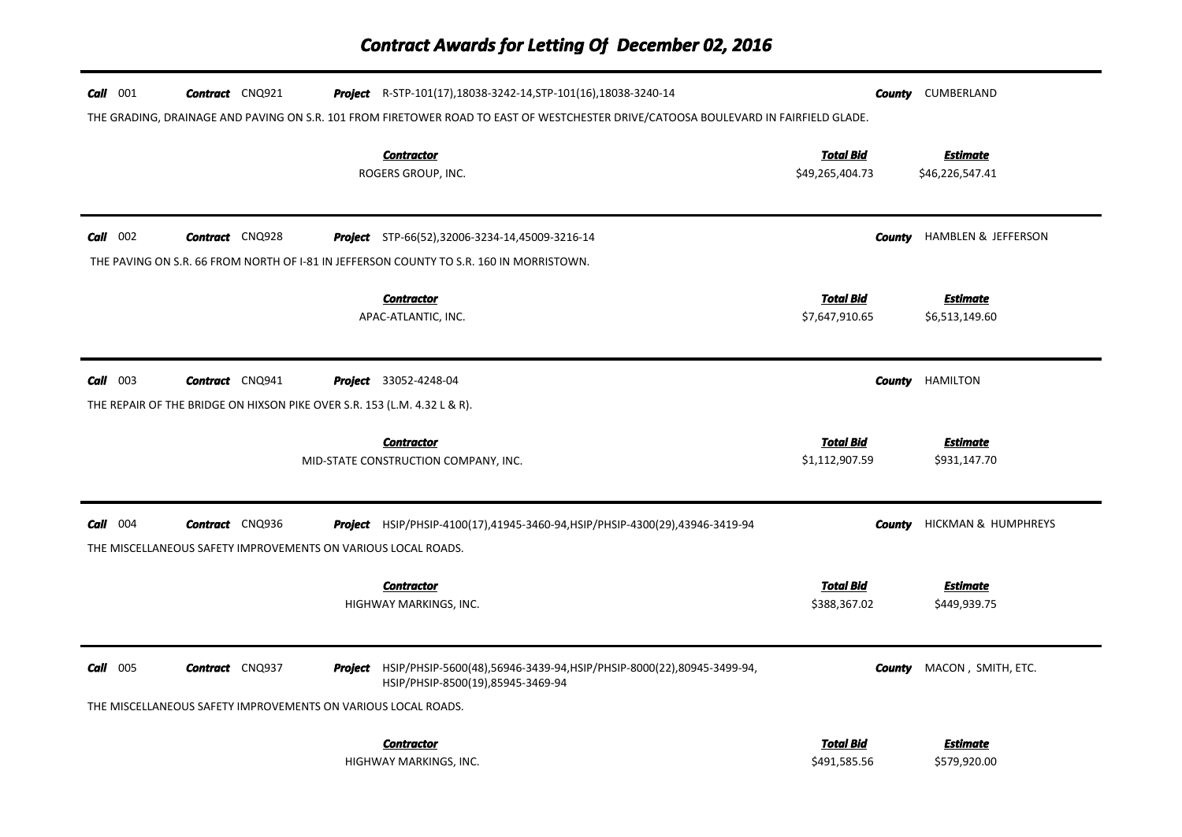| $Call$ 001 | <b>Contract</b> CNQ921                                                                             | <b>Project</b> R-STP-101(17), 18038-3242-14, STP-101(16), 18038-3240-14<br>THE GRADING, DRAINAGE AND PAVING ON S.R. 101 FROM FIRETOWER ROAD TO EAST OF WESTCHESTER DRIVE/CATOOSA BOULEVARD IN FAIRFIELD GLADE. | County                              | CUMBERLAND                         |
|------------|----------------------------------------------------------------------------------------------------|----------------------------------------------------------------------------------------------------------------------------------------------------------------------------------------------------------------|-------------------------------------|------------------------------------|
|            |                                                                                                    | <b>Contractor</b><br>ROGERS GROUP, INC.                                                                                                                                                                        | <b>Total Bid</b><br>\$49,265,404.73 | <b>Estimate</b><br>\$46,226,547.41 |
| $Call$ 002 | <b>Contract</b> CNQ928                                                                             | <b>Project</b> STP-66(52),32006-3234-14,45009-3216-14<br>THE PAVING ON S.R. 66 FROM NORTH OF 1-81 IN JEFFERSON COUNTY TO S.R. 160 IN MORRISTOWN.                                                               | County                              | <b>HAMBLEN &amp; JEFFERSON</b>     |
|            |                                                                                                    | <b>Contractor</b><br>APAC-ATLANTIC, INC.                                                                                                                                                                       | <b>Total Bid</b><br>\$7,647,910.65  | <b>Estimate</b><br>\$6,513,149.60  |
| $Call$ 003 | <b>Contract</b> CNQ941<br>THE REPAIR OF THE BRIDGE ON HIXSON PIKE OVER S.R. 153 (L.M. 4.32 L & R). | <b>Project</b> 33052-4248-04                                                                                                                                                                                   | County                              | <b>HAMILTON</b>                    |
|            |                                                                                                    | <b>Contractor</b><br>MID-STATE CONSTRUCTION COMPANY, INC.                                                                                                                                                      | <b>Total Bid</b><br>\$1,112,907.59  | <b>Estimate</b><br>\$931,147.70    |
| $Call$ 004 | <b>Contract</b> CNQ936<br>THE MISCELLANEOUS SAFETY IMPROVEMENTS ON VARIOUS LOCAL ROADS.            | <b>Project</b> HSIP/PHSIP-4100(17),41945-3460-94,HSIP/PHSIP-4300(29),43946-3419-94                                                                                                                             | County                              | HICKMAN & HUMPHREYS                |
|            |                                                                                                    | <b>Contractor</b><br>HIGHWAY MARKINGS, INC.                                                                                                                                                                    | <b>Total Bid</b><br>\$388,367.02    | <b>Estimate</b><br>\$449,939.75    |
| $Call$ 005 | <b>Contract</b> CNQ937<br>THE MISCELLANEOUS SAFETY IMPROVEMENTS ON VARIOUS LOCAL ROADS.            | Project HSIP/PHSIP-5600(48),56946-3439-94, HSIP/PHSIP-8000(22), 80945-3499-94,<br>HSIP/PHSIP-8500(19),85945-3469-94                                                                                            | County                              | MACON, SMITH, ETC.                 |
|            |                                                                                                    | <b>Contractor</b><br>HIGHWAY MARKINGS, INC.                                                                                                                                                                    | <b>Total Bid</b><br>\$491,585.56    | <b>Estimate</b><br>\$579,920.00    |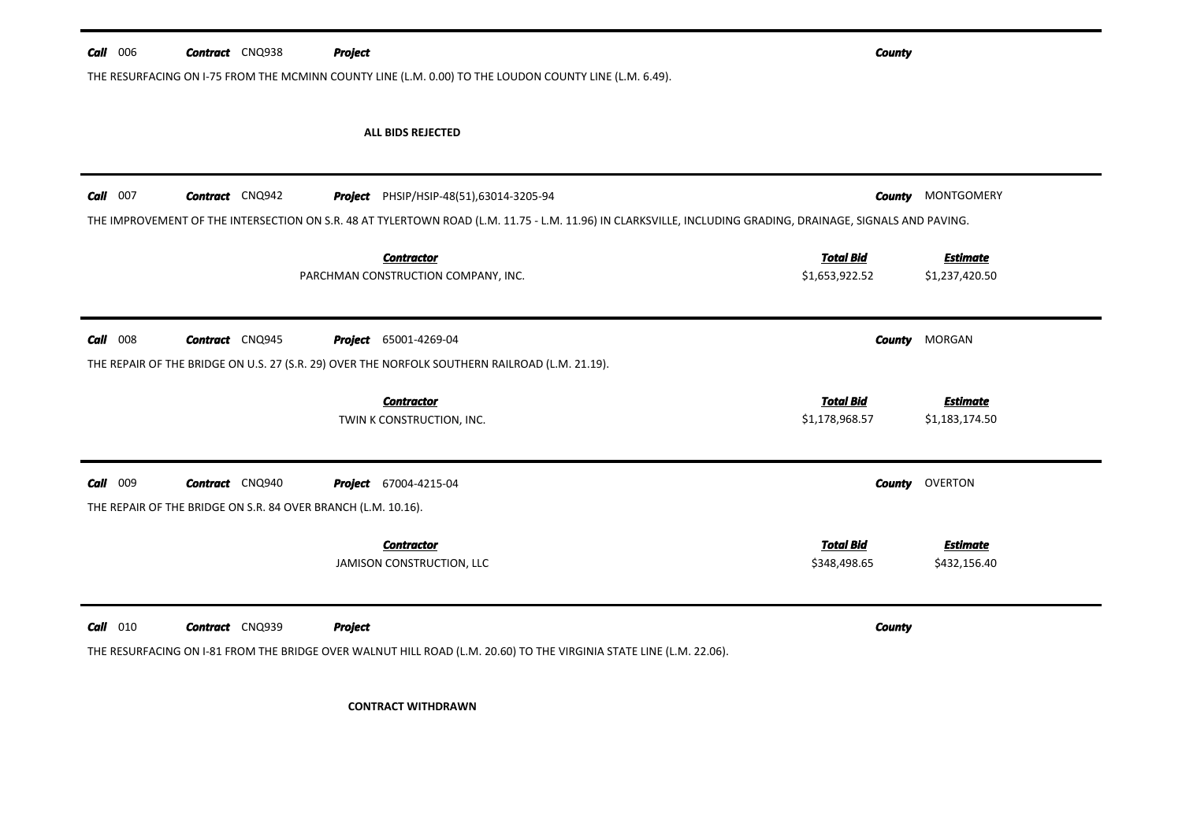THE RESURFACING ON I-75 FROM THE MCMINN COUNTY LINE (L.M. 0.00) TO THE LOUDON COUNTY LINE (L.M. 6.49).

## ALL BIDS REJECTED

| Call<br>007 | <b>Contract</b> CNQ942                                                                  |                | <b>Project</b> PHSIP/HSIP-48(51),63014-3205-94<br>THE IMPROVEMENT OF THE INTERSECTION ON S.R. 48 AT TYLERTOWN ROAD (L.M. 11.75 - L.M. 11.96) IN CLARKSVILLE, INCLUDING GRADING, DRAINAGE, SIGNALS AND PAVING. | <b>County</b>                      | MONTGOMERY                        |
|-------------|-----------------------------------------------------------------------------------------|----------------|---------------------------------------------------------------------------------------------------------------------------------------------------------------------------------------------------------------|------------------------------------|-----------------------------------|
|             |                                                                                         |                | <b>Contractor</b><br>PARCHMAN CONSTRUCTION COMPANY, INC.                                                                                                                                                      | <b>Total Bid</b><br>\$1,653,922.52 | <b>Estimate</b><br>\$1,237,420.50 |
| Call<br>008 | <b>Contract</b> CNQ945                                                                  | Project        | 65001-4269-04<br>THE REPAIR OF THE BRIDGE ON U.S. 27 (S.R. 29) OVER THE NORFOLK SOUTHERN RAILROAD (L.M. 21.19).                                                                                               | <b>County</b>                      | MORGAN                            |
|             |                                                                                         |                | <b>Contractor</b><br>TWIN K CONSTRUCTION, INC.                                                                                                                                                                | <b>Total Bid</b><br>\$1,178,968.57 | <b>Estimate</b><br>\$1,183,174.50 |
| Call<br>009 | <b>Contract</b> CNQ940<br>THE REPAIR OF THE BRIDGE ON S.R. 84 OVER BRANCH (L.M. 10.16). |                | <b>Project</b> 67004-4215-04                                                                                                                                                                                  | County                             | OVERTON                           |
|             |                                                                                         |                | <b>Contractor</b><br>JAMISON CONSTRUCTION, LLC                                                                                                                                                                | <b>Total Bid</b><br>\$348,498.65   | <b>Estimate</b><br>\$432,156.40   |
| Call<br>010 | <b>Contract</b> CNQ939                                                                  | <b>Project</b> | THE RESURFACING ON I-81 FROM THE BRIDGE OVER WALNUT HILL ROAD (L.M. 20.60) TO THE VIRGINIA STATE LINE (L.M. 22.06).                                                                                           | <b>County</b>                      |                                   |

CONTRACT WITHDRAWN

*County*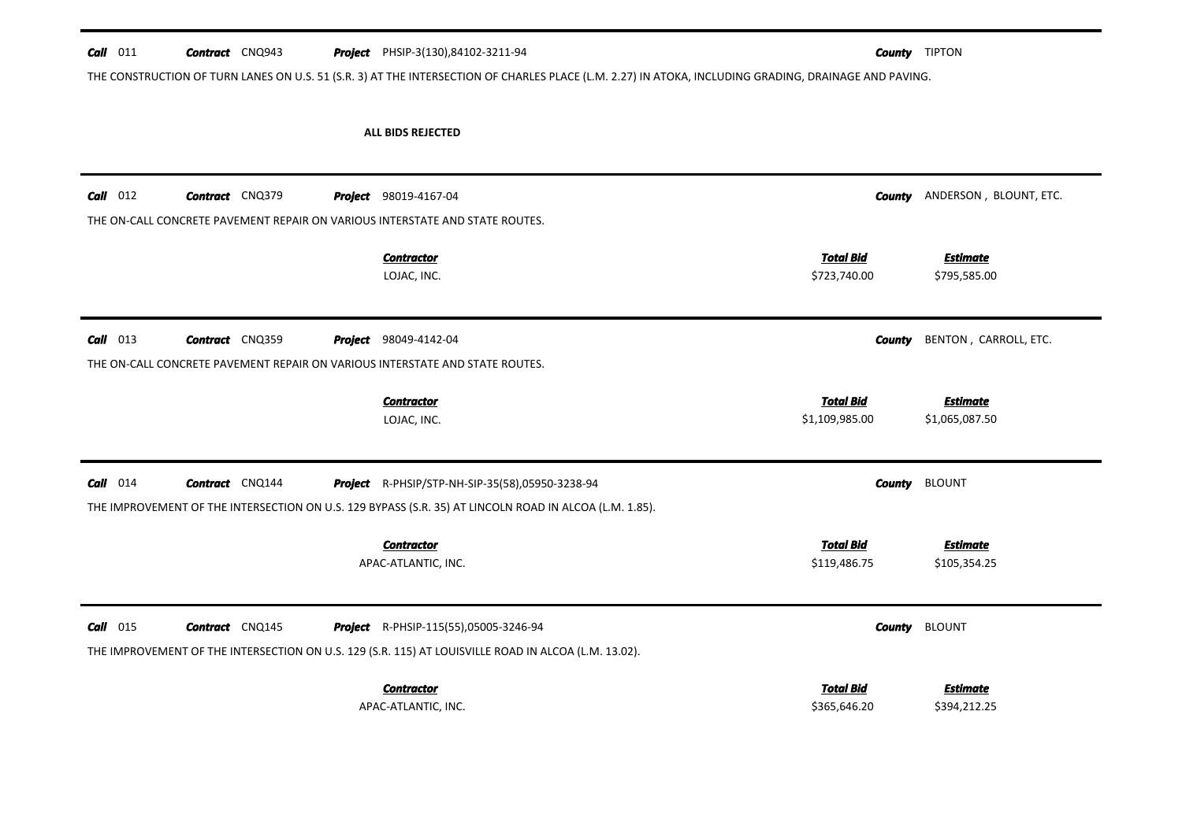## **Call** 011 **Contract** CNQ943 THE CONSTRUCTION OF TURN LANES ON U.S. 51 (S.R. 3) AT THE INTERSECTION OF CHARLES PLACE (L.M. 2.27) IN ATOKA, INCLUDING GRADING, DRAINAGE AND PAVING. PHSIP-3(130),84102-3211-94 *County* TIPTON

## ALL BIDS REJECTED

| Call<br>012        | <b>Contract</b> CNQ379 |         | <b>Project</b> 98019-4167-04                                                                           | <b>County</b>    | ANDERSON, BLOUNT, ETC. |
|--------------------|------------------------|---------|--------------------------------------------------------------------------------------------------------|------------------|------------------------|
|                    |                        |         | THE ON-CALL CONCRETE PAVEMENT REPAIR ON VARIOUS INTERSTATE AND STATE ROUTES.                           |                  |                        |
|                    |                        |         | <b>Contractor</b>                                                                                      | <b>Total Bid</b> | <b>Estimate</b>        |
|                    |                        |         | LOJAC, INC.                                                                                            | \$723,740.00     | \$795,585.00           |
| Call<br>013        | <b>Contract</b> CNQ359 | Project | 98049-4142-04                                                                                          | <b>County</b>    | BENTON, CARROLL, ETC.  |
|                    |                        |         | THE ON-CALL CONCRETE PAVEMENT REPAIR ON VARIOUS INTERSTATE AND STATE ROUTES.                           |                  |                        |
|                    |                        |         | <b>Contractor</b>                                                                                      | <b>Total Bid</b> | <b>Estimate</b>        |
|                    |                        |         | LOJAC, INC.                                                                                            | \$1,109,985.00   | \$1,065,087.50         |
| 014<br>Call        | <b>Contract</b> CNQ144 |         | <b>Project</b> R-PHSIP/STP-NH-SIP-35(58),05950-3238-94                                                 | <b>County</b>    | <b>BLOUNT</b>          |
|                    |                        |         | THE IMPROVEMENT OF THE INTERSECTION ON U.S. 129 BYPASS (S.R. 35) AT LINCOLN ROAD IN ALCOA (L.M. 1.85). |                  |                        |
|                    |                        |         | <b>Contractor</b>                                                                                      | <b>Total Bid</b> | <b>Estimate</b>        |
|                    |                        |         | APAC-ATLANTIC, INC.                                                                                    | \$119,486.75     | \$105,354.25           |
| <b>Call</b><br>015 | <b>Contract</b> CNQ145 |         | <b>Project</b> R-PHSIP-115(55),05005-3246-94                                                           | <b>County</b>    | <b>BLOUNT</b>          |
|                    |                        |         | THE IMPROVEMENT OF THE INTERSECTION ON U.S. 129 (S.R. 115) AT LOUISVILLE ROAD IN ALCOA (L.M. 13.02).   |                  |                        |
|                    |                        |         | <b>Contractor</b>                                                                                      | <b>Total Bid</b> | <b>Estimate</b>        |
|                    |                        |         | APAC-ATLANTIC, INC.                                                                                    | \$365,646.20     | \$394,212.25           |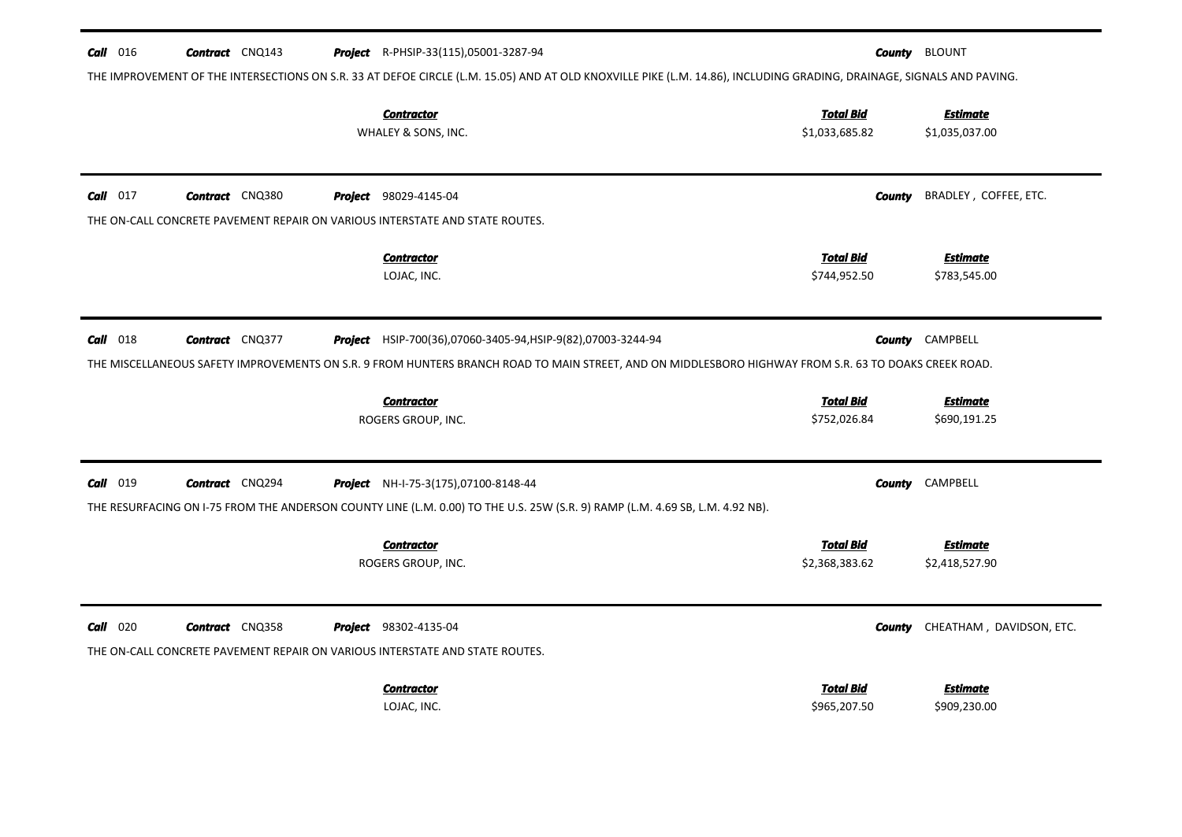| $Call$ 016 | <b>Contract</b> CNQ143 |  | <b>Project</b> R-PHSIP-33(115),05001-3287-94                                                                                                                          | County                             | <b>BLOUNT</b>                     |
|------------|------------------------|--|-----------------------------------------------------------------------------------------------------------------------------------------------------------------------|------------------------------------|-----------------------------------|
|            |                        |  | THE IMPROVEMENT OF THE INTERSECTIONS ON S.R. 33 AT DEFOE CIRCLE (L.M. 15.05) AND AT OLD KNOXVILLE PIKE (L.M. 14.86), INCLUDING GRADING, DRAINAGE, SIGNALS AND PAVING. |                                    |                                   |
|            |                        |  | <b>Contractor</b><br>WHALEY & SONS, INC.                                                                                                                              | <b>Total Bid</b><br>\$1,033,685.82 | <b>Estimate</b><br>\$1,035,037.00 |
| $Call$ 017 | <b>Contract</b> CNQ380 |  | <b>Project</b> 98029-4145-04                                                                                                                                          | <b>County</b>                      | BRADLEY, COFFEE, ETC.             |
|            |                        |  | THE ON-CALL CONCRETE PAVEMENT REPAIR ON VARIOUS INTERSTATE AND STATE ROUTES.                                                                                          |                                    |                                   |
|            |                        |  | <b>Contractor</b><br>LOJAC, INC.                                                                                                                                      | <b>Total Bid</b><br>\$744,952.50   | <b>Estimate</b><br>\$783,545.00   |
| $Call$ 018 | <b>Contract</b> CNQ377 |  | Project HSIP-700(36),07060-3405-94,HSIP-9(82),07003-3244-94                                                                                                           | County                             | CAMPBELL                          |
|            |                        |  | THE MISCELLANEOUS SAFETY IMPROVEMENTS ON S.R. 9 FROM HUNTERS BRANCH ROAD TO MAIN STREET, AND ON MIDDLESBORO HIGHWAY FROM S.R. 63 TO DOAKS CREEK ROAD.                 |                                    |                                   |
|            |                        |  | <b>Contractor</b><br>ROGERS GROUP, INC.                                                                                                                               | <b>Total Bid</b><br>\$752,026.84   | <b>Estimate</b><br>\$690,191.25   |
| $Call$ 019 | <b>Contract</b> CNQ294 |  | Project NH-I-75-3(175),07100-8148-44                                                                                                                                  | County                             | CAMPBELL                          |
|            |                        |  | THE RESURFACING ON I-75 FROM THE ANDERSON COUNTY LINE (L.M. 0.00) TO THE U.S. 25W (S.R. 9) RAMP (L.M. 4.69 SB, L.M. 4.92 NB).                                         |                                    |                                   |
|            |                        |  | <b>Contractor</b><br>ROGERS GROUP, INC.                                                                                                                               | <b>Total Bid</b><br>\$2,368,383.62 | <b>Estimate</b><br>\$2,418,527.90 |
| $Call$ 020 | <b>Contract</b> CNQ358 |  | <b>Project</b> 98302-4135-04<br>THE ON-CALL CONCRETE PAVEMENT REPAIR ON VARIOUS INTERSTATE AND STATE ROUTES.                                                          | County                             | CHEATHAM, DAVIDSON, ETC.          |
|            |                        |  |                                                                                                                                                                       |                                    |                                   |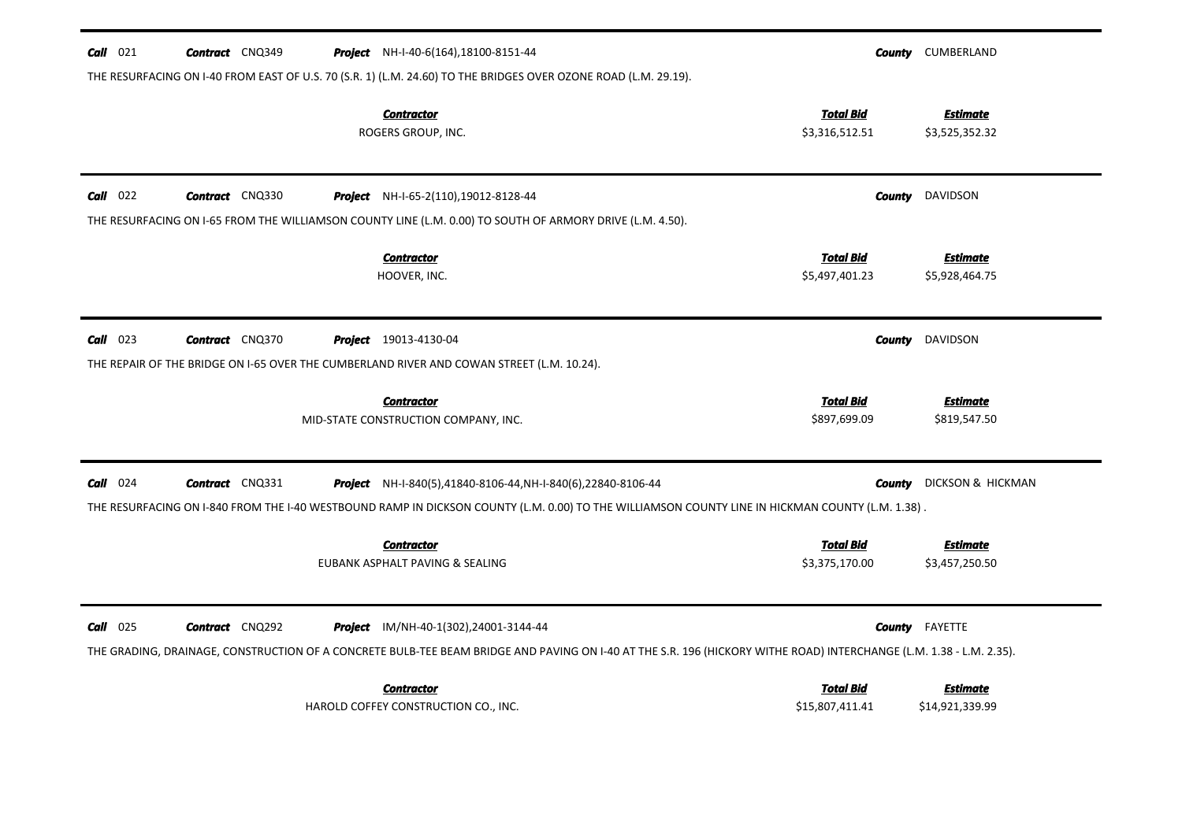| $Call$ 021<br><b>Contract</b> CNQ349                                                      | <b>Project</b> NH-I-40-6(164), 18100-8151-44                                                                                                                                                                 |                                     | <b>County</b> CUMBERLAND           |
|-------------------------------------------------------------------------------------------|--------------------------------------------------------------------------------------------------------------------------------------------------------------------------------------------------------------|-------------------------------------|------------------------------------|
|                                                                                           | THE RESURFACING ON I-40 FROM EAST OF U.S. 70 (S.R. 1) (L.M. 24.60) TO THE BRIDGES OVER OZONE ROAD (L.M. 29.19).<br><b>Contractor</b><br>ROGERS GROUP, INC.                                                   | <b>Total Bid</b><br>\$3,316,512.51  | <b>Estimate</b><br>\$3,525,352.32  |
| $Call$ 022<br><b>Contract</b> CNQ330                                                      | <b>Project</b> NH-I-65-2(110), 19012-8128-44                                                                                                                                                                 | County                              | DAVIDSON                           |
|                                                                                           | THE RESURFACING ON I-65 FROM THE WILLIAMSON COUNTY LINE (L.M. 0.00) TO SOUTH OF ARMORY DRIVE (L.M. 4.50).<br><b>Contractor</b><br>HOOVER, INC.                                                               | <b>Total Bid</b><br>\$5,497,401.23  | <b>Estimate</b><br>\$5,928,464.75  |
| $Call$ 023<br><b>Contract</b> CNQ370                                                      | <b>Project</b> 19013-4130-04                                                                                                                                                                                 | County                              | DAVIDSON                           |
| THE REPAIR OF THE BRIDGE ON 1-65 OVER THE CUMBERLAND RIVER AND COWAN STREET (L.M. 10.24). | <b>Contractor</b><br>MID-STATE CONSTRUCTION COMPANY, INC.                                                                                                                                                    | <b>Total Bid</b><br>\$897,699.09    | <b>Estimate</b><br>\$819,547.50    |
| $Call$ 024<br><b>Contract</b> CNQ331                                                      | <b>Project</b> NH-I-840(5),41840-8106-44, NH-I-840(6),22840-8106-44                                                                                                                                          | County                              | DICKSON & HICKMAN                  |
|                                                                                           | THE RESURFACING ON I-840 FROM THE I-40 WESTBOUND RAMP IN DICKSON COUNTY (L.M. 0.00) TO THE WILLIAMSON COUNTY LINE IN HICKMAN COUNTY (L.M. 1.38).                                                             |                                     |                                    |
|                                                                                           | <b>Contractor</b><br>EUBANK ASPHALT PAVING & SEALING                                                                                                                                                         | <b>Total Bid</b><br>\$3,375,170.00  | <b>Estimate</b><br>\$3,457,250.50  |
| $Call$ 025<br><b>Contract</b> CNQ292                                                      | Project IM/NH-40-1(302),24001-3144-44<br>THE GRADING, DRAINAGE, CONSTRUCTION OF A CONCRETE BULB-TEE BEAM BRIDGE AND PAVING ON I-40 AT THE S.R. 196 (HICKORY WITHE ROAD) INTERCHANGE (L.M. 1.38 - L.M. 2.35). | County                              | FAYETTE                            |
|                                                                                           | <b>Contractor</b><br>HAROLD COFFEY CONSTRUCTION CO., INC.                                                                                                                                                    | <b>Total Bid</b><br>\$15,807,411.41 | <b>Estimate</b><br>\$14,921,339.99 |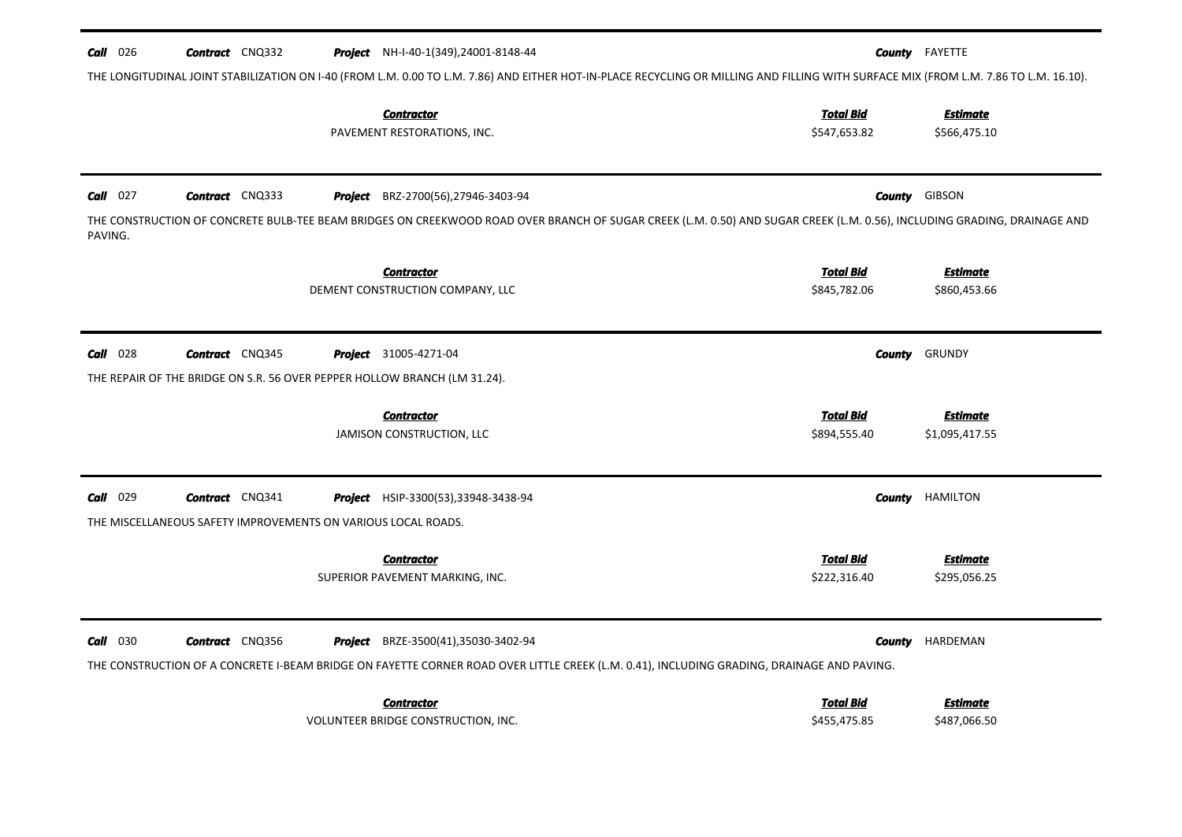| <b>Call</b> 026       | <b>Contract</b> CNQ332                                                                              |         | <b>Project</b> NH-I-40-1(349), 24001-8148-44<br>THE LONGITUDINAL JOINT STABILIZATION ON I-40 (FROM L.M. 0.00 TO L.M. 7.86) AND EITHER HOT-IN-PLACE RECYCLING OR MILLING AND FILLING WITH SURFACE MIX (FROM L.M. 7.86 TO L.M. 16.10).  |                                            | <b>County</b> FAYETTE                                     |
|-----------------------|-----------------------------------------------------------------------------------------------------|---------|---------------------------------------------------------------------------------------------------------------------------------------------------------------------------------------------------------------------------------------|--------------------------------------------|-----------------------------------------------------------|
|                       |                                                                                                     |         | <b>Contractor</b><br>PAVEMENT RESTORATIONS, INC.                                                                                                                                                                                      | <b>Total Bid</b><br>\$547,653.82           | <u>Estimate</u><br>\$566,475.10                           |
| $Call$ 027<br>PAVING. | <b>Contract</b> CNQ333                                                                              |         | Project BRZ-2700(56),27946-3403-94<br>THE CONSTRUCTION OF CONCRETE BULB-TEE BEAM BRIDGES ON CREEKWOOD ROAD OVER BRANCH OF SUGAR CREEK (L.M. 0.50) AND SUGAR CREEK (L.M. 0.56), INCLUDING GRADING, DRAINAGE AND                        |                                            | <b>County GIBSON</b>                                      |
|                       |                                                                                                     |         | <b>Contractor</b><br>DEMENT CONSTRUCTION COMPANY, LLC                                                                                                                                                                                 | <b>Total Bid</b><br>\$845,782.06           | <b>Estimate</b><br>\$860,453.66                           |
| $Call$ 028            | <b>Contract</b> CNQ345<br>THE REPAIR OF THE BRIDGE ON S.R. 56 OVER PEPPER HOLLOW BRANCH (LM 31.24). |         | <b>Project</b> 31005-4271-04<br><b>Contractor</b><br>JAMISON CONSTRUCTION, LLC                                                                                                                                                        | County<br><b>Total Bid</b><br>\$894,555.40 | GRUNDY<br><b>Estimate</b><br>\$1,095,417.55               |
| Call 029              | <b>Contract</b> CNQ341<br>THE MISCELLANEOUS SAFETY IMPROVEMENTS ON VARIOUS LOCAL ROADS.             |         | <b>Project</b> HSIP-3300(53), 33948-3438-94<br><b>Contractor</b><br>SUPERIOR PAVEMENT MARKING, INC.                                                                                                                                   | <b>Total Bid</b><br>\$222,316.40           | <b>County</b> HAMILTON<br><b>Estimate</b><br>\$295,056.25 |
| <b>Call</b> 030       | <b>Contract</b> CNQ356                                                                              | Project | BRZE-3500(41),35030-3402-94<br>THE CONSTRUCTION OF A CONCRETE I-BEAM BRIDGE ON FAYETTE CORNER ROAD OVER LITTLE CREEK (L.M. 0.41), INCLUDING GRADING, DRAINAGE AND PAVING.<br><b>Contractor</b><br>VOLUNTEER BRIDGE CONSTRUCTION, INC. | County<br><b>Total Bid</b><br>\$455,475.85 | HARDEMAN<br><b>Estimate</b><br>\$487,066.50               |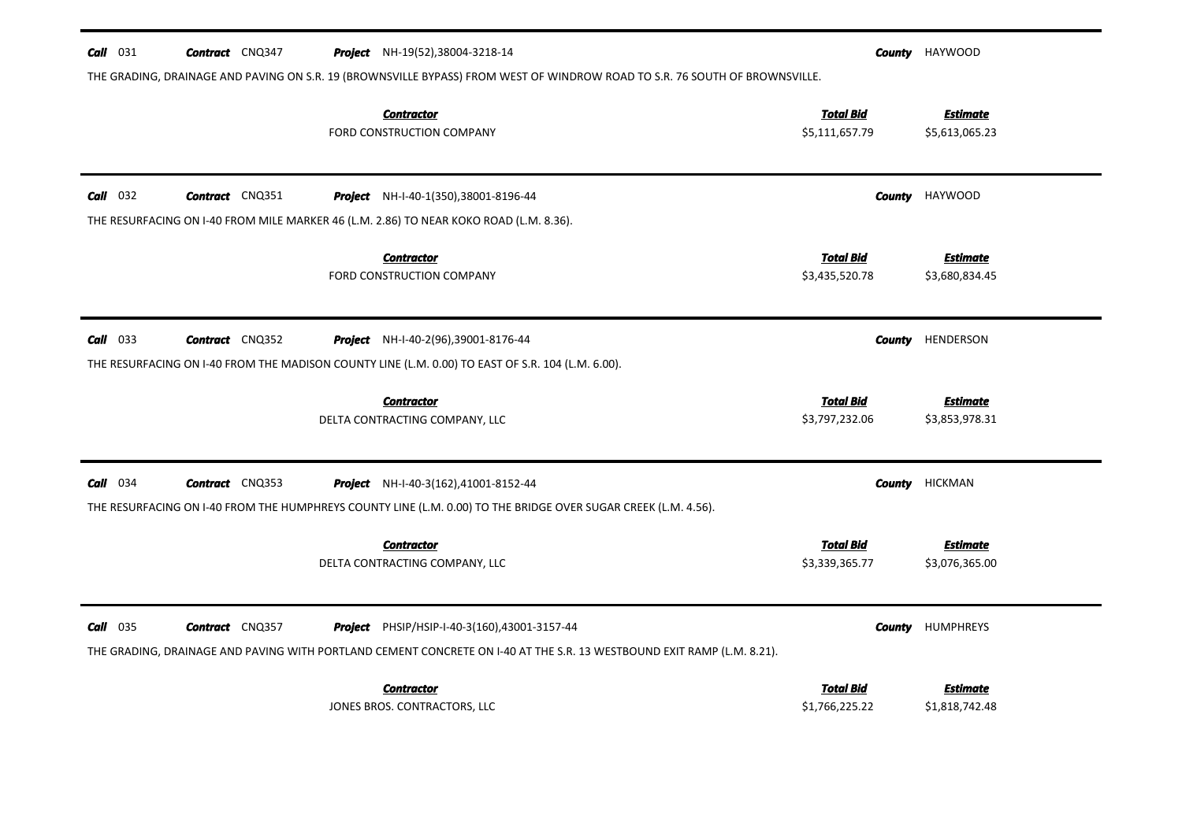| $Call$ 031 | <b>Contract</b> CNQ347 | <b>Project</b> NH-19(52),38004-3218-14<br>THE GRADING, DRAINAGE AND PAVING ON S.R. 19 (BROWNSVILLE BYPASS) FROM WEST OF WINDROW ROAD TO S.R. 76 SOUTH OF BROWNSVILLE.  |                                    | <b>County</b> HAYWOOD             |
|------------|------------------------|------------------------------------------------------------------------------------------------------------------------------------------------------------------------|------------------------------------|-----------------------------------|
|            |                        | <b>Contractor</b><br>FORD CONSTRUCTION COMPANY                                                                                                                         | <b>Total Bid</b><br>\$5,111,657.79 | <b>Estimate</b><br>\$5,613,065.23 |
| $Call$ 032 | <b>Contract</b> CNQ351 | <b>Project</b> NH-I-40-1(350),38001-8196-44                                                                                                                            | County                             | HAYWOOD                           |
|            |                        | THE RESURFACING ON 1-40 FROM MILE MARKER 46 (L.M. 2.86) TO NEAR KOKO ROAD (L.M. 8.36).                                                                                 |                                    |                                   |
|            |                        | <b>Contractor</b><br>FORD CONSTRUCTION COMPANY                                                                                                                         | <b>Total Bid</b><br>\$3,435,520.78 | <b>Estimate</b><br>\$3,680,834.45 |
| $Call$ 033 | <b>Contract</b> CNQ352 | Project NH-I-40-2(96),39001-8176-44                                                                                                                                    | County                             | HENDERSON                         |
|            |                        | THE RESURFACING ON I-40 FROM THE MADISON COUNTY LINE (L.M. 0.00) TO EAST OF S.R. 104 (L.M. 6.00).                                                                      |                                    |                                   |
|            |                        | <u>Contractor</u><br>DELTA CONTRACTING COMPANY, LLC                                                                                                                    | <b>Total Bid</b><br>\$3,797,232.06 | <b>Estimate</b><br>\$3,853,978.31 |
| $Call$ 034 | <b>Contract</b> CNQ353 | Project NH-I-40-3(162),41001-8152-44                                                                                                                                   | County                             | <b>HICKMAN</b>                    |
|            |                        | THE RESURFACING ON I-40 FROM THE HUMPHREYS COUNTY LINE (L.M. 0.00) TO THE BRIDGE OVER SUGAR CREEK (L.M. 4.56).                                                         |                                    |                                   |
|            |                        | <b>Contractor</b><br>DELTA CONTRACTING COMPANY, LLC                                                                                                                    | <b>Total Bid</b><br>\$3,339,365.77 | <b>Estimate</b><br>\$3,076,365.00 |
| $Call$ 035 | <b>Contract</b> CNQ357 | Project PHSIP/HSIP-I-40-3(160),43001-3157-44<br>THE GRADING, DRAINAGE AND PAVING WITH PORTLAND CEMENT CONCRETE ON 1-40 AT THE S.R. 13 WESTBOUND EXIT RAMP (L.M. 8.21). | County                             | <b>HUMPHREYS</b>                  |
|            |                        | <b>Contractor</b><br>JONES BROS. CONTRACTORS, LLC                                                                                                                      | <b>Total Bid</b><br>\$1,766,225.22 | Estimate<br>\$1,818,742.48        |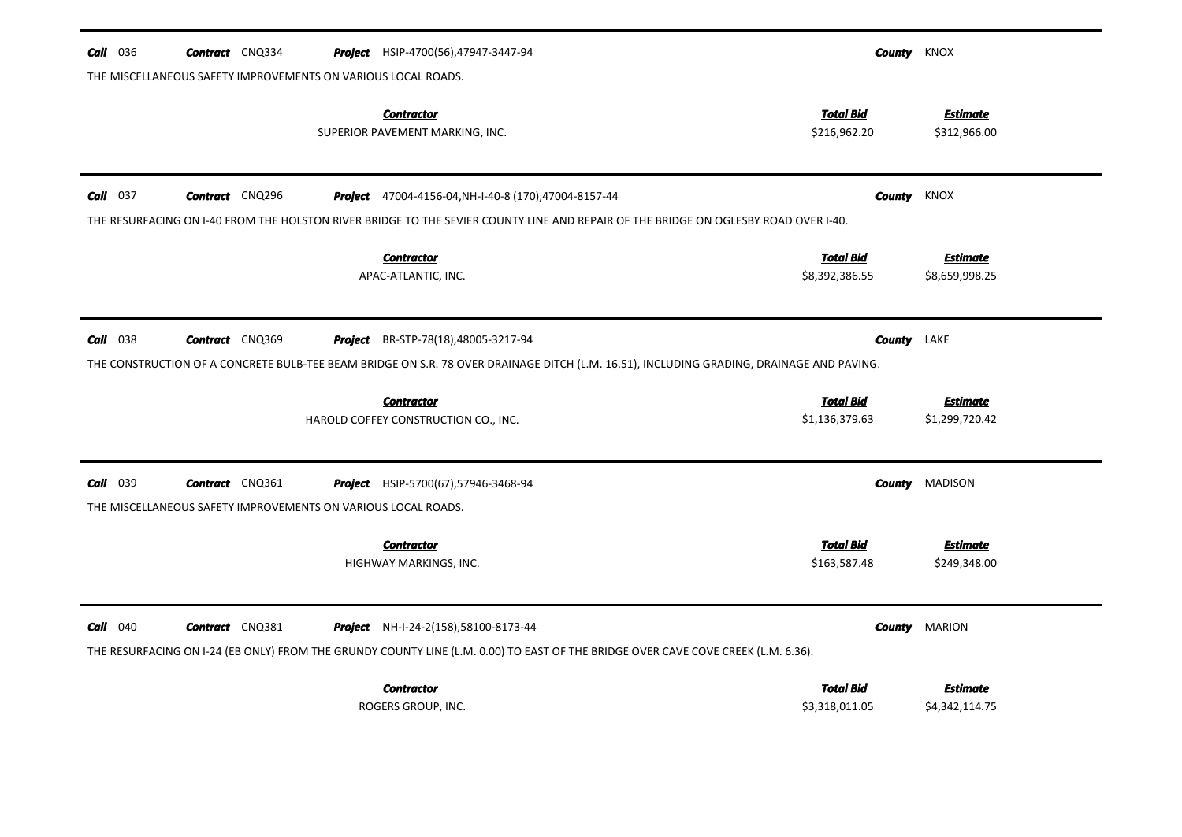| <b>Call</b> 036 | <b>Contract</b> CNQ334                                                                  | <b>Project</b> HSIP-4700(56),47947-3447-94                                                                                                                                | County                             | KNOX                              |
|-----------------|-----------------------------------------------------------------------------------------|---------------------------------------------------------------------------------------------------------------------------------------------------------------------------|------------------------------------|-----------------------------------|
|                 | THE MISCELLANEOUS SAFETY IMPROVEMENTS ON VARIOUS LOCAL ROADS.                           |                                                                                                                                                                           |                                    |                                   |
|                 |                                                                                         | <b>Contractor</b><br>SUPERIOR PAVEMENT MARKING, INC.                                                                                                                      | <b>Total Bid</b><br>\$216,962.20   | <b>Estimate</b><br>\$312,966.00   |
| $Call$ 037      | <b>Contract</b> CNQ296                                                                  | Project 47004-4156-04, NH-I-40-8 (170), 47004-8157-44                                                                                                                     | County                             | <b>KNOX</b>                       |
|                 |                                                                                         | THE RESURFACING ON 1-40 FROM THE HOLSTON RIVER BRIDGE TO THE SEVIER COUNTY LINE AND REPAIR OF THE BRIDGE ON OGLESBY ROAD OVER 1-40.                                       |                                    |                                   |
|                 |                                                                                         | <b>Contractor</b><br>APAC-ATLANTIC, INC.                                                                                                                                  | <b>Total Bid</b><br>\$8,392,386.55 | <b>Estimate</b><br>\$8,659,998.25 |
| <b>Call</b> 038 | <b>Contract</b> CNQ369                                                                  | Project BR-STP-78(18),48005-3217-94                                                                                                                                       | County                             | LAKE                              |
|                 |                                                                                         | THE CONSTRUCTION OF A CONCRETE BULB-TEE BEAM BRIDGE ON S.R. 78 OVER DRAINAGE DITCH (L.M. 16.51), INCLUDING GRADING, DRAINAGE AND PAVING.                                  |                                    |                                   |
|                 |                                                                                         | <b>Contractor</b><br>HAROLD COFFEY CONSTRUCTION CO., INC.                                                                                                                 | <b>Total Bid</b><br>\$1,136,379.63 | <b>Estimate</b><br>\$1,299,720.42 |
| 039<br>Call     | <b>Contract</b> CNQ361<br>THE MISCELLANEOUS SAFETY IMPROVEMENTS ON VARIOUS LOCAL ROADS. | <b>Project</b> HSIP-5700(67),57946-3468-94                                                                                                                                | <b>County</b>                      | <b>MADISON</b>                    |
|                 |                                                                                         | <b>Contractor</b><br>HIGHWAY MARKINGS, INC.                                                                                                                               | <b>Total Bid</b><br>\$163,587.48   | Estimate<br>\$249,348.00          |
| $Call$ 040      | <b>Contract</b> CNQ381                                                                  | Project NH-I-24-2(158),58100-8173-44<br>THE RESURFACING ON I-24 (EB ONLY) FROM THE GRUNDY COUNTY LINE (L.M. 0.00) TO EAST OF THE BRIDGE OVER CAVE COVE CREEK (L.M. 6.36). | <b>County</b>                      | <b>MARION</b>                     |
|                 |                                                                                         | <b>Contractor</b><br>ROGERS GROUP, INC.                                                                                                                                   | <b>Total Bid</b><br>\$3,318,011.05 | Estimate<br>\$4,342,114.75        |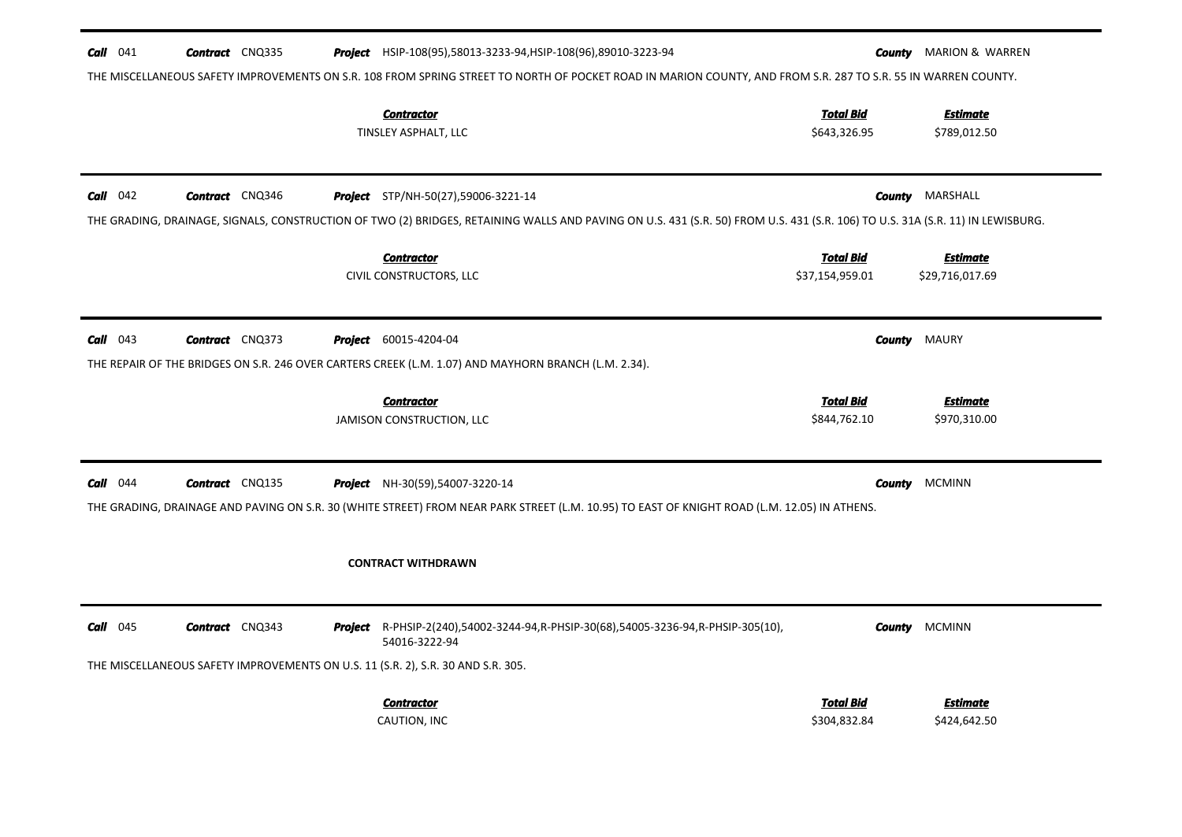| $Call$ 041 | <b>Contract</b> CNQ335 | <b>Project</b> HSIP-108(95),58013-3233-94, HSIP-108(96),89010-3223-94                                                                                                                  | <b>County MARION &amp; WARREN</b><br>THE MISCELLANEOUS SAFETY IMPROVEMENTS ON S.R. 108 FROM SPRING STREET TO NORTH OF POCKET ROAD IN MARION COUNTY, AND FROM S.R. 287 TO S.R. 55 IN WARREN COUNTY.   |                                 |
|------------|------------------------|----------------------------------------------------------------------------------------------------------------------------------------------------------------------------------------|------------------------------------------------------------------------------------------------------------------------------------------------------------------------------------------------------|---------------------------------|
|            |                        | <b>Contractor</b><br>TINSLEY ASPHALT, LLC                                                                                                                                              | <u>Total Bid</u><br>\$643,326.95                                                                                                                                                                     | <b>Estimate</b><br>\$789,012.50 |
| $Call$ 042 | <b>Contract</b> CNQ346 | <b>Project</b> STP/NH-50(27),59006-3221-14                                                                                                                                             | MARSHALL<br>County<br>THE GRADING, DRAINAGE, SIGNALS, CONSTRUCTION OF TWO (2) BRIDGES, RETAINING WALLS AND PAVING ON U.S. 431 (S.R. 50) FROM U.S. 431 (S.R. 106) TO U.S. 31A (S.R. 11) IN LEWISBURG. |                                 |
|            |                        | <b>Contractor</b><br>CIVIL CONSTRUCTORS, LLC                                                                                                                                           | <b>Total Bid</b><br>\$37,154,959.01<br>\$29,716,017.69                                                                                                                                               | Estimate                        |
| $Call$ 043 | <b>Contract</b> CNQ373 | <b>Project</b> 60015-4204-04<br>THE REPAIR OF THE BRIDGES ON S.R. 246 OVER CARTERS CREEK (L.M. 1.07) AND MAYHORN BRANCH (L.M. 2.34).                                                   | County<br>MAURY                                                                                                                                                                                      |                                 |
|            |                        | <b>Contractor</b><br>JAMISON CONSTRUCTION, LLC                                                                                                                                         | <b>Total Bid</b><br>\$844,762.10                                                                                                                                                                     | <b>Estimate</b><br>\$970,310.00 |
| $Call$ 044 | <b>Contract</b> CNQ135 | <b>Project</b> NH-30(59),54007-3220-14<br>THE GRADING, DRAINAGE AND PAVING ON S.R. 30 (WHITE STREET) FROM NEAR PARK STREET (L.M. 10.95) TO EAST OF KNIGHT ROAD (L.M. 12.05) IN ATHENS. | <b>County</b><br><b>MCMINN</b>                                                                                                                                                                       |                                 |
|            |                        | <b>CONTRACT WITHDRAWN</b>                                                                                                                                                              |                                                                                                                                                                                                      |                                 |
| Call 045   | <b>Contract</b> CNQ343 | <b>Project</b> R-PHSIP-2(240),54002-3244-94,R-PHSIP-30(68),54005-3236-94,R-PHSIP-305(10),<br>54016-3222-94                                                                             | <b>MCMINN</b><br>County                                                                                                                                                                              |                                 |
|            |                        | THE MISCELLANEOUS SAFETY IMPROVEMENTS ON U.S. 11 (S.R. 2), S.R. 30 AND S.R. 305.<br><b>Contractor</b><br>CAUTION, INC                                                                  | <b>Total Bid</b><br>\$304,832.84                                                                                                                                                                     | <b>Estimate</b><br>\$424,642.50 |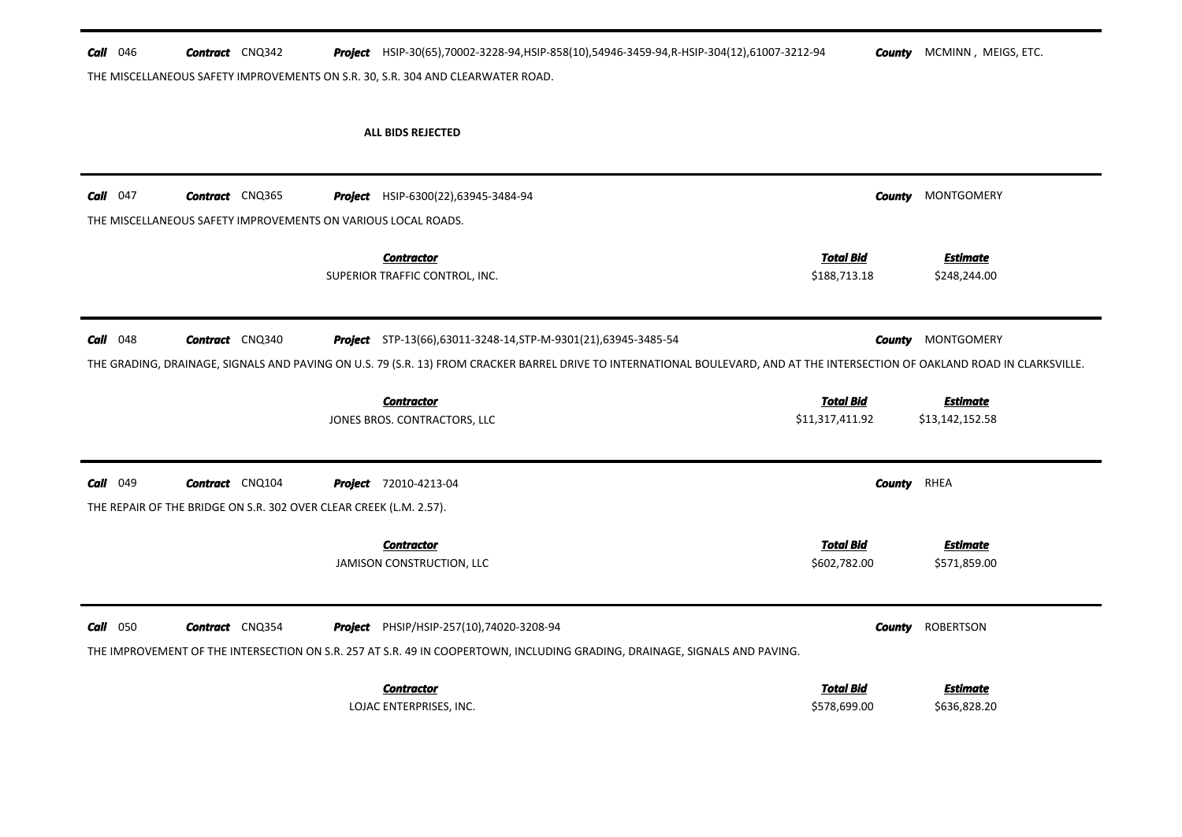| <b>Call</b> $046$ | <b>Contract</b> CNQ342                                                                       |                                                                                | Project HSIP-30(65),70002-3228-94,HSIP-858(10),54946-3459-94,R-HSIP-304(12),61007-3212-94<br>THE MISCELLANEOUS SAFETY IMPROVEMENTS ON S.R. 30, S.R. 304 AND CLEARWATER ROAD.                                                                                                          |               | <b>County</b> MCMINN, MEIGS, ETC.                |
|-------------------|----------------------------------------------------------------------------------------------|--------------------------------------------------------------------------------|---------------------------------------------------------------------------------------------------------------------------------------------------------------------------------------------------------------------------------------------------------------------------------------|---------------|--------------------------------------------------|
|                   |                                                                                              | <b>ALL BIDS REJECTED</b>                                                       |                                                                                                                                                                                                                                                                                       |               |                                                  |
| 047<br>Call       | <b>Contract</b> CNQ365<br>THE MISCELLANEOUS SAFETY IMPROVEMENTS ON VARIOUS LOCAL ROADS.      |                                                                                | <b>Project</b> HSIP-6300(22),63945-3484-94                                                                                                                                                                                                                                            | <b>County</b> | MONTGOMERY                                       |
|                   |                                                                                              | <b>Contractor</b><br>SUPERIOR TRAFFIC CONTROL, INC.                            | <b>Total Bid</b><br>\$188,713.18                                                                                                                                                                                                                                                      |               | <b>Estimate</b><br>\$248,244.00                  |
| $Call$ 048        | <b>Contract</b> CNQ340                                                                       | <b>Contractor</b><br>JONES BROS. CONTRACTORS, LLC                              | Project STP-13(66),63011-3248-14, STP-M-9301(21),63945-3485-54<br>THE GRADING, DRAINAGE, SIGNALS AND PAVING ON U.S. 79 (S.R. 13) FROM CRACKER BARREL DRIVE TO INTERNATIONAL BOULEVARD, AND AT THE INTERSECTION OF OAKLAND ROAD IN CLARKSVILLE.<br><b>Total Bid</b><br>\$11,317,411.92 | County        | MONTGOMERY<br><b>Estimate</b><br>\$13,142,152.58 |
| <b>Call</b> 049   | <b>Contract</b> CNQ104<br>THE REPAIR OF THE BRIDGE ON S.R. 302 OVER CLEAR CREEK (L.M. 2.57). | <b>Project</b> 72010-4213-04<br><b>Contractor</b><br>JAMISON CONSTRUCTION, LLC | <b>Total Bid</b><br>\$602,782.00                                                                                                                                                                                                                                                      | <b>County</b> | RHEA<br><b>Estimate</b><br>\$571,859.00          |
| $Call$ 050        | <b>Contract</b> CNQ354                                                                       |                                                                                | Project PHSIP/HSIP-257(10),74020-3208-94<br>THE IMPROVEMENT OF THE INTERSECTION ON S.R. 257 AT S.R. 49 IN COOPERTOWN, INCLUDING GRADING, DRAINAGE, SIGNALS AND PAVING.                                                                                                                | County        | <b>ROBERTSON</b>                                 |

| Contractor              | <b>Total Bid</b> | <b>Estimate</b> |
|-------------------------|------------------|-----------------|
| LOJAC ENTERPRISES. INC. | \$578,699.00     | \$636,828.20    |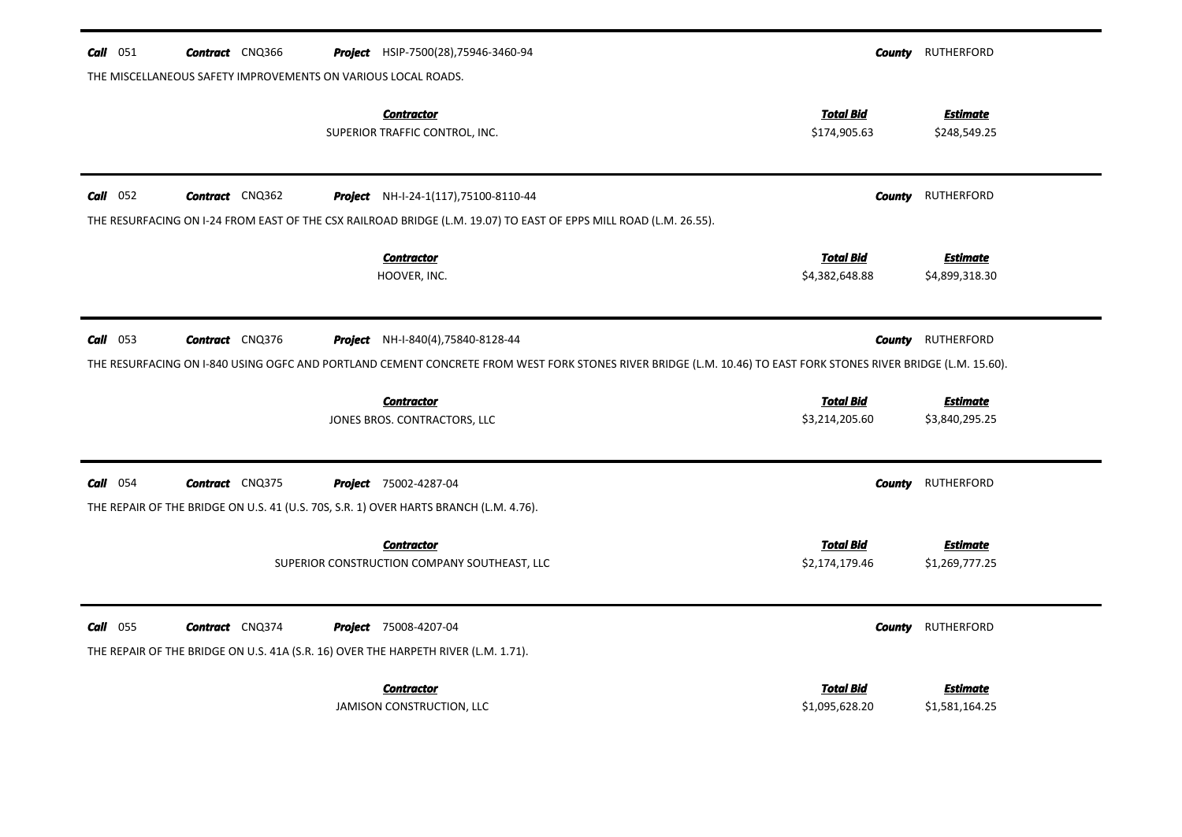| Call 051        | <b>Contract</b> CNQ366                                        | Project HSIP-7500(28),75946-3460-94                                                                                                                             |                                    | <b>County</b> RUTHERFORD          |
|-----------------|---------------------------------------------------------------|-----------------------------------------------------------------------------------------------------------------------------------------------------------------|------------------------------------|-----------------------------------|
|                 | THE MISCELLANEOUS SAFETY IMPROVEMENTS ON VARIOUS LOCAL ROADS. |                                                                                                                                                                 |                                    |                                   |
|                 |                                                               | <b>Contractor</b><br>SUPERIOR TRAFFIC CONTROL, INC.                                                                                                             | <b>Total Bid</b><br>\$174,905.63   | <b>Estimate</b><br>\$248,549.25   |
| $Call$ 052      | <b>Contract</b> CNQ362                                        | <b>Project</b> NH-I-24-1(117), 75100-8110-44                                                                                                                    | County                             | RUTHERFORD                        |
|                 |                                                               | THE RESURFACING ON I-24 FROM EAST OF THE CSX RAILROAD BRIDGE (L.M. 19.07) TO EAST OF EPPS MILL ROAD (L.M. 26.55).                                               |                                    |                                   |
|                 |                                                               | <b>Contractor</b><br>HOOVER, INC.                                                                                                                               | <b>Total Bid</b><br>\$4,382,648.88 | <b>Estimate</b><br>\$4,899,318.30 |
| <b>Call</b> 053 | <b>Contract</b> CNQ376                                        | <b>Project</b> NH-I-840(4),75840-8128-44                                                                                                                        |                                    | <b>County</b> RUTHERFORD          |
|                 |                                                               | THE RESURFACING ON I-840 USING OGFC AND PORTLAND CEMENT CONCRETE FROM WEST FORK STONES RIVER BRIDGE (L.M. 10.46) TO EAST FORK STONES RIVER BRIDGE (L.M. 15.60). |                                    |                                   |
|                 |                                                               | <b>Contractor</b>                                                                                                                                               | <b>Total Bid</b>                   | <b>Estimate</b>                   |
|                 |                                                               | JONES BROS. CONTRACTORS, LLC                                                                                                                                    | \$3,214,205.60                     | \$3,840,295.25                    |
| $Call$ 054      | <b>Contract</b> CNQ375                                        | <b>Project</b> 75002-4287-04                                                                                                                                    | County                             | RUTHERFORD                        |
|                 |                                                               | THE REPAIR OF THE BRIDGE ON U.S. 41 (U.S. 70S, S.R. 1) OVER HARTS BRANCH (L.M. 4.76).                                                                           |                                    |                                   |
|                 |                                                               | <b>Contractor</b><br>SUPERIOR CONSTRUCTION COMPANY SOUTHEAST, LLC                                                                                               | <b>Total Bid</b><br>\$2,174,179.46 | Estimate<br>\$1,269,777.25        |
| $Call$ 055      | <b>Contract</b> CNQ374                                        | <b>Project</b> 75008-4207-04                                                                                                                                    | County                             | RUTHERFORD                        |
|                 |                                                               | THE REPAIR OF THE BRIDGE ON U.S. 41A (S.R. 16) OVER THE HARPETH RIVER (L.M. 1.71).                                                                              |                                    |                                   |
|                 |                                                               | <b>Contractor</b>                                                                                                                                               | <b>Total Bid</b>                   | <b>Estimate</b>                   |
|                 |                                                               | JAMISON CONSTRUCTION, LLC                                                                                                                                       | \$1,095,628.20                     | \$1,581,164.25                    |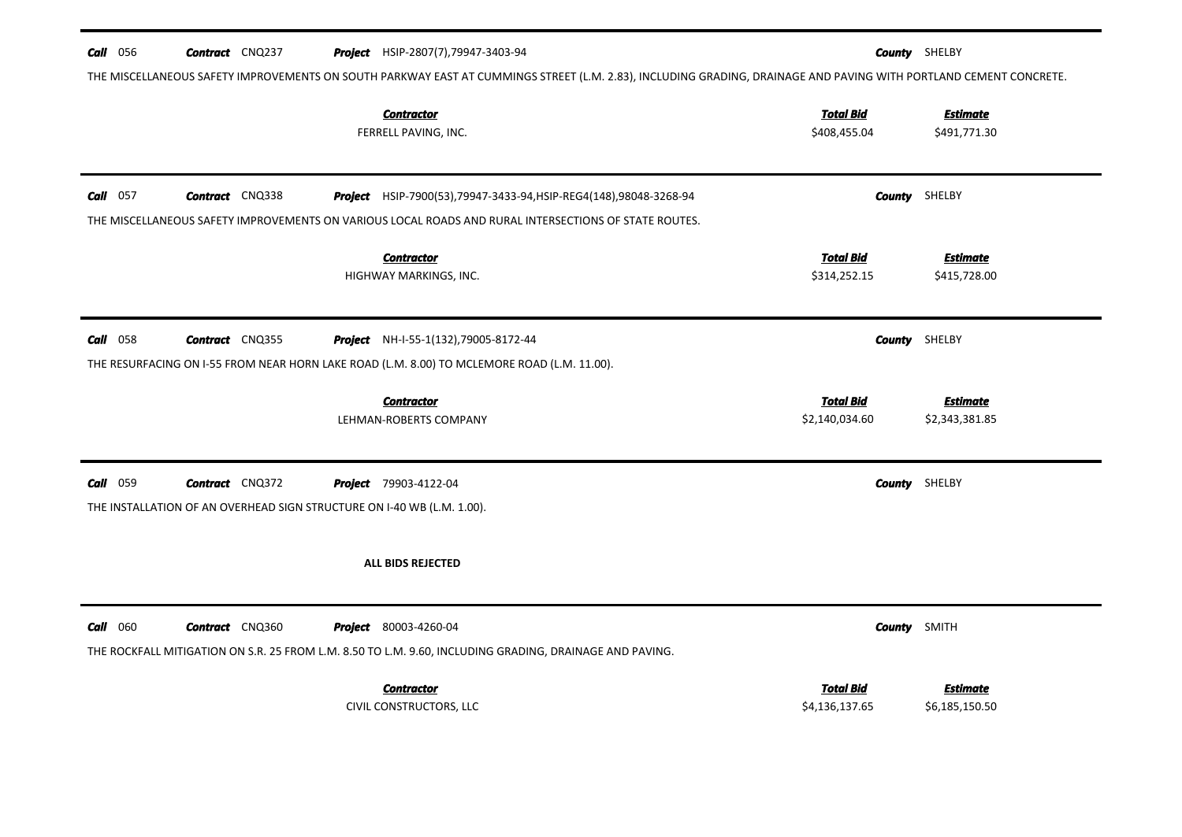| <b>Call</b> 056 | <b>Contract</b> CNQ237 |                                                                        | <b>Project</b> HSIP-2807(7), 79947-3403-94                                                                                                                        |                                    | <b>County</b> SHELBY              |
|-----------------|------------------------|------------------------------------------------------------------------|-------------------------------------------------------------------------------------------------------------------------------------------------------------------|------------------------------------|-----------------------------------|
|                 |                        |                                                                        | THE MISCELLANEOUS SAFETY IMPROVEMENTS ON SOUTH PARKWAY EAST AT CUMMINGS STREET (L.M. 2.83), INCLUDING GRADING, DRAINAGE AND PAVING WITH PORTLAND CEMENT CONCRETE. |                                    |                                   |
|                 |                        |                                                                        | <b>Contractor</b><br>FERRELL PAVING, INC.                                                                                                                         | <b>Total Bid</b><br>\$408,455.04   | <b>Estimate</b><br>\$491,771.30   |
| <b>Call</b> 057 | <b>Contract</b> CNQ338 |                                                                        | <b>Project</b> HSIP-7900(53), 79947-3433-94, HSIP-REG4(148), 98048-3268-94                                                                                        |                                    | <b>County</b> SHELBY              |
|                 |                        |                                                                        | THE MISCELLANEOUS SAFETY IMPROVEMENTS ON VARIOUS LOCAL ROADS AND RURAL INTERSECTIONS OF STATE ROUTES.                                                             |                                    |                                   |
|                 |                        |                                                                        | <b>Contractor</b><br>HIGHWAY MARKINGS, INC.                                                                                                                       | <b>Total Bid</b><br>\$314,252.15   | <b>Estimate</b><br>\$415,728.00   |
| <b>Call</b> 058 | <b>Contract</b> CNQ355 |                                                                        | <b>Project</b> NH-I-55-1(132), 79005-8172-44                                                                                                                      |                                    | <b>County</b> SHELBY              |
|                 |                        |                                                                        | THE RESURFACING ON I-55 FROM NEAR HORN LAKE ROAD (L.M. 8.00) TO MCLEMORE ROAD (L.M. 11.00).                                                                       |                                    |                                   |
|                 |                        |                                                                        | <b>Contractor</b><br>LEHMAN-ROBERTS COMPANY                                                                                                                       | <b>Total Bid</b><br>\$2,140,034.60 | <b>Estimate</b><br>\$2,343,381.85 |
| <b>Call</b> 059 | <b>Contract</b> CNQ372 |                                                                        | Project 79903-4122-04                                                                                                                                             |                                    | <b>County</b> SHELBY              |
|                 |                        | THE INSTALLATION OF AN OVERHEAD SIGN STRUCTURE ON I-40 WB (L.M. 1.00). |                                                                                                                                                                   |                                    |                                   |
|                 |                        |                                                                        | <b>ALL BIDS REJECTED</b>                                                                                                                                          |                                    |                                   |
| <b>Call</b> 060 | <b>Contract</b> CNQ360 |                                                                        | <b>Project</b> 80003-4260-04<br>THE ROCKFALL MITIGATION ON S.R. 25 FROM L.M. 8.50 TO L.M. 9.60, INCLUDING GRADING, DRAINAGE AND PAVING.                           |                                    | <b>County</b> SMITH               |
|                 |                        |                                                                        |                                                                                                                                                                   |                                    |                                   |
|                 |                        |                                                                        | <b>Contractor</b><br>CIVIL CONSTRUCTORS, LLC                                                                                                                      | <b>Total Bid</b><br>\$4,136,137.65 | <b>Estimate</b><br>\$6,185,150.50 |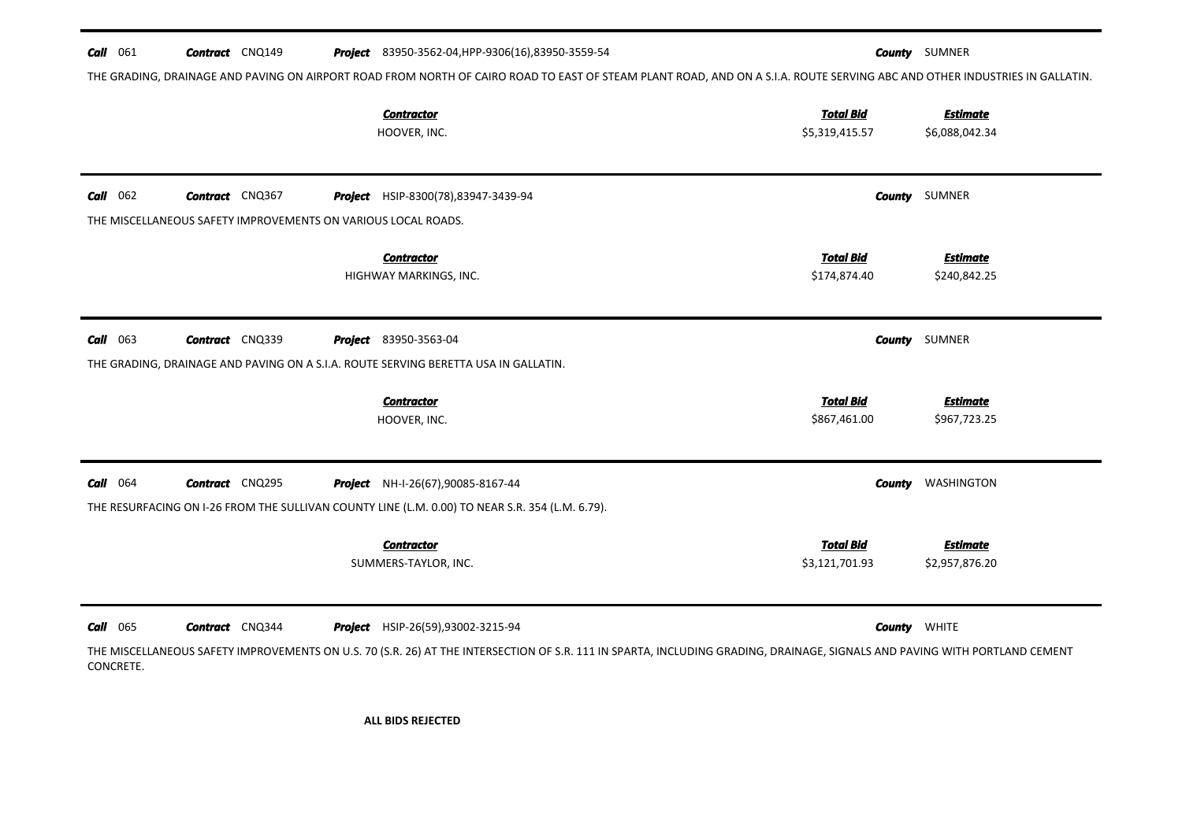| <b>Call</b> 061              | <b>Contract</b> CNQ149                                        | <b>Project</b> 83950-3562-04, HPP-9306(16), 83950-3559-54                                                                                                                                                              |                                    | <b>County</b> SUMNER              |
|------------------------------|---------------------------------------------------------------|------------------------------------------------------------------------------------------------------------------------------------------------------------------------------------------------------------------------|------------------------------------|-----------------------------------|
|                              |                                                               | THE GRADING, DRAINAGE AND PAVING ON AIRPORT ROAD FROM NORTH OF CAIRO ROAD TO EAST OF STEAM PLANT ROAD, AND ON A S.I.A. ROUTE SERVING ABC AND OTHER INDUSTRIES IN GALLATIN.                                             |                                    |                                   |
|                              |                                                               | <b>Contractor</b><br>HOOVER, INC.                                                                                                                                                                                      | <b>Total Bid</b><br>\$5,319,415.57 | <b>Estimate</b><br>\$6,088,042.34 |
| <b>Call</b> 062              | <b>Contract</b> CNQ367                                        | <b>Project</b> HSIP-8300(78),83947-3439-94                                                                                                                                                                             |                                    | <b>County</b> SUMNER              |
|                              | THE MISCELLANEOUS SAFETY IMPROVEMENTS ON VARIOUS LOCAL ROADS. |                                                                                                                                                                                                                        |                                    |                                   |
|                              |                                                               | <b>Contractor</b><br>HIGHWAY MARKINGS, INC.                                                                                                                                                                            | <b>Total Bid</b><br>\$174,874.40   | <b>Estimate</b><br>\$240,842.25   |
| $Call$ 063                   | <b>Contract</b> CNQ339                                        | <b>Project</b> 83950-3563-04                                                                                                                                                                                           |                                    | <b>County</b> SUMNER              |
|                              |                                                               | THE GRADING, DRAINAGE AND PAVING ON A S.I.A. ROUTE SERVING BERETTA USA IN GALLATIN.                                                                                                                                    |                                    |                                   |
|                              |                                                               | <b>Contractor</b><br>HOOVER, INC.                                                                                                                                                                                      | <b>Total Bid</b><br>\$867,461.00   | <b>Estimate</b><br>\$967,723.25   |
| <b>Call</b> 064              | <b>Contract</b> CNQ295                                        | Project NH-I-26(67),90085-8167-44<br>THE RESURFACING ON I-26 FROM THE SULLIVAN COUNTY LINE (L.M. 0.00) TO NEAR S.R. 354 (L.M. 6.79).                                                                                   | County                             | WASHINGTON                        |
|                              |                                                               | <b>Contractor</b><br>SUMMERS-TAYLOR, INC.                                                                                                                                                                              | <b>Total Bid</b><br>\$3,121,701.93 | <b>Estimate</b><br>\$2,957,876.20 |
| <b>Call</b> 065<br>CONCRETE. | <b>Contract</b> CNQ344                                        | <b>Project</b> HSIP-26(59),93002-3215-94<br>THE MISCELLANEOUS SAFETY IMPROVEMENTS ON U.S. 70 (S.R. 26) AT THE INTERSECTION OF S.R. 111 IN SPARTA, INCLUDING GRADING, DRAINAGE, SIGNALS AND PAVING WITH PORTLAND CEMENT |                                    | <b>County</b> WHITE               |

ALL BIDS REJECTED